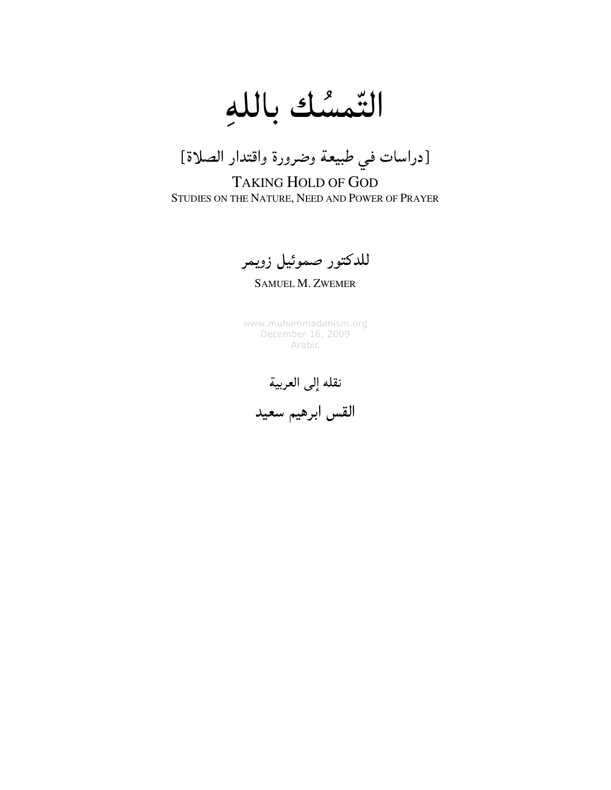التّمسُك باللهِ



TAKING HOLD OF GOD STUDIES ON THE NATURE, NEED AND POWER OF PRAYER

للدكتور صموئيل زويمر

SAMUEL M. ZWEMER

www.muhammadanism.org December 16, 2009 Arabic

نقله إلى العربية

القس ابرهيم سعيد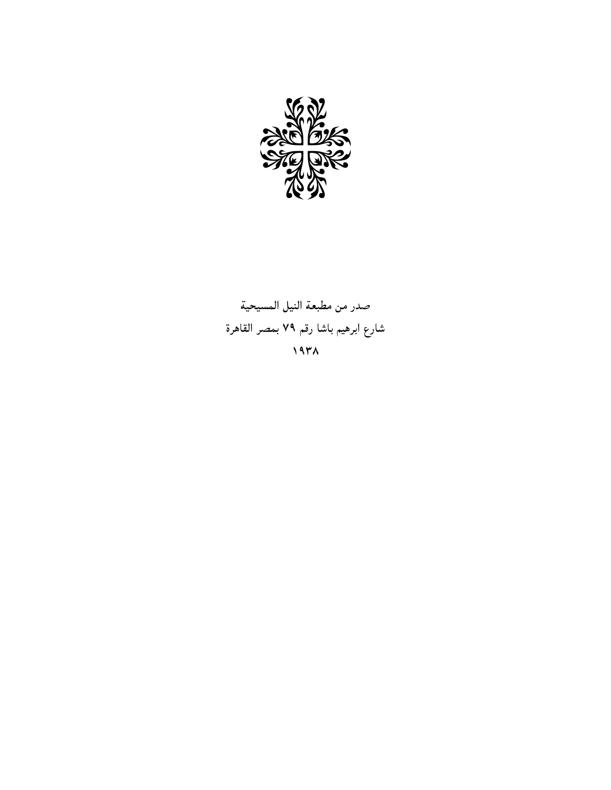

صدر من مطبعة النيل المسيحية شارع ابرهيم باشا رقم ٧٩ بمصر القاهرة ١٩٣٨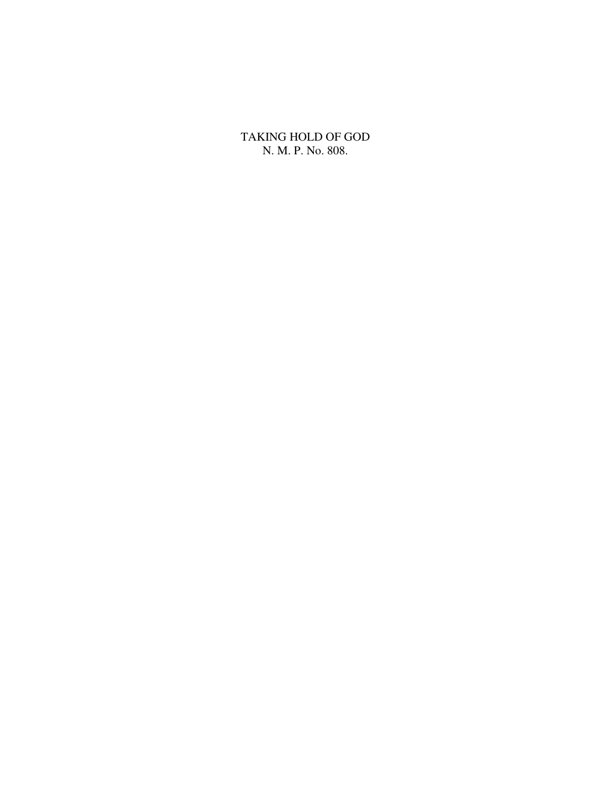TAKING HOLD OF GOD N. M. P. No. 808.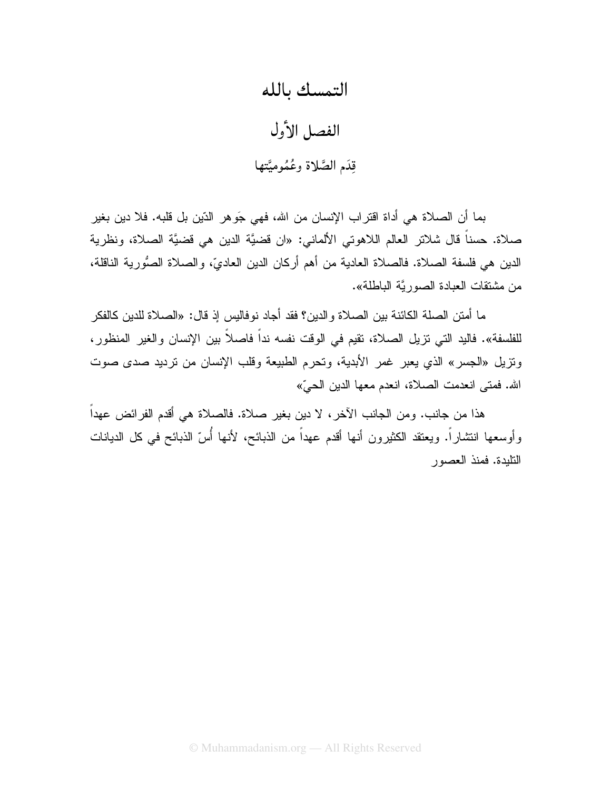## التمسك بالله

الفصل الأول قِدَم الصَّلاة وعُمُوميَّتها

بما أن الصلاة هي أداة اقتراب الإنسان من الله، فهي جَوهر الدّين بل قلبه. فلا دين بغير صلاة. حسناً قال شلاتر العالم اللاهوتي الألماني: «ان قضيَّة الدين هي قضيَّة الصلاة، ونظرية الدين هي فلسفة الصـلاة. فالصـلاة الـعاديـة من أهم أركـان الدين الـعاديّ، والصـلاة الصُّورية النـاقلـة، من مشتقات العبادة الصور بَّة الباطلة».

ما أمتن الصلة الكائنة بين الصلاة والدين؟ فقد أجاد نوفاليس إذ قال: «الصلاة للدين كالفكر للفلسفة». فاليد التي تزيل الصلاة، تقيم في الوقت نفسه نداً فاصلاً بين الإنسان والغير المنظور، ونزيل «الجسر» الذي يعبر غمر الأبدية، وتحرم الطبيعة وقلب الإنسان من نرديد صدى صوت الله. فمتى انعدمت الصلاة، انعدم معها الدين الحيِّ»

هذا من جانب. ومن الجانب الآخر، لا دين بغير صلاة. فالصلاة هي أقدم الفرائض عهداً وأوسعها انتشاراً. ويعتقد الكثيرون أنها أقدم عهداً من الذبائح، لأنها أُسّ الذبائح في كل الديانات التليدة. فمنذ العصور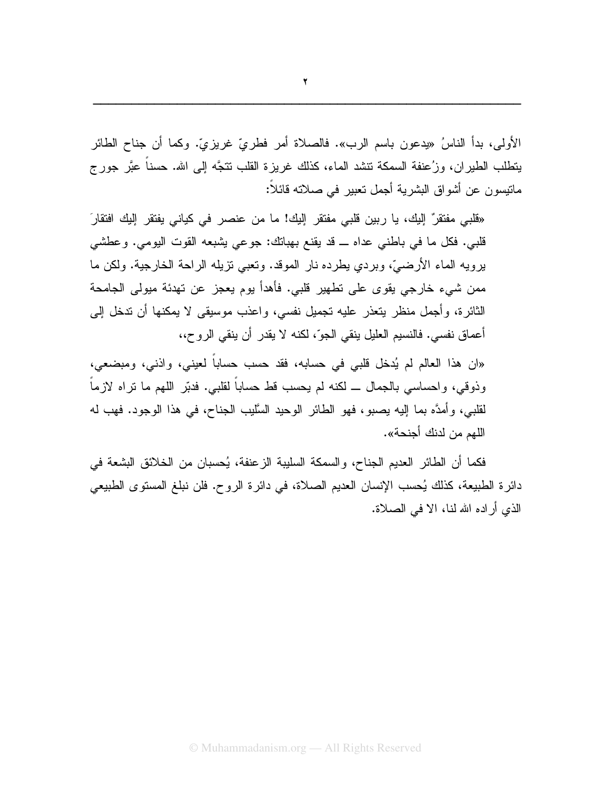الأولى، بدأ الناسُ «يدعون باسم الرب». فالصلاة أمر فطريٍّ غريزيٍّ. وكما أن جناح الطائر يتطلب الطيران، وزُعنفة السمكة نتشد الماء، كذلك غريزة القلب نتجَّه إلى الله. حسناً عبَّر جورج ماتيسون عن أشواق البشرية أجمل تعبير في صلاته قائلاً:

«قلبي مفتقر" إليك، يا ربين قلبي مفتقر إليك! ما من عنصر في كياني يفتقر إليك افتقار َ قلبي. فكل ما في باطني عداه ـــ قد يقنع بهبانك: جوعي يشبعه القوت اليومي. وعطشي برويه الماء الأرضيّ، وبردي يطرده نار الموقد. ونعبي نزيله الراحة الخارجية. ولكن ما ممن شيء خارجي يقوى على نطهير قلبي. فأهدأ يوم يعجز عن نهدئة ميولى الجامحة الثائرة، وأجمل منظر يتعذر عليه نجميل نفسى، واعذب موسيقى لا يمكنها أن ندخل إلى أعماق نفسي. فالنسيم العليل ينقى الجوّ، لكنه لا يقدر أن ينقى الروح،،

«ان هذا العالم لم يُدخل قلبي في حسابه، فقد حسب حساباً لعيني، واذنبي، ومبضعي، وذوقي، واحساسي بالجمال ـــ لكنه لم يحسب قط حساباً لقلبي. فدبّر اللهم ما نراه لازماً لقلبي، وأمدَّه بما إليه بصبو، فهو الطائر الوحيد السَّليب الجناح، في هذا الوجود. فهب له اللهم من لدنك أجنحة».

فكما أن الطائر العديم الجناح، والسمكة السليبة الزعنفة، يُحسبان من الخلائق البشعة في دائرة الطبيعة، كذلك يُحسب الإنسان العديم الصلاة، في دائرة الروح. فلن نبلغ المستوى الطبيعي الذي أراده الله لنا، الا في الصلاة.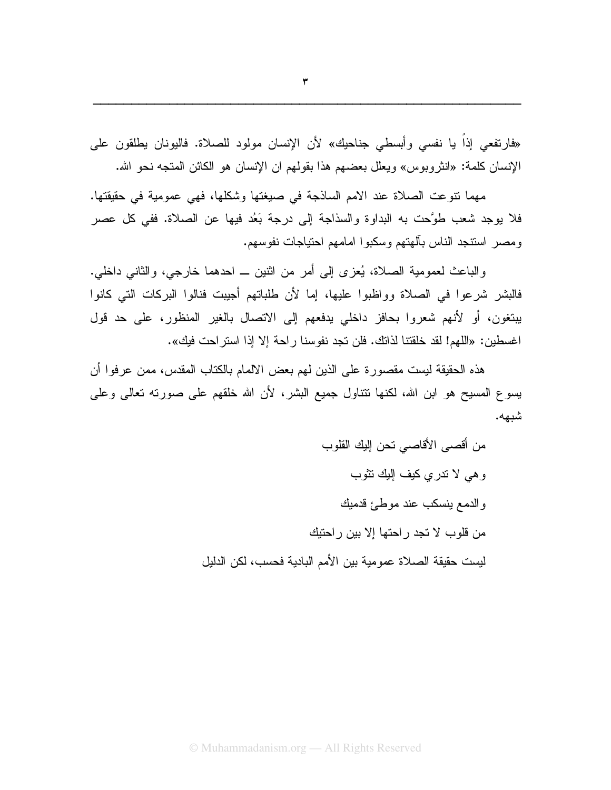«فارتفعي إذا يا نفسي وأبسطي جناحيك» لأن الإنسان مولود للصلاة. فاليونان يطلقون على الإنسان كلمة: «انثروبوس» ويعلل بعضهم هذا بقولهم ان الإنسان هو الكائن المتجه نحو الله.

مهما نتوعت الصلاة عند الامم الساذجة في صيغتها وشكلها، فهي عمومية في حقيقتها. فلا يوجد شعب طوَّحت به البداوة والسذاجة إلى درجة بَعُد فيها عن الصلاة. ففي كل عصر ومصر استنجد الناس بآلهتهم وسكبوا امامهم احتياجات نفوسهم.

والباعث لعمومية الصلاة، يُعزى إلى أمرٍ من اثنينٍ ــ احدهما خارجي، والثاني داخلي. فالبشر شرعوا في الصلاة وواظبوا عليها، إما لأن طلباتهم أجيبت فنالوا البركات التي كانوا يبنغون، أو لأنهم شعروا بحافز داخلي بدفعهم إلى الانصال بالغير المنظور، على حد قول اغسطين: «اللهم! لقد خلقتنا لذاتك. فلن تجد نفوسنا راحة إلا إذا استراحت فيك».

هذه الحقيقة ليست مقصورة على الذين لمهم بعض الالمام بالكتاب المقدس، ممن عرفوا أن يسوع المسيح هو ابن الله، لكنها نتتاول جميع البشر، لأن الله خلقهم على صورته نعالى وعلى شبهه.

> من أقصبي الأقاصبي نحن إليك القلوب وهي لا تدرى كيف اللك تثوب والدمع بنسكب عند موطئ قدمبك من قلوب لا تجد ر احتها إلا بين ر احتبك ليست حقيقة الصلاة عمومية بين الأمم البادية فحسب، لكن الدليل

© Muhammadanism.org — All Rights Reserved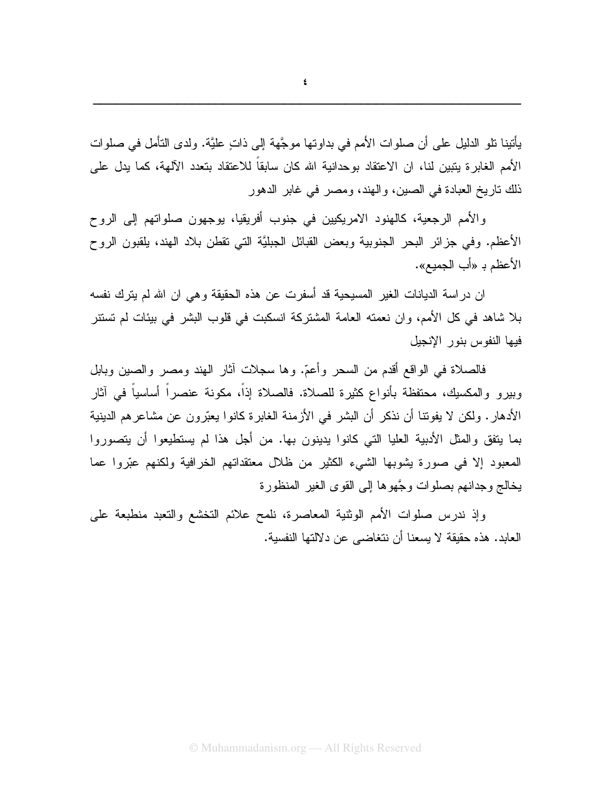يأتينا نلو الدليل على أن صلوات الأمم في بداوتها موجَّهة إلى ذاتٍ عليَّة. ولدى التأمل في صلوات الأمم الغابر ة يتبين لنا، ان الاعتقاد بوحدانية الله كان سابقاً للاعتقاد بتعدد الآلهة، كما يدل على ذلك ناريخ العبادة في الصين، والهند، ومصر في غابر الدهور

والأمم الرجعية، كالهنود الامريكيين في جنوب أفريقيا، يوجهون صلواتهم إلى الروح الأعظم. وفي جزائر البحر الجنوبية وبعض القبائل الجبليَّة التي نقطن بلاد الهند، بلقبون الروح الأعظم بـ «أب الجميع».

ان دراسة الديانات الغير المسيحية قد أسفرت عن هذه الحقيقة وهي ان الله لم يترك نفسه بلا شاهد في كل الأمم، وان نعمته العامة المشتركة انسكبت في قلوب البشر في بيئات لم تستتر فبها النفوس بنور الإنجبل

فالصلاة في الواقع أقدم من السحر وأعمّ. وها سجلات أثار الهند ومصر والصبين وبابل وبيرو والمكسيك، محتفظة بأنواع كثيرة للصلاة. فالصلاة إذاً، مكونة عنصراً أساسياً في أثار الأدهار . ولكن لا يفوننا أن نذكر أن البشر في الأزمنة الغابر ة كانوا يعبّرون عن مشاعر هم الدينية بما يتفق والمثل الأدبية العليا التي كانوا يدينون بها. من أجل هذا لم يستطيعوا أن يتصوروا المعبود إلا في صورة بِشوبها الشَّيء الكثير من ظلَّل معتقداتهم الخرافية ولكنهم عبَّروا عما يخالج وجدانهم بصلوات وجَّهوها إلى القوى الغير المنظورة

وإذ ندرس صلوات الأمم الوثنية المعاصرة، نلمح علائم النخشع والنعبد منطبعة على العابد. هذه حقيقة لا يسعنا أن نتغاضبي عن دلالتها النفسية.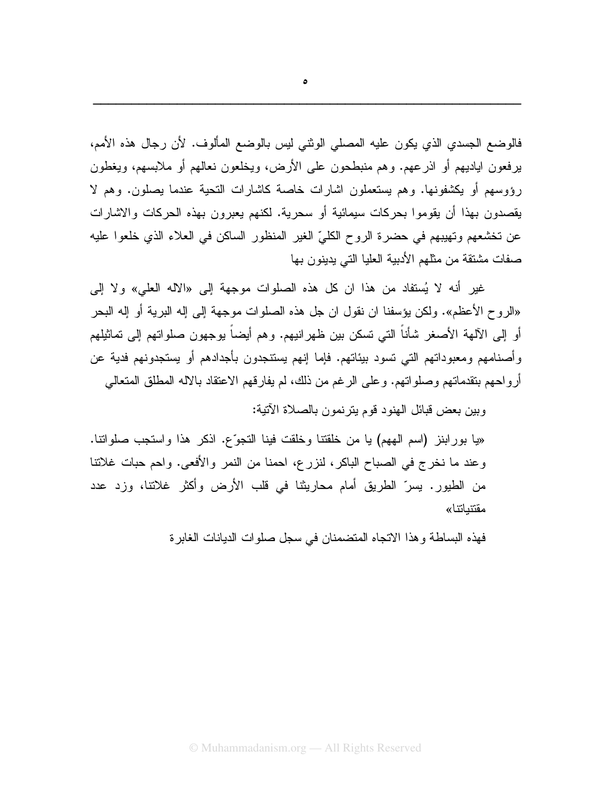فالوضع الجسدي الذي يكون عليه المصلى الوثني ليس بالوضع المألوف. لأن رجال هذه الأمم، يرفعون اياديهم أو اذرعهم. وهم منبطحون على الأرض، ويخلعون نعالهم أو ملابسهم، ويغطون رؤوسهم أو يكشفونها. وهم يستعملون اشارات خاصة كاشارات التحية عندما يصلون. وهم لا يقصدون بهذا أن يقوموا بحركات سيمائية أو سحرية. لكنهم يعبرون بهذه الحركات والاشارات عن تخشعهم وتهيبهم في حضرة الروح الكليِّ الغير المنظور الساكن في العلاء الذي خلعوا عليه صفات مشتقة من مثلهم الأدبية العليا التي يدينون بها

غير أنه لا يُستفاد من هذا ان كل هذه الصلوات موجهة إلى «الاله العلي» ولا إلى «الروح الأعظم». ولكن يؤسفنا ان نقول ان جل هذه الصلوات موجهة إلى إله البرية أو إله البحر أو إلى الآلهة الأصغر شأناً التي تسكن بين ظهر انيهم. وهم أيضاً يوجهون صلواتهم إلى تماثيلهم و أصنامهم ومعبوداتهم التي تسود بيئاتهم. فإما إنهم يستنجدون بأجدادهم أو يستجدونهم فدية عن أرواحهم بتقدماتهم وصلواتهم. وعلى الرغم من ذلك، لم يفارقهم الاعتقاد بالاله المطلق المتعالى

وبين بعض قبائل الهنود قوم يترنمون بالصلاة الآتية:

«يا بورابنز (اسم الههم) يا من خلقتنا وخلقت فينا النجوِّع. اذكر هذا واستجب صلواتنا. وعند ما نخرج في الصباح الباكر، لنزرع، احمنا من النمر والأفعى. واحم حبات غلانتا من الطيور. يسرّ الطريق أمام محاريثنا في قلب الأرض وأكثر غلانتا، وزد عدد مقتنباتنا»

فهذه البساطة وهذا الاتجاه المتضمنان في سجل صلوات الديانات الغابرة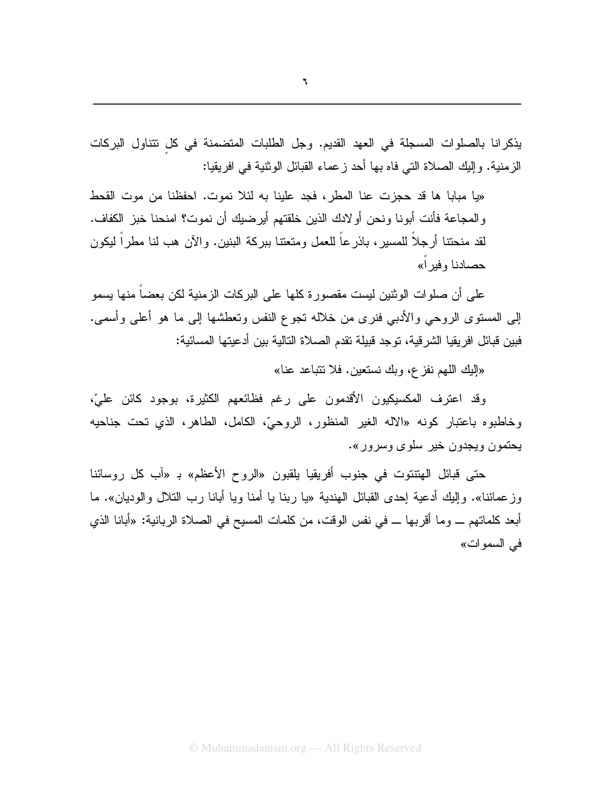يذكرانا بالصلوات المسجلة في العهد القديم. وجل الطلبات المتضمنة في كل تتناول البركات الزمنية. وإليك الصلاة التي فاه بها أحد زعماء القبائل الوثنية في افريقيا:

«يا مبابا ها قد حجزت عنا المطر، فجد علينا به لئلا نموت. احفظنا من موت القحط و المجاعة فأنت أبونا ونحن أو لادك الذين خلقتهم أير ضبك أن نموت؟ امنحنا خبز الكفاف. لقد منحتنا أرجلاً للمسير ، باذر عاً للعمل ومنعتنا بيركة البنين. والآن هب لنا مطر اً ليكون حصادنا وفير أ»

على أن صلوات الوثنين ليست مقصورة كلها على البركات الزمنية لكن بعضاً منها يسمو إلى المسنوى الروحي والأدبي فنرى من خلاله نجوع النفس ونعطشها إلى ما هو أعلى وأسمى. فبين قبائل افريقيا الشرقية، توجد قبيلة نقدم الصلاة التالية بين أدعيتها المسائية:

«البك اللهم نفز ع، وبك نستعين. فلا نتباعد عنا»

وقد اعترف المكسيكيون الأقدمون على رغم فظائعهم الكثيرة، بوجود كائن عليّ، وخاطبوه باعتبار كونه «الاله الغير المنظور، الروحيّ، الكامل، الطاهر، الذي تحت جناحيه يحتمون ويجدون خير سلوى وسرور».

حتى قبائل الهنتنوت في جنوب أفريقيا يلقبون «الروح الأعظم» بـ «آب كل روسائنا وزعمائنا». وإليك أدعية إحدى القبائل الهندية «يا ربنا يا أمنا ويا أبانا رب النلال والوديان». ما أبعد كلماتهم ـــ وما أقربها ـــ في نفس الوقت، من كلمات المسيح في الصلاة الربانية: «أبانا الذي في السموات»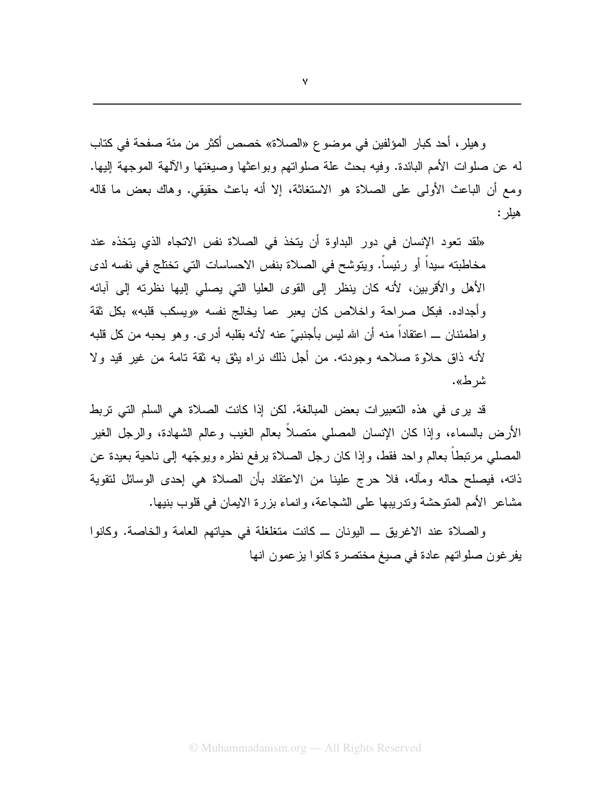وهيلر ، أحد كبار المؤلفين في موضوع «الصلاة» خصص أكثر من مئة صفحة في كتاب له عن صلوات الأمم البائدة. وفيه بحث علة صلواتهم وبواعثها وصبغتها والألهة الموجهة إليها. ومع أن الباعث الأولى على الصلاة هو الاستغاثة، إلا أنه باعث حقيقي. وهاك بعض ما قاله هيلر :

«لقد تعود الإنسان في دور البداوة أن يتخذ في الصلاة نفس الاتجاه الذي يتخذه عند مخاطبته سيداً أو رئيساً. ويتوشح في الصلاة بنفس الاحساسات التي تختلج في نفسه لدى الأهل والأقربين، لأنه كان ينظر إلى القوى العليا التي يصلي إليها نظرته إلى آبائه وأجداده. فبكل صراحة واخلاص كان يعبر عما يخالج نفسه «ويسكب قلبه» بكل ثقة و اطمئنان \_ اعتقاداً منه أن الله ليس بأجنبيٍّ عنه لأنه بقلبه أدرى. وهو يحبه من كل قلبه لأنه ذاق حلاوة صلاحه وجودته. من أجل ذلك نراه بثق به ثقة تامة من غير قيد ولا شر ط».

قد يرى في هذه التعبيرات بعض المبالغة. لكن إذا كانت الصلاة هي السلم التي تربط الأرض بالسماء، وإذا كان الإنسان المصلبي متصلا بعالم الغيب وعالم الشهادة، والرجل الغير المصلَّى مرتبطًا بعالم واحد فقط، وإذا كان رجل الصلاة يرفع نظره ويوجِّهه إلى ناحية بعيدة عن ذاته، فيصلح حاله ومأله، فلا حرج علينا من الاعتقاد بأن الصلاة هي إحدى الوسائل لنقوية مشاعر الأمم المتوحشة وتدريبها على الشجاعة، وانماء بزرة الايمان في قلوب بنيها.

والصلاة عند الاغريق ــ اليونان ــ كانت متغلغلة في حياتهم العامة والخاصة. وكانوا يفرغون صلواتهم عادة في صيغ مختصرة كانوا يزعمون انها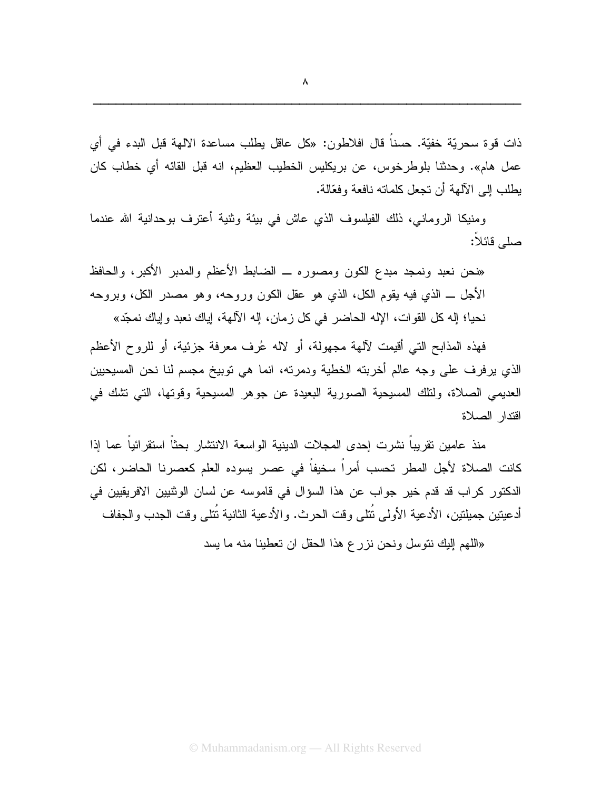ومنيكا الروماني، ذلك الفيلسوف الذي عاش في بيئة وثنية أعترف بوحدانية الله عندما صلى قائلا:

«نحن نعبد ونمجد مبدع الكون ومصوره ــ الضابط الأعظم والمدبر الأكبر، والحافظ الأجل ـــ الذي فيه يقوم الكل، الذي هو عقل الكون وروحه، وهو مصدر الكل، وبروحه نحيا؛ إله كل القوات، الإله الحاضر في كل زمان، إله الآلهة، إياك نعبد وإياك نمجّد»

فهذه المذابح التي أقيمت لآلهة مجهولة، أو لاله عُرف معرفة جزئية، أو للروح الأعظم الذي يرفرف على وجه عالم أخربته الخطية ودمرته، انما هي توبيخ مجسم لنا نحن المسيحيين العديمي الصلاة، ولنلك المسيحية الصورية البعيدة عن جوهر المسيحية وقوتها، التي نشك في افتدار الصلاة

منذ عامين نقريبا نشرت إحدى المجلات الدينية الواسعة الانتشار بحثا استقرائيا عما إذا كانت الصلاة لأجل المطر تحسب أمراً سخيفاً في عصر يسوده العلم كعصرنا الحاضر، لكن الدكتور كراب قد قدم خير جواب عن هذا السؤال في قاموسه عن لسان الونتيين الافريقيين في أدعيتين جميلتين، الأدعية الأولى نُتلى وقت الحرث. والأدعية الثانية نُتلى وقت الجدب والجفاف

«اللَّهم إليك نتوسل ونحن نزرع هذا الحقل ان تعطينا منه ما يسد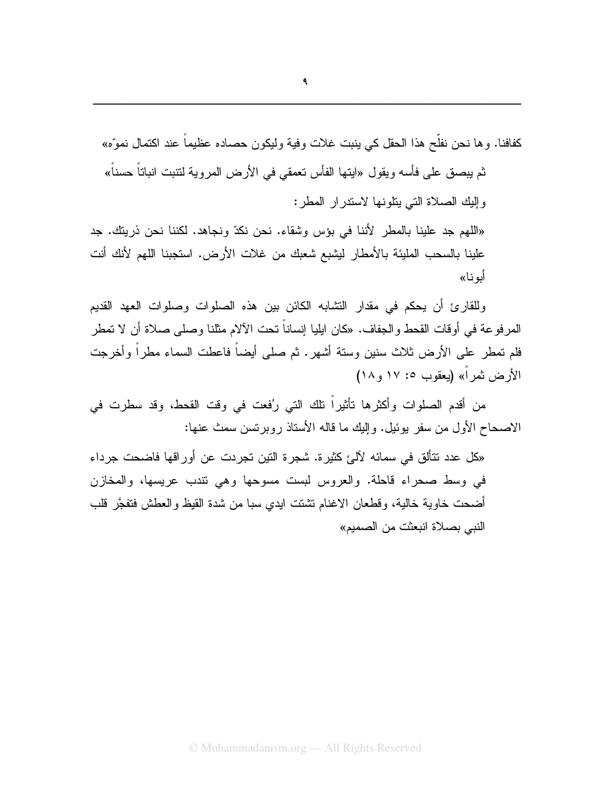كفافنا. وها نحن نفلح هذا الحقل كي ينبت غلات وفية وليكون حصاده عظيما عند اكتمال نموِّه» ثم يبصق على فأسه ويقول «ايتها الفأس تعمقي في الأرض المروية لتتبت انباتاً حسناً» وإليك الصلاة التى بنلونها لاستدرار المطر: «اللهم جد علينا بالمطر لأننا في بؤس وشقاء. نحن نكدّ ونجاهد. لكننا نحن ذريتك. جد

علينا بالسحب المليئة بالأمطار ليشبع شعبك من غلات الأرض. استجبنا اللهم لأنك أنت أبو نـا»

وللقارئ أن يحكم في مقدار النشابه الكائن بين هذه الصلوات وصلوات العهد القديم المرفوعة في أوقات القحط والجفاف. «كان ايليا إنساناً تحت الآلام مثلنا وصلى صلاة أن لا تمطر فلم نمطر على الأرض ثلاث سنين وستة أشهر. ثم صلى أيضاً فاعطت السماء مطراً وأخرجت الأرض ثمراً» (بعقوب ١٧: ١٧ و ١٨)

من أقدم الصلوات وأكثرها نأثيراً نلك التي رُفعت في وقت القحط، وقد سطرت في الاصبحاح الأول من سفر يوئيل. وإليك ما قاله الأستاذ روبريتس سمث عنها:

«كل عدد نتألق في سمائه لآليَّ كثيرة. شجرة النين تجريت عن أوراقها فاضحت جرداء في وسط صحراء قاحلة. والعروس لبست مسوحها وهي نتدب عريسها، والمخازن أضحت خاوية خالية، وقطعان الاغنام نشنت ايدي سبا من شدة القيظ والعطش فتفجَّر قلب النبي بصلاة انبعثت من الصميم»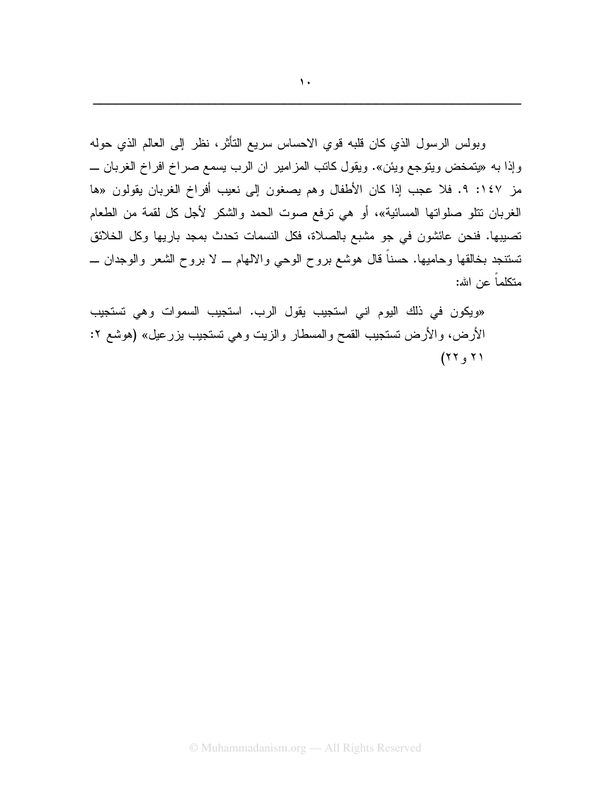وبولس الرسول الذي كان قلبه قوي الاحساس سريع النأثر، نظر إلى العالم الذي حوله وإذا به «يتمخض ويتوجع ويئن». ويقول كاتب المزامير ان الرب يسمع صراخ افراخ الغربان ـــ مز ١٤٧: ٩. فلا عجب إذا كان الأطفال وهم يصغون إلى نعيب أفراخ الغربان يقولون «ها الغربان نتلو صلواتها المسائية»، أو هي نرفع صوت الحمد والشكر لأجل كل لقمة من الطعام تصيبها. فنحن عائشون في جو مشبع بالصلاة، فكل النسمات تحدث بمجد باريها وكل الخلائق تستنجد بخالقها وحاميها. حسناً قال هوشع بروح الوحي والالهام ـــ لا بروح الشعر والوجدان ــــ متكلماً عن الله:

«ويكون في ذلك اليوم اني استجيب يقول الرب. استجيب السموات وهي تستجيب الأرض، والأرض تستجيب القمح والمسطار والزيت وهي تستجيب بزرعيل» (هوشع ٢:  $(77,7)$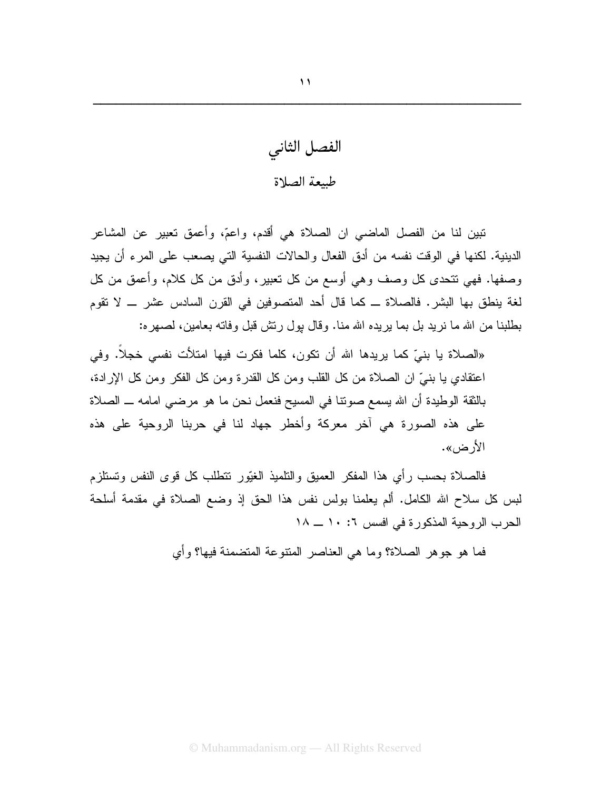الفصل الثانى طبيعة الصلاة

تبين لنا من الفصل الماضيي ان الصلاة هي أقدم، واعمّ، وأعمق تعبير عن المشاعر الدينية. لكنها في الوقت نفسه من أدق الفعال والحالات النفسية التي يصعب على المرء أن يجيد وصفها. فهي نتحدى كل وصف وهي أوسع من كل نعبير، وأدق من كل كلام، وأعمق من كل لغة بنطق بها البشر . فالصلاة ـــ كما قال أحد المتصوفين في القرن السادس عشر ـــ لا تقوم بطلبنا من الله ما نريد بل بما بريده الله منا. وقال بول رنتش قبل وفانه بعامين، لصهره:

«الصلاة يا بنيّ كما يريدها الله أن تكون، كلما فكرت فيها امتلأت نفسي خجلاً. وفي اعتقادي يا بنبيٍّ ان الصلاة من كل القلب ومن كل القدرة ومن كل الفكر ومن كل الإرادة، بالثقة الوطيدة أن الله يسمع صوننا في المسيح فنعمل نحن ما هو مرضى امامه ــ الصلاة على هذه الصورة هي آخر معركة وأخطر جهاد لنا في حربنا الروحية على هذه الأر ض».

فالصلاة بحسب رأي هذا المفكر العميق والنلميذ الغيّور نتطلب كل قوى النفس ونستلزم لبس كل سلاح الله الكامل. ألم يعلمنا بولس نفس هذا الحق إذ وضع الصلاة في مقدمة أسلحة الحرب الروحية المذكورة في افسس ٦: ١٠ ــ ١٨

فما هو جوهر الصلاة؟ وما هي العناصر المنتوعة المنضمنة فيها؟ وأي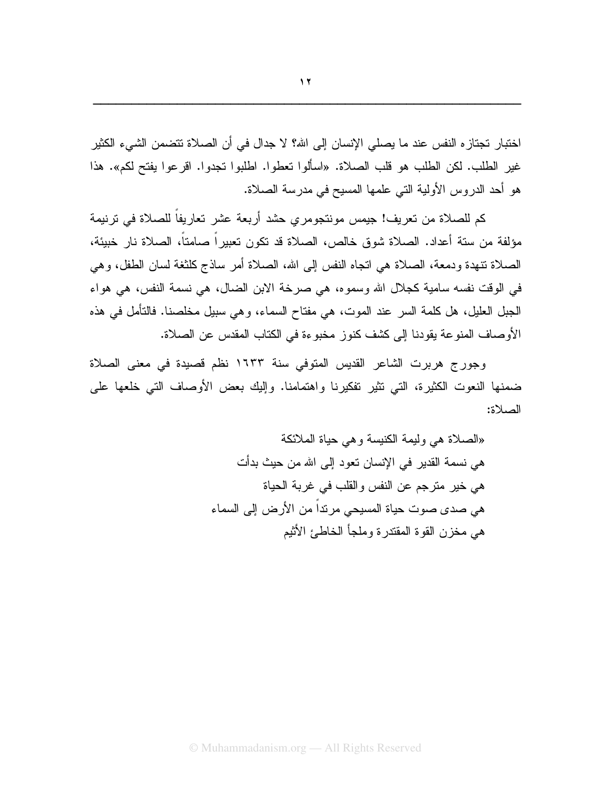اختبار تجتاز ه النفس عند ما يصلي الإنسان إلى الله؟ لا جدال في أن الصلاة تتضمن الشيء الكثير غير الطلب. لكن الطلب هو قلب الصلاة. «اسألوا تعطوا. اطلبوا تجدوا. اقرعوا يفتح لكم». هذا هو أحد الدروس الأولية التي علمها المسيح في مدرسة الصلاة.

كم للصلاة من تعريف! جيمس مونتجومر ي حشد أربعة عشر تعاريفاً للصلاة في تر نيمة مؤلفة من ستة أعداد. الصلاة شوق خالص، الصلاة قد تكون تعبيراً صامتاً، الصلاة نار خبيئة، الصلاة نتهدة ودمعة، الصلاة هي انجاه النفس إلى الله، الصلاة أمر ساذج كلثغة لسان الطفل، وهي في الوقت نفسه سامية كجلال الله وسموه، هي صرخة الابن الضال، هي نسمة النفس، هي هواء الجبل العليل، هل كلمة السر عند الموت، هي مفتاح السماء، وهي سبيل مخلصنا. فالتأمل في هذه الأوصاف المنو عة يقودنا إلى كشف كنو ز مخبوعة في الكتاب المقدس عن الصلاة.

وجورج هربرت الشاعر القديس المتوفى سنة ١٦٣٣ نظم قصيدة في معنى الصلاة ضمنها النعوت الكثيرة، التي نثير نفكيرنا واهتمامنا. وإليك بعض الأوصاف التي خلعها على الصلاة:

> «الصلاة هي وليمة الكنيسة و هي حياة الملائكة هي نسمة القدير في الإنسان تعود إلى الله من حيث بدأت هي خير مترجم عن النفس والقلب في غربة الحياة هي صدى صوت حياة المسيحي مرنداً من الأرض إلى السماء هي مخز ن القو ة المقتدر ة وملجأ الخاطئ الأثيم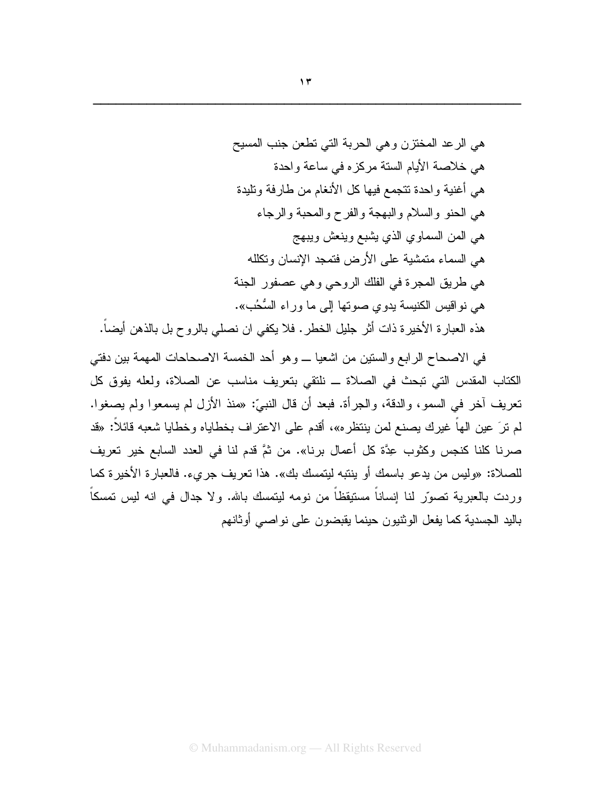هي الرعد المختزن وهي الحربة التي تطعن جنب المسيح هي خلاصة الأيام الستة مركز ه في ساعة واحدة هي أغنية واحدة تتجمع فيها كل الأنغام من طارفة وتلبدة هي الحنو والسلام والبهجة والفرح والمحبة والرجاء هي المن السماوي الذي بِشْبِع وينعش ويبهج هي السماء متمشية على الأرض فتمجد الإنسان وتكلله هي طريق المجرة في الفلك الروحي وهي عصفور الجنة هي نواقيس الكنيسة يدوي صوتها إلى ما وراء السُّحُب». هذه العبار ة الأخير ة ذات أثر جليل الخطر . فلا يكفي ان نصلبي بالروح بل بالذهن أيضاً.

في الاصحاح الرابع والستين من اشعيا ـــ وهو أحد الخمسة الاصحاحات المهمة بين دفتي الكتاب المقدس التي تبحث في الصلاة ــ نلتقي بتعريف مناسب عن الصلاة، ولعله يفوق كل تعريف أخر في السمو، والدقة، والجرأة. فبعد أن قال النبيِّ: «منذ الأزل لم يسمعوا ولم يصغوا. لم نرَ عين الهاً غيرك يصنع لمن ينتظره»، أقدم على الاعتراف بخطاياه وخطايا شعبه قائلاً: «قد صرنا كلنا كنجس وكثوب عِدَّة كل أعمال برنا». من ثمَّ قدم لنا في العدد السابع خير تعريف للصلاة: «وليس من يدعو باسمك أو ينتبه ليتمسك بك». هذا تعريف جرىء. فالعبارة الأخيرة كما وردت بالعبرية تصوَّر لنا إنساناً مستيقظاً من نومه ليتمسك بالله. ولا جدال في انه ليس تمسكاً باليد الجسدية كما يفعل الوثنيون حينما يقبضون على نواصبي أوثانهم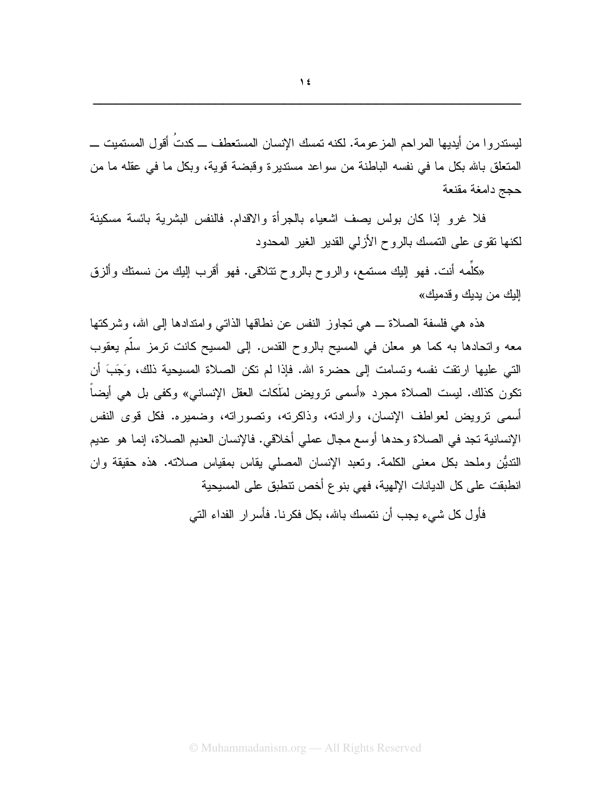ليستدروا من أيديها المراحم المزعومة. لكنه تمسك الإنسان المستعطف ـــ كدتُ أقول المستميت ـــ المتعلِّق بالله بكل ما في نفسه الباطنة من سواعد مستديرة وقبضة قوية، وبكل ما في عقله ما من حجج دامغة مقنعة

فلا غرو إذا كان بولس يصف اشعياء بالجرأة والاقدام. فالنفس البشرية بائسة مسكينة لكنها نقوى على التمسك بالروح الأزلى القدير الغير المحدود

«كَلَمه أنت. فهو ٳلبك مستمع، والروح بالروح نتلاقى. فهو أقرب ٳلبك من نسمتك وألزق اليك من يديك وقدميك»

هذه هي فلسفة الصـلاة ـــ هي تجاوز النفس عن نطـاقها الذاتـى وامتدادها إلـى الله، وشركتها معه واتحادها به كما هو معلن في المسيح بالروح القدس. إلى المسيح كانت نرمز سلم يعقوب الَّتِي عليها ارتقت نفسه ونسامت إلى حضرة الله. فإذا لم تكن الصلاة المسيحية ذلك، وَجَبَ أن نكون كذلك. ليست الصلاة مجرد «أسمى نرويض لمَلَكات العقل الإنساني» وكفي بل هي أيضاً أسمى ترويض لعواطف الإنسان، وارادته، وذاكرته، وتصوراته، وضميره. فكل قوى النفس الإنسانية تجد في الصلاة وحدها أوسع مجال عملي أخلاقي. فالإنسان العديم الصلاة، إنما هو عديم النَّديُّنِ وملحدٍ بكلٍ معنى الكلمة. وتعبد الإنسان المصلَّى يقاسٍ بمقياسٍ صلاته. هذه حقيقة وإن انطبقت على كل الديانات الإلهية، فهي بنوع أخص نتطبق على المسيحية

فأول كل شيء يجب أن نتمسك بالله، بكل فكرنا. فأسرار الفداء التي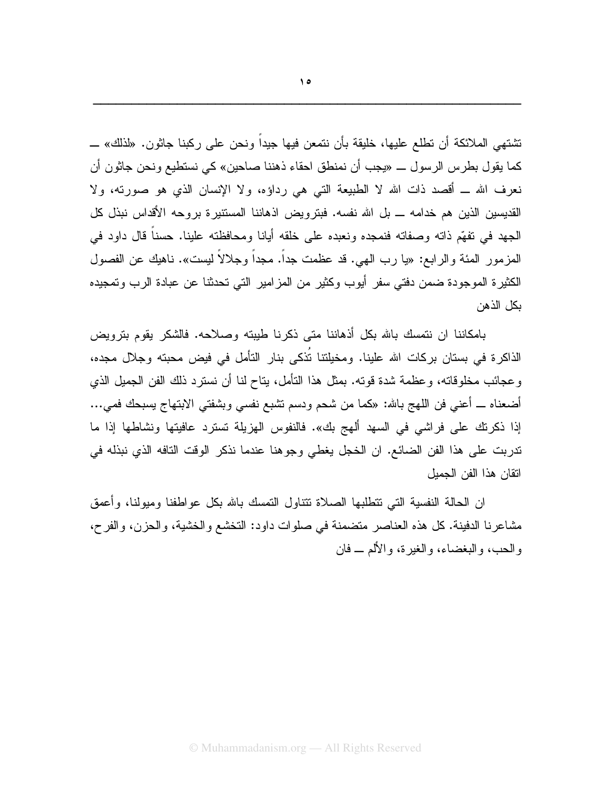تشتهي الملائكة أن تطلع عليها، خليقة بأن نتمعن فيها جيداً ونحن على ركبنا جاثون. «لذلك» ـــ كما يقول بطرس الرسول ـــ «يجب أن نمنطق احقاء ذهننا صاحين» كي نستطيع ونحن جاثون أن نعرف الله ـ أقصد ذات الله لا الطبيعة التي هي رداؤه، ولا الإنسان الذي هو صورته، ولا القديسين الذين هم خدامه \_ بل الله نفسه. فبترويض اذهاننا المستتيرة بروحه الأقداس نبذل كل الجهد في نفهِّم ذاته وصفاته فنمجده ونعبده على خلقه أيانا ومحافظته علينا. حسناً قال داود في المز مور المئة و الر ابع: «يا ر ب المهي. قد عظمت جداً. مجداً و جلالاً ليست». ناهيك عن الفصول الكثيرة الموجودة ضمن دفتي سفر أيوب وكثير من المزامير التي تحدثنا عن عبادة الرب وتمجيده يكل الذهن

بامكاننا ان نتمسك بالله بكل أذهاننا متى ذكرنا طيبته وصلاحه. فالشكر يقوم بترويض الذاكرة في بستان بركات الله علينا. ومخيلتنا تُذكي بنار التأمل في فيض محبته وجلال مجده، وعجائب مخلوقاته، وعظمة شدة قوته. بمثل هذا التأمل، بتاح لنا أن نسترد ذلك الفن الجميل الذي أضعناه ــ أعنـي فن اللـهج بـالله: «كمـا من شحم ودسم نشبـع نفسـي وبشفتـي الابنـهاج بسبحك فمـي... إذا ذكرتك على فراشي في السهد ألهج بك». فالنفوس الهزيلة تسترد عافيتها ونشاطها إذا ما تدربت على هذا الفن الضائع. ان الخجل يغطي وجوهنا عندما نذكر الوقت التافه الذي نبذله في اتقان هذا الفن الجميل

ان الحالة النفسية التبي نتطلبها الصلاة نتتاول النمسك بالله بكل عواطفنا وميولنا، وأعمق مشاعرنا الدفينة. كل هذه العناصر منضمنة في صلوات داود: التخشع والخشية، والحزن، والفرح، والحب، والبغضاء، والغيرة، والألم ــ فان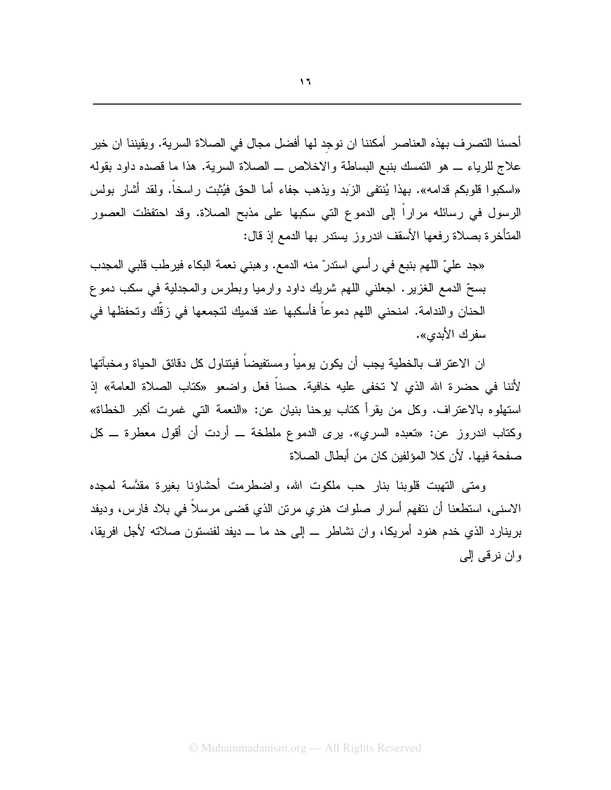أحسنا التصرف بهذه العناصر أمكننا ان نوجد لها أفضل مجال في الصلاة السرية. ويقيننا ان خير علاج للرياء \_ هو التمسك بنبع البساطة والاخلاص \_ الصلاة السرية. هذا ما قصده داود بقوله «اسكبوا قلوبكم قدامه». بهذا يُنتفى الزَبد ويذهب جفاء أما الحق فيُثبت راسخاً. ولقد أشار بولس الرسول في رسائله مراراً إلى الدموع التي سكبها على مذبح الصلاة. وقد احتفظت العصور المتأخرة بصلاة رفعها الأسقف اندروز يستدر بها الدمع إذ قال:

«جد عليّ اللهم بنبع في رأسي استدرّ منه الدمع. وهبني نعمة البكاء فيرطب قلبي المجدب بسحِّ الدمع الغزير . اجعلنبي اللهم شريك داود وارميا وبطرس والمجدلية في سكب دموع الحنان والندامة. امنحنى اللهم دموعاً فأسكبها عند قدميك لتجمعها في زقَّك وتحفظها في سفر ك الأبدي».

ان الاعتراف بالخطية يجب أن يكون يومياً ومستفيضاً فيتناول كل دقائق الحياة ومخبآتها لأننا في حضرة الله الذي لا تخفى عليه خافية. حسناً فعل واضعو «كتاب الصلاة العامة» إذ استهلوه بالاعتراف. وكل من يقرأ كتاب يوحنا بنيان عن: «النعمة التي غمرت أكبر الخطاة» وكتاب اندروز عن: «نعبده السري». برى الدموع ملطخة ـــ أردت أن أقول معطرة ـــ كل صفحة فبها. لأن كلا المؤلفين كان من أبطال الصلاة

ومتى التهبت قلوبنا بنار حب ملكوت الله، واضطرمت أحشاؤنا بغيرة مقدَّسة لمجده الاسنبي، استطعنا أن نتفهم أسرار صلوات هنري مرتن الذي قضبي مرسلاً في بلاد فارس، وديفد برينارد الذي خدم هنود أمريكا، وإن نشاطر \_ إلى حد ما \_ ديفد لفنستون صلاته لأجل افريقا، وان نرقبي إلى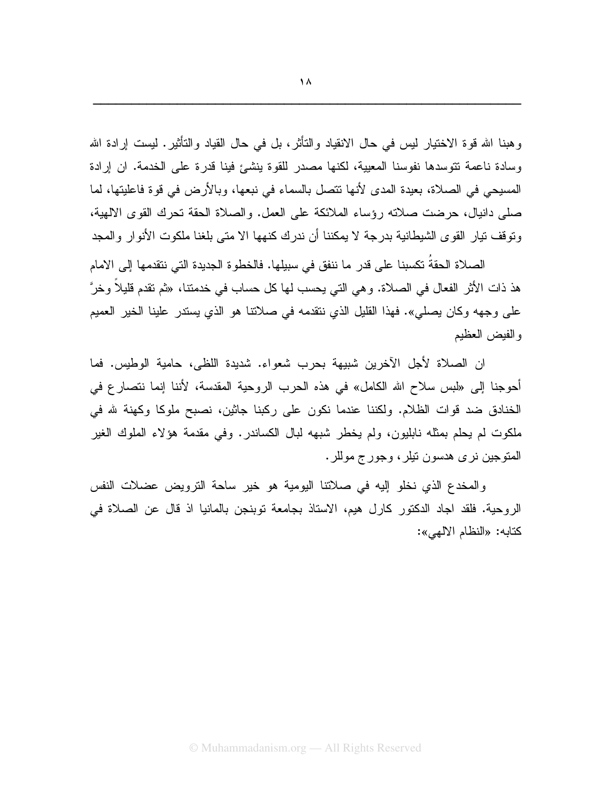وهبنا الله قوة الاختيار ليس في حال الانقياد والتأثر، بل في حال القياد والتأثير. ليست إرادة الله وسادة ناعمة تتوسدها نفوسنا المعيية، لكنها مصدر للقوة ينشئ فينا قدرة على الخدمة. ان إرادة المسيحي في الصلاة، بعيدة المدى لأنها نتصل بالسماء في نبعها، وبالأرض في قوة فاعليتها، لما صلى دانيال، حرضت صلاته رؤساء الملائكة على العمل. والصلاة الحقة نحرك القوى الالهية، وتوقف تيار القوى الشيطانية بدر جة لا يمكننا أن ندرك كنهها الا متى بلغنا ملكوت الأنوار والمجد

الصلاة الحقةُ تكسبنا على قدر ما ننفق في سبيلها. فالخطوة الجديدة التي نتقدمها إلى الامام هذ ذات الأثر الفعال في الصلاة. و هي التي يحسب لها كل حساب في خدمتنا، «ثم تقدم قليلا وخرَّ على وجهه وكان يصلي». فهذا القليل الذي نتقدمه في صلاتنا هو الذي يستدر علينا الخير العميم والفيض العظيم

ان الصلاة لأجل الآخرين شبيهة بحرب شعواء. شديدة اللظي، حامية الوطيس. فما أحوجنا إلى «لبس سلاح الله الكامل» في هذه الحرب الروحية المقدسة، لأننا إنما نتصارع في الخنادق ضد قوات الظلام. ولكننا عندما نكون على ركبنا جاثين، نصبح ملوكا وكهنة لله في ملكوت لم يحلَّم بمثله نابليون، ولم يخطَّر شبهه لبال الكساندر . وفي مقدمة هؤلاء الملوك الغير المتوجين نري هدسون نيلر، وجورج موللر.

والمخدع الذي نخلو إليه في صلاتنا اليومية هو خير ساحة الترويض عضلات النفس الروحية. فلقد اجاد الدكتور كارل هيم، الاستاذ بجامعة توبنجن بالمانيا اذ قال عن الصلاة في كتابه: «النظام الالهي»: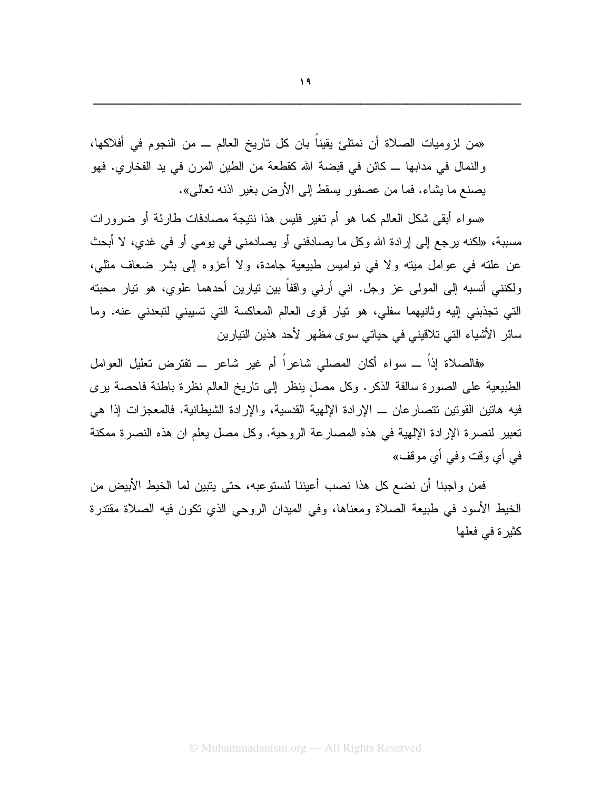«من لزوميات الصلاة أن نمتلئ يقينا بان كل تاريخ العالم ـــ من النجوم في أفلاكها، والنمال في مدابها ــ كائن في قبضة الله كقطعة من الطين المرن في يد الفخاري. فهو بِصنع ما بِشاء. فما من عصفور بِسقط إلى الأرض بغير اذنه تعالى».

«سواء أبقى شكل العالم كما هو أم تغير فليس هذا نتيجة مصادفات طارئة أو ضرورات مسببة، «لكنه برجع إلى إرادة الله وكل ما بصادفني أو بصادمني في بومي أو في غدي، لا أبحث عن علته في عوامل ميته ولا في نواميس طبيعية جامدة، ولا أعزوه إلى بشر ضعاف مثلي، ولكنني أنسبه إلى المولى عز وجل. اني أرني واقفاً بين نيارين أحدهما علوي، هو نيار محبته التي تجذبني إليه وثانيهما سفلي، هو نيار قوى العالم المعاكسة التي نسيبني لتبعدني عنه. وما سائر الأشياء التي تلاقيني في حياتي سوى مظهر لأحد هذين التيارين

«فالصلاة إذاً ـــ سواء أكان المصلبي شاعراً أم غير شاعرٍ ـــ تفترض تعليل العوامل الطبيعية على الصورة سالفة الذكر. وكل مصل ينظر إلى ناريخ العالم نظرة باطنة فاحصة يرى فيه هاتين القوتين تتصارعان ــ الإرادة الإلهية القدسية، والإرادة الشيطانية. فالمعجزات إذا هي تعبير لنصرة الإرادة الإلهية في هذه المصارعة الروحية. وكل مصل يعلم ان هذه النصرة ممكنة في أي وقت وفي أي موقف»

فمن واجبنا أن نضع كل هذا نصب أعيننا لنستوعبه، حتى يتبين لما الخيط الأبيض من الخيط الأسود في طبيعة الصلاة ومعناها، وفي الميدان الروحي الذي نكون فيه الصلاة مقتدرة كثيرة في فعلها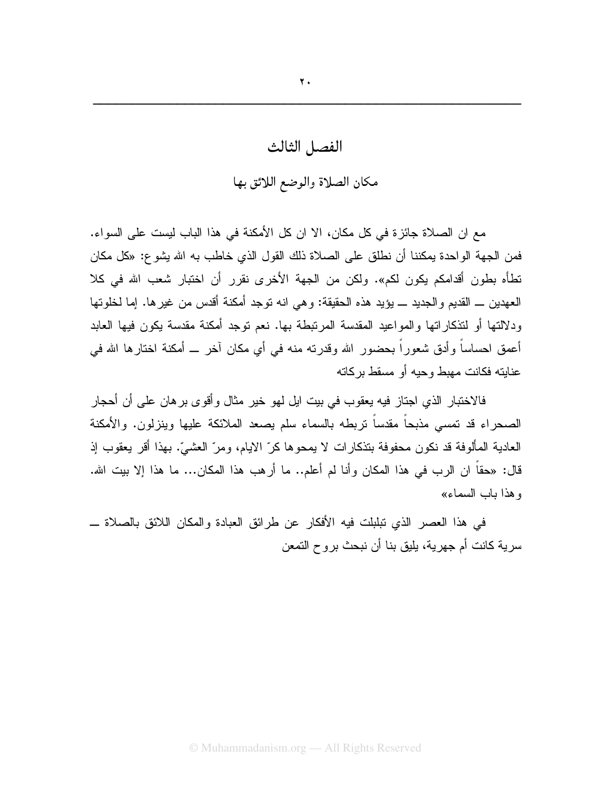## $\mathbf{y}$ .

## الفصل الثالث

## مكان الصلاة والوضع اللائق بها

مع ان الصلاة جائزة في كل مكان، الا ان كل الأمكنة في هذا الباب ليست على السواء. فمن الجهة الواحدة يمكننا أن نطلق على الصلاة ذلك القول الذي خاطب به الله يشو ع: «كل مكان تطأه بطون أقدامكم يكون لكم». ولكن من الجهة الأخرى نقرر أن اختبار شعب الله في كلا العهدين ـــ القديم و الجديد ــــ يؤيد هذه الحقيقة: و هي انه توجد أمكنة أقدس من غير ها. إما لخلوتها ودلالتها أو لتذكار اتها والمواعيد المقدسة المرتبطة بها. نعم توجد أمكنة مقدسة يكون فيها العابد أعمق احساساً وأدق شعوراً بحضور الله وقدرته منه في أي مكان آخر ـــ أمكنة اختارها الله في عنايته فكانت مهبط وحيه أو مسقط بركاته

فالاختبار الذي اجتاز فيه يعقوب في بيت ايل لهو خير مثال وأقوى برهان على أن أحجار الصحراء قد تمسى مذبحاً مقدساً نربطه بالسماء سلم بصعد الملائكة عليها وبنزلون. والأمكنة العادية المألوفة قد نكون محفوفة بتذكارات لا يمحوها كرّ الايام، ومرّ العشيّ. بهذا أقر يعقوب إذ قال: «حقاً ان الرب في هذا المكان وأنا لم أعلم.. ما أرهب هذا المكان... ما هذا إلا بيت الله. و هذا باب السماء»

في هذا العصر الذي تبلبلت فيه الأفكار عن طرائق العبادة والمكان اللائق بالصلاة ـــ سرية كانت أم جهرية، يليق بنا أن نبحث بروح التمعن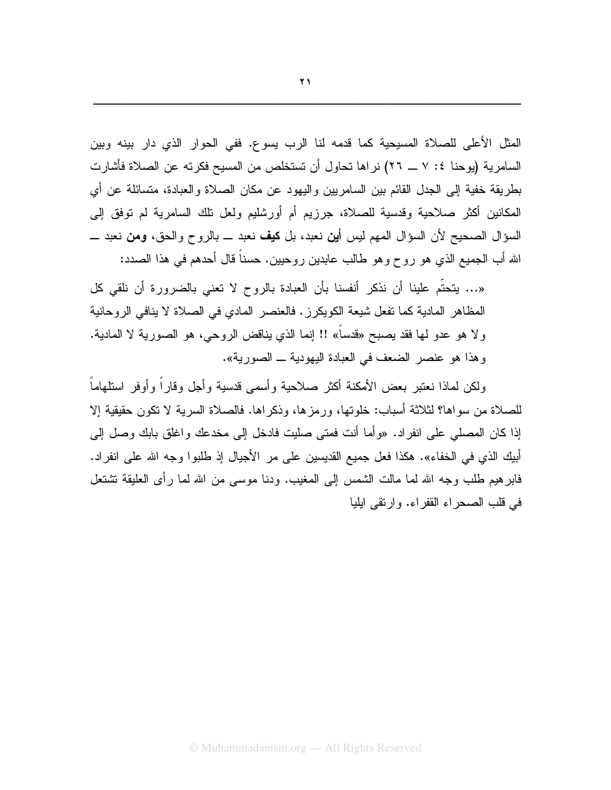المثل الأعلى للصلاة المسيحية كما قدمه لنا الرب يسوع. ففي الحوار الذي دار بينه وبين السامرية (يوحنا ٤: ٧ ــ ٢٦) نراها تحاول أن تستخلص من المسيح فكرته عن الصلاة فأشارت بطريقة خفية إلى الجدل القائم بين السامريين واليهود عن مكان الصلاة والعبادة، متسائلة عن أي المكانين أكثر صلاحية وقدسية للصلاة، جرزيم أم أورشليم ولعل نلك السامرية لم نوفق إلى السؤال الصحيح لأن السؤال المهم ليس أ**ين** نعبد، بل **كيف** نعبد ـــ بالروح والحق، **ومن** نعبد ـــ الله أب الجميع الذي هو روح وهو طالب عابدين روحيين. حسناً قال أحدهم في هذا الصدد:

«… يتحتَّم علينا أن نذكر أنفسنا بأن العبادة بالروح لا تعنى بالضرورة أن نلقى كل المظاهر المادية كما تفعل شيعة الكويكرز . فالعنصر المادي في الصلاة لا ينافي الروحانية ولا هو عدو لها فقد يصبح «قدساً» !! إنما الذي يناقض الروحي، هو الصورية لا المادية. وهذا هو عنصر الضعف في العبادة اليهودية ـ الصورية».

ولكن لماذا نعتبر بعض الأمكنة أكثر صلاحبة وأسمى قدسبة وأجل وقار أ وأوفر استلهاماً للصلاة من سواها؟ لثلاثة أسباب: خلوتها، ورمز ها، وذكر اها. فالصلاة السرية لا نكون حقيقية إلا إذا كان المصلَّى على انفر إد. «وأما أنت فمتى صليت فادخل إلى مخدعك و اغلق بابك وصل إلى أبيك الذي في الخفاء». هكذا فعل جميع القديسين على مر الأجيال إذ طلبوا وجه الله على انفراد. فابر هيم طلب وجه الله لما مالت الشمس إلى المغيب. ودنا موسى من الله لما رأى العليقة تشتعل في قلب الصحر اء القفر اء. وإرتقى ايليا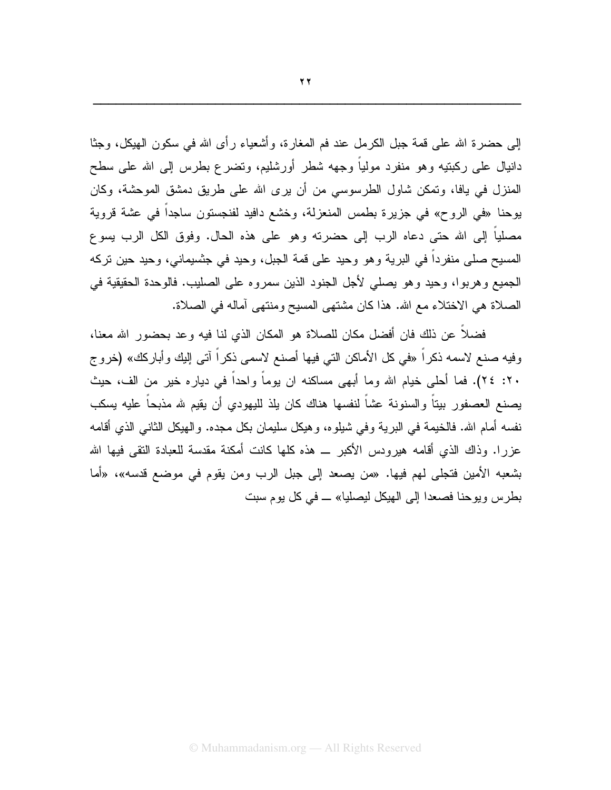إلى حضرة الله على قمة جبل الكرمل عند فم المغارة، وأشعباء رأى الله في سكون الهيكل، وجثًا دانيال على ركبتيه وهو منفرد مولياً وجهه شطر أورشليم، وتضرع بطرس إلى الله على سطح المنزل في يافا، وتمكن شاول الطرسوسي من أن يرى الله على طريق دمشق الموحشة، وكان بوحنا «في الروح» في جزيرة بطمس المنعزلة، وخشع دافيد لفنجستون ساجداً في عشة قروية مصلياً إلى الله حتى دعاه الرب إلى حضرته وهو على هذه الحال. وفوق الكل الرب يسوع المسيح صلى منفر داً في البر ية و هو وحيد على قمة الجبل، و حيد في جشبيماني، و حيد حين تر كه الجميع وهربوا، وحيد وهو يصلَّى لأجلَّ الجنود الذين سمروه على الصليب. فالوحدة الحقيقية في الصلاة هي الاختلاء مع الله. هذا كان مشتهي المسيح ومنتهي أماله في الصلاة.

فضلاً عن ذلك فان أفضل مكان للصلاة هو المكان الذي لنا فيه وعد بحضور الله معنا، وفيه صنع لاسمه ذكراً «في كل الأماكن التي فيها أصنع لاسمي ذكراً آتي إليك وأباركك» (خروج ٢٠: ٢٤). فما أحلي خيام الله وما أبهى مساكنه ان يوماً واحداً في دياره خير من الف، حيث يصنع العصفور بيتاً والسنونة عشاً لنفسها هناك كان يلذ لليهودي أن يقيم لله مذبحاً عليه يسكب نفسه أمام الله. فالخيمة في البرية وفي شيلوه، وهيكل سليمان بكل مجده. والهيكل الثاني الذي أقامه عزرًا. وذاك الذي أقامه هيرودس الأكبر \_ هذه كلها كانت أمكنة مقدسة للعبادة النقى فيها الله بشعبه الأمين فتجلَّى لهم فيها. «من يصعد إلى جبل الرب ومن يقوم في موضع قدسه»، «أما بطرس ويوحنا فصعدا إلى الهيكل ليصليا» ــ في كل يوم سبت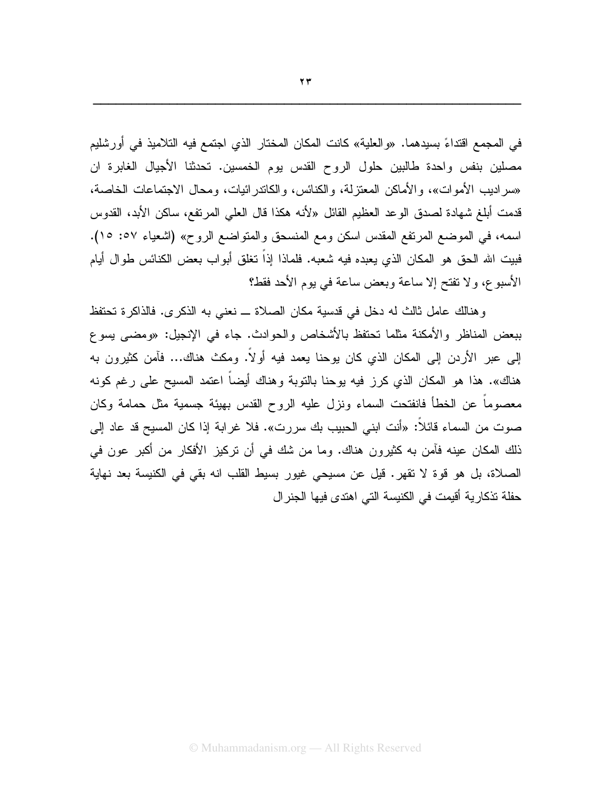في المجمع اقتداءً بسيدهما. «والعلية» كانت المكان المختار الذي اجتمع فيه التلاميذ في أورشليم مصلين بنفس واحدة طالبين حلول الروح القدس يوم الخمسين. تحدثنا الأجيال الغابرة ان «سراديب الأموات»، والأماكن المعتزلة، والكنائس، والكاندرائيات، ومحال الاجتماعات الخاصة، قدمت أبلغ شهادة لصدق الوعد العظيم القائل «لأنه هكذا قال العلي المرتفع، ساكن الأبد، القدوس اسمه، في الموضع المرتفع المقدس اسكن ومع المنسحق والمتواضع الروح» (اشعباء ٥٧: ١٥). فبيت الله الحق هو المكان الذي يعبده فيه شعبه. فلماذا إذاً تغلق أبواب بعض الكنائس طوال أيام الأسبوع، ولا تفتح إلا ساعة وبعض ساعة في يوم الأحد فقط؟

وهنالك عامل ثالث له دخل في قدسية مكان الصلاة ــ نعني به الذكرى. فالذاكرة تحتفظ ببعض المناظر والأمكنة مثلما نحتفظ بالأشخاص والحوادث. جاء في الإنجيل: «ومضى بسوع إلى عبر الأردن إلى المكان الذي كان يوحنا يعمد فيه أولًا. ومكث هناك... فأمن كثيرون به هناك». هذا هو المكان الذي كرز فيه بوحنا بالنوبة وهناك أيضاً اعتمد المسيح على رغم كونه معصوماً عن الخطأ فانفتحت السماء ونزل عليه الروح القدس بهيئة جسمية مثل حمامة وكان صوت من السماء قائلاً: «أنت ابني الحبيب بك سررت». فلا غرابة إذا كان المسيح قد عاد إلى ذلك المكان عينه فأمن به كثيرون هناك. وما من شك في أن تركيز الأفكار من أكبر عون في الصلاة، بل هو قوة لا نقهر. قيل عن مسيحي غيور بسيط القلب انه بقي في الكنيسة بعد نهاية حفلة تذكارية أقيمت في الكنيسة التي اهتدى فيها الجنرال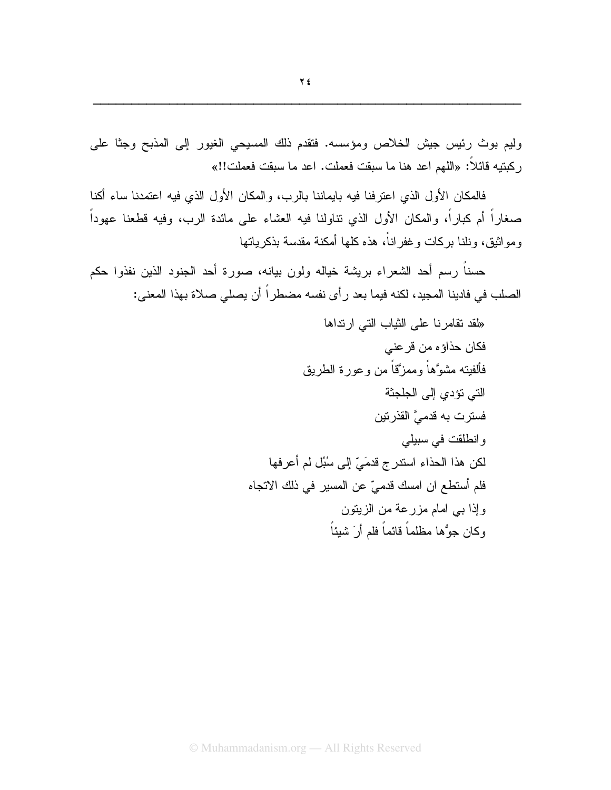وليم بوث رئيس جيش الخلاص ومؤسسه. فتقدم ذلك المسيحي الغيور إلى المذبح وجثا على رِ كبِنبِهِ قَائِلاً: «اللَّهِم اعد هنا ما سبقت فعملت. اعد ما سبقت فعملت!!»

فالمكان الأول الذي اعترفنا فيه بايماننا بالرب، والمكان الأول الذي فيه اعتمدنا ساء أكنا صغار اً أم كبار اً، والمكان الأول الذي نتاولنا فيه العشاء على مائدة الرب، وفيه قطعنا عهوداً ومو اثبق، ونلنا بر كات و غفر اناً، هذه كلها أمكنة مقدسة بذكر باتها

حسناً رسم أحد الشعراء بريشة خياله ولون بيانه، صورة أحد الجنود الذين نفذوا حكم الصلب في فادينا المجيد، لكنه فيما بعد رأى نفسه مضطراً أن يصلى صلاة بهذا المعنى:

> «لقد تقامرنا على الثياب التي ارتداها فكان حذاؤه من قرعني فألفيته مشوءهاً وممزَّقاً من وعورة الطريق التي تؤدي إلى الجلجثة فسترت به قدميَّ القذرتين وانطلقت في سبيلي لكن هذا الحذاء استدرج قدمَيِّ إلى سُبُل لم أعرفها فلم أستطع ان امسك قدميّ عن المسير في ذلك الاتجاه وإذا ببي امام مزرعة من الزيتون و كان جوُّها مظلماً قائماً فلم أر َ شيئاً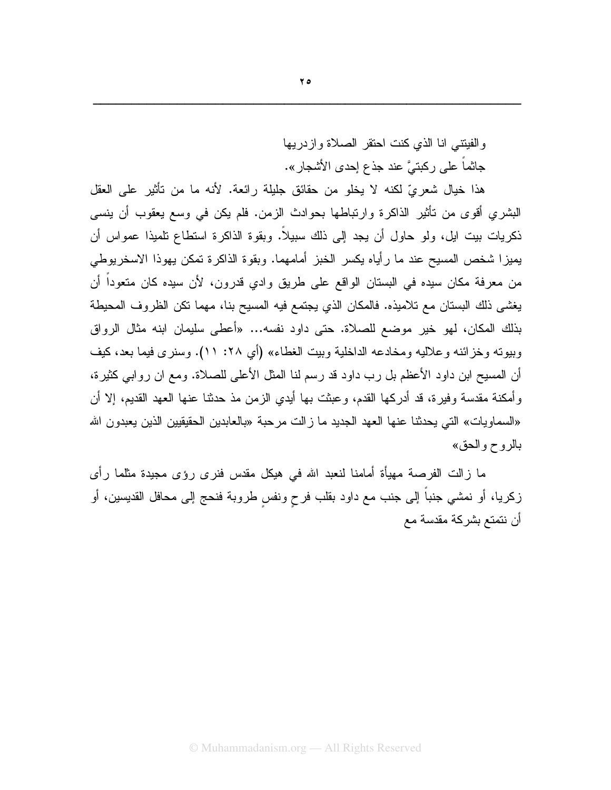والفيتني انا الذى كنت احتقر الصلاة وازدريها جاثماً على ركبتيَّ عند جذع إحدى الأشجار ».

هذا خيال شعريّ لكنه لا يخلو من حقائق جليلة رائعة. لأنه ما من تأثير على العقل البشري أقوى من تأثير الذاكرة وارتباطها بحوادث الزمن. فلم يكن في وسع يعقوب أن ينسى ذكر بات بيت ايل، ولو حاول أن يجد إلى ذلك سبيلاً. وبقوة الذاكرة استطاع تلميذا عمواس أن يميز ا شخص المسيح عند ما ر أياه يكسر الخبز أمامهما. وبقوة الذاكر ة تمكن يهوذا الاسخر يوطى من معرفة مكان سيده في البستان الواقع على طريق وادي قدرون، لأن سيده كان متعوداً أن يغشي ذلك البستان مع تلاميذه. فالمكان الذي يجتمع فيه المسيح بنا، مهما نكن الظروف المحيطة بذلك المكان، لهو خير موضع للصلاة. حتى داود نفسه... «أعطى سليمان ابنه مثال الرواق وبيوته وخزائنه وعلاليه ومخادعه الداخلية وبيت الغطاء» (أي ٢٨: ١١). وسنرى فيما بعد، كيف أن المسيح ابن داود الأعظم بل رب داود قد رسم لنا المثل الأعلى للصلاة. ومع ان روابي كثيرة، و أمكنة مقدسة وفيرة، قد أدركها القدم، وعبثت بها أيدي الزمن مذ حدثنا عنها العهد القديم، إلا أن «السماويات» التي يحدثنا عنها العهد الجديد ما زالت مرحبة «بالعابدين الحقيقيين الذين يعبدون الله بالروح والحق»

ما زالت الفرصة مهيأة أمامنا لنعبد الله في هيكل مقدس فنرى رؤى مجيدة مثلما رأى زكريا، أو نمشي جنباً إلى جنب مع داود بقلب فرح ونفس طروبة فنحج إلى محافل القديسين، أو أن نتمتع بشركة مقدسة مع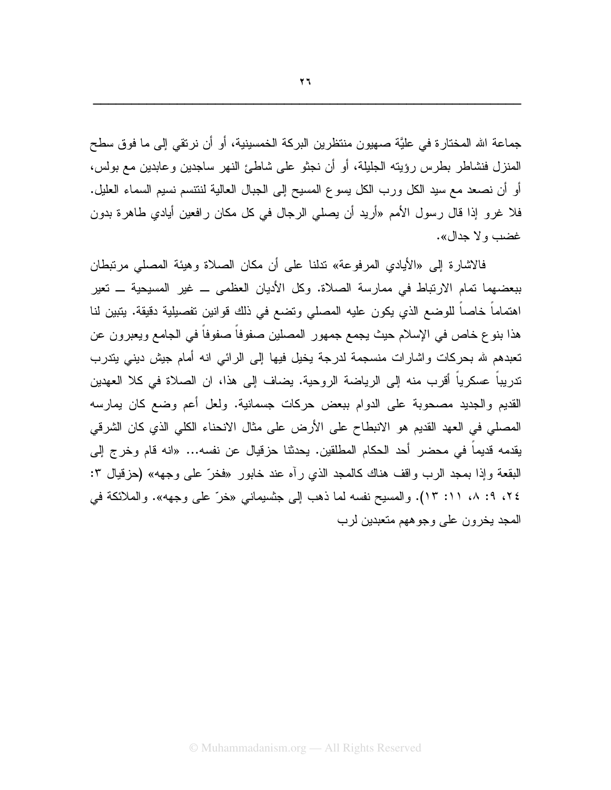جماعة الله المختارة في عليَّة صهيون منتظرين البركة الخمسينية، أو أن نرتقي إلى ما فوق سطح المنزل فنشاطر بطرس رؤيته الجليلة، أو أن نجثو على شاطئ النهر ساجدين وعابدين مع بولس، أو أن نصعد مع سيد الكل ورب الكل يسوع المسيح إلى الجبال العالية لننتسم نسيم السماء العليل. فلا غرو إذا قال رسول الأمم «أريد أن يصلي الرجال في كل مكان رافعين أيادي طاهرة بدون غضب و لا جدال».

فالاشارة إلى «الأيادي المرفوعة» ندلنا على أن مكان الصلاة وهيئة المصلى مرتبطان ببعضهما تمام الارتباط في ممارسة الصلاة. وكل الأديان العظمى ــ غير المسيحية ــ تعير اهتماماً خاصـاً للوضـع الذي يكون عليه المصلي وتضـع في ذلك قوانين تفصيلية دقيقة. يتبين لنا هذا بنوع خاص في الإسلام حيث يجمع جمهور المصلين صفوفاً صفوفاً في الجامع ويعبرون عن تعبدهم لله بحركات واشارات منسجمة لدرجة يخيل فيها إلى الرائي انه أمام جيش ديني يتدرب تدريباً عسكرياً أقرب منه إلى الرياضة الروحية. يضاف إلى هذا، ان الصلاة في كلا العهدين القديم والجديد مصحوبة على الدوام ببعض حركات جسمانية. ولعل أعم وضع كان يمارسه المصلي في العهد القديم هو الانبطاح على الأرض على مثال الانحناء الكلي الذي كان الشرقي يقدمه قديما في محضر أحد الحكام المطلقين. يحدثنا حزقيال عن نفسه... «انه قام وخرج إلى البقعة وإذا بمجد الرب واقف هناك كالمجد الذي رأه عند خابور «فخرّ على وجهه» (حزقيال ٣: ٢٤، ٩: ٨، ١١: ١٣). والمسيح نفسه لما ذهب إلى جنسيماني «خرّ على وجهه». والملائكة في المجد يخرون على وجوههم متعبدين لرب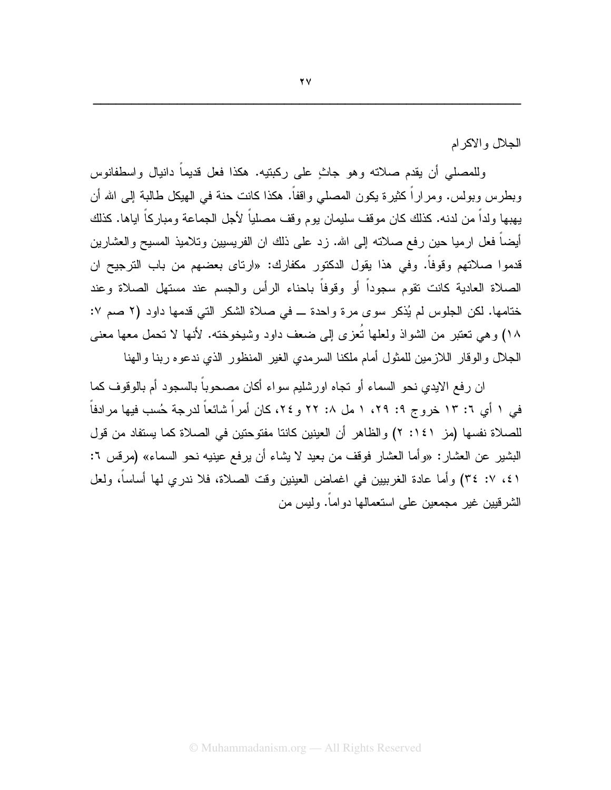الجلال و الاكر ام

وللمصلَّى أن يقدم صلاته وهو جاثٍ على ركبتيه. هكذا فعل قديماً دانيال واسطفانوس وبطرس وبولس. ومراراً كثيرة يكون المصلي واقفاً. هكذا كانت حنة في الهيكل طالبة إلى الله أن يهبها ولداً من لدنه. كذلك كان موقف سليمان يوم وقف مصلياً لأجل الجماعة ومبار كاً اياها. كذلك أيضاً فعل ارميا حين رفع صلاته إلى الله. زد على ذلك ان الفريسيين وتلاميذ المسيح والعشارين قدموا صلاتهم وقوفاً. وفي هذا يقول الدكتور مكفارك: «ارتاى بعضهم من باب الترجيح ان الصلاة العادية كانت نقوم سجوداً أو وقوفاً باحناء الرأس والجسم عند مستهل الصلاة وعند ختامها. لكن الجلوس لم يُذكر سوى مرة واحدة ـ في صلاة الشكر التي قدمها داود (٢ صم ٧: ١٨) وهي تعتبر من الشواذ ولعلها تُعزِّي إلى ضعف داود وشيخوخته. لأنها لا تحمل معها معنى الجلال وإلوقار اللازمين للمثول أمام ملكنا السرمدي الغير المنظور الذي ندعوه ربنا والهنا

ان رفع الايدي نحو السماء أو نجاه اورشليم سواء أكان مصحوباً بالسجود أم بالوقوف كما في ١ أي ٦: ١٣ خروج ٩: ٢٩، ١ مل ٨: ٢٢ و ٢٤، كان أمراً شائعاً لدرجة حُسب فيها مرادفاً للصلاة نفسها (مز ١٤١: ٢) والظاهر أن العينين كانتا مفتوحتين في الصلاة كما يستفاد من قول البشير عن العشار : «و أما العشار فوقف من بعيد لا يشاء أن يرفع عينيه نحو السماء» (مرفس ٦: ٤١، ٢: ٣٤) وأما عادة الغربيين في اغماض العينين وقت الصلاة، فلا ندري لها أساساً، ولعل الشر قبين غير (مجمعين على استعمالها دو اماً. وليس من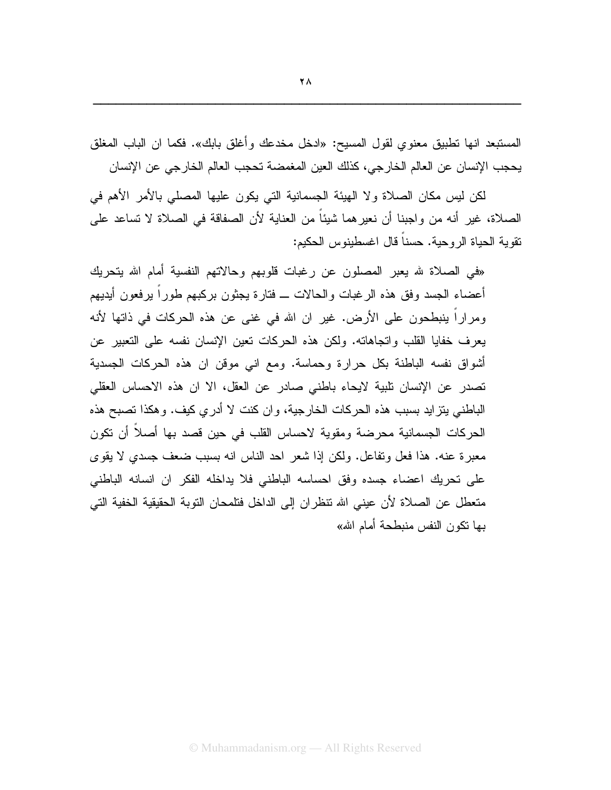المستبعد انها تطبيق معنوي لقول المسيح: «ادخل مخدعك وأغلق بابك». فكما ان الباب المغلق يحجب الإنسان عن العالم الخارجي، كذلك العين المغمضة تحجب العالم الخارجي عن الإنسان

لكن ليس مكان الصلاة ولا الهيئة الجسمانية التي يكون عليها المصلى بالأمر الأهم في الصلاة، غير أنه من و اجبنا أن نعير هما شيئاً من العناية لأن الصفاقة في الصلاة لا تساعد على نقوبة الحباة الر وحبة. حسناً قال اغسطبنوس الحكيم:

«في الصلاة لله يعبر المصلون عن رغبات قلوبهم وحالاتهم النفسية أمام الله يتحريك أعضاء الجسد وفق هذه الرغبات والحالات ـــ فتارة يجثون بركبهم طوراً برفعون أيديهم ومراراً ينبطحون على الأرض. غير ان الله في غني عن هذه الحركات في ذاتها لأنه يعرف خفايا القلب واتجاهاته. ولكن هذه الحركات نعين الإنسان نفسه على النعبير عن أشواق نفسه الباطنة بكل حرارة وحماسة. ومع انبي موقن ان هذه الحركات الجسدية تصدر عن الإنسان تلبية لايحاء باطني صادر عن العقل، الا ان هذه الاحساس العقلي الباطني بتزايد بسبب هذه الحركات الخارجية، وان كنت لا أدري كيف. وهكذا تصبح هذه الحركات الجسمانية محرضة ومقوية لاحساس القلب في حين قصد بها أصلاً أن نكون معبرة عنه. هذا فعل وتفاعل. ولكن إذا شعر احد الناس انه بسبب ضعف جسدي لا يقوى على تحريك اعضاء جسده وفق احساسه الباطني فلا يداخله الفكر ان انسانه الباطني متعطل عن الصلاة لأن عيني الله تنظران إلى الداخل فتلمحان التوبة الحقيقية الخفية التي بها نكون النفس منبطحة أمام الله»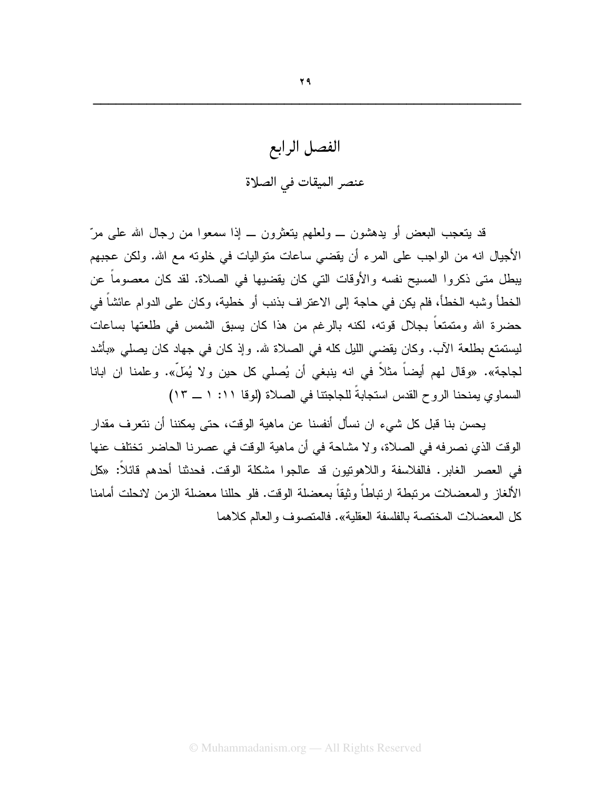الفصل الرابع عنصر الميقات في الصلاة

قد بتعجب البعض أو بدهشون ـــ ولعلهم بتعثرون ـــ إذا سمعوا من رجال الله على مرّ الأجيال انه من الواجب على المرء أن يقضي ساعات متواليات في خلونه مع الله. ولكن عجبهم يبطل متى ذكروا المسيح نفسه والأوقات التي كان يقضيها في الصلاة. لقد كان معصوماً عن الخطأ وشبه الخطأ، فلم يكن في حاجة إلى الاعتر اف بذنب أو خطية، وكان على الدوام عائشاً في حضرة الله ومتمتعاً بجلال قوته، لكنه بالرغم من هذا كان يسبق الشمس في طلعتها بساعات ليستمتع بطلعة الآب. وكان يقضي الليل كله في الصلاة لله. وإذ كان في جهاد كان يصلـي «بأشد لجاجة». «وقال لهم أيضاً مثلاً في انه ينبغي أن يُصلي كل حين ولا يُملّ». وعلمنا ان ابانا السماوي يمنحنا الروح القدس استجابةً للجاجتنا في الصلاة (لوقا ١١: ١ ــ ١٣)

يحسن بنا قبل كل شيء ان نسأل أنفسنا عن ماهية الوقت، حتى يمكننا أن نتعرف مقدار الوقت الذي نصرفه في الصلاة، ولا مشاحة في أن ماهية الوقت في عصرنا الحاضر تختلف عنها في العصر الغابر. فالفلاسفة واللاهونيون قد عالجوا مشكلة الوقت. فحدثنا أحدهم قائلاً: «كل الألغاز والمعضلات مرتبطة ارتباطاً وثيقاً بمعضلة الوقت. فلو حللنا معضلة الزمن لانحلت أمامنا كل المعضلات المختصة بالفلسفة العقلية». فالمتصوف والعالم كلاهما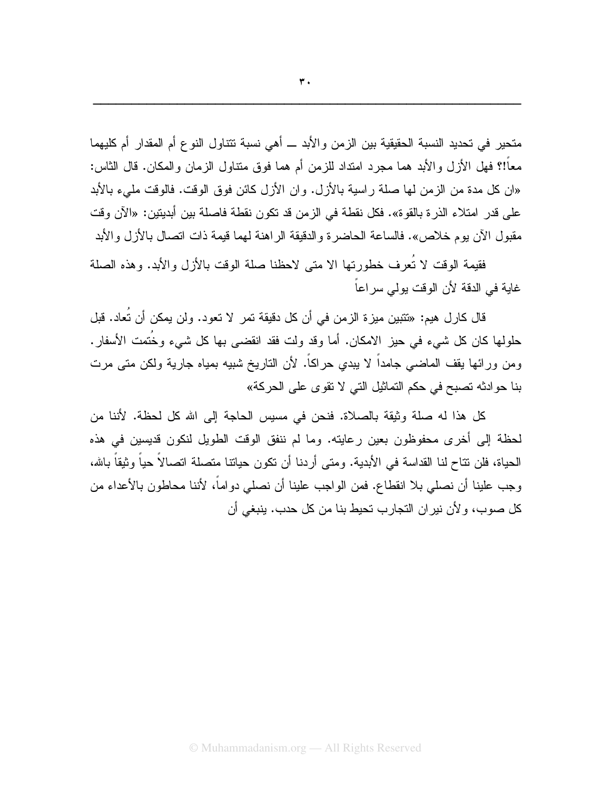متحير في تحديد النسبة الحقيقية بين الزمن والأبد ـــ أهي نسبة تتناول النوع أم المقدار أم كليهما معاً!؟ فهل الأز ل و الأبد هما مجرد امتداد للز من أم هما فوق متناول الز مان و المكان. قال الثاس: «ان كل مدة من الزمن لها صلة راسية بالأزل. وان الأزل كائن فوق الوقت. فالوقت مليء بالأبد على قدر امتلاء الذرة بالقوة». فكل نقطة في الزمن قد تكون نقطة فاصلة بين أبديتين: «الآن وقت مقبول الآن بوم خلاص». فالساعة الحاضرة والدقيقة الراهنة لهما قيمة ذات اتصال بالأزل والأبد

فقيمة الوقت لا تُعرف خطور تها الا متى لاحظنا صلة الوقت بالأزل والأبد. وهذه الصلة غاية في الدقة لأن الوقت يولى سراعاً

قال كارل هيم: «تتبين ميزة الزمن في أن كل دقيقة تمر لا تعود. ولن يمكن أن تُعاد. قبل حلولها كان كل شيء في حيز الامكان. أما وقد ولت فقد انقضـي بـها كل شـيء وخُنَمت الأسفار . ومن ورائها يقف الماضيي جامداً لا يبدي حراكاً. لأن الناريخ شبيه بمياه جارية ولكن متى مرت بنا حوادثه تصبح في حكم التماثيل التي لا تقوى على الحركة»

كل هذا له صلة وثيقة بالصلاة. فنحن في مسيس الحاجة إلى الله كل لحظة. لأننا من لحظة إلى أخرى محفوظون بعين رعايته. وما لم ننفق الوقت الطويل لنكون قديسين في هذه الحياة، فلن نتاح لنا القداسة في الأبدية. ومتى أردنا أن نكون حياتنا متصلة اتصالاً حياً وثيقاً بالله، وجب علينا أن نصلي بلا انقطاع. فمن الواجب علينا أن نصلي دواماً، لأننا محاطون بالأعداء من كل صوب، ولأن نير ان التجارب تحيط بنا من كل حدب. ينبغي أن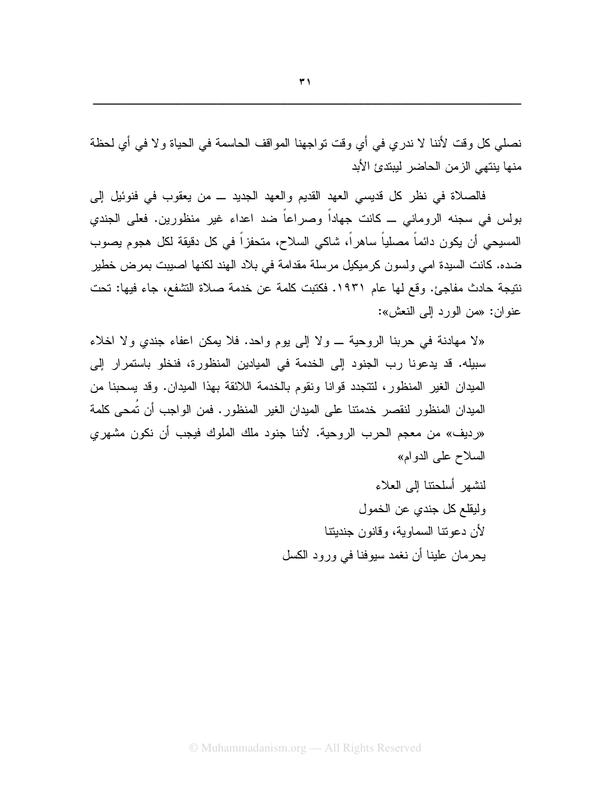نصلَّى كلِّ وقت لأننا لا ندري في أي وقت تواجهنا المواقف الحاسمة في الحياة ولا في أي لحظة منها بنتهي الزمن الحاضر ليبتدئ الأبد

فالصلاة في نظر كل قديسي العهد القديم والعهد الجديد ـــ من يعقوب في فنوئيل إلى بولس في سجنه الروماني ــ كانت جهاداً وصراعاً ضد اعداء غير منظورين. فعلى الجندي المسيحي أن يكون دائماً مصلياً ساهراً، شاكي السلاح، متحفزاً في كل دقيقة لكل هجوم يصوب ضده. كانت السيدة امي ولسون كرميكيل مرسلة مقدامة في بلاد الهند لكنها اصبيت بمرض خطير نتيجة حادث مفاجئ. وقع لها عام ١٩٣١. فكتبت كلمة عن خدمة صلاة التشفع، جاء فيها: تحت عنو إن: «من الورد إلى النعش»:

«لا مهادنة في حربنا الروحية \_ ولا إلى يوم واحد. فلا يمكن اعفاء جندي ولا اخلاء سبيله. قد يدعونا رب الجنود إلى الخدمة في الميادين المنظورة، فنخلو باستمرار إلى الميدان الغير المنظور، لتتجدد قوانا ونقوم بالخدمة اللائقة بهذا الميدان. وقد يسحبنا من الميدان المنظور لنقصر خدمتنا على الميدان الغير المنظور. فمن الواجب أن نُمحى كلمة «رديف» من معجم الحرب الروحية. لأننا جنود ملك الملوك فيجب أن نكون مشهر ي السلاح على الدوام» لنشهر أسلحتنا إلى العلاء وليقلع كل جندي عن الخمول لأن دعونتا السماوية، وقانون جنديتنا

يحرمان علينا أن نغمد سيوفنا في ورود الكسل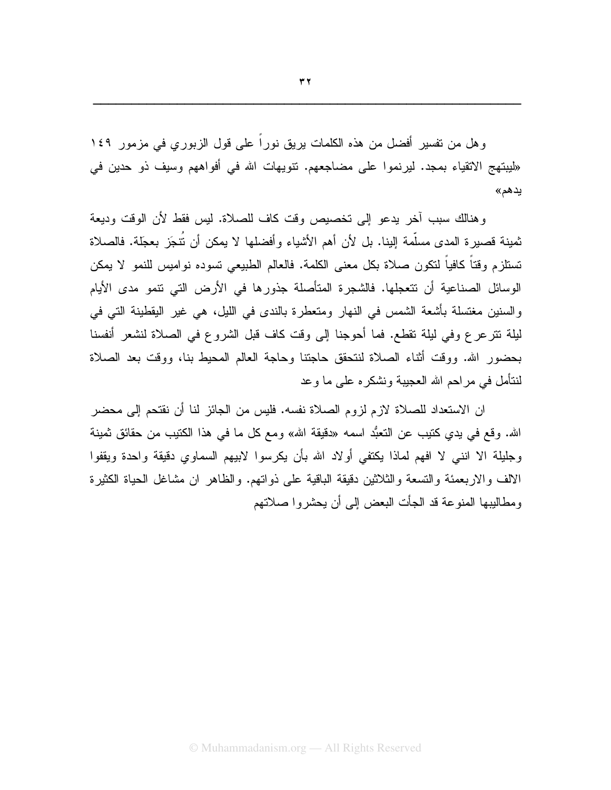وهل من نفسير أفضل من هذه الكلمات يريق نورًا على قول الزبوري في مزمور ١٤٩ «ليبتهج الانقياء بمجد. ليرنموا على مضاجعهم. نتويهات الله في أفواههم وسيف ذو حدين في يدهم»

و هنالك سبب آخر يدعو إلى تخصيص وقت كاف للصلاة. ليس فقط لأن الوقت وديعة ثمينة قصيرة المدى مسلَّمة الِبنا. بل لأن أهم الأشياء وأفضلها لا يمكن أن نُتجَز بعجَلة. فالصلاة تستلزم وقتاً كافياً لتكون صلاة بكل معنى الكلمة. فالعالم الطبيعي تسوده نواميس للنمو لا يمكن الوسائل الصناعية أن تتعجلها. فالشجرة المتأصلة جذورها في الأرض التي نتمو مدى الأيام والسنين مغتسلة بأشعة الشمس في النهار ومتعطرة بالندى في الليل، هي غير اليقطينة التي في ليلة نترعرع وفي ليلة نقطع. فما أحوجنا إلى وقت كاف قبل الشروع في الصلاة لنشعر أنفسنا بحضور الله. ووقت أثناء الصلاة لنتحقق حاجتنا وحاجة العالم المحيط بنا، ووقت بعد الصلاة لنتأمل في مراحم الله العجيبة ونشكره على ما وعد

ان الاستعداد للصـلاة لازم لزوم الصـلاة نفسه. فليس من الجائز لنـا أن نقتحم إلى محضـر الله. وقع في يدي كتيب عن التعبُّد اسمه «دقيقة الله» ومع كل ما في هذا الكتيب من حقائق ثمينة وجليلة الا اننبي لا افهم لماذا يكتفي أولاد الله بأن يكرسوا لابيهم السماوي دقيقة واحدة ويقفوا الالف والاربعمئة والتسعة والثلاثين دقيقة الباقية على ذواتهم. والظاهر ان مشاغل الحياة الكثيرة ومطاليبها المنوعة قد الجأت البعض إلى أن يحشروا صلاتهم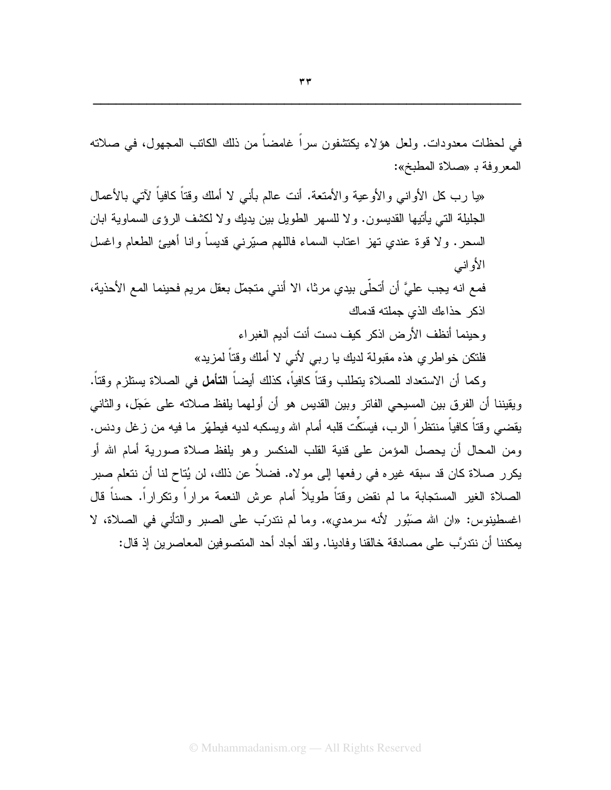في لحظات معدودات. ولعل هؤلاء يكتشفون سرا غامضا من ذلك الكاتب المجهول، في صلاته المعروفة بـ «صلاة المطبخ»:

«يا رب كل الأوانـي والأوعية والأمتعة. أنت عالم بأنـى لا أملك وقتاً كافياً لأتـى بالأعمال الجليلة التي يأتيها القديسون. و لا للسهر الطويل بين يديك و لا لكشف الر ؤ ي السماوية ابان السجر . و لا قوة عندي تهز اعتاب السماء فاللهم صبّرٍ نبي قديساً و انا أهيئ الطعام و اغسل الأو انبي فمع انه يجب عليَّ أن أتحلَّى بيدي مرثا، الا أنني متجمّل بعقل مريم فحينما المع الأحذية، اذكر حذاءك الذى جملته قدماك وحبنما أنظف الأرض اذكر كبف دست أنت أدبم الغبر اء فلنكن خو اطر ي هذه مقبولة لديك يا رببي لأنبي لا أملك وقتاً لمزيد» وكما أن الاستعداد للصلاة يتطلب وقتاً كافياً، كذلك أيضاً **التأمل** في الصلاة يستلزم وقتاً. ويقيننا أن الفرق بين المسيحي الفاتر وبين القديس هو أن أولهما يلفظ صلاته على عَجّل، والثانبي يقضبي وقتاً كافياً منتظراً الرب، فيسَكَّت قلبه أمام الله ويسكبه لديه فيطهَّر ما فيه من زغل ودنس. ومن المحال أن يحصل المؤمن على قنية القلب المنكسر وهو يلفظ صلاة صورية أمام الله أو

يكرر صلاة كان قد سبقه غيره في رفعها إلى مولاه. فضلاً عن ذلك، لن يُتاح لنا أن نتعلم صبر الصلاة الغير المستجابة ما لم نقض وقتاً طويلاً أمام عرش النعمة مراراً ونكراراً. حسناً قال اغسطينوس: «ان الله صَبُور لأنه سرمدي». وما لم نندربٍّ على الصبر والنَّاني في الصلاة، لا يمكننا أن نندرَّب على مصادقة خالقنا وفادينا. ولقد أجاد أحد المتصوفين المعاصرين إذ قال: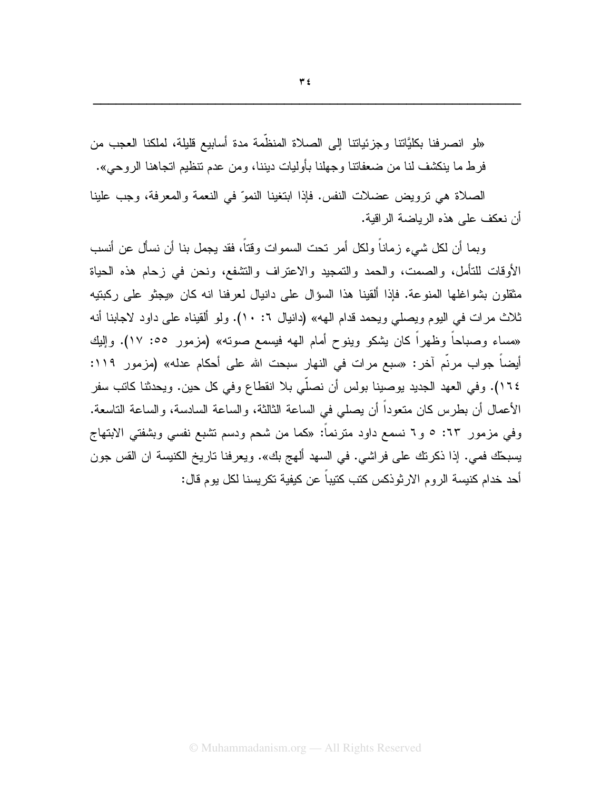«لو انصرفنا بكليَّاننا وجزئياننا إلى الصلاة المنظمة مدة أسابيع قليلة، لملكنا العجب من فرط ما بِنكشف لنا من ضعفاتنا وجهلنا بأوليات ديننا، ومن عدم تنظيم اتجاهنا الروحي».

الصلاة هي نرويض عضلات النفس. فإذا ابتغينا النموّ في النعمة والمعرفة، وجب علينا أن نعكف على هذه الرياضة الر اقية.

وبما أن لكل شيء ز ماناً ولكل أمر تحت السمو ات و قتاً، فقد يجمل بنا أن نسأل عن أنسب الأوقات للتأمل، والصمت، والحمد والتمجيد والاعتراف والتشفع، ونحن في زحام هذه الحياة مثقلون بشو اغلها المنوعة. فإذا ألقينا هذا السؤال على دانيال لعرفنا انه كان «يجثو على ركبتيه ثلاث مرات في اليوم ويصلَّى ويحمد قدام الهه» (دانيال ٦: ١٠). ولو ألقيناه على داود لاجابنا أنه «مساء وصباحاً وظهراً كان بِشكو وينوح أمام الهه فيسمع صونه» (مزمور ٥٥: ١٧). وإليك أيضاً جواب مريَّم آخر: «سبع مرات في النهار سبحت الله على أحكام عدله» (مزمور ١١٩: ١٦٤). وفي العهد الجديد يوصينا بولس أن نصلَّى بلا انقطاع وفي كل حين. ويحدثنا كاتب سفر الأعمال أن بطرس كان منعوداً أن يصلى في الساعة الثالثة، والساعة السادسة، والساعة التاسعة. وفي مزمور ٦٣: ٥ و٦ نسمع داود مترنماً: «كما من شحم ودسم تشبع نفسي وبشفتي الابتهاج يسبحَّك فمي. إذا ذكرتك على فراشي. في السهد ألهج بك». ويعرفنا تاريخ الكنيسة ان القس جون أحد خدام كنيسة الروم الارثوذكس كتب كتيباً عن كيفية تكريسنا لكل يوم قال: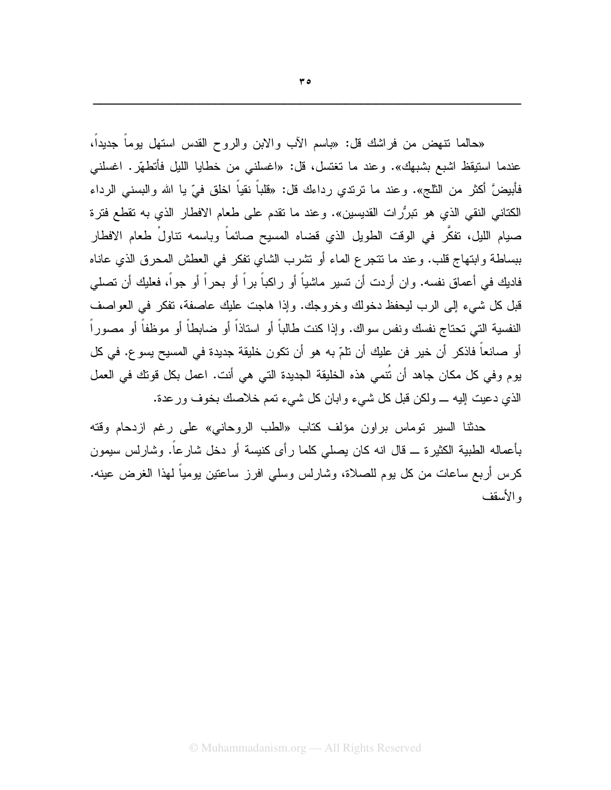«حالما نتهض من فراشك قل: «باسم الآب والابن والروح القدس استهل بوماً جديداً، عندما استيقظ اشبع بشبهك». وعند ما تغتسل، قل: «اغسلنبي من خطايا الليل فأتطهَّر. اغسلنبي فأبيضَّ أكثر من الثلج». وعند ما نرندي رداءك قل: «قلباً نقياً اخلق فيّ يا الله والبسني الرداء الكتاني النقي الذي هو تبرُّرات القديسين». وعند ما تقدم على طعام الافطار الذي به تقطع فترة صيام الليل، تفكَّر في الوقت الطويل الذي قضاه المسيح صائماً وباسمه تناولْ طعام الافطار ببساطة وابتهاج قلب. وعند ما نتجرع الماء أو نتثىرب الشاي نفكر في العطش المحرق الذي عاناه فاديك في أعماق نفسه. وان أردت أن تسير ماشياً أو راكباً براً أو بحراً أو جواً، فعليك أن تصلي قبل كل شيء إلى الرب ليحفظ دخولك وخروجك. وإذا هاجت عليك عاصفة، تفكر في العواصف النفسية التي تحتاج نفسك ونفس سواك. وإذا كنت طالباً أو استاذاً أو ضابطاً أو موظفاً أو مصوراً أو صـانعاً فاذكر أن خير فن عليك أن نلمّ به هو أن نكون خليقة جديدة في المسيح يسوع. في كل يوم وفي كل مكان جاهد أن نَتمى هذه الخليقة الجديدة التي هي أنت. اعمل بكل قوتك في العمل الذي دعيت إليه \_ ولكن قبل كل شيء وابان كل شيء تمم خلاصك بخوف ورعدة.

حدثنا السير توماس براون مؤلف كتاب «الطب الروحاني» على رغم ازدحام وقته بأعماله الطبية الكثيرة ـــ قال انه كان يصلبي كلما رأى كنيسة أو دخل شارعاً. وشارلس سيمون كرس أربع ساعات من كل بوم للصلاة، وشارلس وسلَّى افرز ساعتين بومياً لهذا الغرض عينه. و الأسقف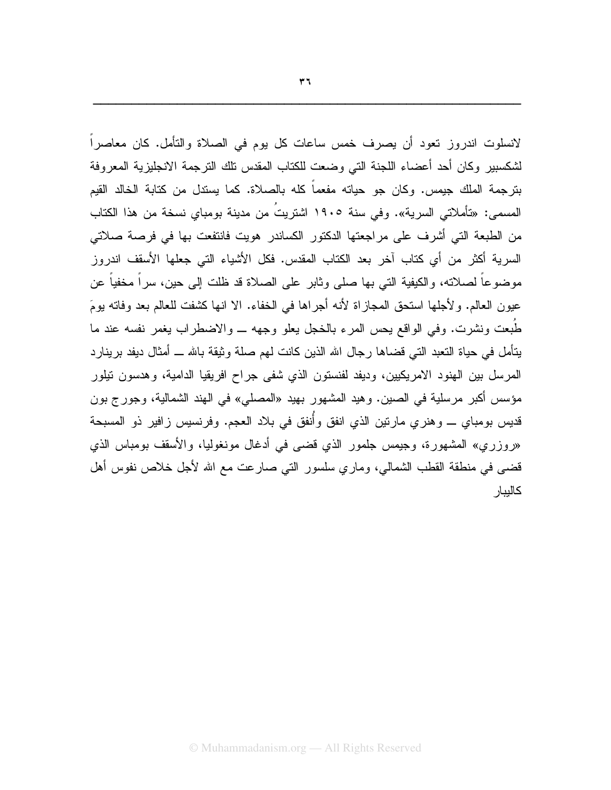لانسلوت اندروز تعود أن يصرف خمس ساعات كل يوم في الصلاة والتأمل. كان معاصرا لشكسبير وكان أحد أعضاء اللجنة التي وضعت للكتاب المقدس نلك الترجمة الانجليزية المعروفة بترجمة الملك جيمس. وكان جو حياته مفعماً كله بالصلاة. كما يستدل من كتابة الخالد القيم المسمى: «تأملاتي السرية». وفي سنة ١٩٠٥ اشتريتَ من مدينة بومباي نسخة من هذا الكتاب من الطبعة التي أشرف على مراجعتها الدكتور الكساندر هويت فانتفعت بها في فرصة صلاتي السرية أكثر من أي كتاب آخر بعد الكتاب المقدس. فكل الأشباء التي جعلها الأسقف اندروز موضوعاً لصلاته، والكيفية التي بها صلى وثابر على الصلاة قد ظلت إلى حين، سراً مخفياً عن عبون العالم. ولأجلها استحق المجازاة لأنه أجراها في الخفاء. الا انها كشفت للعالم بعد وفاته بومَ طُبعت ونشرت. وفي الواقع يحس المرء بالخجل يعلو وجهه \_ والاضطراب يغمر نفسه عند ما بِتَأْمِلٍ في حياة النَّعبد الَّتبي قضـاها رجال الله الذين كانت لـهم صلَّة وثيقة بـالله ـــ أمثال ديفد برينارد المرسل بين الهنود الامريكيين، وديفد لفنستون الذي شفى جراح افريقيا الدامية، وهدسون نيلور مؤسس أكبر مرسلية في الصين. وهيد المشهور بهيد «المصلي» في الهند الشمالية، وجورج بون قديس بومباي \_ وهنري مارتين الذي انفق وأنفق في بلاد العجم. وفرنسيس زافير ذو المسبحة «روزري» المشهورة، وجيمس جلمور الذي قضي في أدغال مونغوليا، والأسقف بومباس الذي قضي في منطقة القطب الشمالي، وماري سلسور التي صارعت مع الله لأجل خلاص نفوس أهل كاليبار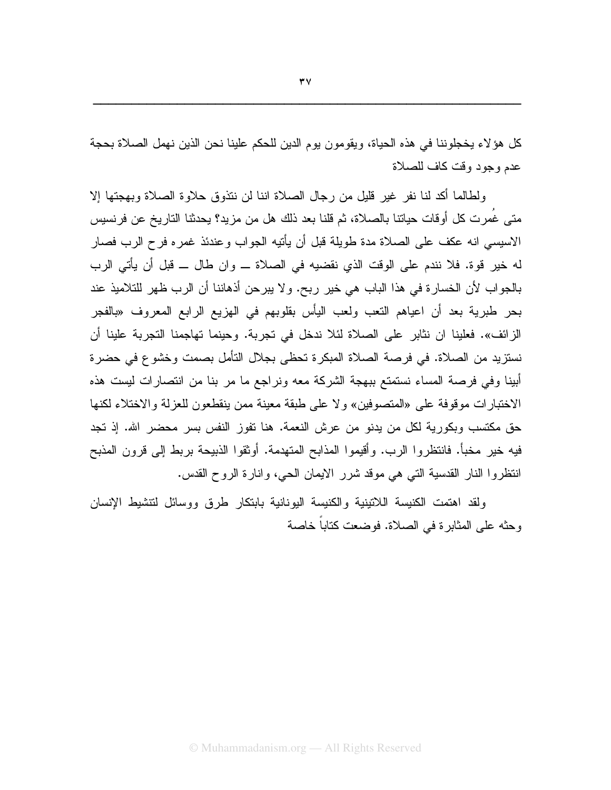كل هؤلاء يخجلوننا في هذه الحياة، ويقومون يوم الدين للحكم علينا نحن الذين نهمل الصلاة بحجة عدم وجود وقت كاف للصلاة

ولطالما أكد لنا نفر غير قليل من رجال الصلاة اننا لن نتذوق حلاوة الصلاة وبهجتها إلا متى غُمر ت كل أوقات حياتنا بالصلاة، ثم قلنا بعد ذلك هل من مز يد؟ يحدثنا النار يخ عن فر نسيس الاسيسي انه عكف على الصلاة مدة طويلة قبل أن يأتيه الجواب وعندئذ غمر ه فر ح الرب فصار له خير فوة. فلا نندم على الوفت الذي نقضيه في الصلاة ـــ وإن طال ـــ قبل أن يأتي الرب بالجواب لأن الخسارة في هذا الباب هي خير ربح. ولا يبرحن أذهاننا أن الرب ظهر للتلاميذ عند بحر طبرية بعد أن اعياهم التعب ولعب اليأس بقلوبهم في الهزيع الرابع المعروف «بالفجر الزائف». فعلينا ان نثابر على الصلاة لئلا ندخل في تجربة. وحينما تهاجمنا التجربة علينا أن نستزيد من الصلاة. في فرصة الصلاة المبكرة تحظى بجلال التأمل بصمت وخشوع في حضرة أبينا وفي فرصة المساء نستمتع ببهجة الشركة معه ونراجع ما مر بنا من انتصارات ليست هذه الاختبارات موقوفة على «المتصوفين» ولا على طبقة معينة ممن ينقطعون للعزلة والاختلاء لكنها حق مكتسب وبكورية لكل من يدنو من عرش النعمة. هنا نفوز النفس بسر محضر الله. إذ تجد فيه خير مخبأ. فانتظروا الرب. وأقيموا المذابح المتهدمة. أوثقوا الذبيحة بربط إلى قرون المذبح انتظروا النار القدسية التي هي موقد شرر الايمان الحي، وانارة الروح القدس.

ولقد اهتمت الكنيسة اللاتينية والكنيسة اليونانية بابتكار طرق ووسائل لتتشيط الإنسان وحثه على المثابرة في الصلاة. فوضعت كتاباً خاصة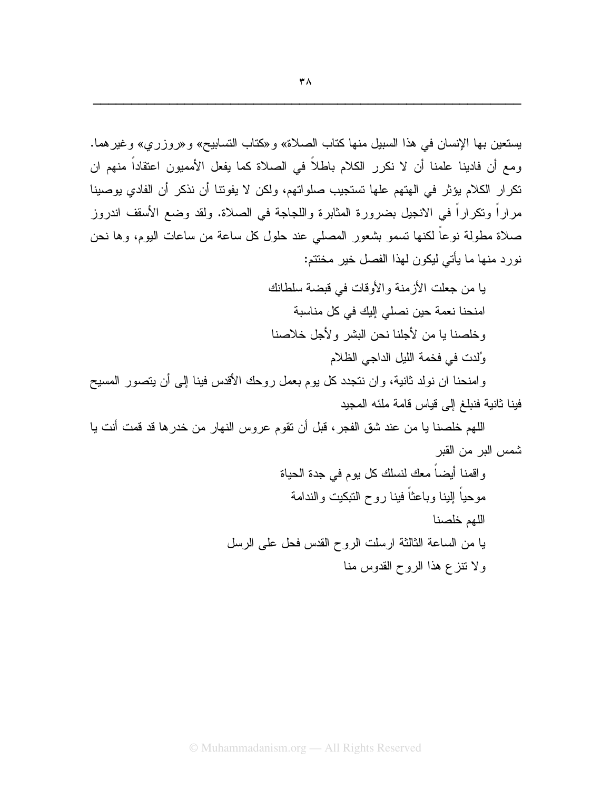يا من جعلت الأزمنة والأوقات في قبضة سلطانك امنحنا نعمة حين نصلي إليك في كل مناسبة وخلصنا با من لأجلنا نحن البشر ولأجل خلاصنا وُلدت في فخمة الليل الداجي الظلام

وامنحنا ان نولد ثانية، وان نتجدد كل يوم بعمل روحك الأقدس فينا إلى أن يتصور المسيح فينا ثانية فنبلغ إلى قياس قامة ملئه المجيد

اللهم خلصنا يا من عند شق الفجر ، قبل أن تقوم عروس النهار من خدر ها قد قمت أنت يا شمس البر من القبر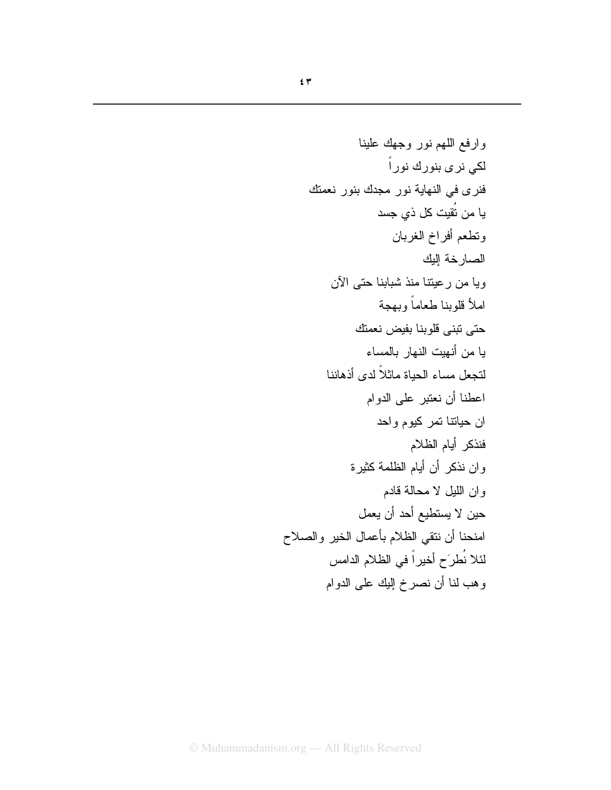$\pmb{\mathfrak{c}}$   $\pmb{\mathfrak{r}}$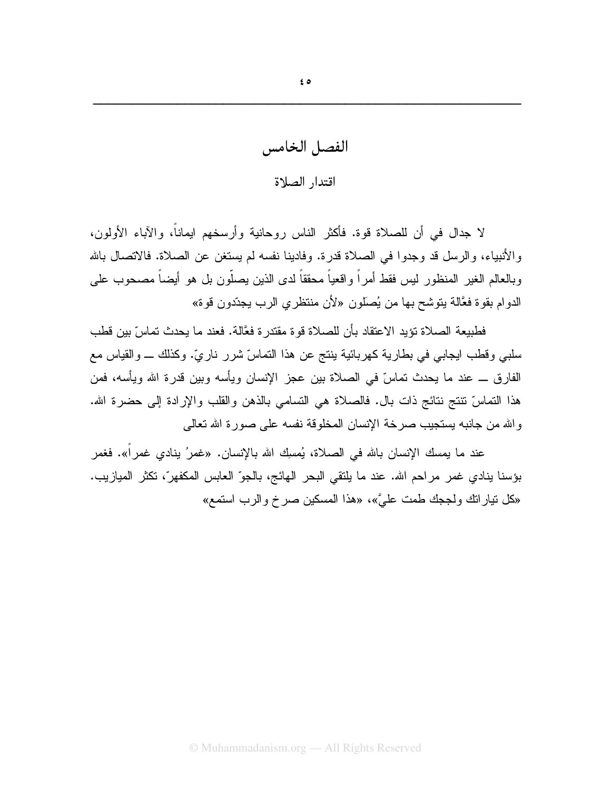الفصل الخامس

## اقتدار الصلاة

لا جدال في أن للصلاة قوة. فأكثر الناس روحانية وأرسخهم ايماناً، والآباء الأولون، والأنبياء، والرسل قد وجدوا في الصلاة قدرة. وفادينا نفسه لم يستغن عن الصلاة. فالانصال بالله وبالعالم الغير المنظور ليس فقط أمراً واقعياً محققاً لدى الذين يصلُّون بل هو أيضاً مصحوب على الدو ام بقو ة فعَّالة بِتوسَّح بها من يُصلُّون «لأن منتظر ي الرب بجدِّدون قومً»

فطبيعة الصلاة تؤبد الاعتقاد بأن للصلاة قو ة مقتدر ة فعَّالة. فعند ما بحدث تماسِّ بين قطب سلبي وقطب ايجابي في بطارية كهربائية بنتج عن هذا النماسِّ شررٍ ناريٍّ. وكذلك \_ والقياس مع الفارق ـــ عند ما يحدث تماسّ في الصلاة بين عجز الإنسان ويأسه وبين قدرة الله ويأسه، فمن هذا النماسِّ نتنج نتائج ذات بال. فالصلاة هي النسامي بالذهن والقلب والإرادة إلى حضرة الله. والله من جانبه يستجيب صرخة الإنسان المخلوقة نفسه على صورة الله تعالى

عند ما يمسك الإنسان بالله في الصلاة، يُمسِك الله بالإنسان. «غمرُ ينادي غمراً». فغمر بؤسنا ينادي غمر مراحم الله. عند ما يلتقي البحر الهائج، بالجوّ العابس المكفهرّ، تكثَّر الميازيب. «كل نيارانك ولججك طمت عليَّ»، «هذا المسكين صرخ والرب استمع»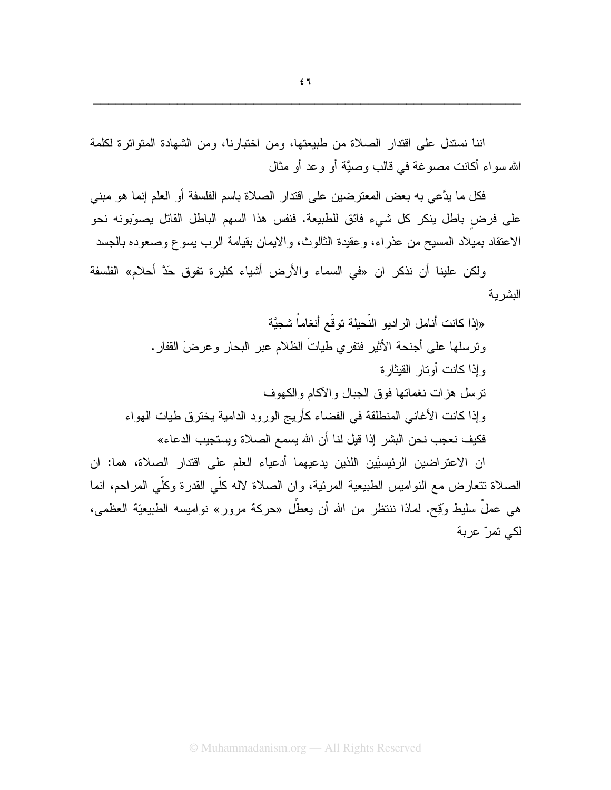اننا نستدل على افتدار الصلاة من طبيعتها، ومن اختبارنا، ومن الشهادة المتواترة لكلمة الله سو اء أكانت مصو غة في قالب وصيَّة أو و عد أو مثال

فكل ما يدَّعي به بعض المعترضين على اقتدار الصلاة باسم الفلسفة أو العلم إنما هو مبنى على فرض باطل ينكر كل شيء فائق للطبيعة. فنفس هذا السهم الباطل القاتل يصوِّبونه نحو الاعتقاد بميلاد المسيح من عذراء، وعقيدة الثالوث، والايمان بقيامة الرب يسوع وصعوده بالجسد

ولكن علينا أن نذكر ان «في السماء والأرض أشياء كثيرة نفوق حَدَّ أحلام» الفلسفة البشرية

«إذا كانت أنامل الراديو النّحيلة توقّع أنغاماً شجيَّة ونرسلها على أجنحة الأثير فتفري طياتَ الظلام عبر البحار وعرضَ القفار . و إذا كانت أو تار القبثار ة نرسل هزات نغماتها فوق الجبال والأكام والكهوف وإذا كانت الأغاني المنطلقة في الفضاء كأريج الورود الدامية بخترق طيات الهواء فكيف نعجب نحن البشر إذا قيل لنا أن الله يسمع الصلاة ويستجيب الدعاء»

ان الاعتراضين الرئيسيَّين اللذين يدعيهما أدعياء العلم على اقتدار الصلاة، هما: ان الصلاة تتعارض مع النواميس الطبيعية المرئية، وان الصلاة لاله كلِّي القدرة وكلِّي المراحم، انما هي عملٌ سليط وَقِح. لمـاذا ننتظر من الله أن يعطَل «حركة مرور» نواميسه الطبيعيّة العظمي، لكي تمرّ عربة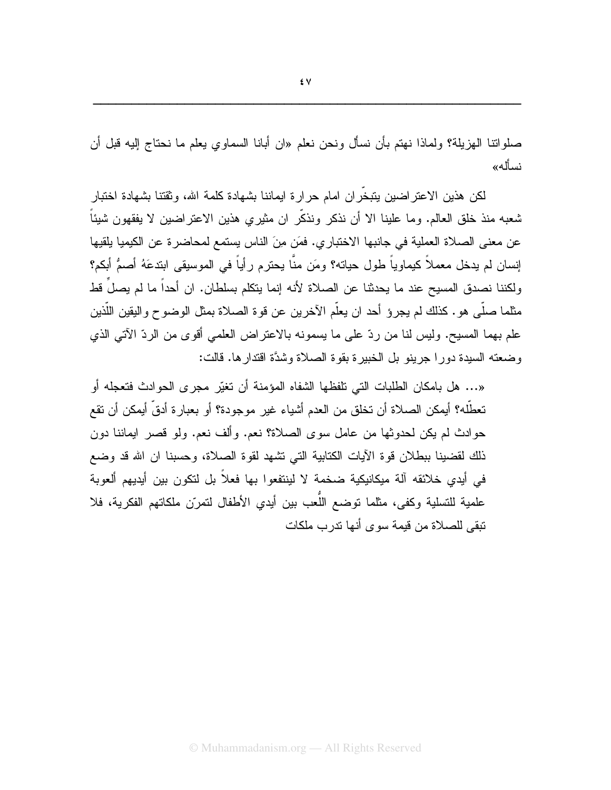صلواننا الـهزيلة؟ ولمـاذا نـهتم بأن نسأل ونـحن نـعلم «ان أبـانـا السمـاوي يـعلم مـا نـحتاج إليـه قبل أن نسأله»

لكن هذين الاعتراضين يتبخران امام حرارة ايماننا بشهادة كلمة الله، وثقتنا بشهادة اختبار شعبه منذ خلق العالم. وما علينا الا أن نذكر ونذكَّر ان مثيري هذين الاعتراضين لا يفقهون شيئاً عن معنى الصلاة العملية في جانبها الاختبار ي. فمَن مِنَ الناس يستمع لمحاضر ة عن الكيميا بلقيها إنسان لم يدخل معملاً كيماوياً طول حياته؟ ومَن منَّا يحترم رأياً في الموسيقى ابتدعَهُ أصمُّ أبكم؟ ولكننا نصدق المسيح عند ما يحدثنا عن الصلاة لأنه إنما يتكلم بسلطان. ان أحداً ما لم يصلَ قط مثلما صلَّى هو . كذلك لم يجرؤ أحد ان يعلَّم الآخرين عن قوة الصلاة بمثل الوضوح واليقين اللَّذين علم بهما المسيح. وليس لنا من ردِّ على ما يسمونه بالاعتراض العلمي أقوى من الردِّ الآتي الذي وضعته السبدة دورًا جرِّ بنو بل الخبير ة بقوة الصلاة وشدَّة اقتدار ها. قالت:

«… هل بامكان الطلبات التي تلفظها الشفاه المؤمنة أن تغيّر مجرى الحوادث فتعجله أو تعطَّله؟ أيمكن الصلاة أن تخلق من العدم أشياء غير موجودة؟ أو بعبارة أدقَّ أيمكن أن تقع حوادث لم يكن لحدوثها من عامل سوى الصلاة؟ نعم. وألف نعم. ولو قصر ابماننا دون ذلك لقضينا ببطلان قوة الآيات الكتابية التي نشهد لقوة الصلاة، وحسبنا ان الله قد وضع في أيدي خلائقه آلة ميكانيكية ضخمة لا لينتفعوا بها فعلاً بل لتكون بين أيديهم ألعوبة علمية للتسلية وكفي، مثلما نوضع اللُّعب بين أيدي الأطفال لتمرّن ملكاتهم الفكرية، فلا تبقى للصلاة من قيمة سوى أنها تدرب ملكات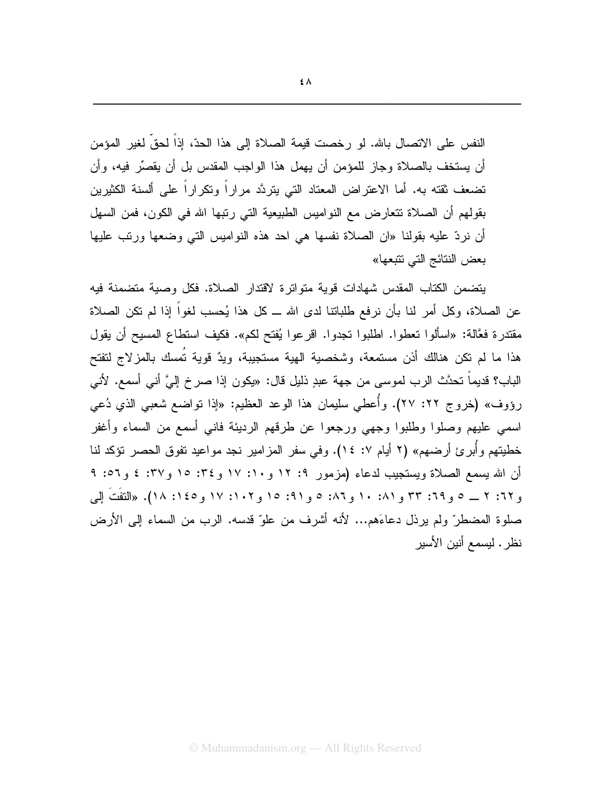النفس على الاتصال بالله. لو رخصت فيمة الصلاة إلى هذا الحدّ، إذا لحقّ لغير المؤمن أن يستخف بالصلاة وجاز للمؤمن أن يهمل هذا الواجب المقدس بل أن يقصِّر فيه، وأن نضعف نقته به. أما الاعتراض المعتاد التي يتردَّد مراراً ونكراراً على ألسنة الكثيرين بقولهم أن الصلاة تتعارض مع النواميس الطبيعية التي رتبها الله في الكون، فمن السهل أن نردّ عليه بقولنا «ان الصلاة نفسها هي احد هذه النواميس التي وضعها ورتب عليها بعض النتائج التي تتبعها»

يتضمن الكتاب المقدس شهادات قوية متواترة لاقتدار الصلاة. فكل وصية متضمنة فيه عن الصـلاة، وكل أمر لنا بأن نرفع طلباتنا لدى الله ـــ كل هذا يُحسب لغواً إذا لم نكن الصـلاة مقتدرة فعَّالة: «اسألوا تعطوا. اطلبوا تجدوا. اقرعوا يُفتح لكم». فكيف استطاع المسيح أن يقول هذا ما لم تكن هنالك أذن مستمعة، وشخصية الهية مستجيبة، ويدٌ قوية تُمسك بالمزلاج لتفتح الباب؟ قديماً تحدَّث الرب لموسى من جهة عبدٍ ذليل قال: «يكون إذا صرخ إلىَّ أني أسمع. لأني رؤوف» (خروج ٢٢: ٢٧). وأُعطي سليمان هذا الوعد العظيم: «إذا تواضع شعبي الذي دُعي اسمى عليهم وصلوا وطلبوا وجهى ورجعوا عن طرقهم الرديئة فانبي أسمع من السماء وأغفر خطيتهم و أبر ئ أرضهم» (٢ أيام ٧: ١٤). وفي سفر المزامير نجد مواعيد تفوق الحصر نؤكد لنا أن الله بسمع الصلاة ويستجيب لدعاء (مزمور ٩: ١٢ و١٠: ١٧ و٢٤: ١٥ و٣٧: ٤ و٥٦: ٩ و ٦٢: ٢ \_ ٥ و ٦٩: ٣٣ و ٨١: ١٠ و ٨٦: ٥ و ٩١: ١٥ و ١٠٢: ١٧ و١٤٥: ١٨). «التفَتَ إلى صلوة المضطرّ ولم يرذل دعاءَهم... لأنه أشرف من علوّ قدسه. الرب من السماء إلى الأرض نظر . ليسمع أنين الأسير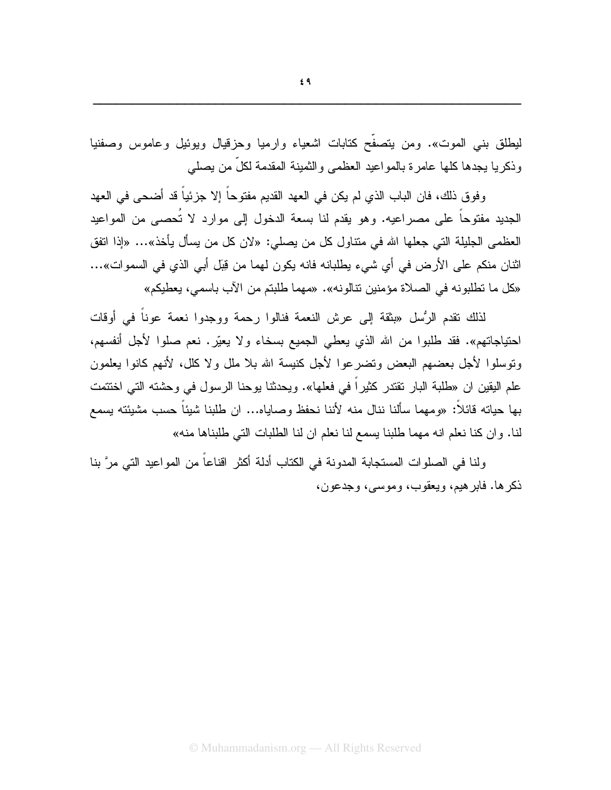ليطلق بني الموت». ومن يتصفح كتابات اشعياء وارميا وحزقيال ويوئيل وعاموس وصفنيا وذكر يا يجدها كلها عامر ة بالمو اعيد العظمى والثمينة المقدمة لكلِّ من يصلى

وفوق ذلك، فان الباب الذي لم يكن في العهد القديم مفتوحاً إلا جزئياً قد أضحى في العهد الجديد مفتوحاً على مصر اعيه. وهو يقدم لنا بسعة الدخول إلى موارد لا تُحصبي من المواعيد العظمى الجليلة التي جعلها الله في منتاول كل من يصلي: «لان كل من يسأل يأخذ»… «إذا اتفق اثنان منكم على الأرض في أي شيء يطلبانه فانه يكون لهما من قِبَل أبي الذي في السموات»… «كل ما تطلبونه في الصلاة مؤمنين نتالونه». «مهما طلبتم من الآب باسمي، يعطيكم»

لذلك نقدم الرُّسل «بثقة إلى عرش النعمة فنالوا رحمة ووجدوا نعمة عوناً في أوقات احتياجاتهم». فقد طلبوا من الله الذي يعطي الجميع بسخاء ولا يعيّر. نعم صلوا لأجل أنفسهم، ونوسلوا لأجل بعضهم البعض ونضرعوا لأجل كنيسة الله بلا ملل ولا كلل، لأنهم كانوا بعلمون علم اليقين ان «طلبة البار نقتدر كثيراً في فعلها». ويحدثنا يوحنا الرسول في وحشته التي اختتمت بـها حياته قائلاً: «ومـهما سألنا ننال منه لأننا نـحفظ وصـايـاه... ان طلبنا شيئاً حسب مشيئته يسمع لنا. وان كنا نعلم انه مهما طلبنا يسمع لنا نعلم ان لنا الطلبات التي طلبناها منه»

ولنا في الصلوات المستجابة المدونة في الكتاب أدلة أكثر اقناعاً من المواعيد التي مرَّ بنا ذكرها. فابرهيم، ويعقوب، وموسى، وجدعون،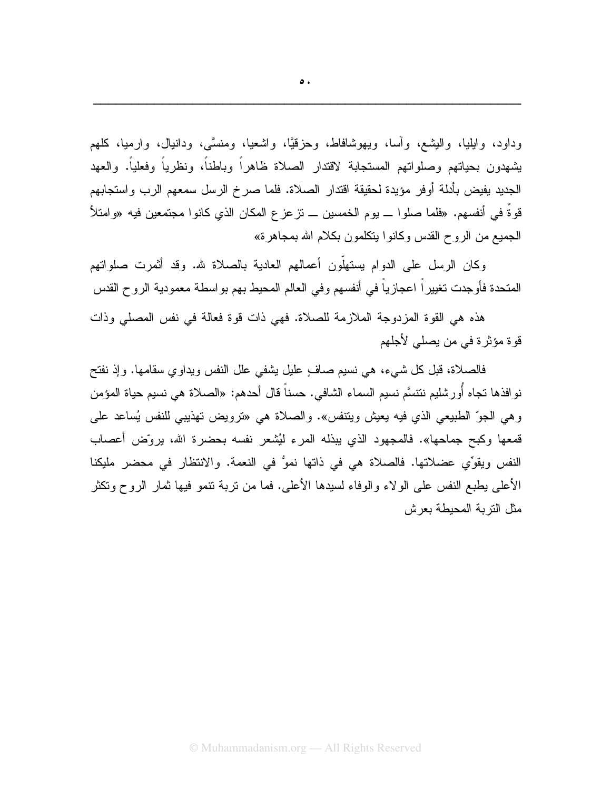وداود، وابِلِيا، والبِشع، وأسا، ويهوشافاط، وحزقيًّا، واشعيا، ومنسَّى، ودانيال، وارميا، كلهم يشهدون بحياتهم وصلواتهم المستجابة لاقتدار الصلاة ظاهراً وباطناً، ونظرياً وفعلياً. والعهد الجديد يفيض بأدلة أوفر مؤيدة لحقيقة اقتدار الصلاة. فلما صرخ الرسل سمعهم الرب واستجابهم قوةٌ في أنفسهم. «فلما صلوا ـــ يوم الخمسين ـــ نز عز ع المكان الذي كانوا مجتمعين فيه «وامتلأ الجميع من الر و ح القدس وكانو ا ينكلمون بكلام الله بمجاهر ة»

وكان الرسل على الدوام يستهلُّون أعمالهم العادية بالصلاة لله. وقد أثمرت صلواتهم المتحدة فأوجدت تغييراً اعجازياً في أنفسهم وفي العالم المحيط بهم بواسطة معمودية الروح القدس

هذه هي القوة المزدوجة الملازمة للصلاة. فهي ذات قوة فعالة في نفس المصلي وذات قوة مؤثرة في من يصلي لأجلهم

فالصلاة، قبل كل شيء، هي نسيم صافٍ عليلٍ يشفي علل النفس ويداوي سقامها. وإذ نفتح نوافذها تجاه أُورشليم نتتسَّم نسيم السماء الشافي. حسناً قال أحدهم: «الصلاة هي نسيم حياة المؤمن و هي الجوِّ الطبيعي الذي فيه يعيش ويتنفس». والصلاة هي «ترويض تهذيبي للنفس يُساعد علي قمعها وكبح جماحها». فالمجهود الذي يبذله المرء ليُشعر نفسه بحضرة الله، بروّض أعصاب النفس ويقوِّي عضلاتها. فالصلاة هي في ذاتها نموُّ في النعمة. والانتظار في محضر مليكنا الأعلى بطبع النفس على الولاء والوفاء لسبدها الأعلى. فما من نربة نتمو فيها ثمار الروح ونكثر مثل التربة المحبطة بعرش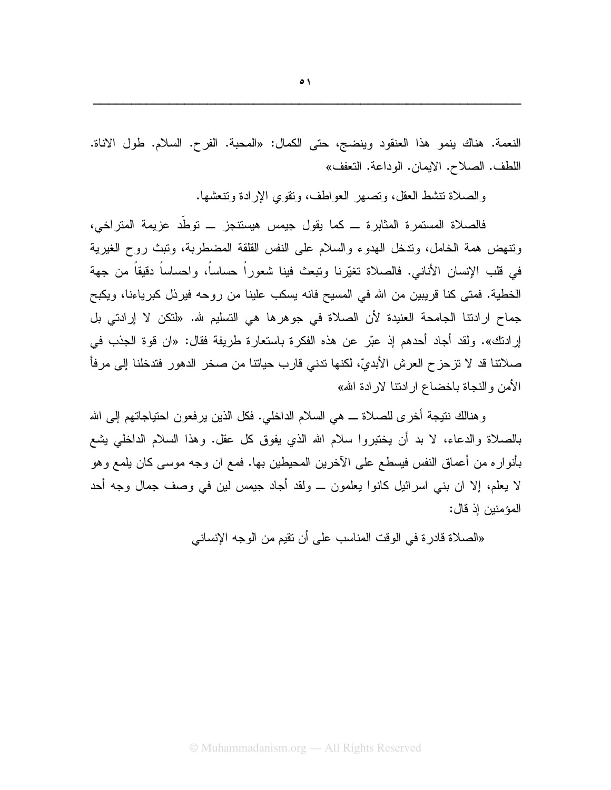النعمة. هناك ينمو هذا العنقود وينضج، حتى الكمال: «المحبة. الفرح. السلام. طول الاناة. اللطف. الصلاح. الإيمان. الوداعة. النعفف»

والصلاة تنشط العقل، وتصهر العواطف، ونقوى الإرادة وتنعشها.

فالصلاة المستمرة المثابرة ـــ كما يقول جيمس هيستنجز ـــ توطَّد عزيمة المتراخي، ونتهض همة الخامل، وندخل الهدوء والسلام على النفس القلقة المضطربة، ونبث روح الغيرية في قلب الإنسان الأناني. فالصلاة تغيَّرنا ونبعث فينا شعوراً حساساً، واحساساً دقيقاً من جهة الخطية. فمتى كنا قريبين من الله في المسيح فانه يسكب علينا من روحه فيرذل كبرياءنا، ويكبح جماح ارادتنا الجامحة العنيدة لأن الصلاة في جوهرها هي التسليم شه. «لنكن لا إرادتي بل إرادتك». ولقد أجاد أحدهم إذ عبّر عن هذه الفكرة باستعارة طريفة فقال: «ان قوة الجذب في صلاتنا قد لا تزحز ح العرش الأبديّ، لكنها تدنى قارب حياتنا من صخر الدهور فتدخلنا إلى مرفأ الأمن والنجاة باخضاع ارادنتا لارادة الله»

و هنالك نتيجة أخر ي للصلاة ـــ هي السلام الداخلي. فكل الذين ير فعون احتياجاتهم إلى الله بالصلاة والدعاء، لا بد أن يختبروا سلام الله الذي يفوق كل عقل. وهذا السلام الداخلي يشع بأنوار ه من أعماق النفس فيسطع على الآخرين المحيطين بها. فمع ان وجه موسى كان يلمع وهو لا يعلم، إلا ان بنبي اسرائيل كانوا يعلمون ـــ ولقد أجاد جيمس لين في وصف جمال وجه أحد المؤمنين إذ قال:

«الصلاة قادر ة في الوقت المناسب على أن نقيم من الوجه الإنساني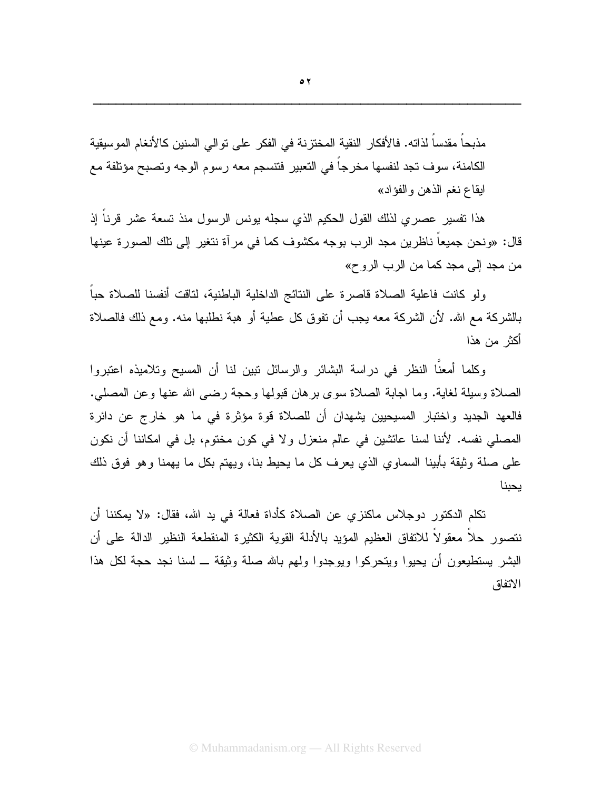مذبحا مقدسا لذاته. فالأفكار النقية المختزنة في الفكر على توالي السنين كالأنغام الموسيقية الكامنة، سوف تجد لنفسها مخرجاً في التعبير فتتسجم معه رسوم الوجه وتصبح مؤتلفة مع ابقاع نغم الذهن والفؤاد»

هذا نفسير عصري لذلك القول الحكيم الذي سجله يونس الرسول منذ نسعة عشر قرناً إذ قال: «ونحن جميعاً ناظرين مجد الرب بوجه مكشوف كما في مرآة نتغير إلى تلك الصورة عينها من مجد إلى مجد كما من الرب الروح»

ولو كانت فاعلية الصلاة فاصرة على النتائج الداخلية الباطنية، لتاقت أنفسنا للصلاة حبا بالشركة مع الله. لأن الشركة معه يجب أن نفوق كل عطية أو هبة نطلبها منه. ومع ذلك فالصلاة أكثر من هذا

وكلما أمعنًا النظر في دراسة البشائر والرسائل نبين لنا أن المسيح وتلاميذه اعتبروا الصلاة وسلِّلة لغاية. وما اجابة الصلاة سوى برهان قبولها وحجة رضيي الله عنها وعن المصلي. فالعهد الجديد واختبار المسيحيين يشهدان أن للصلاة قوة مؤثرة في ما هو خارج عن دائرة المصلَّى نفسه. لأننا لسنا عائشين في عالم منعزل و لا في كون مختوم، بل في امكاننا أن نكون على صلة وثيقة بأبينا السماوي الذي يعرف كل ما يحيط بنا، ويهتم بكل ما يهمنا وهو فوق ذلك يحبنا

نكلم الدكتور دوجلاس ماكنز ى عن الصلاة كأداة فعالة في يد الله، فقال: «لا يمكننا أن نتصور حلا معقولا للاتفاق العظيم المؤيد بالأدلة القوية الكثيرة المنقطعة النظير الدالة على أن البشر يستطيعون أن يحيوا ويتحركوا ويوجدوا ولهم بالله صلة وثيقة ــ لسنا نجد حجة لكل هذا الاتفاق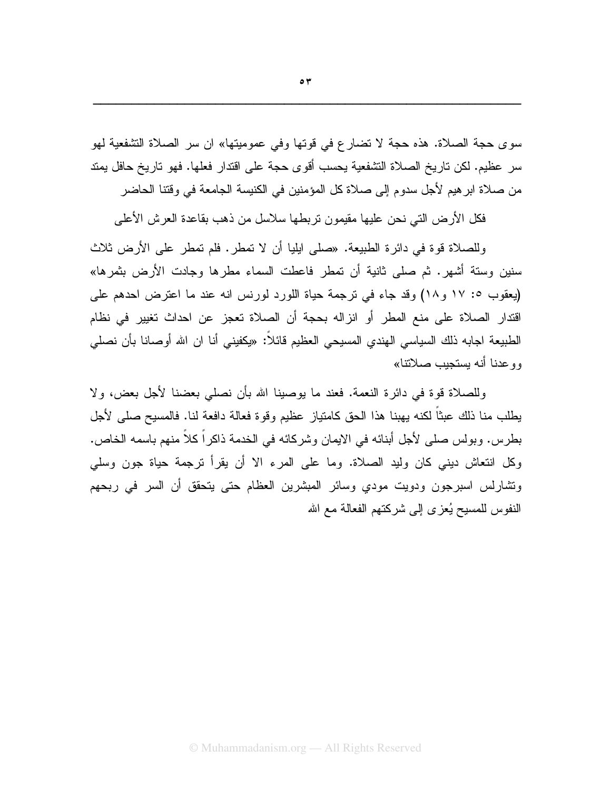سوى حجة الصلاة. هذه حجة لا تضارع في قوتها وفي عموميتها» ان سر الصلاة التشفعية لهو سر عظيم. لكن تاريخ الصلاة التشفعية يحسب أقوى حجة على اقتدار فعلها. فهو تاريخ حافل يمتد من صلاة ابر هيم لأجل سدوم إلى صلاة كل المؤمنين في الكنيسة الجامعة في وقتنا الحاضر

فكل الأرض التي نحن عليها مقيمون تربطها سلاسل من ذهب بقاعدة العرش الأعلى

وللصلاة قوة في دائر ة الطبيعة. «صلى ايليا أن لا تمطر . فلم تمطر على الأرض ثلاث سنين وسنة أشهر . ثم صلى ثانية أن تمطر فاعطت السماء مطر ها وجادت الأرض بثمر ها» (يعقوب ٥: ١٧ و١٨) وقد جاء في نرجمة حياة اللورد لورنس انه عند ما اعترض احدهم على اقتدار الصلاة على منع المطر أو انزاله بحجة أن الصلاة تعجز عن احداث تغيير في نظام الطبيعة اجابه ذلك السياسي الهندي المسيحي العظيم فائلاً: «يكفيني أنا ان الله أوصانا بأن نصلبي وو عدنا أنه بستجبب صلاتتا»

وللصلاة قوة في دائرة النعمة. فعند ما يوصينا الله بأن نصلبي بعضنا لأجل بعض، ولا يطلب منا ذلك عبثاً لكنه بهبنا هذا الحق كامتياز عظيم وقوة فعالة دافعة لنا. فالمسيح صلى لأجل بطرس. وبولس صلى لأجل أبنائه في الإيمان وشركائه في الخدمة ذاكر اً كلاً منهم باسمه الخاص. وكل انتعاش ديني كان وليد الصلاة. وما على المرء الا أن يقرأ نرجمة حياة جون وسلَّى ونشارلس اسبرجون ودويت مودي وسائر المبشرين العظام حتى يتحقق أن السر في ربحهم النفوس للمسيح يُعزى إلى شركتهم الفعالة مع الله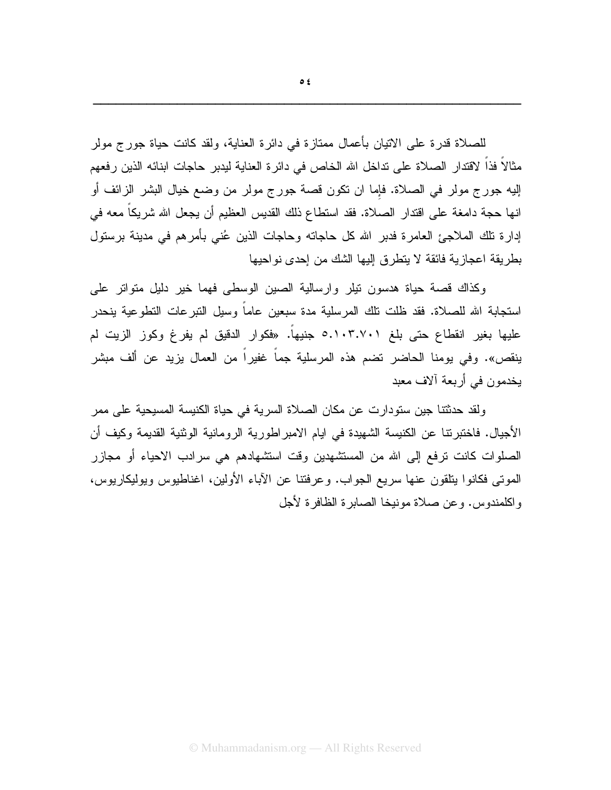للصلاة قدرة على الاتيان بأعمال ممتازة في دائرة العناية، ولقد كانت حياة جور ج مولر مثالاً فذاً لاقتدار الصلاة على تداخل الله الخاص في دائرة العناية ليدبر حاجات ابنائه الذين رفعهم إليه جورج مولر في الصلاة. فإما ان نكون قصة جورج مولر من وضع خيال البشر الزائف أو انها حجة دامغة على اقتدار الصلاة. فقد استطاع ذلك القديس العظيم أن يجعل الله شريكاً معه في إدارة تلك الملاجئ العامرة فدبر الله كل حاجاته وحاجات الذين عُنى بأمرهم في مدينة برستول بطر بِقة اعجاز بِهْ فائقة لا بِتطر قِ الِّبِها الشَّكِ مِن إحدى نو احبِها

وكذاك قصة حياة هدسون نيلر وارسالية الصين الوسطى فهما خير دليل متواتر على استجابة الله للصلاة. فقد ظلت نلك المرسلية مدة سبعين عاماً وسيل التبرعات التطوعية ينحدر عليها بغير انقطاع حتى بلغ 0.۱۰۳.۷۰۱ جنيهاً. «فكوار الدقيق لم يفرغ وكوز الزيت لم ينقص». وفي يومنا الحاضر نضم هذه المرسلية جماً غفيراً من العمال يزيد عن ألف مبشر يخدمون في أربعة آلاف معبد

ولقد حدثتنا جين ستودارت عن مكان الصلاة السرية في حياة الكنيسة المسيحية على ممر الأجيال. فاختبرنتا عن الكنيسة الشهيدة في ايام الامبر اطورية الرومانية الوثنية القديمة وكيف أن الصلوات كانت نرفع إلى الله من المستشهدين وقت استشهادهم هي سرادب الاحياء أو مجازر المونَّبي فكانوا بنلقون عنها سريع الجواب. وعرفتنا عن الأباء الأولين، اغناطيوس ويوليكاريوس، واكلمندوس. وعن صلاة مونيخا الصابرة الظافرة لأجل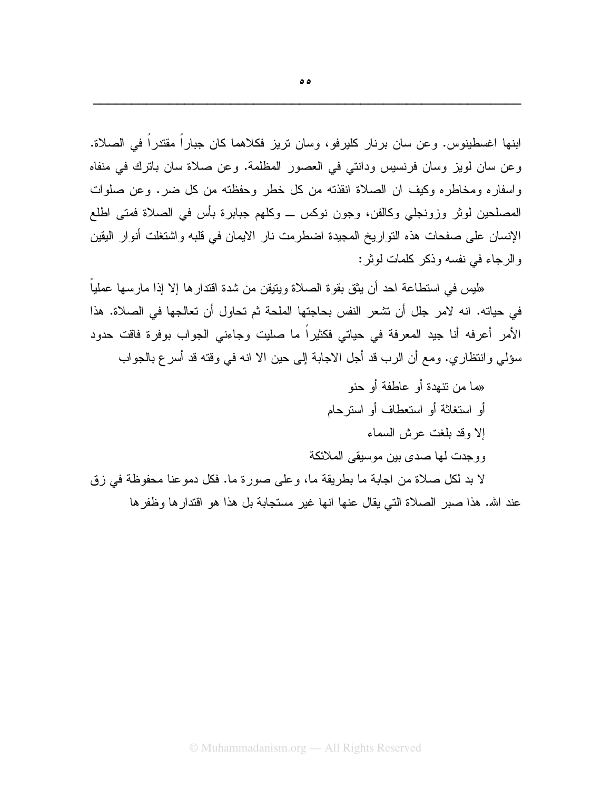ابنها اغسطينوس. وعن سان برنار كليرفو، وسان نريز فكلاهما كان جباراً مقتدراً في الصلاة. وعن سان لويز وسان فرنسيس ودانتي في العصور المظلمة. وعن صلاة سان باترك في منفاه واسفاره ومخاطره وكيف ان الصلاة انقذته من كل خطر وحفظته من كل ضر . وعن صلوات المصلحين لوثر وزونجلي وكالفن، وجون نوكس ـــ وكلهم جبابرة بأس في الصلاة فمتى اطلع الإنسان على صفحات هذه التواريخ المجيدة اضطرمت نار الإيمان في قلبه واشتغلت أنوار اليقين والرجاء في نفسه وذكر كلمات لوثر:

«ليس في استطاعة احد أن يثق بقوة الصلاة ويتيقن من شدة اقتدار ها إلا إذا مارسها عملياً في حياته. انه لامر جلل أن نشعر النفس بحاجتها الملحة ثم تحاول أن تعالجها في الصلاة. هذا الأمر أعرفه أنا جيد المعرفة في حياتي فكثيراً ما صليت وجاءني الجواب بوفرة فاقت حدود سؤلمي وانتظاري. ومع أن الرب قد أجل الاجابة إلى حين الا انه في وقته قد أسر ع بالجواب

«ما من نتهدة أو عاطفة أو حنو أو استغاثة أو استعطاف أو استرحام إلا وقد بلغت عرش السماء و و جدت لها صدى بين موسيقى الملائكة

لا بد لكل صلاة من اجابة ما بطريقة ما، وعلى صورة ما. فكل دموعنا محفوظة في زق عند الله. هذا صبر الصلاة التي يقال عنها انها غير مستجابة بل هذا هو اقتدار ها وظفر ها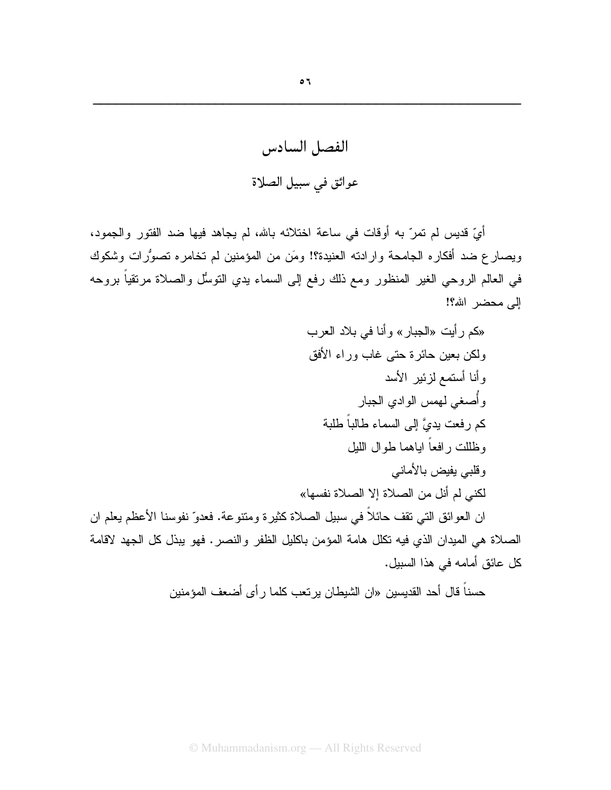الفصل السادس عوائق في سبيل الصلاة

أيِّ قديس لم تمرَّ به أوقات في ساعة اختلائه بالله، لم يجاهد فيها ضد الفتور والجمود، ويصارع ضد أفكاره الجامحة وارادته العنيدة؟! ومَن من المؤمنين لم تخامره تصوُّرات وشكوك في العالم الروحي الغير المنظور ومع ذلك رفع إلى السماء بدي النوسُل والصلاة مرنقياً بروحه الے محضر الله؟!

«كم رأيت «الجبار» وأنا في بلاد العرب ولكن بعين حائرة حتى غاب وراء الأفق وأنا أستمع لزئير الأسد وأصغى لمهمس الوادي الجبار كم رفعت يديَّ إلى السماء طالباً طلبة وظللت رافعاً اباهما طوال الليل وقلبي يفيض بالأماني لكني لم أنل من الصلاة إلا الصلاة نفسها» ان العوائق التي نقف حائلاً في سبيل الصلاة كثيرة ومتنوعة. فعدوّ نفوسنا الأعظم يعلم ان الصلاة هي الميدان الذي فيه نكلل هامة المؤمن باكليل الظفر والنصر. فهو يبذل كل الجهد لاقامة كل عائق أمامه في هذا السبيل.

حسناً قال أحد القديسين «ان الشيطان ير تعب كلما ر أي أضعف المؤمنين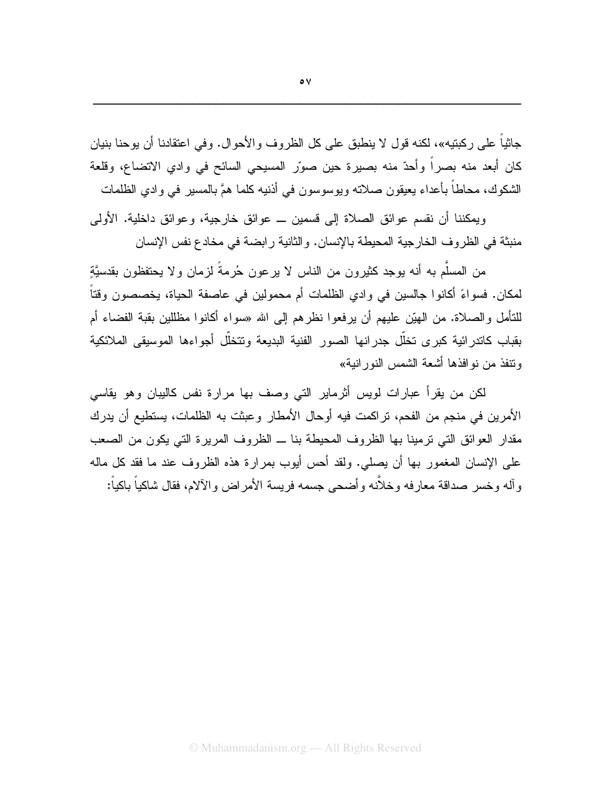جانياً على ركبتيه»، لكنه قول لا ينطبق على كل الظروف والأحوال. وفي اعتقادنا أن يوحنا بنيان كان أبعد منه بصراً وأحدٌ منه بصيرة حين صوّر المسيحي السائح في وادي الاتضاع، وقلعة الشكوك، محاطاً بأعداء يعيقون صلاته ويوسوسون في أذنيه كلما همَّ بالمسير في وادي الظلمات

و بِمكننا أن نقسم عو ائق الصلاة إلى قسمين ـــ عو ائق خار جية، و عو ائق داخلية. الأولى منبثة في الظر و ف الخار جية المحيطة بالإنسان. و الثانية ر ابضية في مخادع نفس الإنسان

من المسلَّم به أنه بوجد كثير ون من الناس لا بر عون حُرِ مةً لزمان و لا بحتفظون بقدسيَّة لمكان. فسواءً أكانوا جالسين في وادي الظلمات أم محمولين في عاصفة الحياة، يخصصون وقتاً للتأمل والصلاة. من الهيّن عليهم أن يرفعوا نظر هم إلى الله «سواء أكانوا مظللين بقبة الفضاء أم بقباب كاندرائية كبرى تخلّل جدرانها الصور الفنية البديعة ونتخلّل أجواءها الموسيقى الملائكية وتتفذ من نو افذها أشعة الشمس النور انبة»

لكن من يقرأ عبارات لويس أثرماير التي وصف بها مرارة نفس كاليبان وهو يقاسي الأمرين في منجم من الفحم، تراكمت فيه أوحال الأمطار وعبثت به الظلمات، يستطيع أن يدرك مقدار العوائق التي ترمينا بها الظروف المحيطة بنا ــ الظروف المريرة التي يكون من الصعب على الإنسان المغمور بها أن يصلي. ولقد أحس أيوب بمرارة هذه الظروف عند ما فقد كل ماله و آله و خسر ۖ صداقة معار فه و خلاَّنه و أضبحي جسمه فريسة الأمر اض و الآلام، فقال شاكياً باكياً: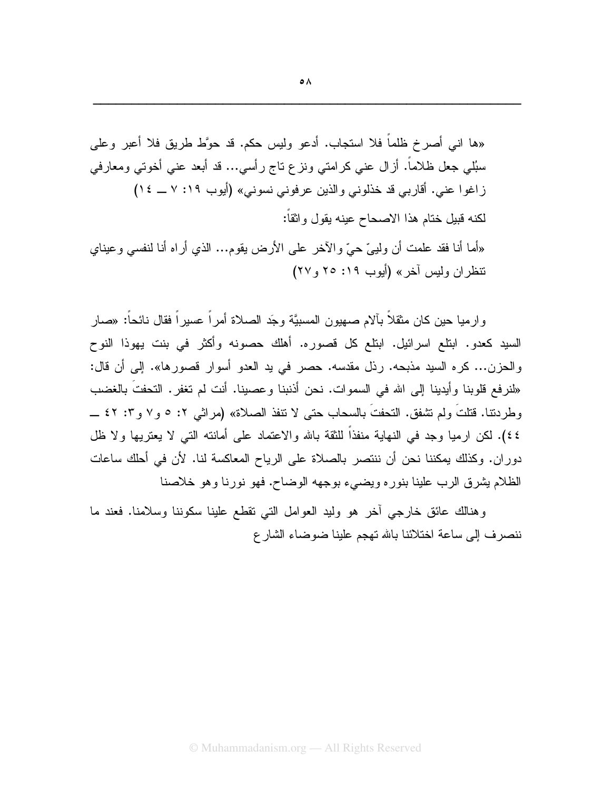«ها انبي أصرخ ظلماً فلا استجاب. أدعو وليس حكم. قد حوَّط طريق فلا أعبر وعلمي

سبُلمي جعل ظلاماً. أزال عني كرامتي ونزع ناج رأسي… قد أبعد عني أخوتي ومعارفي

السيد كعدو. ابنلع اسرائيل. ابنلع كل قصوره. نوح والحزن... كره السيد مذبحه. رذل مقدسه. حصر في يد العدو أسوار قصورها». إلى أن قال: «لنرفع قلوبنا وأيدينا إلى الله في السموات. نحن أذنبنا وعصينا. أنت لم نغفر . النحفتَ بالغضب وطردنتا. فتلتٌ ولم نشفق. النحفتُ بالسحاب حتى لا نتفذ الصلاة» (مراثي ٢: ٥ و٧ و٢: ٤٢ ــ ٤٤). لكن ارميا وجد في النهاية منفذاً للثقة بالله والاعتماد على أمانته التي لا يعتريها ولا ظل دوران. وكذلك يمكننا نحن أن ننتصر بالصلاة على الرياح المعاكسة لنا. لأن في أحلك ساعات الظلام بِشرق الرب علينا بنور ه ويضبيء بوجهه الوضاح. فهو نورنا وهو خلاصنا

وهنالك عائق خارجي أخر هو وليد العوامل التي تقطع علينا سكوننا وسلامنا. فعند ما ننصرف إلى ساعة اختلائنا بالله تهجم علينا ضوضاء الشارع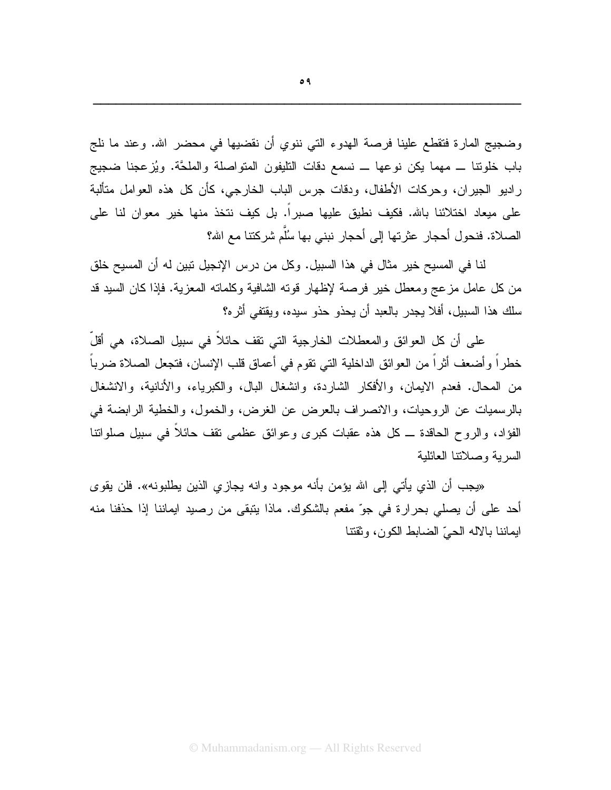وضجيج المارة فتقطع علينا فرصة الهدوء التي ننوي أن نقضيها في محضر الله. وعند ما نلج باب خلونتا ـــ مهما يكن نوعها ـــ نسمع دقات التليفون المتواصلة والملحَّة. ويُزعجنا ضجيج راديو الجيران، وحركات الأطفال، ودقات جرس الباب الخارجي، كأن كل هذه العوامل متألبة على ميعاد اختلائنا بالله. فكيف نطيق عليها صبراً. بل كيف نتخذ منها خير معوان لنا على الصلاة. فنحول أحجار عثر تها إلى أحجار نبني بها سُلَّم شر كتنا مع الله؟

لنا في المسيح خير مثال في هذا السبيل. وكل من درس الإنجيل نبين له أن المسيح خلق من كل عامل مزعج ومعطل خير فرصة لإظهار قونه الشافية وكلمانه المعزية. فإذا كان السيد قد سلك هذا السبيل، أفلا يجدر بالعبد أن يحذو حذو سيده، ويقتفي أثره؟

على أن كل العوائق والمعطلات الخارجية التي نقف حائلاً في سبيل الصلاة، هي أقلَّ خطراً وأضعف أثراً من العوائق الداخلية التي نقوم في أعماق قلب الإنسان، فتجعل الصلاة ضرباً من المحال. فعدم الإيمان، والأفكار الشاردة، وانشغال البال، والكبرياء، والأنانية، والانشغال بالرسميات عن الروحيات، والانصراف بالعرض عن الغرض، والخمول، والخطية الرابضة في الفؤاد، والروح الحاقدة ــ كل هذه عقبات كبرى وعوائق عظمى نقف حائلاً في سبيل صلواتنا السربة وصلاتنا العائلبة

«يجب أن الذي يأتي إلى الله يؤمن بأنه موجود وانه يجازي الذين يطلبونه». فلن يقوى أحد على أن يصلى بحرارة في جوّ مفعم بالشكوك. ماذا يتبقى من رصيد ايماننا إذا حذفنا منه ايماننا بالاله الحيّ الضابط الكون، وثقتنا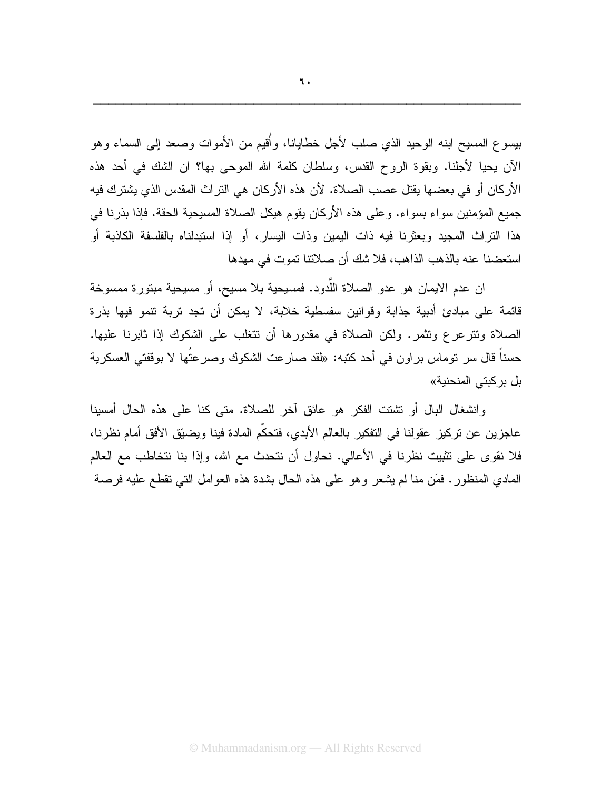بيسوع المسيح ابنه الوحيد الذي صلب لأجل خطايانا، وأُقيع من الأموات وصعد إلىي السماء وهو الآن بحيا لأجلنا. وبقوة الروح القدس، وسلطان كلمة الله الموحى بها؟ ان الشك في أحد هذه الأركان أو في بعضها يقتل عصب الصلاة. لأن هذه الأركان هي التراث المقدس الذي يشترك فيه جميع المؤمنين سواء بسواء. وعلى هذه الأركان يقوم هيكل الصلاة المسيحية الحقة. فإذا بذرنا في هذا التراث المجيد وبعثرنا فيه ذات اليمين وذات اليسار، أو إذا استبدلناه بالفلسفة الكاذبة أو استعضنا عنه بالذهب الذاهب، فلا شك أن صلاتنا تموت في مهدها

ان عدم الايمان هو عدو الصلاة اللَّدود. فمسيحية بلا مسيح، أو مسيحية مبتورة ممسوخة قائمة على مبادئ أدبية جذابة وقوانين سفسطية خلابة، لا يمكن أن تجد نربة نتمو فيها بذرة الصلاة وتترعرع وتثمر. ولكن الصلاة في مقدورها أن تتغلب على الشكوك إذا ثابرنا عليها. حسناً قال سر توماس بر اون في أحد كتبه: «لقد صارعت الشكوك وصرعتُها لا بوقفتي العسكرية بل بر كبتي المنحنية»

وانشغال البال أو نشتت الفكر هو عائق آخر للصلاة. متى كنا على هذه الحال أمسينا عاجزين عن نركيز عقولنا في النفكير بالعالم الأبدي، فتحكَّم المادة فينا ويضيَّق الأفق أمام نظرنا، فلا نقوى على نثبيت نظرنا في الأعالي. نحاول أن نتحدث مع الله، وإذا بنا نتخاطب مع العالم الممادي المنظور . فَمَن منا لم يشعر وهو على هذه الحال بشدة هذه العوامل النبي نقطع عليه فرصة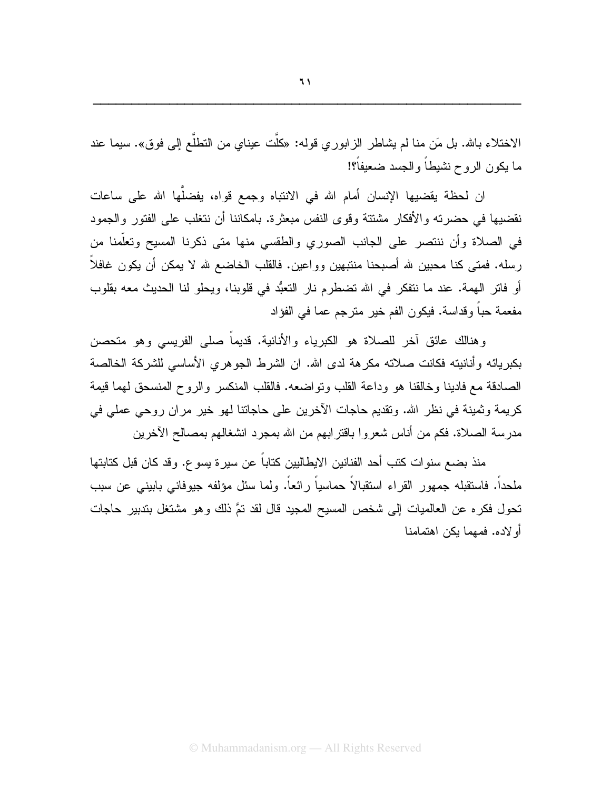الاختلاء بالله. بل مَن منا لم يشاطر الزابوري قوله: «كلَّت عيناي من النطلُّع إلى فوق». سيما عند ما يكون الروح نشيطاً والجسد ضعيفاً؟!

ان لحظة يقضيها الإنسان أمام الله في الانتباه وجمع قواه، يفضلُّها الله على ساعات نقضيها في حضرته والأفكار مشتتة وقوى النفس مبعثرة. بامكاننا أن نتغلب على الفتور والجمود في الصلاة وأن ننتصر على الجانب الصورى والطقسى منها متى ذكرنا المسيح وتعلَّمنا من رسله. فمتى كنا محبين لله أصبحنا منتبهين وواعين. فالقلب الخاضع لله لا يمكن أن يكون غافلاً أو فاتر الهمة. عند ما نتفكر في الله تضطرم نار النعبُّد في قلوبنا، ويحلو لنا الحديث معه بقلوب مفعمة حباً وقداسة. فيكون الفم خير مترجم عما في الفؤاد

وهنالك عائق آخر للصلاة هو الكبرياء والأنانية. قديماً صلَّى الفريسي وهو متحصن بكبريائه وأنانيته فكانت صلاته مكرهة لدى الله. ان الشرط الجوهري الأساسي للشركة الخالصة الصادقة مع فادينا وخالقنا هو وداعة القلب ونواضعه. فالقلب المنكسر والروح المنسحق لهما قيمة كريمة وثمينة في نظر الله. ونقديم حاجات الآخرين على حاجاتنا لهو خير مران روحي عملي في مدرسة الصلاة. فكم من أناس شعروا باقترابهم من الله بمجرد انشغالهم بمصالح الآخرين

منذ بضـع سنو ات كتب أحد الفنانين الايطـاليين كتاباً عن سير ة يسو ع. وقد كان قبل كتابتها ملحداً. فاستقبله جمهور القراء استقبالاً حماسياً رائعاً. ولما سئل مؤلفه جيوفاني بابيني عن سبب تحول فكره عن العالميات إلى شخص المسيح المجيد قال لقد تمَّ ذلك وهو مشتغل بتدبير حاجات أو لاده. فمهما يكن اهتمامنا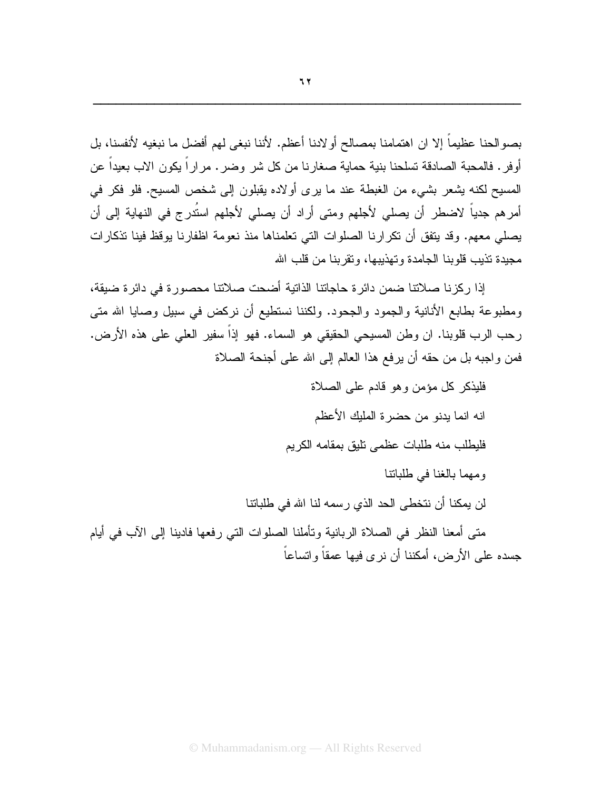بصوالحنا عظيماً إلا ان اهتمامنا بمصالح أولادنا أعظم. لأننا نبغي لهم أفضل ما نبغيه لأنفسنا، بل أوفر . فالمحبة الصادقة تسلحنا بنية حماية صغار نا من كل شر ۖ وضر . مر ار اً يكون الاب بعيداً عن المسيح لكنه يشعر بشيء من الغبطة عند ما يرى أولاده يقبلون إلى شخص المسيح. فلو فكر في أمرهم جدياً لاضطر أن يصلي لأجلهم ومتى أراد أن يصلي لأجلهم استُدرج في النهاية إلى أن يصلِّي معهم. وقد يتفقَّ أن نكر ارنا الصلوات التي تعلِّمناها منذ نعومة اظفار نا يوقظ فينا تذكار ات مجددة تذبب قلوينا الجامدة وتهذبيها، وتقرينا من قلب الله

إذا ركزنا صلاتنا ضمن دائر ة حاجاتنا الذاتية أضحت صلاتنا محصورة في دائرة ضيقة، ومطبوعة بطابع الأنانية والجمود والجحود. ولكننا نستطيع أن نركض في سبيل وصايا الله متى رحب الرب قلوبنا. ان وطن المسيحي الحقيقي هو السماء. فهو إذاً سفير العلي على هذه الأرض. فمن و اجبه بل من حقه أن يرفع هذا العالم إلى الله على أجنحة الصلاة

فلبذكر كل مؤمن وهو قادم على الصلاة انه انما يدنو من حضرة المليك الأعظم فليطلب منه طلبات عظمى نليق بمقامه الكريم ومهما بالغنا في طلباتنا لن يمكنا أن نتخطى الحد الذي رسمه لنا الله في طلباتنا متى أمعنا النظر في الصلاة الربانية وتأملنا الصلوات التي رفعها فادينا إلى الآب في أيام جسده علمي الأرض، أمكننا أن نر ي فيها عمقاً وانساعاً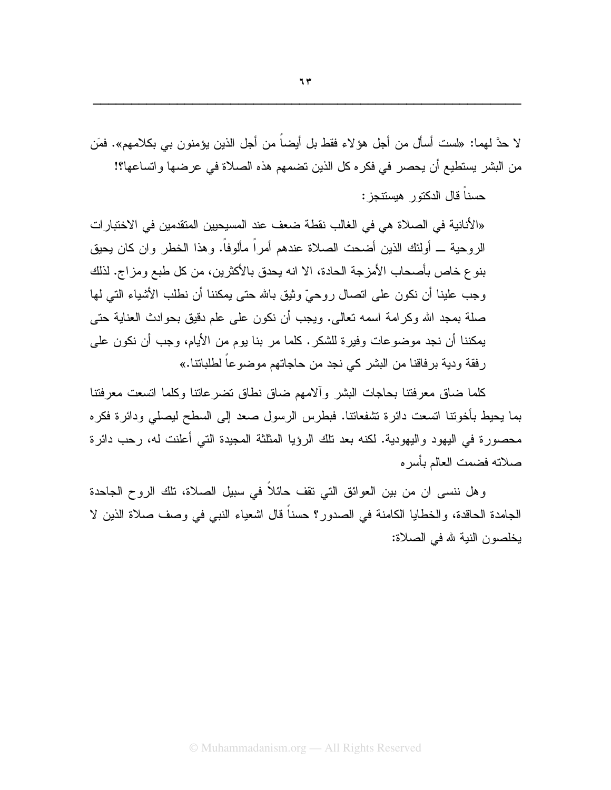لا حدَّ لهما: «لست أسأل من أجل هؤ لاء فقط بل أيضـاً من أجل الذين يؤمنون بـي بكلامـهم». فمَن من البشر يستطيع أن يحصر في فكره كل الذين تضمهم هذه الصلاة في عرضها واتساعها؟!

حسناً قال الدكتور هيستتجز:

«الأنانية في الصلاة هي في الغالب نقطة ضعف عند المسيحيين المنقدمين في الاختبار ات الر و حية ـــ أولئك الذين أضحت الصلاة عندهم أمر اً مألوفاً. و هذا الخطر و ان كان يحيق بنو ع خاص بأصحاب الأمز جة الحادة، الا انه يحدق بالأكثر بن، من كل طبع و مز اج. لذلك وجب علينا أن نكون على اتصال روحيٍّ وثيقٍ بالله حتى يمكننا أن نطلب الأشياء التي لها صلة بمجد الله وكرامة اسمه تعالى. ويجب أن نكون على علم دقيق بحوادث العناية حتى يمكننا أن نجد موضوعات وفيرة للشكر. كلما مر بنا يوم من الأيام، وجب أن نكون على ر فقة ودية بر فاقنا من البشر كي نجد من حاجاتهم موضوعاً لطلباتنا.»

كلما ضاق معرفتنا بحاجات البشر وألامهم ضاق نطاق نضرعاننا وكلما اتسعت معرفتنا بما بحبط بأخوننا انسعت دائرة نشفعاننا. فبطرس الرسول صعد إلى السطح لبصلى ودائرة فكره محصورة في اليهود واليهودية. لكنه بعد تلك الرؤيا المثلثة المجيدة التي أعلنت له، رحب دائرة صلاته فضمت العالم بأسر ه

وهل ننسي ان من بين العوائق التي نقف حائلاً في سبيل الصلاة، تلك الروح الجاحدة الجامدة الحاقدة، والخطايا الكامنة في الصدور؟ حسناً قال اشعياء النبـي فـي وصف صـلاة الذين لا بخلصون النية لله في الصلاة: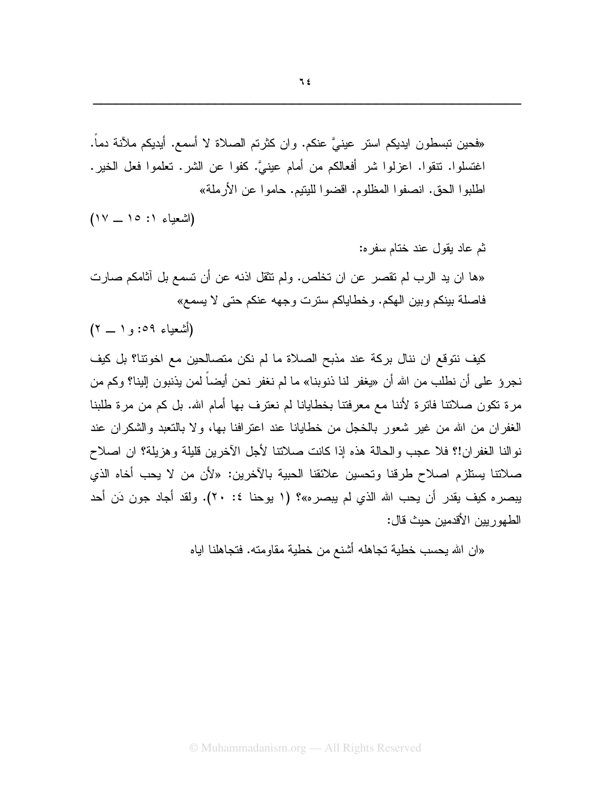«فحين نبسطون ايديكم استر عينيَّ عنكم. وإن كثرتم الصلاة لا أسمع. أيديكم ملأنة دماً. اغتسلوا. نتقوا. اعزلوا شر أفعالكم من أمام عينيَّ. كفوا عن الشر. تعلموا فعل الخير. اطلبوا الحق. انصفوا المظلوم. اقضوا لليتيم. حاموا عن الأرملة»

 $(Y - 10 : 1$  (اشعباء)

ثم عاد يقول عند ختام سفر ه: «ها ان يد الرب لم تقصر عن ان تخلص. ولم تثقل اذنه عن أن تسمع بل آثامكم صارت فاصلة بينكم وبين الهكم. وخطاياكم سترت وجهه عنكم حتى لا يسمع»

(أشعياء ٥٩: و ١ \_ ٢)

كيف نتوقع ان ننال بركة عند مذبح الصلاة ما لم نكن متصالحين مع اخونتا؟ بل كيف نجروٌ على أن نطلب من الله أن «يغفر لنا ذنوبنا» ما لم نغفر نحن أيضاً لمن يذنبون إلينا؟ وكم من مرة نكون صلاتنا فاترة لأننا مع معرفتنا بخطايانا لم نعترف بها أمام الله. بل كم من مرة طلبنا الغفر إن من الله من غير شعور بالخجل من خطايانا عند اعترافنا بها، ولا بالنعبد والشكر إن عند نوالنا الغفران!؟ فلا عجب والحالة هذه إذا كانت صلاتنا لأجل الآخرين قليلة وهزيلة؟ ان اصلاح صلاتنا يستلزم اصلاح طرقنا ونحسين علائقنا الحبية بالأخرين: «لأن من لا يحب أخاه الذي يبصره كيف يقدر أن يحب الله الذي لم يبصره»؟ (١ يوحنا ٤: ٢٠). ولقد أجاد جون دَن أحد الطهور بين الأقدمين حيث قال:

«ان الله يحسب خطية تجاهله أشنع من خطية مقاومته. فتجاهلنا اياه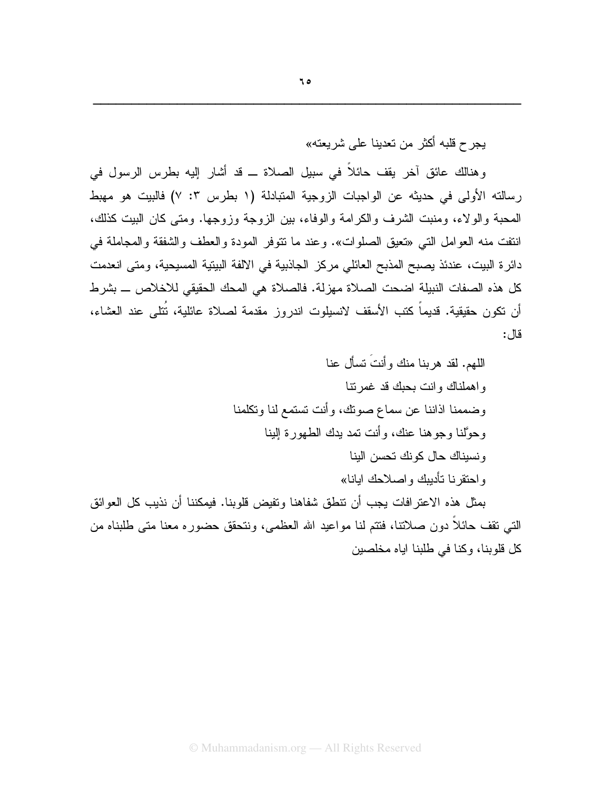يجر ح قلبه أكثر من تعدينا على شر يعته»

وهنالك عائق أخر يقف حائلاً في سبيل الصلاة ـــ قد أشار إليه بطرس الرسول في رسالته الأولى في حديثه عن الواجبات الزوجية المتبادلة (١ بطرس ٣: ٧) فالبيت هو مهبط المحبة و الو لاء، ومنبت الشرف و الكر امة و الوفاء، بين الزوجة وزوجها. ومتى كان البيت كذلك، انتفت منه العوامل التبي «تعيق الصلوات». وعند ما نتوفَّر المودة والعطف والشفقة والمجاملة في دائر ة البيت، عندئذ يصبح المذبح العائلي مركز الجاذبية في الالفة البيتية المسيحية، ومتى انعدمت كل هذه الصفات النبيلة اضحت الصلاة مهزلة. فالصلاة هي المحك الحقيقي للاخلاص ـــ بشرط أن نكون حقيقية. قديماً كتب الأسقف لانسيلوت اندروز مقدمة لصلاة عائلية، نُتلى عند العشاء، قال:

بمثل هذه الاعتر افات يجب أن نتطق شفاهنا وتفيض قلوبنا. فيمكننا أن نذيب كل العوائق التبي نقف حائلا دون صلانتا، فنتم لنا مواعيد الله العظمى، ونتحقق حضوره معنا متى طلبناه من كل قلوبنا، وكنا في طلبنا اياه مخلصين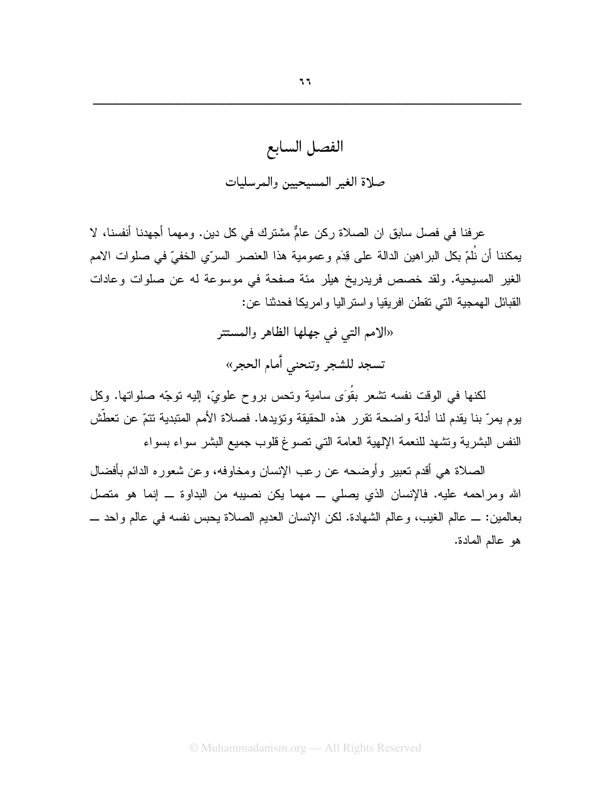## الفصل السابع صلاة الغير المسيحيين والمرسليات

عر فنا في فصل سابق ان الصلاة ركن عامٌّ مشتر ك في كل دين. و مهما أجهدنا أنفسنا، لا يمكننا أن نُلمّ بكل البراهين الدالة على قِدَم وعمومية هذا العنصر السرّي الخفيّ في صلوات الامم الغير المسيحية. ولقد خصص فريدريخ هيلر مئة صفحة في موسوعة له عن صلوات وعادات القبائل الـهمجية التـي نقطن افريقيا واستراليا وامريكا فحدثنا عن:

> «الامم التي في جهلها الظاهر والمستتر تسجد للشجر وتنحنى أمام الحجر»

لكنها في الوقت نفسه نتثىعر بقُوَى سامية ونحس بروح علويّ، إليه نوجّه صلوانها. وكل يوم يمرّ بنا يقدم لنا أدلة واضحة نقرر هذه الحقيقة ونؤيدها. فصلاة الأمم المتبدية نتمّ عن تعطَّش النفس البشرية وتشهد للنعمة الإلهية العامة التي تصوغ قلوب جميع البشر سواء بسواء

الصلاة هي أقدم تعبير وأوضحه عن رعب الإنسان ومخاوفه، وعن شعوره الدائم بأفضال الله ومراحمه عليه. فالإنسان الذي يصلى ــ مهما يكن نصيبه من البداوة ــ إنما هو متصل بعالمين: \_ عالم الغيب، وعالم الشهادة. لكن الإنسان العديم الصلاة يحبس نفسه في عالم واحد \_ هو عالم المادة.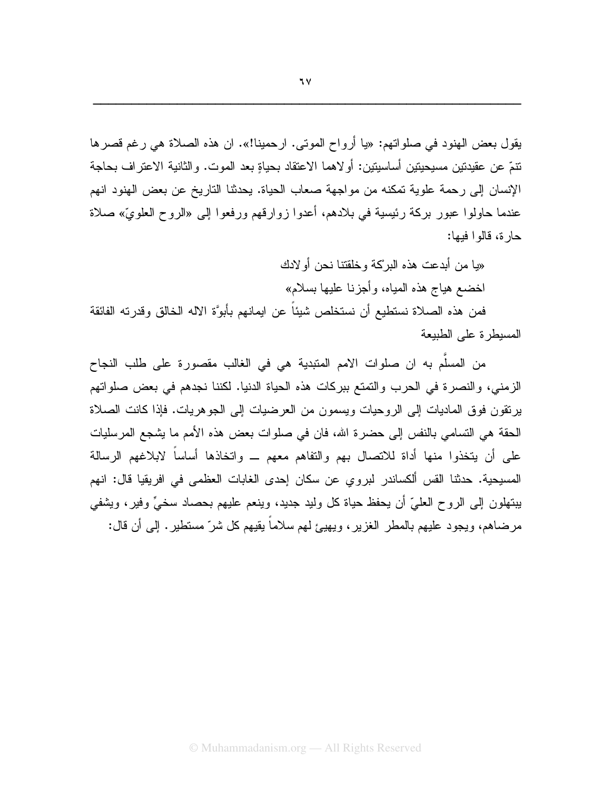يقول بعض الهنود في صلواتهم: «يا أرواح الموتى. ارحمينا!». ان هذه الصلاة هي رغم قصرها نتمّ عن عقيدتين مسيحيتين أساسيتين: أو لاهما الاعتقاد بحياةٍ بعد الموت. والثانية الاعتر اف بحاجة الإنسان إلى رحمة علوية تمكنه من مواجهة صعاب الحياة. يحدثنا التاريخ عن بعض الهنود انهم عندما حاولوا عبور بركة رئيسية في بلادهم، أعدوا زوارقهم ورفعوا إلى «الروح العلويّ» صلاة حار ة، قالوا فيها:

«يا من أبدعت هذه البركة وخلقتنا نحن أو لادك اخضىع هياج هذه المياه، وأجزنـا عليها بسلام» فمن هذه الصلاة نستطيع أن نستخلص شيئاً عن ايمانهم بأبوَّة الاله الخالق وقدرته الفائقة المسبطرة على الطبيعة

من المسلَّم به ان صلوات الامم المتبدية هي في الغالب مقصورة على طلب النجاح الزمني، والنصرة في الحرب والتمتع ببركات هذه الحياة الدنيا. لكننا نجدهم في بعض صلواتهم برنقون فوق الماديات إلى الروحيات ويسمون من العرضيات إلى الجوهريات. فإذا كانت الصلاة الحقة هي النسامي بالنفس إلى حضرة الله، فان في صلوات بعض هذه الأمم ما يشجع المرسليات على أن يتخذوا منها أداة للاتصال بهم والتفاهم معهم \_ واتخاذها أساساً لابلاغهم الرسالة المسيحية. حدثنا القس ألكساندر لبروي عن سكان إحدى الغابات العظمى في افريقيا قال: انهم بينهلون إلى الروح العليّ أن يحفظ حياة كل وليد جديد، وينعم عليهم بحصاد سخيٍّ وفيرٍ، ويَشفى مرضاهم، ويجود عليهم بالمطر الغزير، ويهيئ لهم سلاماً يقيهم كل شرّ مستطير . إلى أن قال: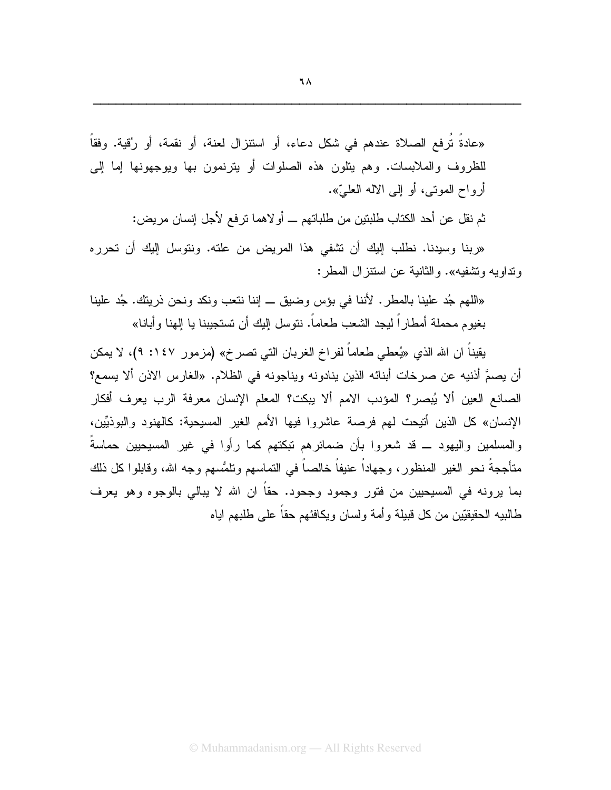«عادةَ تُرفع الصلاة عندهم في شكل دعاء، أو استنزال لعنة، أو نقمة، أو رُقية. وفقاً للظروف والملابسات. وهم ينلون هذه الصلوات أو يترنمون بها ويوجهونها إما إلى أرواح الموتبي، أو إلى الاله العليّ».

ثم نقل عن أحد الكتاب طلبتين من طلباتهم ـــ أو لاهما تر فع لأجل إنسان مر يض:

«ربنا وسيدنا. نطلب إليك أن تشفى هذا المريض من علته. ونتوسل إليك أن تحرره ونداويه ونشفيه». والثانية عن استنز ال المطر :

«اللَّهم جُد علينا بالمطر . لأننا في بؤس وضيق \_ إننا نتعب ونكد ونحن ذريتك. جُد علينا بغيو م محملة أمطار أ ليجد الشعب طعاماً. نتوسل اليك أن تستجيبنا يا الهنا وأبانا»

يقيناً ان الله الذي «يُعطى طعاماً لفراخ الغربان التي تصرخ» (مزمور ١٤٧: ٩)، لا يمكن أن يصمَّ أذنيه عن صرخات أبنائه الذين ينادونه ويناجونه في الظلام. «الغارس الاذن ألا يسمع؟ الصانع العين ألا يُبصر؟ المؤدب الامم ألا يبكت؟ المعلم الإنسان معرفة الرب يعرف أفكار الإنسان» كل الذين أتيحت لهم فرصة عاشروا فيها الأمم الغير المسيحية: كالهنود والبوذيِّين، والمسلمين واليهود ــ قد شعروا بأن ضمائرهم نبكتهم كما رأوا في غير المسيحيين حماسةُ متأججةً نحو الغير المنظور، وجهاداً عنيفاً خالصاً في التماسهم ونلمُّسهم وجه الله، وقابلوا كل ذلك بما يرونه في المسيحيين من فتور وجمود وجحود. حقاً ان الله لا يبالي بالوجوه وهو يعرف طالبيه الحقيقيّين من كل قبيلة و أمة ولسان ويكافئهم حقاً على طلبهم اياه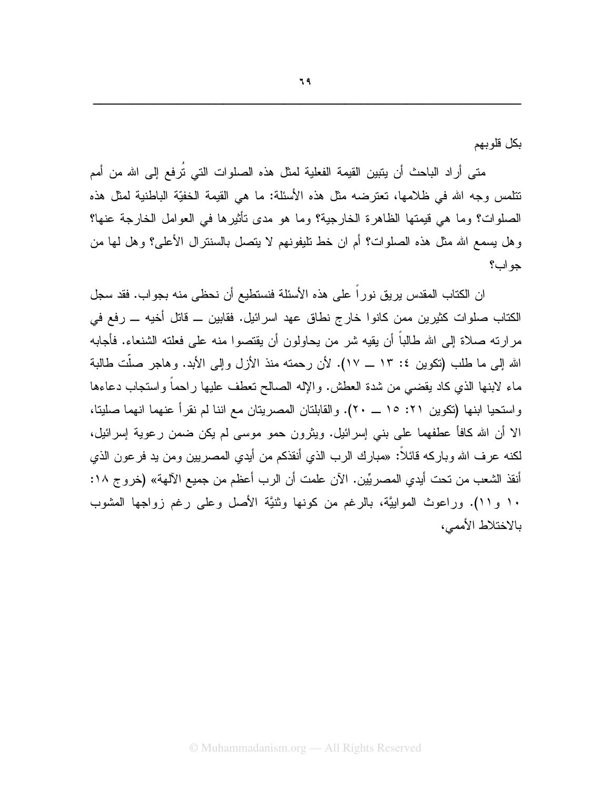بكل قلو بهم

متى أراد الباحث أن يتبين القيمة الفعلية لمثل هذه الصلوات التي تُرفع إلى الله من أمم نتلمس وجه الله في ظلامها، تعترضه مثل هذه الأسئلة: ما هي القيمة الخفيّة الباطنية لمثل هذه الصلوات؟ وما هي قيمتها الظاهر ة الخار جية؟ وما هو مدى تأثير ها في العوامل الخار جة عنها؟ وهل يسمع الله مثل هذه الصلوات؟ أم ان خط تليفونهم لا يتصل بالسنترال الأعلى؟ وهل لها من حواب؟

ان الكتاب المقدس يريق نوراً على هذه الأسئلة فنستطيع أن نحظى منه بجواب. فقد سجل الكتاب صلوات كثيرين ممن كانوا خارج نطاق عهد اسرائيل. فقابين ـــ قاتل أخيه ــــ رفع في مر ارته صلاة إلى الله طالباً أن يقيه شر من يحاولون أن يقتصوا منه على فعلته الشنعاء. فأجابه الله إلى ما طلب (تكوين ٤: ١٣ ــ ١٧). لأن رحمته منذ الأزل وإلى الأبد. وهاجر صلَّت طالبة ماء لابنها الذي كاد يقضى من شدة العطش. والإله الصالح نعطف عليها راحماً واستجاب دعاءها واستحيا ابنها (تكوين ٢١: ١٥ \_ ٢٠). والقابلتان المصريتان مع اننا لم نقرأ عنهما انهما صليتا، الا أن الله كافأ عطفهما على بنبي إسرائيل. ويثرون حمو موسى لم يكن ضمن رعوية إسرائيل، لكنه عرف الله وباركه قائلاً: «مبارك الرب الذي أنقذكم من أيدي المصريين ومن يد فرعون الذي أنقذ الشعب من تحت أيدي المصريِّين. الآن علمت أن الرب أعظم من جميع الآلهة» (خروج ١٨: ١٠ و١١). وراعوث الموابيَّة، بالرغم من كونها وثنيَّة الأصل وعلى رغم زواجها المشوب بالاختلاط الأممي،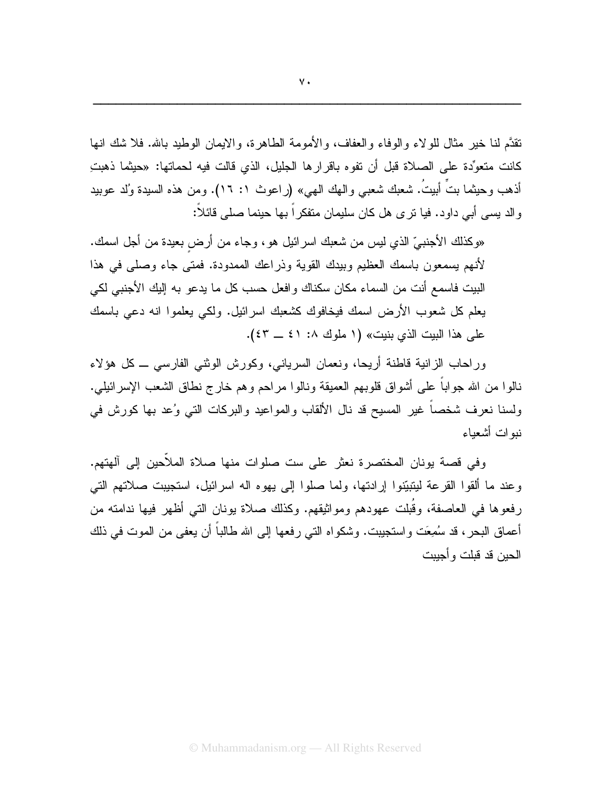نقدَّم لنا خير مثال للو لاء و الوفاء و العفاف، و الأمومة الطاهر ة، و الايمان الوطيد بالله. فلا شك انها كانت متعوِّدة على الصلاة قبل أن تفوه باقرار ها الجليل، الذي قالت فيه لحماتها: «حيثما ذهبتِ أذهب وحيثما بتَّ أبيتُ. شعبك شعبي والـهك الـهي» (راعوث ١: ١٦). ومن هذه السيدة وُلد عوبيد والد بسمي أبـي داود. فيا نرى هل كان سليمان منفكراً بـها حينما صلـي قائلاً:

«وكذلك الأجنبيِّ الذي ليس من شعبك اسر ائيل هو ، وجاء من أرض بعيدة من أجل اسمك. لأنهم يسمعون باسمك العظيم وبيدك القوية وذراعك الممدودة. فمتى جاء وصلى في هذا البيت فاسمع أنت من السماء مكان سكناك وافعل حسب كل ما يدعو به إليك الأجنبي لكي يعلم كل شعوب الأرض اسمك فيخافوك كشعبك اسرائيل. ولكي يعلموا انه دعى باسمك على هذا الببت الذي بنبت» (١ ملوك ١. ٤١ ــ ٤٣).

وراحاب الزانية قاطنة أريحا، ونعمان السرياني، وكورش الوثني الفارسي ــ كل هؤلاء نالوا من الله جواباً على أشواق قلوبهم العميقة ونالوا مراحم وهم خارج نطاق الشعب الإسرائيلي. ولسنا نعرف شخصا غير المسيح قد نال الألقاب والمواعيد والبركات التي وُعد بها كورش في نبو ات أشعباء

وفي قصة يونان المختصرة نعثر على ست صلوات منها صلاة الملأحين إلى آلهتهم. وعند ما ألقوا القرعة ليتبيّنوا إرادتها، ولما صلوا إلى يهوه اله اسرائيل، استجيبت صلاتهم التي رفعوها في العاصفة، وقُبلت عهودهم ومواثبقهم. وكذلك صلاة بونان التي أظهر فيها ندامته من أعماق البحر ، قد سُمِعَت واستجيبت. وشكواه التبي رفعها إلى الله طالباً أن يعفي من الموت في ذلك الحبن قد قبلت و أجبيت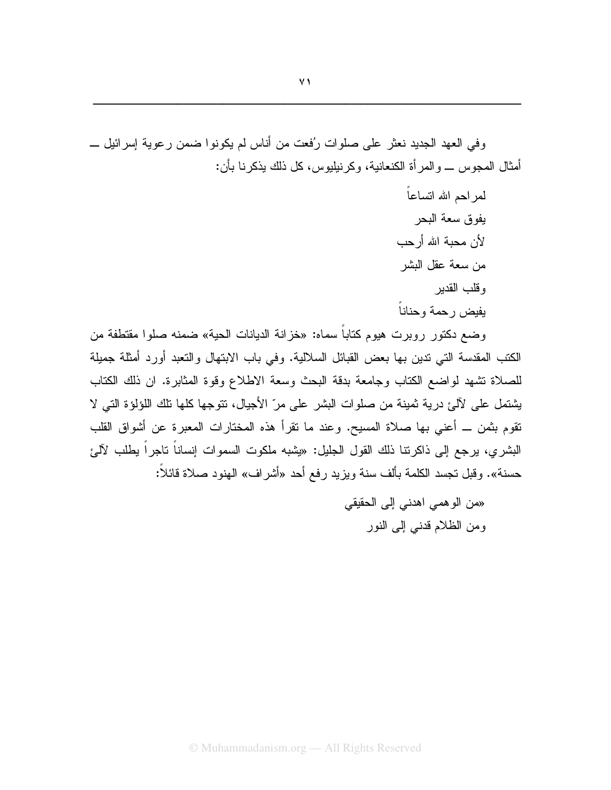وفي العهد الجديد نعثر على صلوات رُفعت من أناس لم يكونوا ضمن رعوية إسرائيل \_ أمثال المجوس ـــ و المر أة الكنعانية، وكر نيليوس، كل ذلك يذكر نا بأن:

> لمر احم الله انساعاً يفوق سعة البحر لأن محبة الله أرحب من سعة عقل البشر وقلب القدير بفبض رحمة وحناناً

وضع دكتور روبرت هيوم كتابا سماه: «خزانة الديانات الحية» ضمنه صلوا مقتطفة من الكتب المقدسة التي ندين بها بعض القبائل السلالية. وفي باب الابتهال والتعبد أورد أمثلة جميلة للصلاة تشهد لواضع الكتاب وجامعة بدقة البحث وسعة الاطلاع وقوة المثابرة. ان ذلك الكتاب يشتمل على لآلئ درية ثمينة من صلوات البشر على مرّ الأجيال، تتوجها كلها تلك اللؤلؤة التي لا تقوم بثمن ـــ أعنى بها صلاة المسيح. وعند ما تقرأ هذه المختارات المعبرة عن أشواق القلب البشر ي، يرجع إلى ذاكر تنا ذلك القول الجليل: «يشبه ملكوت السموات إنساناً تاجراً يطلب لآل*ي*ً حسنة». وقبل نجسد الكلمة بألف سنة ويزيد رفع أحد «أشراف» الهنود صلاة قائلاً:

> «من الوهمي اهدني إلى الحقيقي ومن الظلام قدنبي إلىي النور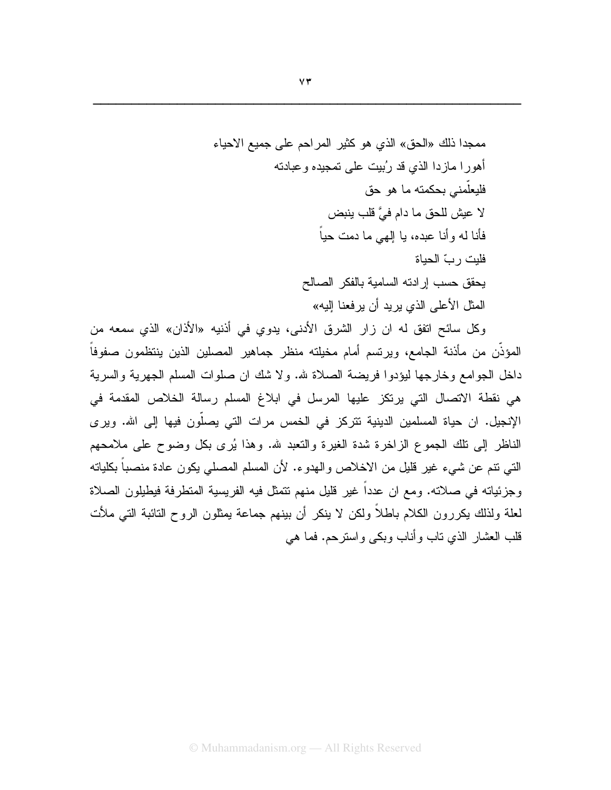وكل سائح اتفق له ان زار الشرق الأدنى، يدوي في أذنيه «الأذان» الذي سمعه من المؤذَّن من مأذنة الجامع، ويرتسم أمام مخيلته منظر جماهير المصلين الذين ينتظمون صفوفاً داخل الجوامع وخارجها ليؤدوا فريضة الصلاة لله. ولا شك ان صلوات المسلم الجهرية والسرية هي نقطة الاتصال التي يرتكز عليها المرسل في ابلاغ المسلم رسالة الخلاص المقدمة في الإنجيل. ان حياة المسلمين الدينية تتركز في الخمس مرات التي يصلُّون فيها إلى الله. ويرى الناظر إلى نلك الجموع الزاخرة شدة الغيرة والنعبد لله. وهذا يُرى بكل وضوح على ملامحهم النَّبِي نتم عن شيء غير قليل من الاخلاص والهدوء. لأن المسلم المصلِّي يكون عادة منصباً بكلياته وجزئياته في صلاته. ومع ان عدداً غير قليل منهم نتمثل فيه الفريسية المتطرفة فيطيلون الصلاة لعلة ولذلك يكررون الكلام باطلاً ولكن لا ينكر أن بينهم جماعة يمثلون الروح النائبة التي ملأت قلب العشار الذي ناب وأناب وبكي واسترحم. فما هي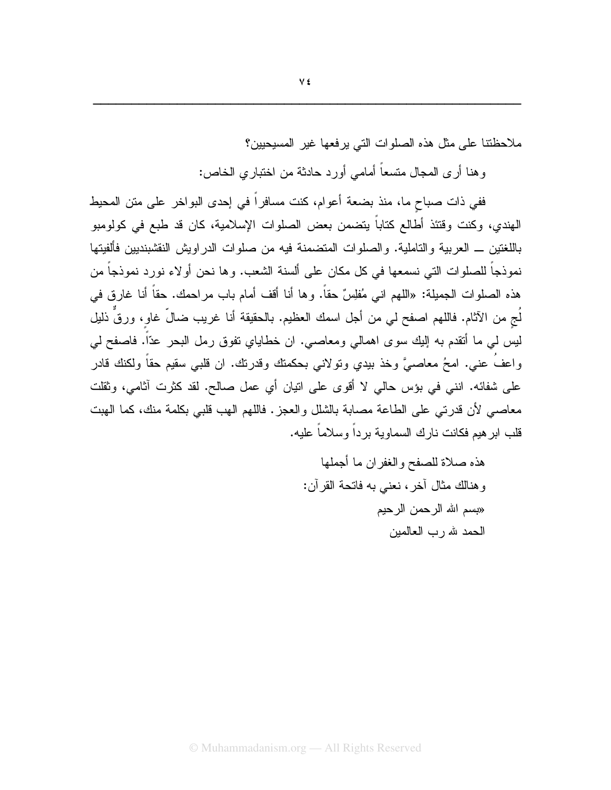ملاحظتنا على مثل هذه الصلوات التي برفعها غبر المسيحيين؟

وهنا أرى المجال متسعاً أمامي أورد حادثة من اختباري الخاص:

ففي ذات صباح ما، منذ بضعة أعوام، كنت مسافراً في إحدى البواخر على منن المحيط الهندي، وكنت وقتئذ أطالع كتاباً يتضمن بعض الصلوات الإسلامية، كان قد طبع في كولومبو باللغتين ـــ العربية والتاملية. والصلوات المتضمنة فيه من صلوات الدر اويش النقشبنديين فألفيتها نموذجاً للصلوات التي نسمعها في كل مكان على ألسنة الشعب. و ها نحن أو لاء نورد نموذجاً من هذه الصلوات الجميلة: «اللهم اني مُفلِسٌ حقاً. وها أنا أقف أمام باب مراحمك. حقاً أنا غارق في لُج من الآثام. فاللهم اصفح لي من أجل اسمك العظيم. بالحقيقة أنا غريب ضالٍّ غاو، ورقٍّ ذليل ليس لي ما أنقدم به إليك سوى اهمالي ومعاصبي. ان خطاياي نفوق رمل البحر عدّاً. فاصفح لي واعفَ عني. امحُ معاصيَّ وخذ بيدي ونولاني بحكمتك وقدرتك. ان قلبي سقيم حقاً ولكنك قادر على شفائه. انني في بؤس حالي لا أقوى على انيان أي عمل صالح. لقد كثرت آثامي، وثقلت معاصبي لأن قدرتي على الطاعة مصابة بالشلل والعجز . فاللهم الهب قلبي بكلمة منك، كما الهبت قلب ابر هيم فكانت نار ك السماوية بر داً وسلاماً عليه.

> هذه صلاة للصفح والغفران ما أجملها وهنالك مثال آخر، نعني به فاتحة القرآن: «بسم الله الرحمن الرحيم الحمد لله رب العالمين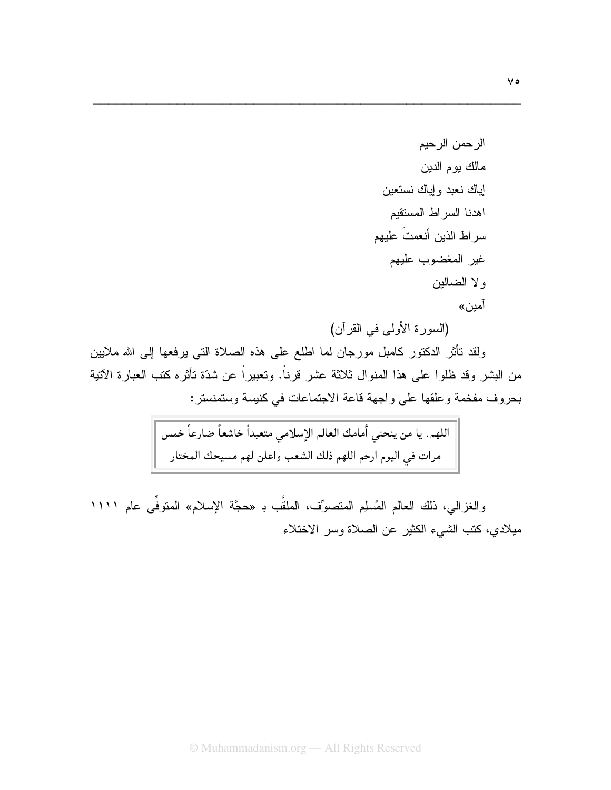(السورة الأولىي في القرآن)

ولقد نأثر الدكتور كامبل مورجان لما اطلع على هذه الصلاة التي يرفعها إلى الله ملايين من البشر وقد ظلوا على هذا المنوال ثلاثة عشر قرناً. وتعبيراً عن شدّة تأثره كتب العبارة الآتية بحروف مفخمة وعلقها على واجهة قاعة الاجتماعات في كنيسة وستمنستر :

والغزالي، ذلك العالم المُسلِم المتصوِّف، الملقَّب بـ «حجَّة الإسلام» المتوفِّي عام ١١١١ ميلادي، كتب الشيء الكثير عن الصلاة وسر الاختلاء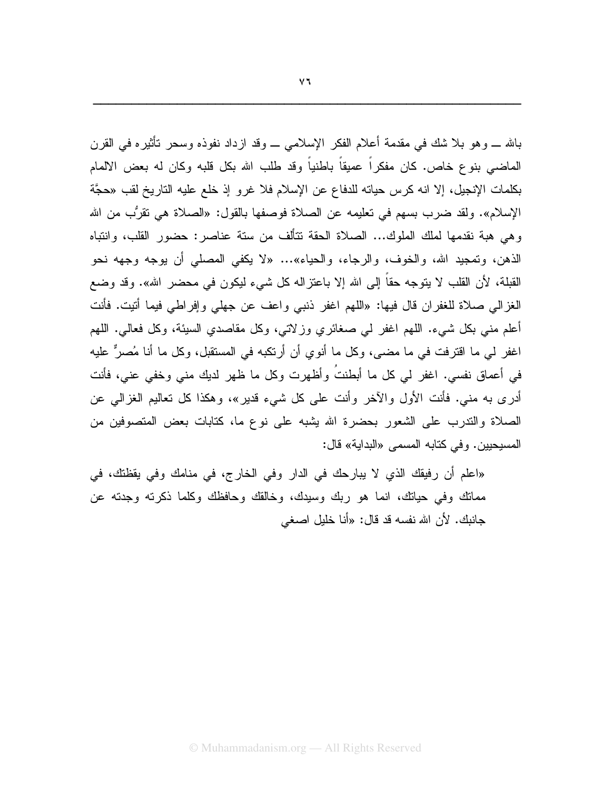بالله ـــ وهو بـلا شك فـي مقدمة أعلام الفكر الإسلامـي ـــ وقد ازداد نفوذه وسحر تأثيره فـي القرن الماضـي بنوع خاص. كان مفكراً عميقاً باطنياً وقد طلب الله بكل قلبه وكان له بعض الالمام بكلمات الإنجيل، إلا انه كرس حياته للدفاع عن الإسلام فلا غرو إذ خلع عليه التاريخ لقب «حجَّة الإسلام». ولقد ضرب بسهم في تعليمه عن الصلاة فوصفها بالقول: «الصلاة هي نقرُّب من الله وهي هبة نقدمها لملك الملوك... الصلاة الحقة نتألف من سنة عناصر: حضور القلب، وانتباه الذهن، وتمجيد الله، والخوف، والرجاء، والحياء»… «لا يكفي المصلَّى أن يوجه وجهه نحو القبلة، لأن القلب لا يتوجه حقاً إلى الله إلا باعتزاله كل شيء ليكون في محضر الله». وقد وضع الغزالي صلاة للغفران قال فيها: «اللهم اغفر ذنبي واعف عن جهلي وإفراطي فيما أتيت. فأنت أعلم منبي بكل شبيء. اللهم اغفر لمي صغائري وزلاتي، وكل مقاصدي السبئة، وكل فعالي. اللهم اغفر لمي ما اقترفت في ما مضـي، وكل ما أنوي أن أرتكبه في المستقبل، وكل ما أنا مُصـرٌّ عليه في أعماق نفسي. اغفر لي كل ما أبطنتُ وأظهرت وكل ما ظهر لديك مني وخفي عني، فأنت أدرى به مني. فأنت الأول والآخر وأنت على كل شيء قدير»، وهكذا كل تعاليم الغزالي عن الصلاة والندرب على الشعور بحضرة الله يشبه على نوع ما، كتابات بعض المتصوفين من المسيحيين. وفي كتابه المسمى «البداية» قال:

«اعلم أن رفيقك الذي لا يبارحك في الدار وفي الخارج، في منامك وفي يقظتك، في ممانك وفي حيانك، انما هو ربك وسيدك، وخالقك وحافظك وكلما ذكرته وجدته عن جانبك. لأن الله نفسه قد قال: «أنا خليل اصغى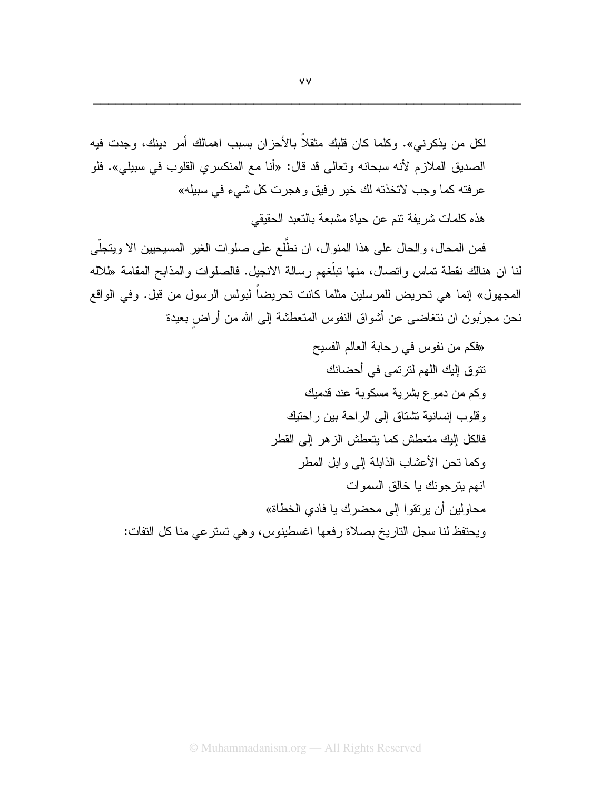لكل من يذكرني». وكلما كان قلبك مثقلاً بالأحزان بسبب اهمالك أمر دينك، وجدت فيه الصديق الملازم لأنه سبحانه وتعالى قد قال: «أنا مع المنكسري القلوب في سبيلي». فلو عرفته كما وجب لاتخذته لك خير رفيق وهجرت كل شيء في سبيله» هذه كلمات شر يفة نتم عن حياة مشبعة بالتعبد الحقيقى

فمن المحال، والحال على هذا المنوال، ان نطَّلع على صلوات الغير المسيحيين الا ويتجلَّى لنا ان هنالك نقطة تماس واتصال، منها تبلُّغهم رسالة الانجيل. فالصلوات والمذابح المقامة «للاله المجهول» إنما هي تحريض للمرسلين مثلما كانت تحريضاً لبولس الرسول من قبل. وفي الواقع نحن مجرَّبون ان نتغاضىي عن أشواق النفوس المتعطشة إلىي الله من أراض بعيدة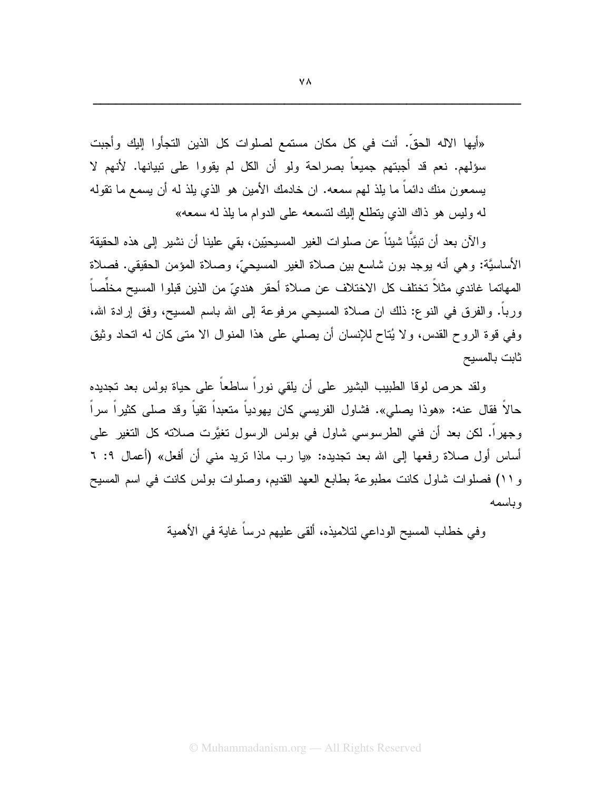«أيها الآله الحقِّ. أنت في كل مكان مستمع لصلوات كل الذين التجأوا إليك وأجبت سؤلهم. نعم قد أجبتهم جميعاً بصراحة ولو أن الكل لم يقووا على تبيانها. لأنهم لا يسمعون منك دائماً ما يلذ لمهم سمعه. ان خادمك الأمين هو الذي يلذ له أن يسمع ما نقوله له وليس هو ذاك الذي يتطلع البك لتسمعه على الدوام ما يلذ له سمعه»

و الآن بعد أن نبيَّنًا شيئاً عن صلوات الغير المسيحيِّين، بقي علينا أن نشير إلى هذه الحقيقة الأساسيَّة: وهي أنه بوجد بون شاسع بين صلاة الغير المسيحيِّ، وصلاة المؤمن الحقيقي. فصلاة المهاتما غاندي مثلاً تختلف كل الاختلاف عن صلاة أحقر هنديّ من الذين قبلوا المسيح مخلِّصاً ورباً. والفرق في النوع: ذلك ان صلاة المسيحي مرفوعة إلى الله باسم المسيح، وفق إرادة الله، وفي قوة الروح القدس، ولا يُتاح للإنسان أن يصلِّي على هذا المنوال الا متى كان له اتحاد وثيق ثابت بالمسيح

ولقد حرص لوفا الطبيب البشير على أن يلقى نوراً ساطعاً على حياة بولس بعد تجديده حالاً فقال عنه: «هوذا يصلي». فشاول الفريسي كان يهودياً متعبداً نقياً وقد صلى كثيراً سراً وجهرًا. لكن بعد أن فني الطرسوسي شاول في بولس الرسول تغيَّرت صلاته كل التغير على أساس أول صلاة رفعها إلى الله بعد نجديده: «يا رب ماذا نريد منبي أن أفعل» (أعمال ٩: ٦ و ١١) فصلوات شاول كانت مطبوعة بطابع العهد القديم، وصلوات بولس كانت في اسم المسيح وباسمه

وفي خطاب المسيح الوداعي لتلاميذه، ألقي عليهم درساً غاية في الأهمية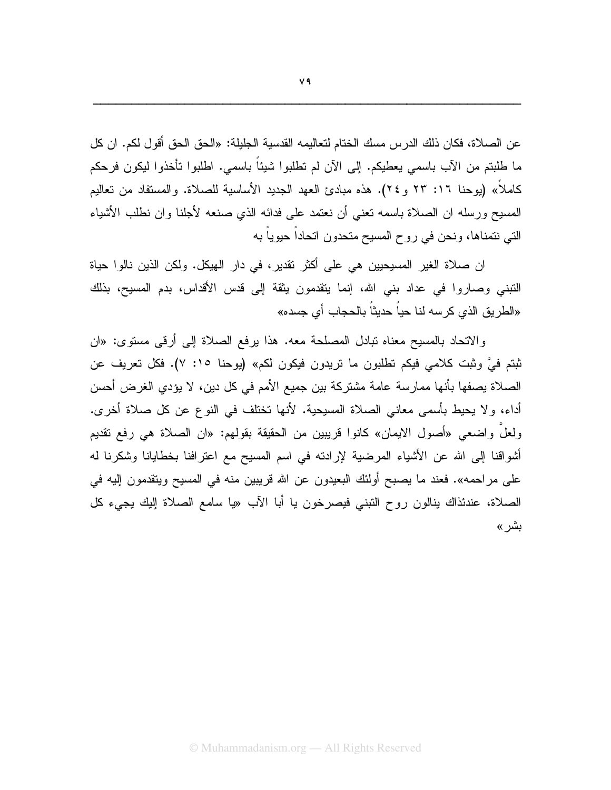عن الصلاة، فكان ذلك الدرس مسك الختام لتعاليمه القدسية الجليلة: «الحق الحق أقول لكم. ان كل ما طلبتم من الأب باسمي يعطيكم. إلى الأن لم تطلبوا شيئاً باسمي. اطلبوا تأخذوا ليكون فرحكم كاملاً» (يوحنا ١٦: ٢٣ و ٢٤). هذه مبادئ العهد الجديد الأساسية للصلاة. والمستفاد من تعاليم المسبح ورسله ان الصلاة باسمه نعني أن نعتمد على فدائه الذي صنعه لأجلنا وان نطلب الأشباء التي نتمناها، ونحن في روح المسيح متحدون اتحاداً حيوياً به

ان صلاة الغير المسيحيين هي على أكثر نقدير، في دار الهيكل. ولكن الذين نالوا حياة النَّبني وصـاروا في عداد بني الله، إنما يتقدمون يثقة إلى قدس الأقداس، بدم المسيح، بذلك «الطريق الذي كرسه لنا حياً حديثاً بالحجاب أي جسده»

والاتحاد بالمسيح معناه نبادل المصلحة معه. هذا برفع الصلاة إلى أرقبي مستوى: «ان ثبتم فيَّ وثبت كلامي فيكم تطلبون ما تريدون فيكون لكم» (يوحنا ١٥: ٧). فكل تعريف عن الصلاة يصفها بأنها ممارسة عامة مشتركة بين جميع الأمم في كل دين، لا يؤدي الغرض أحسن أداء، ولا يحيط بأسمى معاني الصلاة المسيحية. لأنها تختلف في النوع عن كل صلاة أخرى. ولعلٌ واضعى «أصول الايمان» كانوا قريبين من الحقيقة بقولهم: «ان الصلاة هي رفع نقديم أشواقنا إلى الله عن الأشياء المرضية لإرادته في اسم المسيح مع اعترافنا بخطايانا وشكرنا له على مراحمه». فعند ما يصبح أولئك البعيدون عن الله قريبين منه في المسيح ويتقدمون إليه في الصلاة، عندئذاك بنالون روح التبني فيصرخون با أبا الآب «يا سامع الصلاة إليك بجيء كل بشر»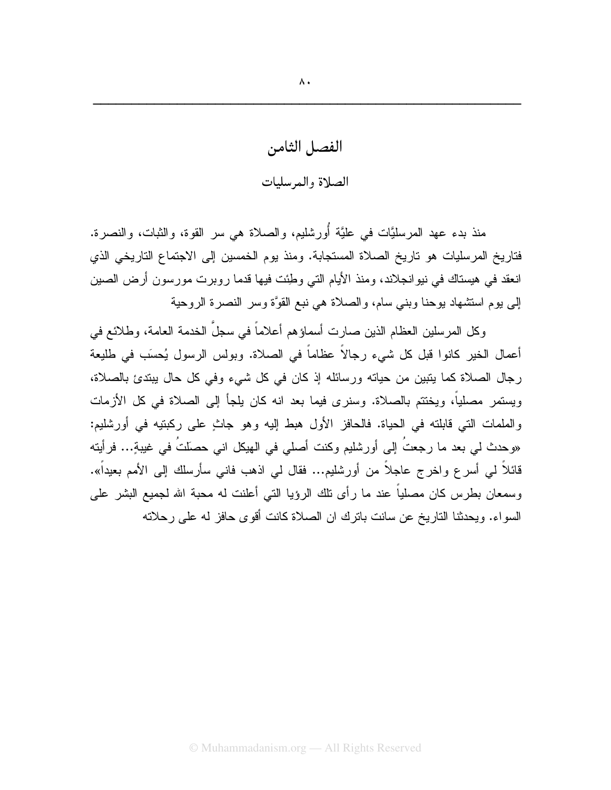الفصل الثامن الصلاة والمرسليات

منذ بدء عهد المرسليَّات في عليَّة أُورشليم، والصلاة هي سر القوة، والثبات، والنصرة. فتاريخ المرسليات هو تاريخ الصلاة المستجابة. ومنذ يوم الخمسين إلى الاجتماع التاريخي الذي انعقد في هيستاك في نيوانجلاند، ومنذ الأيام التي وطِئت فيها قدما روبرت مورسون أرض الصين إلى يوم استشهاد يوحنا وبني سام، والصلاة هي نبع القوَّة وسر النصرة الروحية

وكل المرسلين العظام الذين صارت أسماؤهم أعلاماً في سجلِّ الخدمة العامة، وطلائع في أعمال الخير كانوا قبل كل شيء رجالاً عظاماً في الصلاة. وبولس الرسول يُحسَب في طليعة رجال الصلاة كما يتبين من حياته ورسائله إذ كان في كل شيء وفي كل حال يبتدئ بالصلاة، ويستمر مصلياً، ويختتم بالصلاة. وسنرى فيما بعد انه كان يلجأ إلى الصلاة في كل الأزمات والملمات التي قابلته في الحياة. فالحافز الأول هبط إليه وهو جاثٍ على ركبتيه في أورشليم: «وحدث لي بعد ما رجعتُ إلى أورشليم وكنت أصلي في الهيكل اني حصلتُ في غيبةٍ... فرأيته قائلاً لمي أسرع واخرج عاجلاً من أورشليم... فقال لمي اذهب فانـي سأرسلك إلـي الأمم بعيداً». وسمعان بطرس كان مصلياً عند ما رأى نلك الرؤيا التي أعلنت له محبة الله لجميع البشر على السو اء. ويحدثنا الناريخ عن سانت باترك ان الصلاة كانت أقوى حافز له على ر حلاته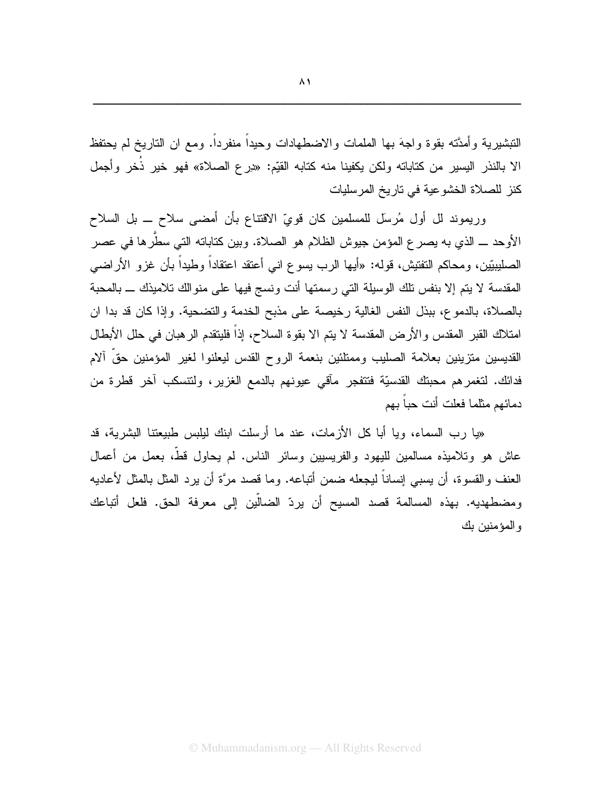النبشيرية وأمدَّته بقوة واجهَ بها الملمات والاضطهادات وحيدا منفردا. ومع ان الناريخ لم يحتفظ الا بالنذر اليسير من كتاباته ولكن يكفينا منه كتابه القيِّم: «دِرع الصـلاة» فهو خير ذُخر وأجمل كنز للصلاة الخشوعية في تاريخ المرسليات

وريموند لل أول مُرسل للمسلمين كان فويِّ الاقتتاع بأن أمضي سلاح ــ بل السلاح الأوحد ــــ الذي به يصر ع المؤمن جيوش الظلام هو الصلاة. وبين كتاباته التي سطَّرها في عصر الصليبيّين، ومحاكم التفتيش، قوله: «أيها الرب يسوع انبي أعتقد اعتقاداً وطيداً بأن غزو الأراضبي المقدسة لا يتم إلا بنفس تلك الوسيلة التي رسمتها أنت ونسج فيها على منوالك تلاميذك \_ بالمحبة بالصلاة، بالدموع، ببذل النفس الغالية رخيصة على مذبح الخدمة والتضحية. وإذا كان قد بدا ان امتلاك القبر المقدس والأرض المقدسة لا يتم الا بقوة السلاح، إذاً فليتقدم الرهبان في حلل الأبطال القديسين متزينين بعلامة الصليب وممتلئين بنعمة الروح القدس ليعلنوا لغير المؤمنين حقّ ألام فدائك. لتغمر هم محبنك القدسيّة فتتفجر مآقى عيونهم بالدمع الغزير، ولتتسكب آخر قطرة من دمائهم مثلما فعلت أنت حباً بهم

«يا رب السماء، ويا أبا كل الأزمات، عند ما أرسلت ابنك ليلبس طبيعتنا البشرية، قد عاش هو وتلاميذه مسالمين لليهود والفريسيين وسائر الناس. لم يحاول قط، بعمل من أعمال العنف والقسوة، أن يسبى إنساناً ليجعله ضمن أنباعه. وما قصد مرَّة أن يرد المثل بالمثل لأعاديه ومضطهديه. بهذه المسالمة قصد المسيح أن يردّ الضالَّين إلى معرفة الحق. فلعل أتباعك والمؤمنين بك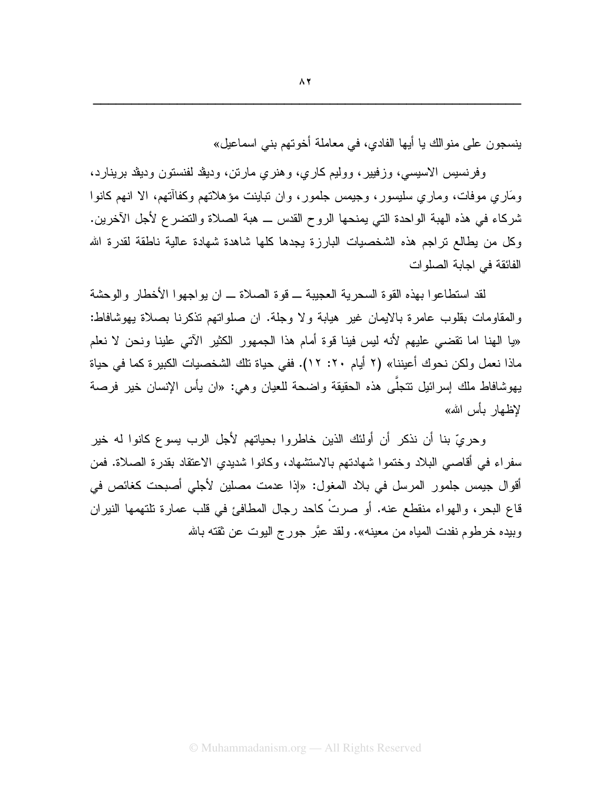بنِسجون على منوالك بـا أيها الفادي، في معاملة أخوتهم بني اسماعيل»

وفرنسيس الاسيسى، وزفيير، ووليم كارى، وهنرى مارتن، وديڤد لفنستون وديڤد برينارد، ومَارِي موفَّات، وماري سليسور، وجيمس جلمور، وإن تباينت مؤهلاتهم وكفاأتهم، الا انهم كانوا شركاء في هذه الهبة الواحدة التي يمنحها الروح القدس ــ هبة الصلاة والتضرع لأجل الآخرين. وكل من يطالع نراجم هذه الشخصيات البارزة يجدها كلها شاهدة شهادة عالية ناطقة لقدرة الله الفائقة في اجابة الصلوات

لقد استطاعوا بهذه القوة السحرية العجيبة ــ قوة الصلاة ــ ان يو اجهوا الأخطار والوحشة والمقاومات بقلوب عامرة بالايمان غير هيابة ولا وجلة. ان صلواتهم تذكرنا بصلاة يهوشافاط: «يا الهنا اما نقضي عليهم لأنه ليس فينا قوة أمام هذا الجمهور الكثير الآتي علينا ونحن لا نعلم ماذا نعمل ولكن نحوك أعيننا» (٢ أيام ٢٠: ١٢). ففي حياة تلك الشخصيات الكبيرة كما في حياة بهوشافاط ملك إسرائيل نتجلَّى هذه الحقيقة واضحة للعيان وهي: «ان يأس الإنسان خير فرصة لاظهار بأس الله»

وحريِّ بنا أن نذكر ٍ أن أولئك الذين خاطروا بحياتهم لأجل الرب يسوع كانوا له خير سفراء في أقاصبي البلاد وختموا شهادتهم بالاستشهاد، وكانوا شديدي الاعتقاد بقدرة الصلاة. فمن أقوال جيمس جلمور المرسل في بلاد المغول: «إذا عدمت مصلين لأجلى أصبحت كغائص في قاع البحر، والهواء منقطع عنه. أو صرتٌ كاحد رجال المطافئ في قلب عمارة تلتهمها النيران وبيده خرطوم نفدت المياه من معينه». ولقد عبَّر جورج اليوت عن ثقته بالله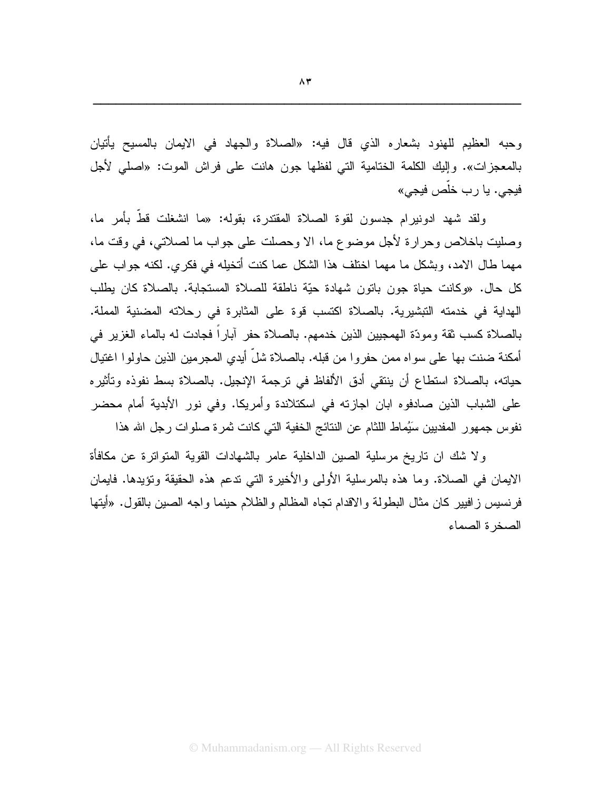وحبه العظيم للهنود بشعاره الذي قال فيه: «الصلاة والجهاد في الايمان بالمسيح يأتيان بالمعجزات». وإليك الكلمة الختامية التي لفظها جون هانت على فراش الموت: «اصلى لأجل فيجي. يا رب خلّص فيجي»

ولقد شبهد ادونيرام جدسون لقوة الصلاة المقتدرة، بقوله: «ما انشغلت قطَّ بأمرٍ ما، وصليت باخلاص وحرارة لأجل موضوع ما، الا وحصلت على جواب ما لصلاتي، في وقت ما، مهما طال الامد، وبشكل ما مهما اختلف هذا الشكل عما كنت أتخيله في فكرى. لكنه جواب على كل حال. «وكانت حياة جون باتون شهادة حيّة ناطقة للصلاة المستجابة. بالصلاة كان يطلب الهداية في خدمته التبشيرية. بالصلاة اكتسب قوة على المثابرة في رحلاته المضنية المملة. بالصلاة كسب ثقة ومودّة الهمجبين الذين خدمهم. بالصلاة حفر آبار اً فجادت له بالماء الغزير في أمكنة ضنت بها على سواه ممن حفروا من قبله. بالصلاة شلَّ أيدي المجرمين الذين حاولوا اغتيال حياته، بالصلاة استطاع أن ينتقى أدق الألفاظ في ترجمة الإنجيل. بالصلاة بسط نفوذه وتأثيره على الشباب الذين صادفوه ابان اجازته في اسكتلاندة وأمريكا. وفي نور الأبدية أمام محضر نفوس جمهور المفديين سَيُماط اللثام عن النتائج الخفية التي كانت ثمرة صلوات رجل الله هذا

ولا شك ان ناريخ مرسلية الصين الداخلية عامر بالشهادات القوية المتواترة عن مكافأة الايمان في الصلاة. وما هذه بالمرسلية الأولى والأخيرة التي ندعم هذه الحقيقة ونؤيدها. فايمان فرنسيس زافيير كان مثال البطولة والاقدام تجاه المظالم والظلام حينما واجه الصين بالقول. «أيتها الصخر ة الصماء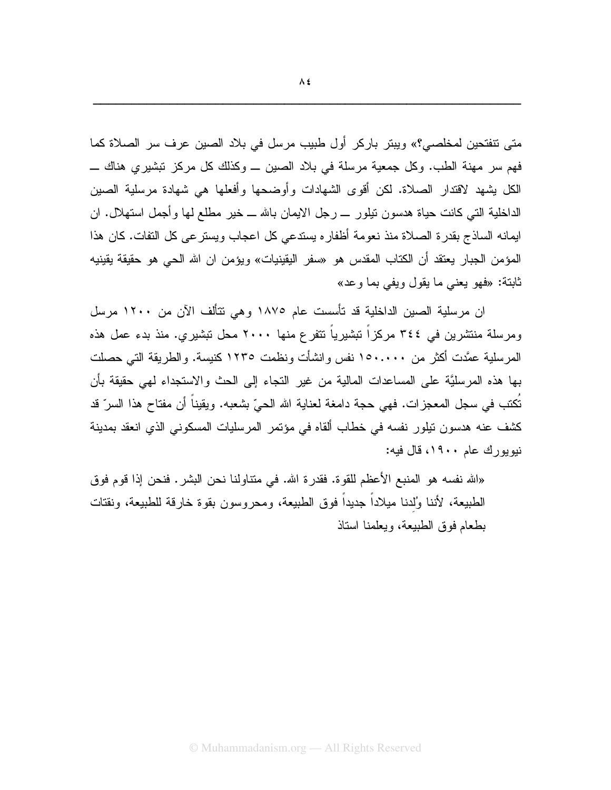متى نتفتحين لمخلصي؟» ويبتر باركر أول طبيب مرسل في بلاد الصين عرف سر الصلاة كما فهم سر ٍ مهنة الطبِ. وكل جمعية مرسلة في بلاد الصين \_ وكذلك كل مركز تبشير ي هناك \_ الكل بِشهد لاقتدار الصلاة. لكن أقوى الشهادات وأوضحها وأفعلها هي شهادة مرسلية الصبين الداخلية التبي كانت حياة هدسون تيلور \_ رجل الايمان بالله \_ خير مطلع لمها وأجمل استهلال. ان ايمانه الساذج بقدرة الصلاة منذ نعومة أظفاره يستدعى كل اعجاب ويسترعى كل التفات. كان هذا المؤمن الجبار يعتقد أن الكتاب المقدس هو «سفر اليقينيات» ويؤمن ان الله الحي هو حقيقة يقينيه ثابتة: «فهو يعني ما يقول ويفي بما وعد»

ان مرسلية الصين الداخلية قد تأسست عام ١٨٧٥ وهي تتألف الآن من ١٢٠٠ مرسل ومرسلة منتشرين في ٣٤٤ مركزاً تبشيرياً تتفرع منها ٢٠٠٠ محل تبشيري. منذ بدء عمل هذه المرسلية عمَّدت أكثر من ١٥٠.٠٠٠ نفس وانشأت ونظمت ١٢٣٥ كنيسة. والطريقة التي حصلت بها هذه المرسليَّة على المساعدات المالية من غير النجاء إلى الحث والاستجداء لهي حقيقة بأن نَكتب في سجل المعجزات. فهي حجة دامغة لعناية الله الحيّ بشعبه. ويقيناً أن مفتاح هذا السرّ قد كشف عنه هدسون تيلور نفسه في خطاب ألقاه في مؤتمر المرسليات المسكوني الذي انعقد بمدينة نبوبورك عام ١٩٠٠، قال فبه:

«الله نفسه هو المنبع الأعظم للقوة. فقدرة الله. في متناولنا نحن البشر . فنحن إذا قوم فوق الطبيعة، لأننا وُلدنا ميلاداً جديداً فوق الطبيعة، ومحروسون بقوة خارقة للطبيعة، ونقتات بطعام فوق الطبيعة، ويعلمنا استاذ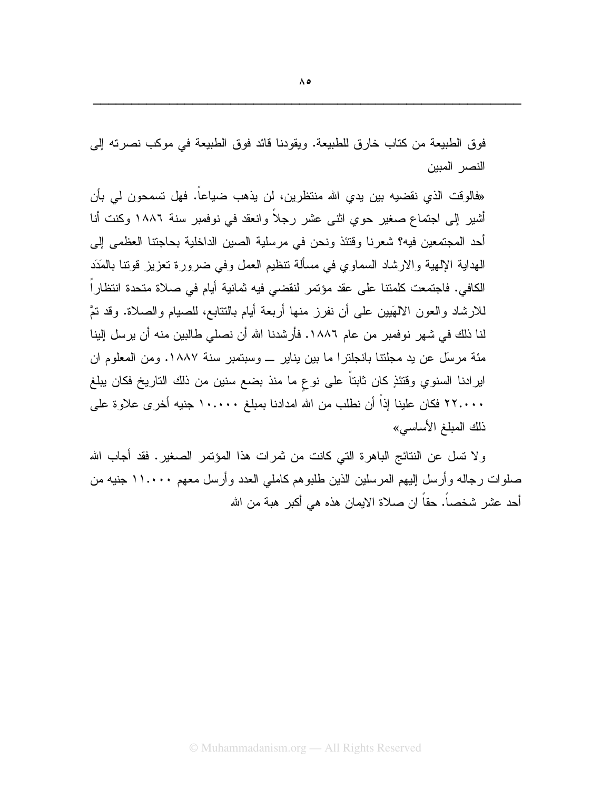فوق الطبيعة من كتاب خارق للطبيعة. ويقودنا قائد فوق الطبيعة في موكب نصرته إلى النصر المبين

«فالوقت الذي نقضيه بين يدي الله منتظرين، لن يذهب ضياعاً. فهل تسمحون لي بأن أشير إلى اجتماع صغير حوى اثنى عشر رجلاً وانعقد في نوفمبر سنة ١٨٨٦ وكنت أنا أحد المجتمعين فيه؟ شعر نا وقتئذ ونحن في مرسلية الصين الداخلية بحاجتنا العظمى إلى الهداية الإلهية والارشاد السماوي في مسألة نتظيم العمل وفي ضرورة تعزيز قونتا بالمَدَد الكافي. فاجتمعت كلمتنا على عقد مؤتمر لنقضىي فيه ثمانية أيام في صلاة متحدة انتظاراً للارشاد والعون الالهَبين على أن نفرز منها أربعة أيام بالنتابع، للصيام والصلاة. وقد نتَّ لنا ذلك في شهر نو فمبر من عام ١٨٨٦. فأر شدنا الله أن نصلي طالبين منه أن ير سل البنا مئة مرسِّل عن يد مجلِّتنا بانجلتر ا ما بين يناير \_ وسبتمبر سنة ١٨٨٧. ومن المعلوم ان ايرادنا السنوي وقتئذٍ كان ثابتاً على نوع ما منذ بضع سنين من ذلك التاريخ فكان يبلغ ٢٢.٠٠٠ فكان علينا إذاً أن نطلب من الله امدادنا بمبلغ ١٠.٠٠٠ جنيه أخرى علاوة على ذلك المبلغ الأساسي»

ولا تسل عن النتائج الباهرة التي كانت من ثمرات هذا المؤتمر الصغير. فقد أجاب الله صلوات رجاله وأرسل إليهم المرسلين الذين طلبوهم كاملي العدد وأرسل معهم ١١.٠٠٠ جنيه من أحد عشر شخصاً. حقاً ان صلاة الايمان هذه هي أكبر ٍ هبة من الله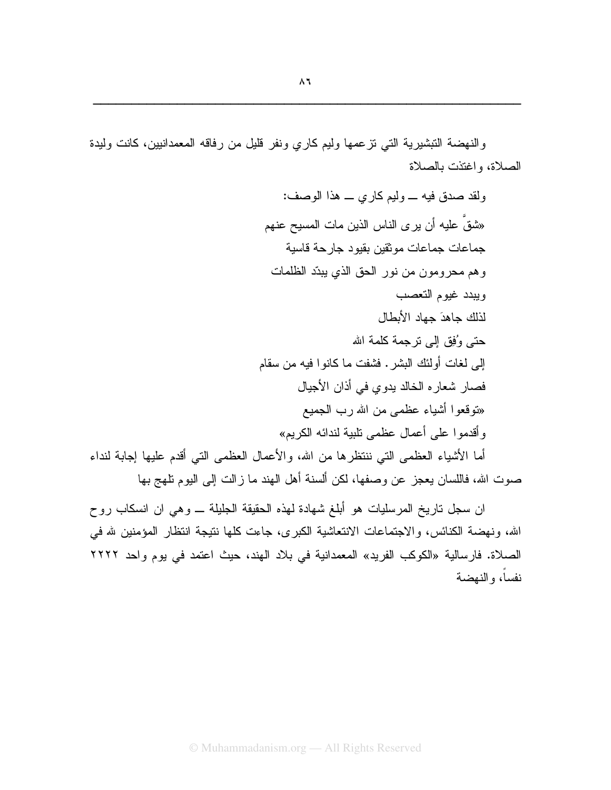والنهضة التبشيرية التبي نزعمها وليم كارى ونفر قليل من رفاقه المعمدانيين، كانت وليدة الصلاة، واغتذت بالصلاة

> ولقد صدق فيه \_ وليم كارى \_ هذا الوصف: «شقٌ عليه أن يرى الناس الذين مات المسيح عنهم جماعات جماعات موثقين بقيود جارحة قاسية وهم محرومون من نور الحق الذي يبدّد الظلمات ويبدد غيوم التعصب لذلك حاهدَ حهاد الأبطال حتَّى وُفِقَ إِلَى ترْ جِمة كلَّمة الله إلى لغات أولئك البشر. فشفت ما كانوا فيه من سقام فصار شعارِ ه الخالد بدوي في أذان الأجيال «نوقعوا أشياء عظمى من الله رب الـجميع وأقدموا على أعمال عظمى نابية لندائه الكريم»

أما الأشياء العظمى التي ننتظرها من الله، والأعمال العظمى التي أقدم عليها إجابة لنداء صوت الله، فاللسان يعجز عن وصفها، لكن ألسنة أهل الـهند ما زالت إلىي اليوم نلـهج بـها

ان سجل ناريخ المرسليات هو أبلغ شهادة لهذه الحقيقة الجليلة ــــ وهي ان انسكاب روح الله، ونهضة الكنائس، والاجتماعات الانتعاشية الكبرى، جاءت كلها نتيجة انتظار المؤمنين لله في الصلاة. فارسالية «الكوكب الفريد» المعمدانية في بلاد الهند، حيث اعتمد في يوم واحد ٢٢٢٢ نفساً، والنهضة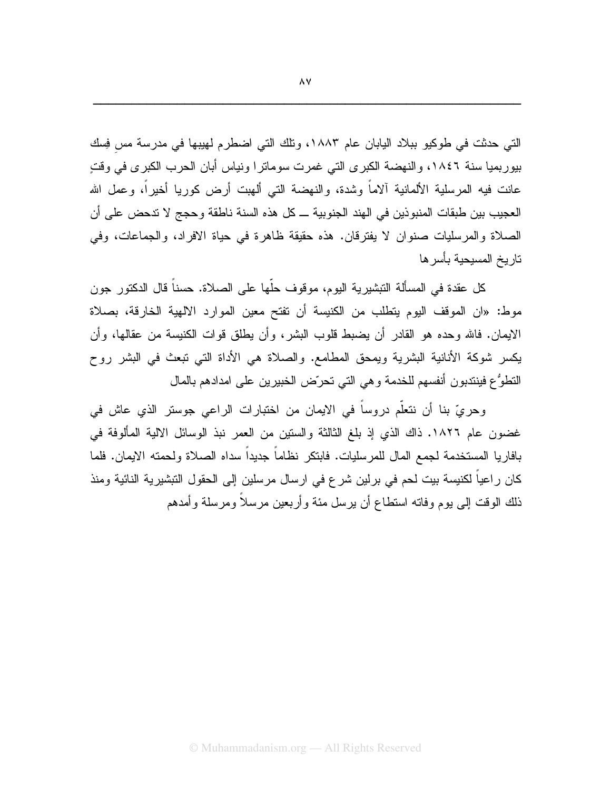التي حدثت في طوكيو ببلاد اليابان عام ١٨٨٣، وتلك التي اضطرم لهيبها في مدرسة مس فِسك بيوربميا سنة ١٨٤٦، والنهضة الكبرى التي غمرت سوماترا ونياس أبان الحرب الكبرى في وقتٍ عانت فيه المرسلية الألمانية ألاماً وشدة، والنهضة التي ألهبت أرض كوريا أخيراً، وعمل الله العجيب بين طبقات المنبوذين في الهند الجنوبية ـــ كل هذه السنة ناطقة وحجج لا ندحض على أن الصلاة والمرسليات صنوان لا يفترقان. هذه حقيقة ظاهرة في حياة الافراد، والجماعات، وفي تار يخ المسيحية بأسر ها

كل عقدة في المسألة التبشيرية اليوم، موقوف حلَّها على الصلاة. حسناً قال الدكتور جون موط: «ان الموقف اليوم يتطلب من الكنيسة أن تفتح معين الموارد الالهية الخارقة، بصلاة الإيمان. فالله وحده هو القادر أن يضبط قلوب البشر، وأن يطلق قوات الكنيسة من عقالها، وأن يكسر شوكة الأنانية البشرية ويمحق المطامع. والصلاة هي الأداة التي تبعث في البشر روح النطوُّع فينتدبون أنفسهم للخدمة وهي التي تحرّض الخبيرين على امدادهم بالمال

وحريٍّ بنا أن نتعلَّم دروساً في الايمان من اختبارات الراعي جوستر الذي عاش في غضون عام ١٨٢٦. ذاك الذي إذ بلغ الثالثة والسنين من العمر نبذ الوسائل الالية المألوفة في بافاريا المستخدمة لجمع المال للمرسليات. فابتكر نظاماً جديداً سداه الصلاة ولحمته الايمان. فلما كان راعياً لكنيسة بيت لحم في برلين شرع في ارسال مرسلين إلى الحقول النبشيرية النائية ومنذ ذلك الوقت إلىي بوم وفاته استطاع أن برسل مئة وأربعين مرسلاً ومرسلة وأمدهم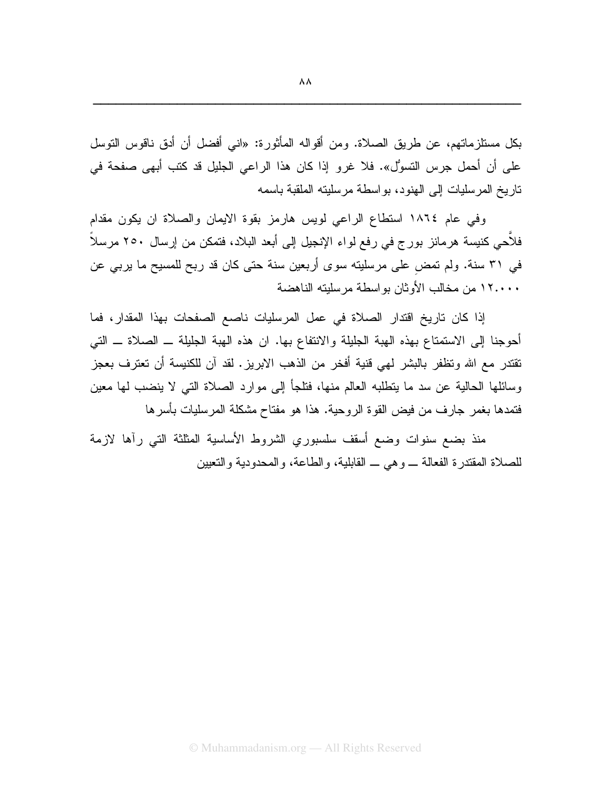وفي عام ١٨٦٤ استطاع الراعي لويس هارمز بقوة الإيمان والصلاة ان يكون مقدام فلأحي كنيسة هرمانز بورج في رفع لواء الإنجيل إلى أبعد البلاد، فتمكن من إرسال ٢٥٠ مرسلاً في ٣١ سنة. ولم تمض على مرسلينه سوى أربعين سنة حتى كان قد ربح للمسيح ما يربي عن ١٢.٠٠٠ من مخالب الأوثان بواسطة مرسليته الناهضة

إذا كان تاريخ اقتدار الصلاة في عمل المرسليات ناصع الصفحات بهذا المقدار، فما أُحوجنا إلى الاستمتاع بهذه الهبة الجليلة والانتفاع بها. ان هذه الهبة الجليلة ــ الصلاة ــ التبي تقتدر مع الله وتظفر بالبشر لهي قنية أفخر من الذهب الابريز . لقد آن للكنيسة أن تعترف بعجز وسائلها الحالية عن سد ما ينطلبه العالم منها، فتلجأ إلى موارد الصلاة التي لا ينضب لها معين فتمدها بغمر جارف من فيض القوة الروحية. هذا هو مفتاح مشكلة المرسليات بأسرها

منذ بضع سنوات وضع أسقف سلسبوري الشروط الأساسية المثلثة التي رأها لازمة للصلاة المقتدرة الفعالة \_ وهي \_ القابلية، والطاعة، والمحدودية والتعيين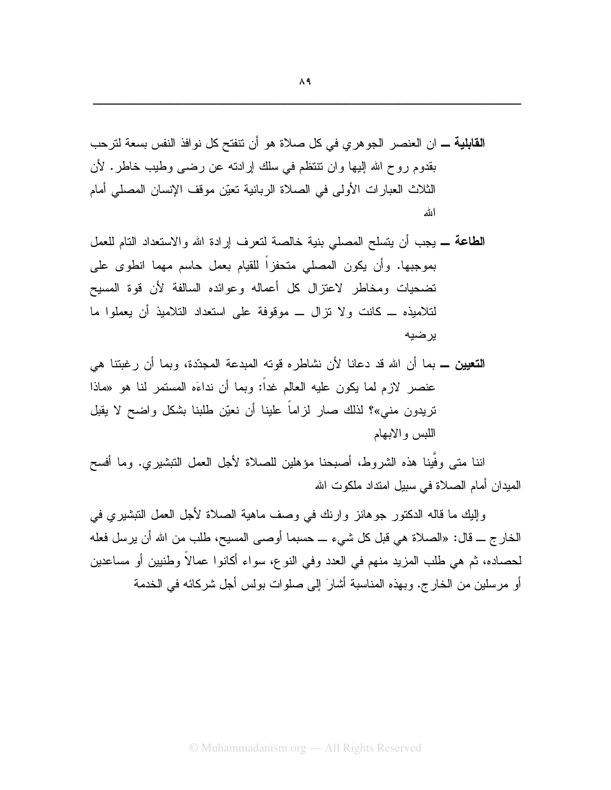- **الطاعة ــ** يجب أن يتسلح المصلى بنية خالصة لتعرف إرادة الله والاستعداد التام للعمل بموجبها. وأن يكون المصلى متحفزاً للقيام بعمل حاسم مهما انطوى على تضحيات ومخاطر لاعتزال كل أعماله وعوائده السالفة لأن قوة المسيح لتلاميذه ــ كانت ولا تزال ـــ موقوفة على استعداد التلاميذ أن يعملوا ما ير ضبه
- **التعيين ــ** بما أن الله قد دعانا لأن نشاطره قوته المبدعة المجدّدة، وبما أن رغبتنا هي عنصر لاز م لما يكون عليه العالم غداً: وبما أن نداءَه المستمر لنا هو «ماذا تريدون منبي»؟ لذلك صار لزاماً علينا أن نعيّن طلبنا بشكل واضح لا يقبل اللبس والابهام

اننا متى وفَّينا هذه الشروط، أصبحنا مؤهلين للصلاة لأجل العمل النبشيري. وما أفسح الميدان أمام الصلاة في سبيل امنداد ملكوت الله

وإليكِ ما قاله الدكتور جوهانز وارنك في وصف ماهية الصلاة لأجل العمل التبشيري في الخارج ـــ قال: «الصلاة هي قبل كل شيء ـــ حسبما أوصبي المسيح، طلب من الله أن يرسل فعله لحصاده، ثم هي طلب المزيد منهم في العدد وفي النوع، سواء أكانوا عمالاً وطنيين أو مساعدين أو مرسلين من الخارج. وبهذه المناسبة أشارَ إلى صلوات بولس أجل شركائه في الخدمة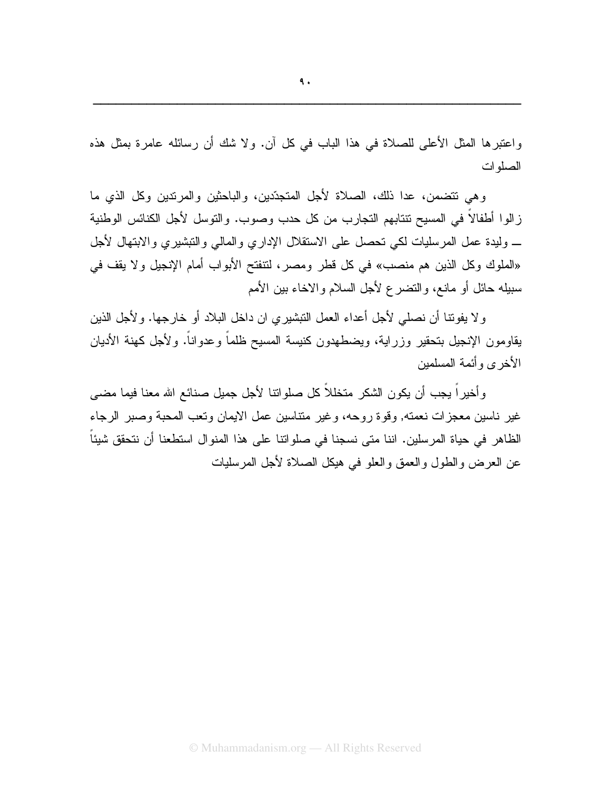واعتبرها المثل الأعلى للصلاة في هذا الباب في كل آن. ولا شك أن رسائله عامرة بمثل هذه الصلوات

وهي نتضمن، عدا ذلك، الصلاة لأجل المتجدِّدين، والباحثين والمرنَّدين وكل الذي ما ز الوا أطفالاً في المسيح تتتابهم التجار ب من كل حدب وصوب. والتوسل لأجل الكنائس الوطنية \_ وليدة عمل المر سليات لكي تحصل على الاستقلال الإدار ي والمالي والتبشير ي والابتهال لأجل «الملوك وكل الذين هم منصب» في كل قطر ومصر، لنتفتح الأبواب أمام الإنجيل ولا يقف في سبيله حائل أو مانع، والتضرع لأجل السلام والاخاء بين الأمم

ولا يفوننا أن نصلي لأجل أعداء العمل النبشيري ان داخل البلاد أو خارجها. ولأجل الذين يقاومون الإنجيل بتحقير وزراية، ويضطهدون كنيسة المسيح ظلماً وعدواناً. ولأجل كهنة الأديان الأخر ي و أئمة المسلمبن

وأخيراً يجب أن يكون الشكر متخللاً كل صلوانتا لأجل جميل صنائع الله معنا فيما مضيي غير ناسين معجزات نعمته, وقوة روحه، وغير متناسين عمل الايمان وتعب المحبة وصبر الرجاء الظاهر في حياة المرسلين. اننا متى نسجنا في صلواتنا على هذا المنوال استطعنا أن نتحقق شيئاً عن العرض والطول والعمق والعلو في هيكل الصلاة لأجل المرسليات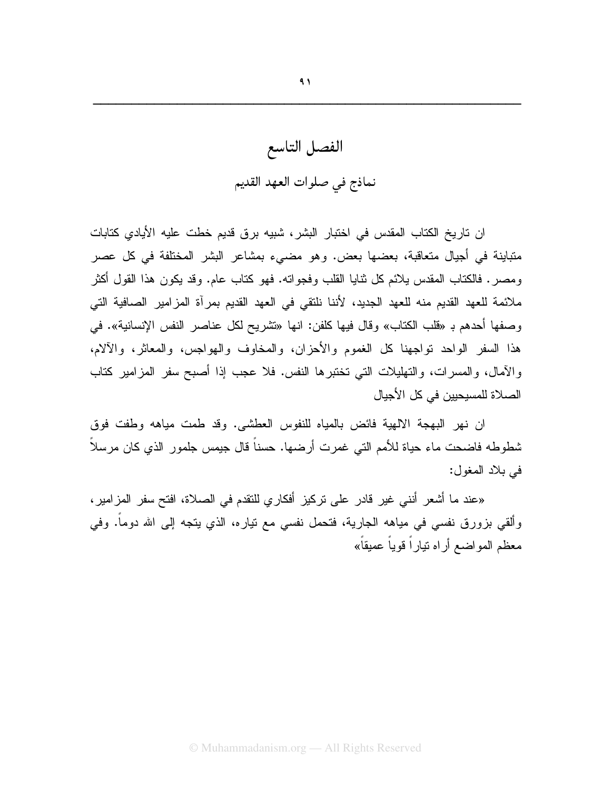## الفصل التاسع نماذج في صلوات العهد القديم

ان تاريخ الكتاب المقدس في اختبار البشر، شبيه برق قديم خطت عليه الأيادي كتابات متباينة في أجيال متعاقبة، بعضها بعض. وهو مضىيء بمشاعر البشر المختلفة في كل عصر ومصر . فالكتاب المقدس يلائم كل ثنايا القلب وفجواته. فهو كتاب عام. وقد يكون هذا القول أكثر ملائمة للعهد القديم منه للعهد الجديد، لأننا نلتقي في العهد القديم بمرآة المزامير الصافية التي وصفها أحدهم بـ «فلب الكتاب» وقال فيها كلفن: انها «نشريح لكل عناصر النفس الإنسانية». في هذا السفر الواحد تواجهنا كل الغموم والأحزان، والمخاوف والهواجس، والمعاثر، والآلام، والأمال، والمسرات، والتهليلات التي تختبرها النفس. فلا عجب إذا أصبح سفر المزامير كتاب الصلاة للمسبحبين في كل الأجبال

ان نهر البهجة الالهية فائض بالمياه للنفوس العطشي. وقد طمت مياهه وطفت فوق شطوطه فاضحت ماء حياة للأمم التي غمرت أرضها. حسناً قال جيمس جلمور الذي كان مرسلاً في بلاد المغول:

«عند ما أشعر أنني غير قادر على تركيز أفكاري للنقدم في الصلاة، افتح سفر المزامير ، وألقى بزورق نفسى في مياهه الجارية، فتحمل نفسى مع نياره، الذي يتجه إلى الله دوماً. وفي معظم المواضع أراه نياراً قوياً عميقاً»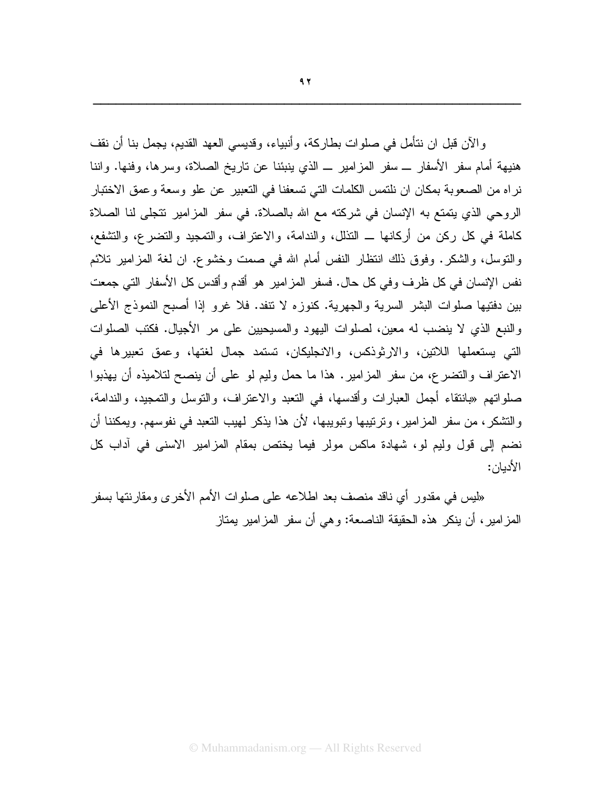والآن قبل ان نتأمل في صلوات بطاركة، وأنبياء، وقديسي العهد القديم، يجمل بنا أن نقف هنيهة أمام سفر الأسفار ـــ سفر المزامير ـــ الذي ينبئنا عن ناريخ الصلاة، وسرها، وفنها. واننا نراه من الصعوبة بمكان ان نلتمس الكلمات التي تسعفنا في التعبير عن علو وسعة وعمق الاختبار الروحي الذي يتمتع به الإنسان في شركته مع الله بالصلاة. في سفر المزامير نتجلَّى لنا الصلاة كاملة في كل ركن من أركانها ـــ التذلل، والندامة، والاعتراف، والتمجيد والتضرع، والتشفع، والنوسل، والشكر. وفوق ذلك انتظار النفس أمام الله في صمت وخشوع. ان لغة المزامير تلائم نفس الإنسان في كل ظرف وفي كل حال. فسفر المزامير هو أقدم وأقدس كل الأسفار التي جمعت بين دفتيها صلوات البشر السرية والجهرية. كنوزه لا نتفد. فلا غرو إذا أصبح النموذج الأعلى والنبع الذي لا ينضب له معين، لصلوات اليهود والمسيحيين على مر الأجيال. فكتب الصلوات التي يستعملها اللاتين، والارثوذكس، والانجليكان، تستمد جمال لغتها، وعمق تعبيرها في الاعتراف والتضرع، من سفر المزامير . هذا ما حمل وليم لو على أن ينصح لتلاميذه أن يهذبوا صلواتهم «بانتقاء أجمل العبارات وأقدسها، في النعبد والاعتراف، والتوسل والتمجيد، والندامة، و التشكر ، من سفر المز امير ، و تر تيبها و تبويبها، لأن هذا يذكر لهيب التعبد في نفوسهم. ويمكننا أن نضم إلى قول وليم لو، شهادة ماكس مولر فيما يختص بمقام المزامير الاسنى في آداب كل الأديان:

«ليس في مقدور أي ناقد منصف بعد اطلاعه على صلوات الأمم الأخر ي ومقارنتها بسفر المزامير ، أن ينكر هذه الحقيقة الناصعة: وهي أن سفر المزامير يمتاز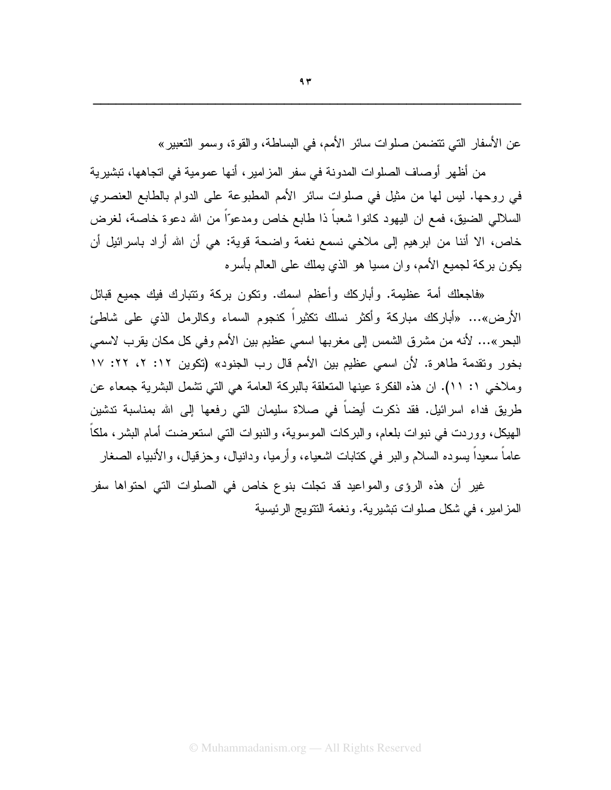عن الأسفار التي تتضمن صلوات سائر الأمم، في البساطة، والقوة، وسمو التعبير »

من أظهر أوصاف الصلوات المدونة في سفر المزامير ، أنها عمومية في اتجاهها، تبشيرية في روحها. ليس لها من مثيل في صلوات سائر الأمم المطبوعة على الدوام بالطابع العنصري السلالي الضيق، فمع ان اليهود كانوا شعباً ذا طابع خاص ومدعوّاً من الله دعوة خاصة، لغرض خاص، الا أننا من ابرهيم إلى ملاخي نسمع نغمة واضحة قوية: هي أن الله أراد باسرائيل أن يكون بركة لجميع الأمم، وإن مسيا هو الذي يملك على العالم بأسر ه

«فاجعلك أمة عظيمة. وأباركك وأعظم اسمك. ونكون بركة ونتبارك فيك جميع قبائل الأرض»… «أباركك مباركة وأكثر نسلك نكثيراً كنجوم السماء وكالرمل الذي على شاطئ البحر»… لأنه من مشرق الشمس إلى مغربها اسمى عظيم بين الأمم وفي كل مكان يقرب لاسمى بخور وتقدمة طاهرة. لأن اسمى عظيم بين الأمم قال رب الجنود» (تكوين ١٢: ٢، ٢٢: ١٧ وملاخي ١: ١١). ان هذه الفكرة عينها المتعلقة بالبركة العامة هي التي تشمل البشرية جمعاء عن طريق فداء اسرائيل. فقد ذكرت أيضاً في صلاة سليمان التي رفعها إلى الله بمناسبة تدشين الـهيكل، ووردت فـي نبوات بلعام، والبركات الموسوية، والنبوات التـي استعرضت أمام البشر، ملكاً عاماً سعيداً يسوده السلام والبر في كتابات اشعياء، و أرميا، ودانيال، وحزَّقيال، والأنبياء الصغار

غير أن هذه الرؤى والمواعيد قد نجلت بنوع خاص في الصلوات التي احتواها سفر المزامير، في شكل صلوات تبشيرية. ونغمة النتويج الرئيسية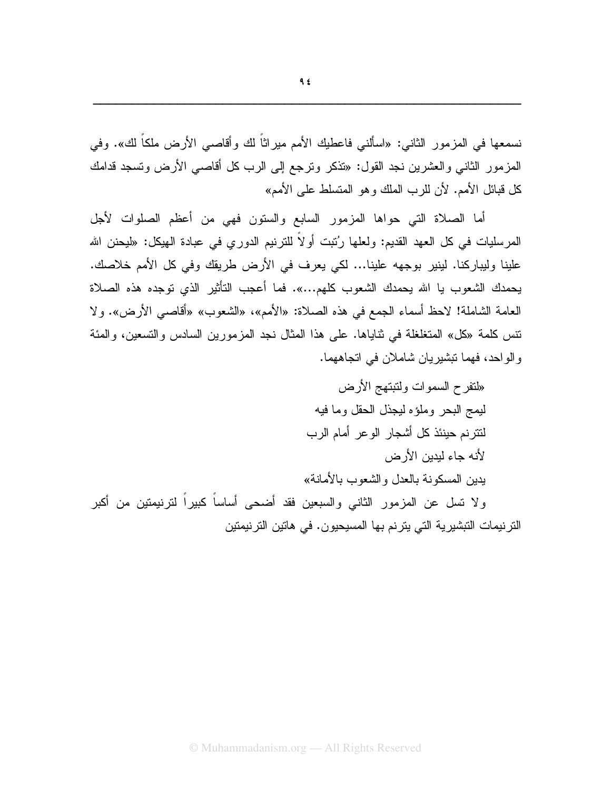نسمعها في المزمور الثاني: «اسألني فاعطيك الأمم ميراثاً لك وأقاصي الأرض ملكاً لك». وفي المزمور الثاني والعشرين نجد القول: «تذكر وترجع إلى الرب كل أقاصي الأرض وتسجد قدامك كل قبائل الأمم. لأن للرب الملك وهو المتسلط على الأمم»

أما الصلاة التي حواها المزمور السابع والستون فهي من أعظم الصلوات لأجل المرسليات في كل العهد القديم: ولعلها رُتبت أو لاً للترنيم الدوري في عبادة الهيكل: «ليحنن الله علينا وليباركنا. لينير بوجهه علينا... لكي يعرف في الأرض طريقك وفي كل الأمم خلاصك. يحمدك الشعوب يا الله يحمدك الشعوب كلهم...». فما أعجب التأثير الذي توجده هذه الصلاة العامة الشاملة! لاحظ أسماء الجمع في هذه الصلاة: «الأمم»، «الشعوب» «أقاصبي الأرض». ولا نتس كلمة «كل» المتغلغلة في ثناياها. على هذا المثال نجد المزمورين السادس والتسعين، والمئة و الو احد، فهما تبشير يان شاملان في اتجاههما.

الترنيمات التبشيرية التي يترنم بها المسيحيون. في هاتين الترنيمتين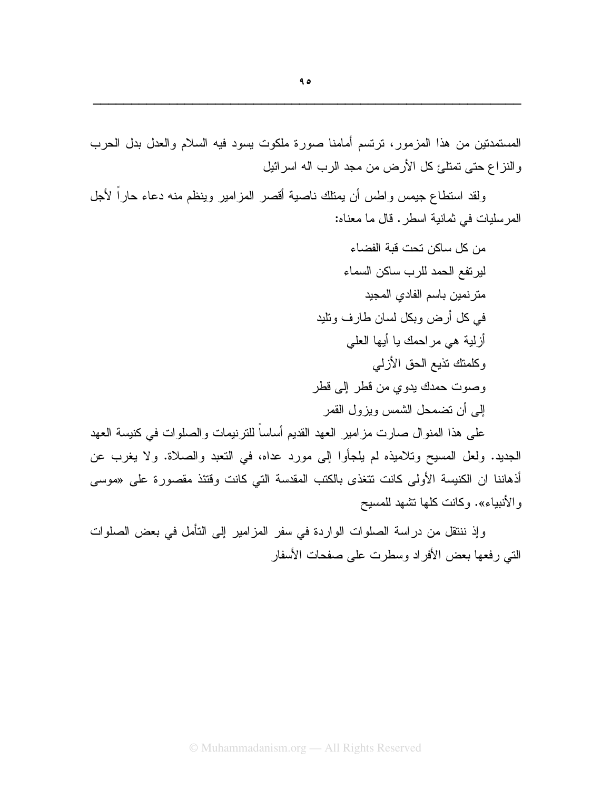ولقد استطاع جبمس واطس أن بمناك ناصبة أقصر المزامير وينظم منه دعاء حاراً لأجل المر سليات في ثمانية اسطر . قال ما معناه:

> من كل ساكن تحت قبة الفضاء لير تفع الحمد للرب ساكن السماء متر نمين باسم الفادي المجيد في كل أرض وبكل لسان طارف ونليد أزلية هي مراحمك يا أيها العلي وكلمتك تذيع الحق الأزلبي وصوت حمدك يدوى من قطر إلى قطر إلى أن نضمحل الشمس ويزول القمر

على هذا المنوال صارت مز امير العهد القديم أساساً للتربيمات والصلوات في كنيسة العهد الْجِدِيدِ. ولعل الْمُسِيحِ وتلاميذِه لم يلجأوا إلى مورد عداه، في النعبد والصلاة. ولا يغرب عن أذهاننا ان الكنيسة الأولى كانت نتغذى بالكتب المقدسة التي كانت وقتئذ مقصورة على «موسى والأنبياء». وكانت كلها نشهد للمسيح

وإذ ننتقل من دراسة الصلوات الواردة في سفر المزامير إلى التأمل في بعض الصلوات الني رفعها بعض الأفراد وسطرت على صفحات الأسفار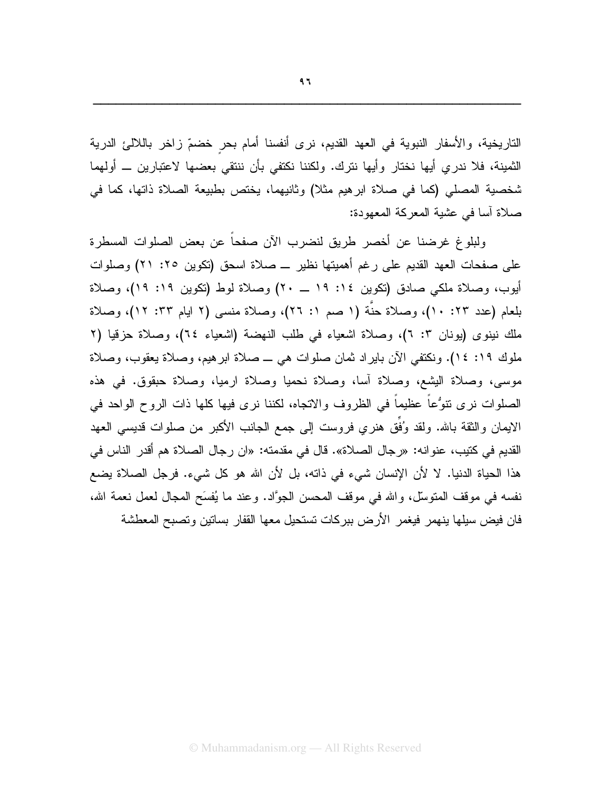التاريخية، والأسفار النبوية في العهد القديم، نرى أنفسنا أمام بحر خضمّ زاخر باللالئ الدرية الثمينة، فلا ندري أبها نختار وأبها نترك. ولكننا نكتفي بأن ننتقى بعضها لاعتبارين ــ أولهما شخصية المصلي (كما في صلاة ابرهيم مثلا) وثانيهما، يختص بطبيعة الصلاة ذاتها، كما في صلاة آسا في عشية المعركة المعهودة:

ولبلوغ غرضنا عن أخصر طريق لنضرب الآن صفحاً عن بعض الصلوات المسطرة على صفحات العهد القديم على رغم أهميتها نظير \_ صلاة اسحق (تكوين ٢٥: ٢١) وصلوات أيوب، وصلاة ملكي صادق (تكوين ١٤: ١٩ \_ ٢٠) وصلاة لوط (تكوين ١٩: ١٩)، وصلاة بلعام (عدد ٢٣: ١٠)، وصلاة حنَّة (١ صم ١: ٢٦)، وصلاة منسى (٢ ايام ٢٣: ١٢)، وصلاة ملك نينوي (يونان ٣: ٦)، وصلاة اشعياء في طلب النهضة (اشعياء ٢٤)، وصلاة حزقيا (٢ ملوك ١٩: ١٤). ونكتفي الآن بايراد ثمان صلوات هي ــ صلاة ابر هيم، وصلاة يعقوب، وصلاة موسى، وصلاة اليشع، وصلاة أسا، وصلاة نحميا وصلاة ارميا، وصلاة حبقوق. في هذه الصلوات نرى نتوُّعاً عظيماً في الظروف والاتجاه، لكننا نرى فيها كلها ذات الروح الواحد في الايمان والثقة بالله. ولقد وُفَقٍ هنري فروست إلى جمع الجانب الأكبر من صلوات قديسي العهد القديم في كتيب، عنو انه: «رجال الصلاة». قال في مقدمته: «ان رجال الصلاة هم أقدر الناس في هذا الحياة الدنيا. لا لأن الإنسان شيء في ذاته، بل لأن الله هو كل شيء. فرجل الصلاة يضع نفسه في موقف المنوسِّل، والله في موقف المحسن الجوَّاد. وعند ما يُفسَح المجال لعمل نعمة الله، فان فيض سيلها ينهمر فيغمر الأرض ببركات تستحيل معها القفار بساتين وتصبح المعطشة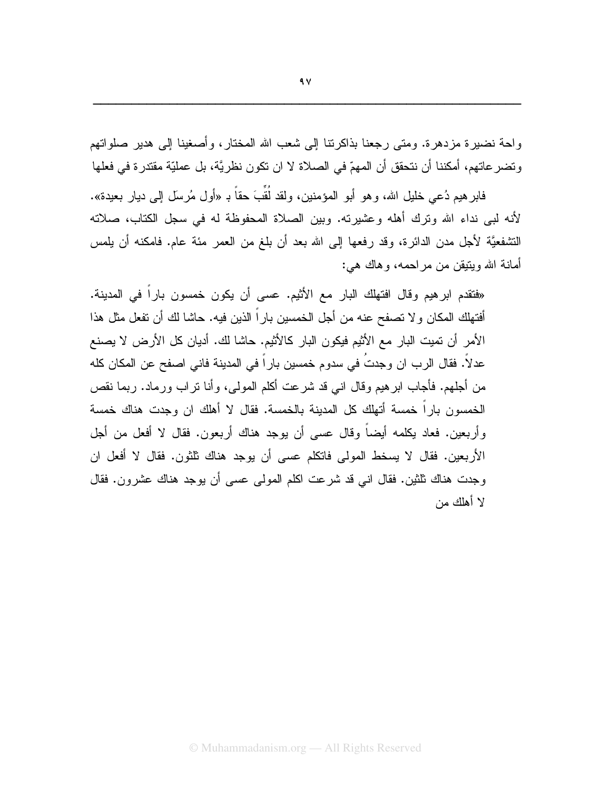واحة نضيرة مزدهرة. ومتى رجعنا بذاكرننا إلى شعب الله المختار، وأصغينا إلى هدير صلواتهم وتضر عاتهم، أمكننا أن نتحقق أن المهمّ في الصلاة لا ان تكون نظريَّة، بل عمليّة مقتدرة في فعلها

فابر هيم دُعي خليل الله، وهو أبو المؤمنين، ولقد لقبَ حقًّا بـ «أول مُرسَل إلىي ديار بعيدة». لأنه لبـى نداء الله ونرك أهله وعشيرته. وبين الصلاة المحفوظة لـه فـي سجل الكتاب، صلاته التشفعيَّة لأجل مدن الدائرة، وقد رفعها إلى الله بعد أن بلغ من العمر مئة عام. فامكنه أن يلمس أمانة الله ويتيقن من مراحمه، وهاك هي:

«فتقدم ابرهيم وقال افتهلك البار مع الأثيم. عسى أن يكون خمسون بارا في المدينة. أفتهلك المكان ولا تصفح عنه من أجل الخمسين بارًا الذين فيه. حاشا لك أن تفعل مثل هذا الأمر أن تميت البار مع الأثيم فيكون البار كالأثيم. حاشا لك. أديان كل الأرض لا يصنع عدلا. فقال الرب ان وجدت في سدوم خمسين بارا في المدينة فاني اصفح عن المكان كله من أجلهم. فأجاب ابر هيم وقال انـي قد شرعت أكلم المولـى، وأنـا نراب ورمـاد. ربمـا نقص الخمسون بارا خمسة أتهلك كل المدينة بالخمسة. فقال لا أهلك ان وجدت هناك خمسة وأربعين. فعاد يكلمه أيضا وقال عسى أن يوجد هناك أربعون. فقال لا أفعل من أجل الأربعين. فقال لا يسخط المولىي فانكلم عسى أن يوجد هناك ثلثون. فقال لا أفعل ان وجدت هناك ثلثين. فقال انـي قد شرعت اكلم المولـى عسـى أن بوجد هناك عشرون. فقال لا أهلك من

IIIIIIIIIIIIIIIIIIIIIIIIIIIIIIIIIIIIIIIIIIIIIIIIIIIIIIII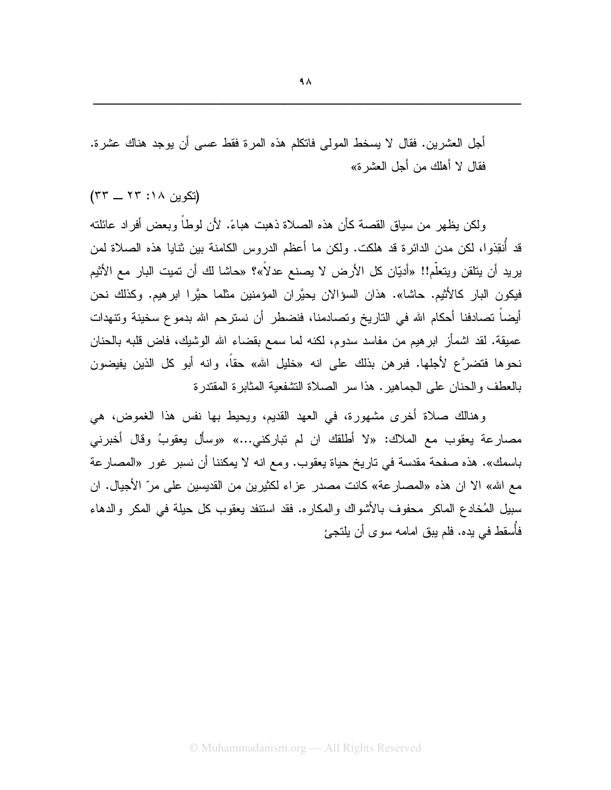أجل العشرين. فقال لا يسخط المولى فاتكلم هذه المرة فقط عسى أن يوجد هناك عشرة. فقال لا أهلك من أجل العشر ة»

(تكوين ١٨: ٢٣ \_ ٣٣)

ولكن يظهر من سياق القصبة كأن هذه الصلاة ذهبت هباءً. لأن لوطاً وبعض أفر اد عائلته قد أنقِذوا، لكن مدن الدائر ة قد هلكت. ولكن ما أعظم الدروس الكامنة بين نتايا هذه الصلاة لمن بريد أن يتلقن ويتعلَّم!! «أديّان كل الأرض لا يصنع عدلاً»؟ «حاشا لك أن تميت البار مع الأثيم فيكون البار كالأثيم. حاشا». هذان السؤالان يحيَّر ان المؤمنين مثلما حيَّر! ابر هيم. وكذلك نحن أيضاً نصادفنا أحكام الله في الناريخ ونصادمنا، فنضطر أن نسترحم الله بدموع سخينة ونتهدات عميقة. لقد اشمأز ابر هيم من مفاسد سدوم، لكنه لما سمع بقضاء الله الوشيك، فاض قلبه بالحنان نحوها فتضرَّع لأجلها. فبرهن بذلك على انه «خليل الله» حقاً، وانه أبو كل الذين يفيضون بالعطف والحنان على الجماهير . هذا سر الصلاة التشفعية المثابرة المقتدرة

وهنالك صلاة أخرى مشهورة، في العهد القديم، ويحيط بها نفس هذا الغموض، هي مصارعة بعقوب مع الملاك: «لا أطلقك ان لم نباركني...» «وسأل بعقوبُ وفال أخبرني باسمك». هذه صفحة مقدسة في تاريخ حياة يعقوب. ومع انه لا يمكننا أن نسبر غور «المصارعة مع الله» الا ان هذه «المصارعة» كانت مصدر عزاء لكثيرين من القديسين على مرّ الأجيال. ان سبيل المُخادع الماكر محفوف بالأشواك والمكاره. فقد استنفد يعقوب كل حيلة في المكر والدهاء فأسقط في بده. فلم ببق امامه سو ي أن بلتجئ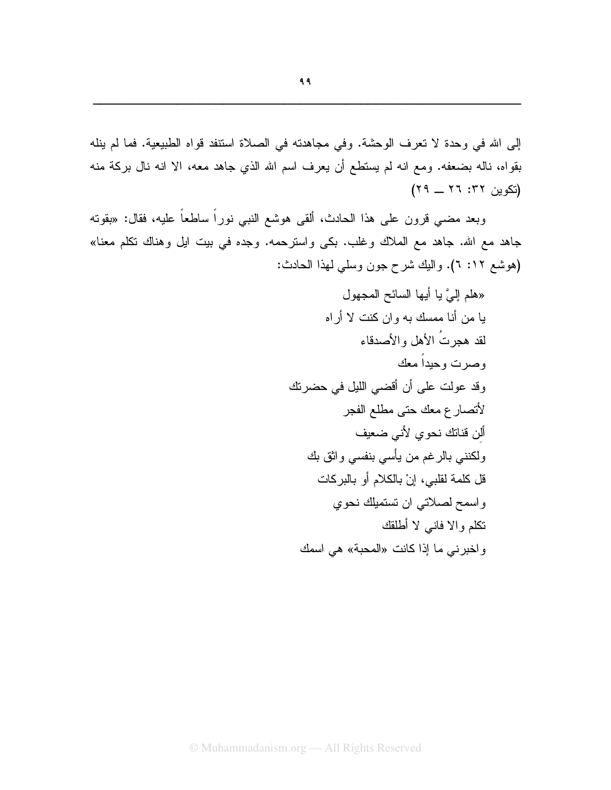إلى الله في وحدة لا تعرف الوحشة. وفي مجاهدته في الصلاة استنفد قواه الطبيعية. فما لم ينله بقواه، ناله بضعفه. ومع انه لم يستطع أن يعرف اسم الله الذي جاهد معه، الا انه نال بركة منه (تکوین ۲۲: ۲۲ \_ ۲۹)

وبعد مضـي قرون علـي هذا الـحادث، ألقـي هوشـع النبـي نوراً ساطـعاً عليه، فقال: «بقوته جاهد مع الله. جاهد مع الملاك وغلب. بكي واسترحمه. وجده في بيت ايل وهناك تكلم معنا» (هوشع ١٢: ٦). واليك شرح جون وسلَّى لهذا الحادث: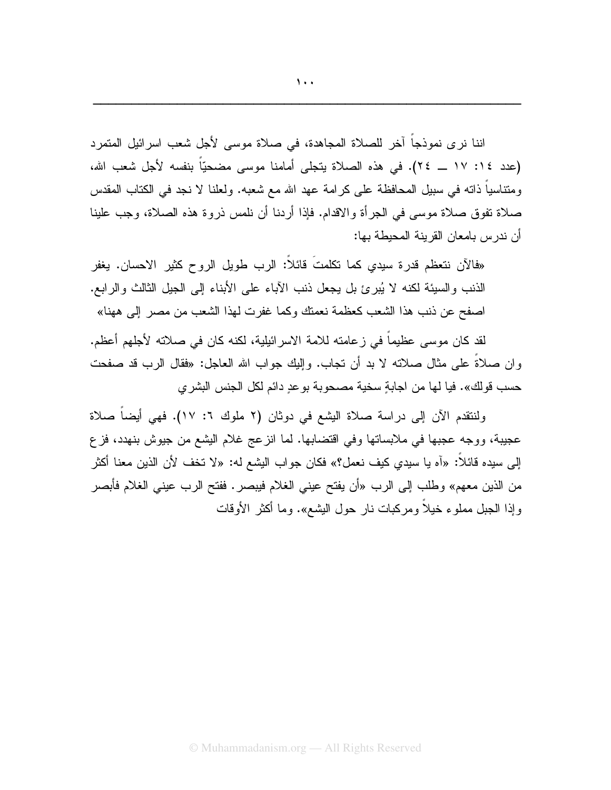اننا نرى نموذجاً آخر للصلاة المجاهدة، في صلاة موسى لأجل شعب اسرائيل المتمرد (عدد ١٤: ١٧ ــ ٢٤). في هذه الصلاة يتجلَّى أمامنا موسى مضحيّاً بنفسه لأجل شعب الله، ومنتاسياً ذاته في سبيل المحافظة على كرامة عهد الله مع شعبه. ولعلنا لا نجد في الكتاب المقدس صلاة تفوق صلاة موسى في الجرأة والاقدام. فإذا أردنا أن نلمس ذروة هذه الصلاة، وجب علينا أن ندرس بامعان القرينة المحبطة بها:

«فالآن نتعظم قدر ة سيدي كما تكلمتَ قائلاً: الرب طويل الروح كثير الاحسان. يغفر الذنب والسبيئة لكنه لا يُبرئ بل يجعل ذنب الأباء على الأبناء إلى الجيل الثالث والرابع. اصفح عن ذنب هذا الشعب كعظمة نعمتك وكما غفرت لهذا الشعب من مصر إلى ههنا»

لقد كان موسى عظيماً في زعامته للامة الاسر ائيلية، لكنه كان في صلاته لأجلهم أعظم. و إن صلاةً على مثال صلاته لا بد أن تجاب. وإليك جواب الله العاجل: «فقال الرب قد صفحت حسب قو لك». فيا لها من اجابةٍ سخية مصحوبة بو عدٍ دائم لكل الجنس البشر ي

ولنتقدم الآن إلى دراسة صلاة البِشْع في دوثان (٢ ملوك ٦: ١٧). فهي أيضاً صلاة عجيبة، ووجه عجبها في ملابساتها وفي افتضابها. لما انزعج غلام اليشع من جيوش بنهدد، فزع الِّي سيده قائلاً: «آه يا سيدي كيف نعمل؟» فكان جو اب البِشْع له: «لا نَخف لأن الذين معنا أكثر من الذين معهم» وطلب إلى الرب «أن يفتح عيني الغلام فيبصر . ففتح الرب عيني الغلام فأبصر وإذا الجبل مملوع خيلاً ومركبات نار حول البشع». وما أكثر الأوقات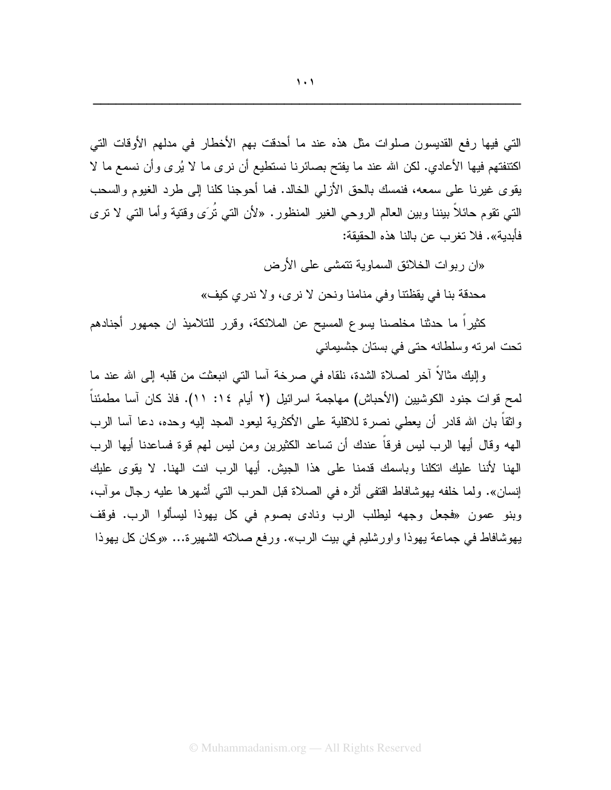© Muhammadanism.org — All Rights Reserved

يهوشافاط في جماعة يهوذا واورشليم في بيت الرب». ورفع صلاته الشهيرة... «وكان كل يهوذا

والِلَّكِ مِثَالاً أخر لصلاة الشدة، نلقاه في صرخة أسا التي انبعثت من قلبه إلى الله عند ما لمح قوات جنود الكوشبين (الأحباش) مهاجمة اسرائيل (٢ أيام ١٤: ١١). فاذ كان آسا مطمئناً واثقاً بان الله قادر أن يعطي نصرة للاقلية على الأكثرية ليعود المجد إليه وحده، دعا آسا الرب الهه وقال أيها الرب ليس فرقاً عندك أن تساعد الكثيرين ومن ليس لهم قوة فساعدنا أيها الرب الهنا لأننا عليك اتكلنا وباسمك قدمنا على هذا الجيش. أيها الرب انت الهنا. لا يقوى عليك إنسان». ولما خلفه يهوشافاط اقتفى أثره في الصلاة قبل الحرب التي أشهرها عليه رجال موآب، وبنو عمون «فجعل وجهه ليطلب الرب ونادي بصوم في كل يهوذا ليسألوا الرب. فوقف

محدقة بنا في يقظتنا وفي منامنا ونحن لا نرى، ولا ندري كيف»

كثيرًا ما حدثنا مخلصنا يسوع المسيح عن الملائكة، وقرر للنلاميذ ان جمهور أجنادهم تحت امرته وسلطانه حتى في بستان جثسيماني

«ان ربوات الخلائق السماوية تتمشى على الأرض

التي فيها رفع القديسون صلوات مثل هذه عند ما أحدقت بهم الأخطار في مدلهم الأوقات التي اكنتفتهم فيها الأعادي. لكن الله عند ما يفتح بصائرنا نستطيع أن نرى ما لا يُرى وأن نسمع ما لا يقوى غيرنا على سمعه، فنمسك بالحق الأزلي الخالد. فما أحوجنا كلنا إلى طرد الغيوم والسحب التي تقوم حائلاً ببيننا وببين العالم الروحي الغير المنظور . «لأن الت*ي نُر*َى وقتية وأما التي لا نرى فأبدية». فلا تغر ب عن بالنا هذه الحقيقة: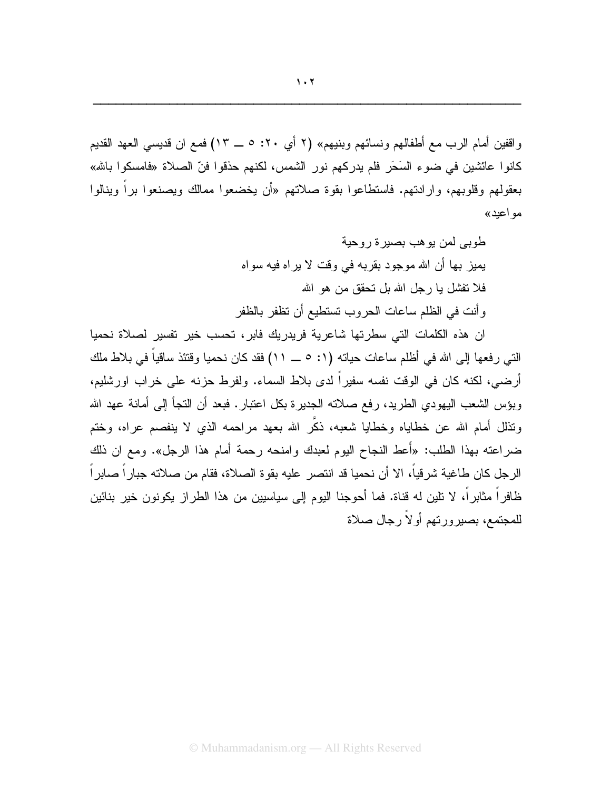واقفين أمام الرب مع أطفالهم ونسائهم وبنيهم» (٢ أي ٢٠: ٥ ــ ١٣) فمع ان قديسي العهد القديم كانوا عائشين في ضوء السَحَر فلم يدركهم نور الشمس، لكنهم حذقوا فنّ الصلاة «فامسكوا بالله» بعقولهم وقلوبهم، وارادتهم. فاستطاعوا بقوة صلاتهم «أن يخضعوا ممالك ويصنعوا برأ وينالوا مو اعبد»

> طوبے لمن ہو ھب بصبر ۃ ر وحبة يميز بـها أن الله مو جو د بقر بـه فـي و قت لا ير اه فيه سو اه فلا نفشل يا رجل الله بل نحقق من هو الله وأنت في الظلم ساعات الحروب تستطيع أن تظفر بالظفر

ان هذه الكلمات التي سطرتها شاعرية فريدريك فابر ، تحسب خير تفسير لصلاة نحميا الَّتِي رفعها إلى الله في أظلم ساعات حياته (١: ٥ \_ ١١) فقد كان نحميا وقتئذ ساقياً في بلاط ملك أرضـي، لكنه كان فـي الوقت نفسه سفيراً لدى بلاط السماء. ولفرط حزنـه علـي خراب اورشليم، وبؤس الشعب اليهودي الطريد، رفع صلاته الجديرة بكل اعتبار . فبعد أن التجأ إلى أمانة عهد الله ونذلل أمام الله عن خطاياه وخطايا شعبه، ذكَّر الله بعهد مراحمه الذي لا ينفصم عراه، وختم ضراعته بهذا الطلب: «أُعط النجاح اليوم لعبدك و امنحه رحمة أمام هذا الرجل». ومع ان ذلك الرجل كان طاغية شرقياً، الا أن نحميا قد انتصر عليه بقوة الصلاة، فقام من صلاته جباراً صابراً ظافراً مثابراً، لا تلين له قناة. فما أحوجنا اليوم إلى سياسيين من هذا الطراز يكونون خير بنائين للمجتمع، بصيرورنهم أولاً رجال صلاة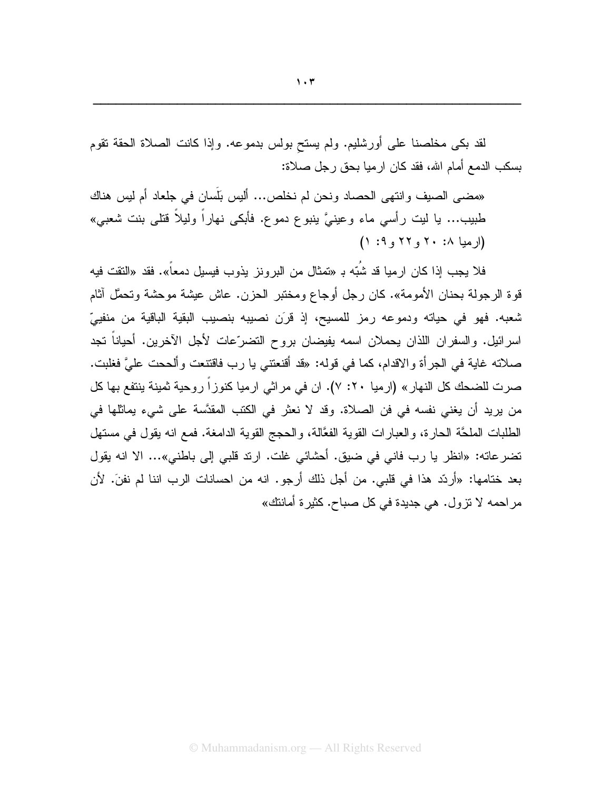لقد بكي مخلصنا على أورشليم. ولم يسنح بولس بدموعه. وإذا كانت الصلاة الحقة نقوم بسكب الدمع أمام الله، فقد كان ار ميا بحق ر جل صلاة:

«مضـى الصـيف وانتهى الـحصـاد ونـحن لم نخلص... أليس بَلَسان في جلعاد أم ليس هناك طبيب... يا ليت رأسي ماء وعينيَّ ينبوع دموع. فأبكي نهاراً وليلاً قتلي بنت شعبي»  $(1.9, 17, 17, 11)$ 

فلا بجب اذا كان ار مبا قد شُبّه بـ «تمثال من البر و نز بذوب فبسبل دمعاً». فقد «النقت فبه قوة الرجولة بحنان الأمومة». كان رجل أوجاع ومختبر الحزن. عاش عيشة موحشة وتحمَّل آثام شعبه. فهو في حياته ودموعه رمز للمسيح، إذ قرَن نصيبه بنصيب البقية الباقية من منفييّ اسرائيل. والسفران اللذان يحملان اسمه يفيضان بروح النضرِّعات لأجل الآخرين. أحياناً تجد صلاته غاية في الجرأة والاقدام، كما في قوله: «قد أقنعتني يا رب فاقتنعت وألححت عليَّ فغلبت. صرت للضحك كل النهار » (ارميا ٢٠: ٧). ان في مراثي ارميا كنوزاً روحية ثمينة ينتفع بها كل من بريد أن يغني نفسه في فن الصلاة. وقد لا نعثر في الكتب المقدَّسة على شيء يماثلها في الطلبات الملحَّة الحارة، والعبارات القوية الفعَّالة، والحجج القوية الدامغة. فمع انه يقول في مستهل تضرعاته: «انظر يا رب فاني في ضيق. أحشائي غلت. ارتد قلبي إلى باطني»... الا انه يقول بعد ختامها: «أردّد هذا في قلبي. من أجل ذلك أرجو. انه من احسانات الرب اننا لم نفنَ. لأن مراحمه لا نزول. هي جديدة في كل صباح. كثيرة أمانتك»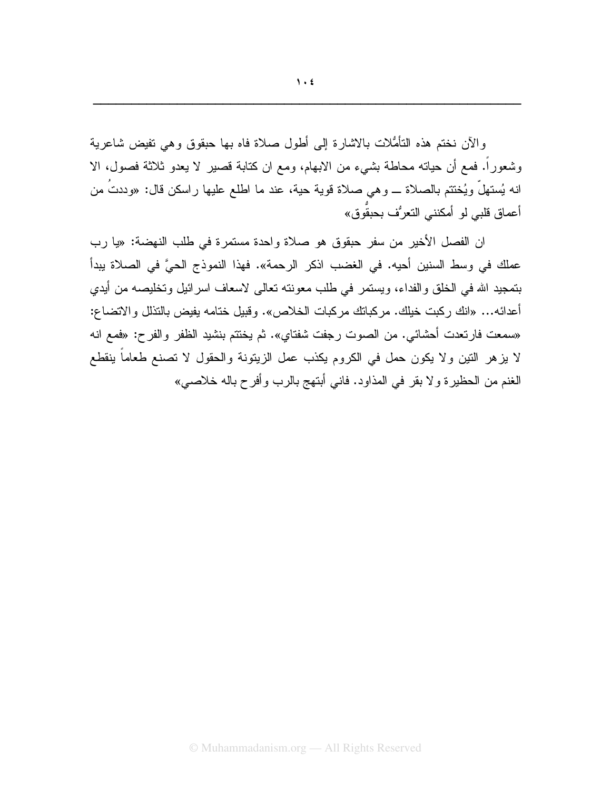والأن نختم هذه النامُثلات بالاشارة إلى أطول صلاة فاه بها حبقوق وهي نفيض شاعرية وشعوراً. فمع أن حياته محاطة بشيء من الابهام، ومع ان كتابة قصير لا يعدو ثلاثة فصول، الا انه يُستهلُّ ويُختتم بالصلاة ـــ وهي صلاة قوية حية، عند ما اطلع عليها راسكن قال: «وددتُ من أعماق قلبي لو أمكنني التعرُف بحبقُوق»

ان الفصل الأخير من سفر حبقوق هو صلاة واحدة مستمرة في طلب النهضة: «يا رب عملك في وسط السنين أحيه. في الغضب اذكر الرحمة». فهذا النموذج الحيَّ في الصلاة ببدأ بتمجيد الله في الخلق والفداء، ويستمر في طلب معونته تعالى لاسعاف اسرائيل وتخليصه من أيدي أعدائه... «انك ركبت خيلك. مركباتك مركبات الخلاص». وقبيل ختامه يفيض بالنذلل والاتضاع: «سمعت فارتعدت أحشائي. من الصوت رجفت شفتاي». ثم يختتم بنشيد الظفر والفرح: «فمع انه لا يزهر النين ولا يكون حمل في الكروم يكذب عمل الزيتونة والحقول لا تصنع طعاماً ينقطع الغنم من الحظيرة ولا بقر في المذاود. فاني أبتهج بالرب وأفرح باله خلاصي»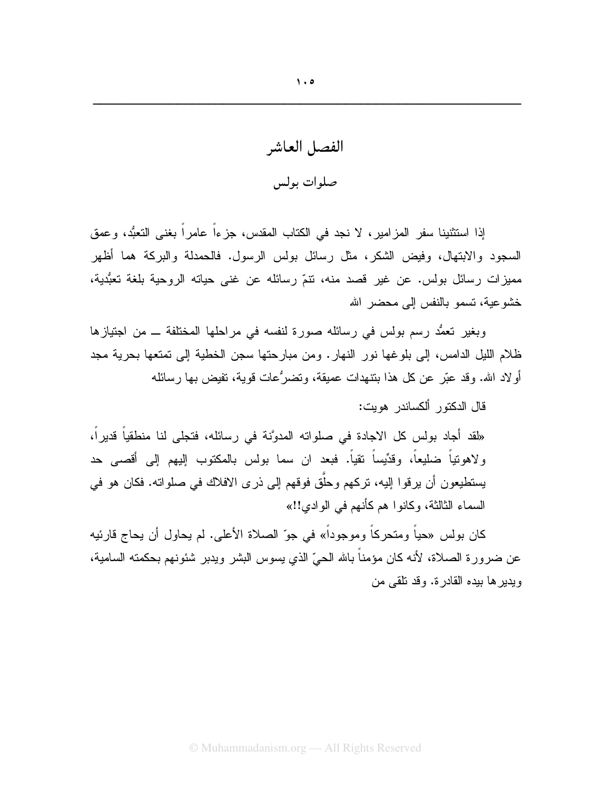الفصل العاشر صلوات بولس

إذا استثنينا سفر المزامير، لا نجد في الكتاب المقدس، جزءاً عامراً بغني التعبُّد، وعمق السجود والابتهال، وفيض الشكر، مثل رسائل بولس الرسول. فالحمدلة والبركة هما أظهر مميزات رسائل بولس. عن غير قصد منه، نتمّ رسائله عن غنى حياته الروحية بلغة تعبُّدية، خشو عبة، تسمو بالنفس إلى محضر الله

وبغير نعمُّد رسم بولس في رسائله صورة لنفسه في مراحلها المختلفة ـــ من اجتيازها ظلام الليل الدامس، إلى بلوغها نور النهار. ومن مبارحتها سجن الخطية إلى تمتعها بحرية مجد أولاد الله. وقد عبَّر عن كلِّ هذا بنتهدات عميقة، وتضرُّعات قوية، تفيض بها رسائله

قال الدكتور ألكساندر هويت:

«لقد أجاد بولس كل الاجادة في صلواته المدوَّنة في رسائله، فتجلَّى لنا منطقياً قديراً، ولاهونياً ضليعاً، وقدِّيساً نقياً. فبعد ان سما بولس بالمكتوب إليهم إلى أقصى حد يستطيعون أن يرقوا اليه، تركهم وحلَّق فوقهم إلى ذرى الافلاك في صلواته. فكان هو في السماء الثالثة، وكانوا هم كأنهم في الوادي!!»

كان بولس «حياً ومتحركاً وموجوداً» في جوّ الصلاة الأعلى. لم يحاول أن يحاج قارئيه عن ضرورة الصـلاة، لأنه كـان مؤمنـًا بـالله الـحيِّ الذي يسوس البشر ويدبر شئونـهم بـحكمته السـامية، ويدير ها بيده القادر ة. وقد نلقى من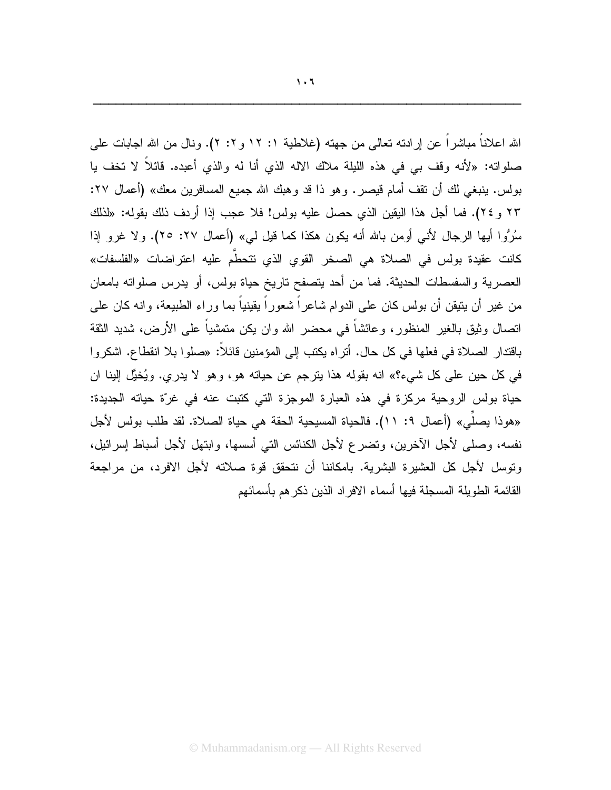الله اعلاناً مباشراً عن إرادته نعالمي من جهته (غلاطية ١: ١٢ و ٢: ٢). ونال من الله اجابات علمي صلواته: «لأنه وقف بي في هذه الليلة ملاك الاله الذي أنا له والذي أعبده. قائلاً لا تخف يا بولس. ينبغي لك أن نقف أمام قيصر. وهو ذا قد وهبك الله جميع المسافرين معك» (أعمال ٢٧: ٢٣ و ٢٤). فما أجل هذا اليقين الذي حصل عليه بولس! فلا عجب إذا أردف ذلك بقوله: «لذلك سُرُوا أيها الرجال لأنبي أومن بالله أنه يكون هكذا كما قيل لبي» (أعمال ٢٧: ٢٥). ولا غرو إذا كانت عقيدة بولس في الصلاة هي الصخر القوى الذي نتحطَّم عليه اعتراضات «الفلسفات» العصرية والسفسطات الحديثة. فما من أحد يتصفح ناريخ حياة بولس، أو يدرس صلوانه بامعان من غير أن يتيقن أن بولس كان على الدوام شاعراً شعوراً يقينياً بما وراء الطبيعة، وانه كان على اتصال وثبق بالغير المنظور، وعائشاً في محضر الله وان بكن متمشياً على الأرض، شديد الثقة باقتدار الصلاة في فعلها في كل حال. أنراه بكتب إلى المؤمنين قائلاً: «صلوا بلا انقطاع. اشكروا في كل حين على كل شيء؟» انه بقوله هذا يترجم عن حياته هو، وهو لا يدري. ويُخيَّل إلينا ان حياة بولس الروحية مركزة في هذه العبارة الموجزة التي كتبت عنه في غرّة حياته الجديدة: «هوذا يصلِّي» (أعمال ٩: ١١). فالحياة المسيحية الحقة هي حياة الصلاة. لقد طلب بولس لأجل نفسه، وصلَّى لأجل الآخرين، وتضرع لأجل الكنائس التي أسسها، وابتهل لأجل أسباط إسرائيل، وتوسل لأجل كل العشيرة البشرية. بامكاننا أن نتحقق قوة صلاته لأجل الافرد، من مراجعة القائمة الطويلة المسجلة فيها أسماء الافراد الذين ذكرهم بأسمائهم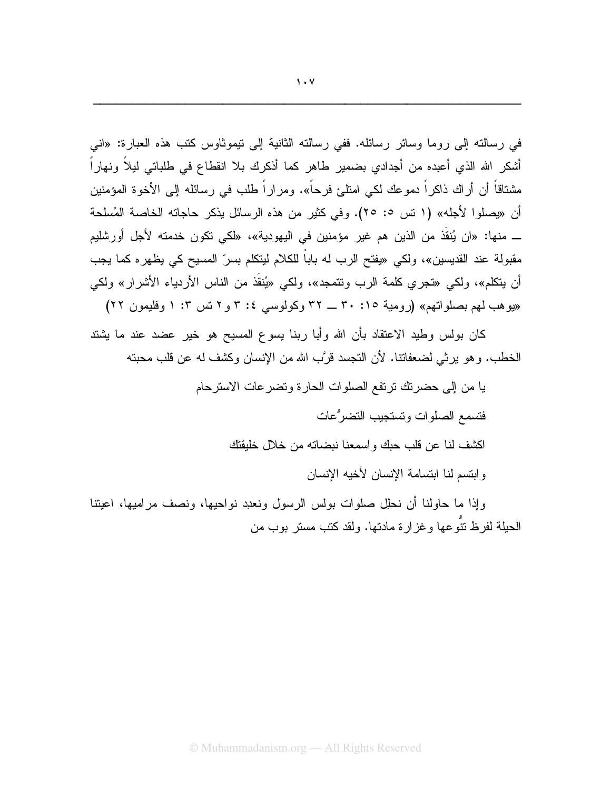في رسالته إلى روما وسائر رسائله. ففي رسالته الثانية إلى نيموثاوس كتب هذه العبارة: «انبي أشكر الله الذي أعبده من أجدادي بضمير طاهر كما أذكرك بلا انقطاع في طلباتي ليلاً ونهاراً مشتاقاً أن أراك ذاكراً دموعك لكي امتلئ فرحاً». ومراراً طلب في رسائله إلى الأخوة المؤمنين أن «بصلوا لأجله» (١ تس ٥: ٢٥). وفي كثير من هذه الرسائل بذكر حاجاته الخاصة المُسلحة ـــ منها: «ان يُنقَذ من الذين هم غير مؤمنين في اليهودية»، «لكي تكون خدمته لأجل أورشليم مقبولة عند القديسين»، ولكي «يفتح الرب له باباً للكلام ليتكلم بسر ّ المسيح كي يظهر م كما يجب أن يتكلم»، ولكي «تجري كلمة الرب ونتمجد»، ولكي «يُنقَذ من الناس الأردياء الأشرار» ولكي «بوهب لهم بصلواتهم» (رومية ٢٠: ٣٠ \_ ٣٢ وكولوسي ٤: ٣ و ٢ تس ٣: ١ وفليمون ٢٢)

كان بولس وطيد الاعتقاد بأن الله وأبا ربنا يسوع المسيح هو خير عضد عند ما يشتد الخطب. وهو يربِّي لضعفاتنا. لأن النجسد قرَّب الله من الإنسان وكشف له عن قلب محبنه

يا من إلى حضرتك ترتفع الصلوات الحارة وتضرعات الاسترحام

فتسمع الصلوات وتستجيب التضرُّعات

اكشف لنا عن قلب حبك وإسمعنا نبضاته من خلال خليقتك

وابتسم لنا ابتسامة الإنسان لأخبه الإنسان

وإذا ما حاولنا أن نحلِل صلوات بولس الرسول ونعدِد نواحيها، ونصف مراميها، اعيننا الحبلة لفرظ نتو عها و غز ار ة مادتها. ولقد كتب مستر بوب من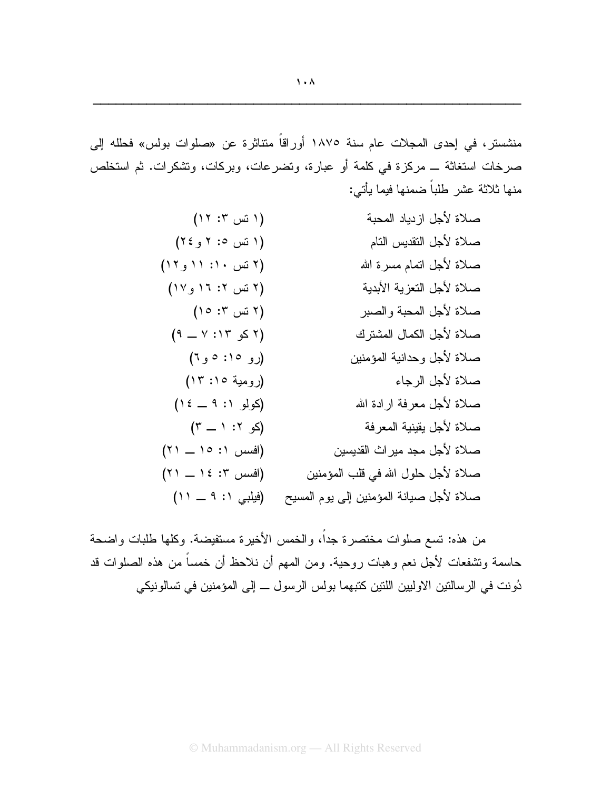منشستر، في إحدى المجلات عام سنة ١٨٧٥ أوراقاً منتاثرة عن «صلوات بولس» فحلله إلى صرخات استغاثة \_ مركزة في كلمة أو عبارة، وتضرعات، وبركات، وتشكرات. ثم استخلص منها ثلاثة عشر طلباً ضمنها فيما يأتي:

| (17:50)              | صلاة لأجل ازدياد المحبة                 |
|----------------------|-----------------------------------------|
| (۱ نس ۱: ۲ و ۲٤)     | صلاة لأجل النقديس النام                 |
| (٢ نس ١٠: ١١ و١٢)    | صلاة لأجل اتمام مسرة الله               |
| (٢ نس ٢: ١٦ و١٧)     | صلاة لأجل التعزية الأبدية               |
| $(10:5"$ نس ۲:       | صلاة لأجل المحبة والصبر                 |
| $(9 - Y : Y \leq 7)$ | صلاة لأجل الكمال المشترك                |
| (رو ۱۵: ۵ و ٦)       | صلاة لأجل وحدانية المؤمنين              |
| (رومية ١٥: ١٣)       | صلاة لأجل الرجاء                        |
| (کولو ۹: ۹ _ ١٤)     | صلاة لأجل معرفة ارادة الله              |
| $(Y - 1 : Y - 2)$    | صلاة لأجل يقينية المعرفة                |
| (افسس ١: ١٥ ـ ٢١)    | صلاة لأجل مجد ميراث القديسين            |
| (افسس ٢: ١٤ ـ ٢١)    | صلاة لأجل حلول الله في قلب المؤمنين     |
| (فيلبي ١: ٩ ــ ١١)   | صلاة لأجل صيانة المؤمنين إلى يوم المسيح |

من هذه: تسع صلوات مختصرة جداً، والخمس الأخيرة مستفيضة. وكلها طلبات واضحة حاسمة وتشفعات لأجل نعم وهبات روحية. ومن المهم أن نلاحظ أن خمساً من هذه الصلوات قد دُونت في الرسالتين الاوليين اللتين كتبهما بولس الرسول ـــ إلى المؤمنين في تسالونيكي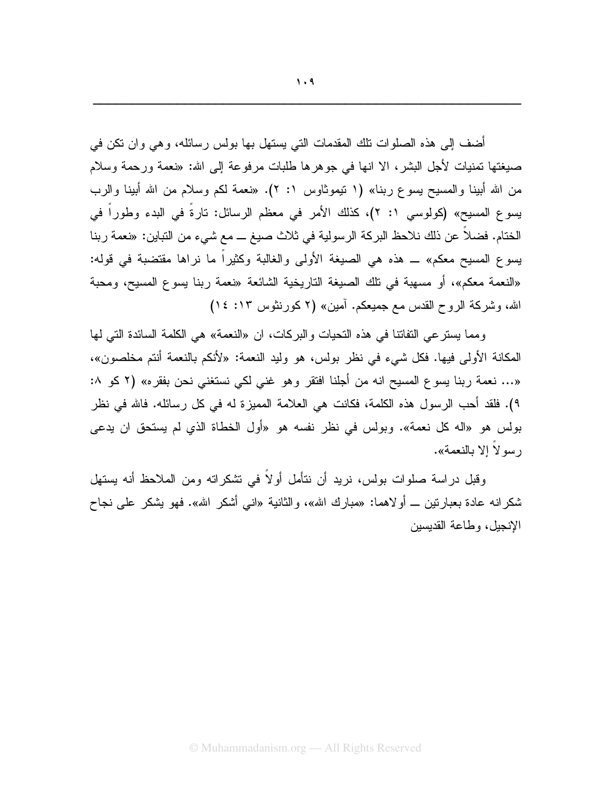أضف إلى هذه الصلوات نلك المقدمات التي يستهل بها بولس رسائله، وهي وان نكن في صيغتها تمنيات لأجل البشر، الا انها في جوهرها طلبات مرفوعة إلى الله: «نعمة ورحمة وسلام من الله أبينا والمسيح يسوع ربنا» (١ نيموثاوس ١: ٢). «نعمة لكم وسلام من الله أبينا والرب يسوع المسيح» (كولوسي ١: ٢)، كذلك الأمر في معظم الرسائل: تارةً في البدء وطوراً في الختام. فضلاً عن ذلك نلاحظ البركة الرسولية في ثلاث صيغ ــ مع شيء من التباين: «نعمة ربنا يسوع المسيح معكم» ــ هذه هي الصيغة الأولى والغالبة وكثيراً ما نراها مقتضبة في قوله:

«النعمة معكم»، أو مسهبة في تلك الصيغة التاريخية الشائعة «نعمة ربنا يسوع المسيح، ومحبة الله، وشركة الروح القدس مع جميعكم. آمين» (٢ كورنثوس ١٢: ١٤)

ومما يسترعي النفاتنا في هذه النحيات والبركات، ان «النعمة» هي الكلمة السائدة التي لها المكانة الأولى فيها. فكل شيء في نظر بولس، هو وليد النعمة: «لأنكم بالنعمة أنتم مخلصون»، «… نعمة ربنا يسوع المسيح انه من أجلنا افتقر وهو غني لكي نستغني نحن بفقره» (٢ كو ٨: ٩). فلقد أحب الرسول هذه الكلمة، فكانت هي العلامة المميزة له في كل رسائله. فالله في نظر بولس هو «اله كل نعمة». وبولس في نظر نفسه هو «أول الخطاة الذي لم يستحق ان يدعى رسو لا الا بالنعمة».

وقبل دراسة صلوات بولس، نريد أن نتأمل أولاً في نشكراته ومن الملاحظ أنه يستهل شكرانه عادة بعبارتين ـــ أولاهما: «مبارك الله»، والثانية «انبي أشكر الله». فهو يشكر على نجاح الإنجيل، وطاعة القديسين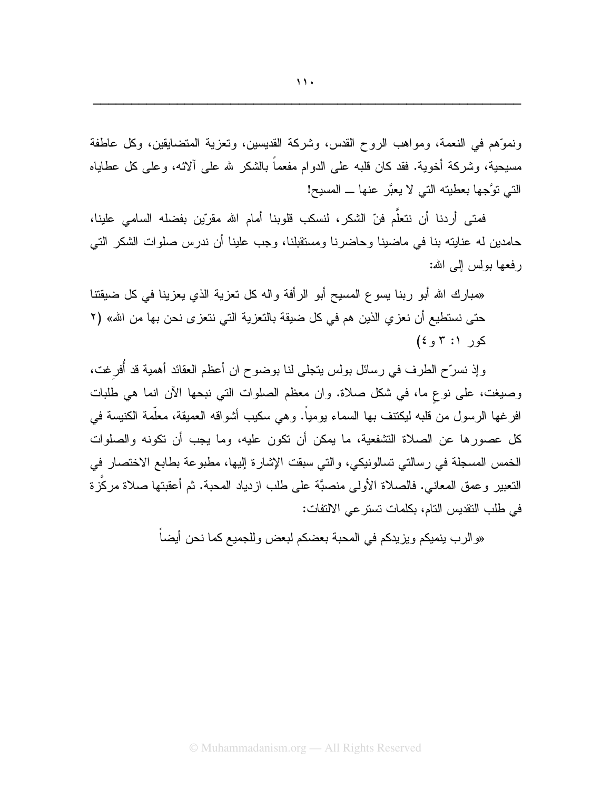ونموِّهم في النعمة، ومواهب الروح القدس، وشركة القديسين، ونعزية المنضايقين، وكل عاطفة مسيحية، وشركة أخوية. فقد كان قلبه على الدوام مفعماً بالشكر لله على ألائه، وعلى كل عطاياه النبي نوَّجها بعطينه النبي لا يعبَّر عنها ـ المسيح!

فمتى أردنا أن نتعلَّم فنّ الشكر، لنسكب قلوبنا أمام الله مقرِّين بفضله السامي علينا، حامدين له عنايته بنا في ماضينا وحاضرنا ومستقبلنا، وجب علينا أن ندرس صلوات الشكر التي ر فعها يولس الى الله:

«مبارك الله أبو ربنا يسوع المسيح أبو الرأفة واله كل تعزية الذي يعزينا في كل ضيقتنا حتى نستطيع أن نعز ٍ الذين هم في كل ضيقة بالتعزية التي نتعز ي نحن بها من الله» (٢  $(5, 7:1)$  کور (: ۳

وإذ نسرِّح الطرف في رسائل بولس يتجلَّى لنا بوضوح ان أعظم العقائد أهمية قد أُفرغت، وصيغت، على نوع ما، في شكل صلاة. وان معظم الصلوات التي نبحها الأن انما هي طلبات افرغها الرسول من قلبه ليكتنف بها السماء يومياً. وهي سكيب أشواقه العميقة، معلَّمة الكنيسة في كل عصور ها عن الصلاة التشفعية، ما يمكن أن تكون عليه، وما يجب أن تكونه والصلوات الخمس المسجلة في رسالتي تسالونيكي، والتي سبقت الإشارة إليها، مطبوعة بطابع الاختصار في النعبير وعمق المعانـي. فالصـلاة الأولـي منصبَّة علـي طلب ازدياد المحبة. ثم أعقبتها صـلاة مركَّزة في طلب التقديس التام، بكلمات تستر عي الالتفات:

«والرب ينميكم ويزيدكم في المحبة بعضكم لبعض وللجميع كما نحن أيضا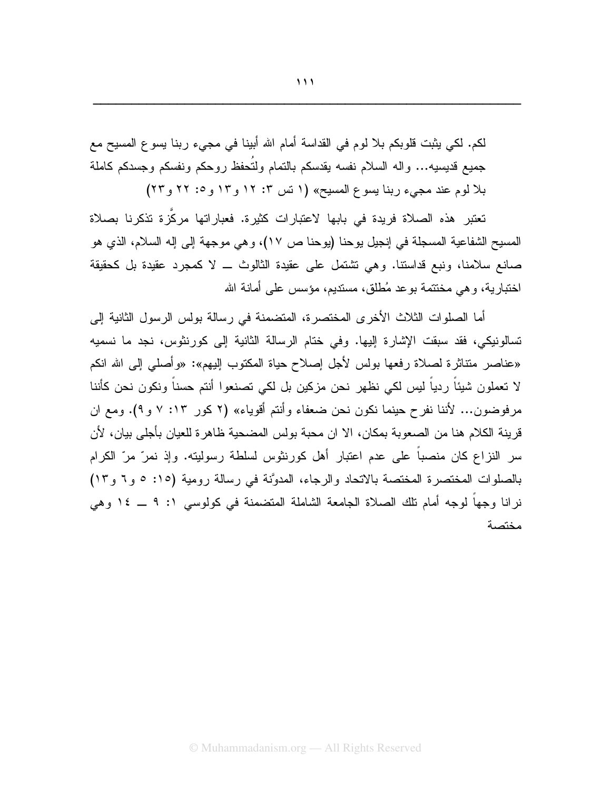لكم. لكي يثبت قلوبكم بلا لوم في القداسة أمام الله أبينا في مجيء ربنا يسوع المسيح مع جميع قديسيه... واله السلام نفسه يقدسكم بالنمام ولتُحفظ روحكم ونفسكم وجسدكم كاملة بلا لوم عند مجيء ربنا يسوع المسيح» (١ نس ٣: ١٢ و ١٣ و ٢٥ و ٢٢

تعتبر هذه الصلاة فريدة في بابها لاعتبار ات كثيرة. فعبار اتها مركّزة تذكرنا بصلاة المسيح الشفاعية المسجلة في إنجيل يوحنا (يوحنا ص ١٧)، وهي موجهة إلى إله السلام، الذي هو صانع سلامنا، ونبع قداستنا. وهي نشتمل على عقيدة الثالوث ــ لا كمجرد عقيدة بل كحقيقة اختبارية، وهي مختتمة بوعد مُطلق، مستديع، مؤسس على أمانة الله

أما الصلوات الثلاث الأخرى المختصرة، المتضمنة في رسالة بولس الرسول الثانية إلى تسالونيكي، فقد سبقت الإشارة إليها. وفي ختام الرسالة الثانية إلى كورنثوس، نجد ما نسميه «عناصر منتاثرة لصلاة رفعها بولس لأجل إصلاح حياة المكتوب إليهم»: «وأصلى إلى الله انكم لا تعملون شيئاً ردياً ليس لكي نظهر نحن مزكين بل لكي تصنعوا أنتم حسناً ونكون نحن كأننا مرفوضون… لأننا نفرح حينما نكون نحن ضعفاء وأنتم أقوياء» (٢ كور ١٣: ٧ و ٩). ومع ان قرينة الكلام هنا من الصعوبة بمكان، الا ان محبة بولس المضحية ظاهر ة للعيان بأجلي بيان، لأن سرِ النزاعِ كان منصباً على عدم اعتبارِ أهل كورِنثوسِ لسلطة رسوليته. وإذ نمرٌ مرٌ الكرامِ بالصلوات المختصرة المختصة بالاتحاد والرجاء، المدوَّنة في رسالة رومية (١٥: ٥ و٦ و١٢) نرانا وجهاً لوجه أمام نلك الصلاة الجامعة الشاملة المتضمنة في كولوسي ١: ٩ ــ ١٤ وهي مختصة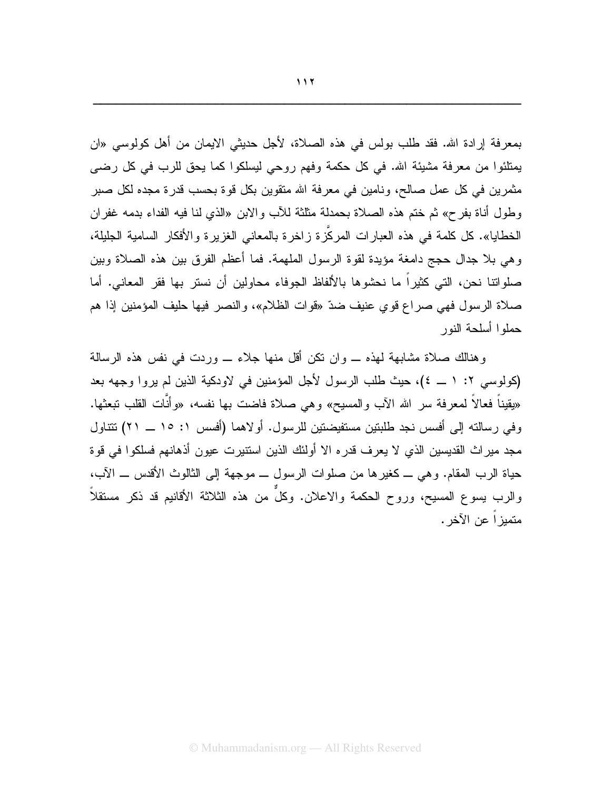بمعرفة إرادة الله. فقد طلب بولس في هذه الصلاة، لأجل حديثي الايمان من أهل كولوسي «ان بِمِتلئوا من معرفة مشيئة الله. في كل حكمة وفهم روحي ليسلكوا كما يحق للرب في كل رضي مثمرين في كل عمل صالح، ونامين في معرفة الله متقوين بكل فوة بحسب قدرة مجده لكل صبر وطول أناة بفرح» ثم ختم هذه الصلاة بحمدلة مثلثة للأب والابن «الذي لنا فيه الفداء بدمه غفران الخطايا». كل كلمة في هذه العبار ات المركّز ة ز اخر ة بالمعاني الغزير ة و الأفكار السامية الجليلة، وهي بلا جدال حجج دامغة مؤيدة لقوة الرسول الملهمة. فما أعظم الفرق بين هذه الصلاة وبين صلواتنا نحن، التي كثيراً ما نحشوها بالألفاظ الجوفاء محاولين أن نستر بها فقر المعاني. أما صلاة الرسول فهي صراع قوي عنيف ضدّ «قوات الظلام»، والنصر فيها حليف المؤمنين إذا هم حملو ا أسلحة النور

وهنالك صلاة مشابهة لهذه \_ وإن نكن أقل منها جلاء \_ وردت في نفس هذه الرسالة (كولوسي ٢: ١ \_ ٤)، حيث طلب الرسول لأجل المؤمنين في لاودكية الذين لم يروا وجهه بعد «يقيناً فعالاً لمعرفة سر الله الأب والمسيح» وهي صلاة فاضت بها نفسه، «وأنَّات القلب تبعثها. وفي رسالته إلى أفسس نجد طلبتين مستفيضتين للرسول. أولاهما (أفسس ١: ١٥ ــ ٢١) تتتاول مجد مير اث القديسين الذي لا يعرف قدر ه الا أولئك الذين استتيرت عيون أذهانهم فسلكوا في قوة حياة الرب المقام. وهي ـــ كغير ها من صلوات الرسول ـــ موجهة إلى الثالوث الأقدس ـــ الآب، والرب بسوع المسيح، وروح الحكمة والاعلان. وكلَّ من هذه الثلاثة الأقانيم قد ذكر مستقلاً متميز أ عن الآخر .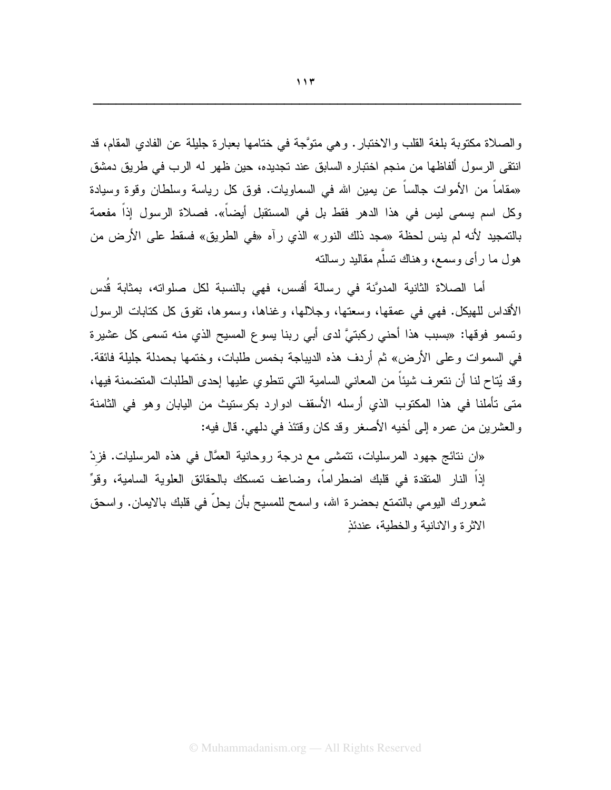والصلاة مكتوبة بلغة القلب والاختبار. وهي متوَّجة في ختامها بعبارة جليلة عن الفادي المقام، قد انتقى الرسول ألفاظها من منجم اختباره السابق عند تجديده، حين ظهر له الرب في طريق دمشق «مقاماً من الأموات جالساً عن يمين الله في السماويات. فوق كل رياسة وسلطان وقوة وسيادة وكل اسم يسمى ليس في هذا الدهر فقط بل في المستقبل أيضاً». فصلاة الرسول إذاً مفعمة بالتمجيد لأنه لم ينس لحظة «مجد ذلك النور» الذي رآه «في الطريق» فسقط على الأرض من هول ما ر أي وسمع، و هناك تسلَّم مقاليد ر سالته

أما الصلاة الثانية المدوَّنة في رسالة أفسس، فهي بالنسبة لكل صلواته، بمثابة قُدس الأقداس للهيكل. فهي في عمقها، وسعتها، وجلالها، وغناها، وسموها، نفوق كل كتابات الرسول وتسمو فوقها: «بِسبِبِ هذا أَحنى رِكبِنيَّ لدى أَبِي رِبِنا يسوع المسيح الذي منه تسمى كل عشيرة في السموات وعلى الأرض» ثم أردف هذه الديباجة بخمس طلبات، وختمها بحمدلة جليلة فائقة. وقد يُتاح لنا أن نتعرف شيئاً من المعاني السامية التي نتطوي عليها إحدى الطلبات المتضمنة فيها، متى تأملنا في هذا المكتوب الذي أرسله الأسقف ادوارد بكرستيث من اليابان وهو في الثامنة والعشرين من عمره إلى أخيه الأصغر وقد كان وقتئذ في دلهي. قال فيه:

«ان نتائج جهود المرسليات، تتمشى مع درجة روحانية العمَّال في هذه المرسليات. فزِدْ إذاً النار المتقدة في قلبك اضطراماً، وضاعف نمسكك بالحقائق العلوية السامية، وقوِّ شعورك اليومي بالنمتع بحضرة الله، واسمح للمسيح بأن يحلُّ في قلبك بالايمان. واسحق الاثرة والانانية والخطية، عندئذِ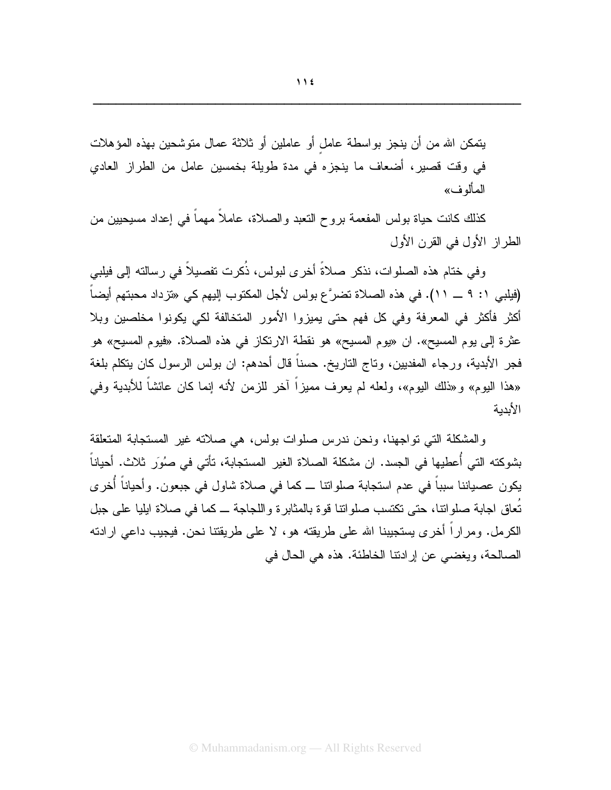© Muhammadanism.org - All Rights Reserved

يتمكن الله من أن ينجز بواسطة عامل أو عاملين أو ثلاثة عمال متوشحين بهذه المؤهلات في وفت قصير، أضعاف ما ينجزه في مدة طويلة بخمسين عامل من الطراز العادي المألو ف»

كذلك كانت حياة بولس المفعمة بروح النعبد والصلاة، عاملاً مهماً في إعداد مسيحيين من الطر از الأول في القرن الأول

و في ختام هذه الصلو ات، نذكر ۖ صلاةً أخر ي لبولس، ذُكر ت تفصيلاً في رِ سالته إلى فيلبي (فيلبي ١: ٩ ــ ١١). في هذه الصلاة تضرَّع بولس لأجل المكتوب إليهم كي «تزداد محبتهم أيضاً أكثر فأكثر في المعرفة وفي كل فهم حتى يميزوا الأمور المتخالفة لكي يكونوا مخلصين وبلا عثرة إلى يوم المسيح». ان «يوم المسيح» هو نقطة الارتكاز في هذه الصلاة. «فيوم المسيح» هو فجر الأبدية، ورجاء المفديين، وناج الناريخ. حسناً قال أحدهم: ان بولس الرسول كان يتكلم بلغة «هذا البوم» و«ذلك البوم»، ولعله لم يعرف مميزاً آخر للزمن لأنه إنما كان عائشاً للأبدية وفي الأيدية

والمشكلة التي تواجهنا، ونحن ندرس صلوات بولس، هي صلاته غير المستجابة المتعلقة بشوكته التي أُعطيها في الجسد. ان مشكلة الصلاة الغير المستجابة، تأتي في صوُر ِ ثلاث. أحياناً يكون عصباننا سبباً في عدم استجابة صلواتنا ـــ كما في صلاة شاول في جبعون. وأحياناً أخرى تُعاق اجابة صلواتنا، حتى تكتسب صلواتنا فوة بالمثابرة واللجاجة ــ كما في صلاة ايليا على جبل الكرمل. ومراراً أخرى يستجيبنا الله على طريقته هو، لا على طريقتنا نحن. فيجيب داعي ارادته الصالحة، ويغضبي عن إرادتنا الخاطئة. هذه هي الحال في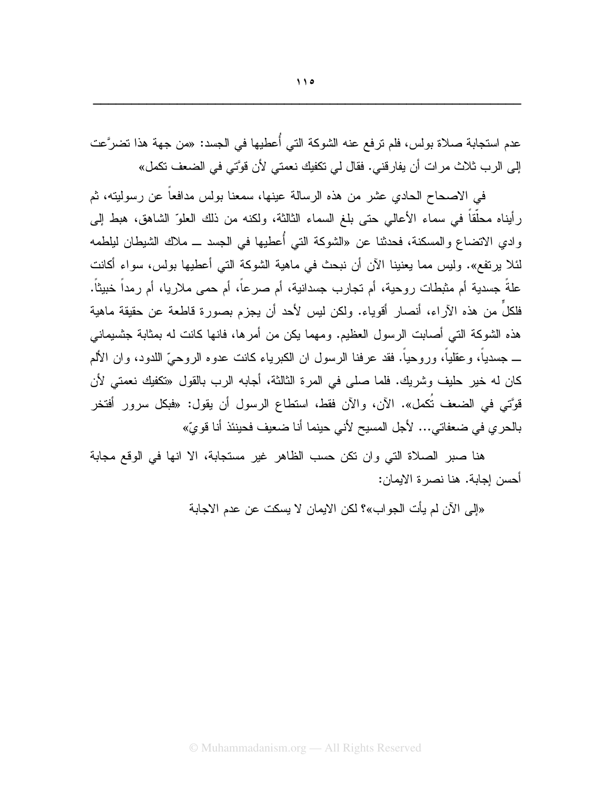عدم استجابة صلاة بولس، فلم ترفع عنه الشوكة التي أُعطيها في الجسد: «من جهة هذا تضرَّعت إلى الرب ثلاث مرات أن يفارقني. فقال لي تكفيك نعمتي لأن قوَّتي في الضعف تكمل»

في الاصـحـاح الـحادي عشر من هذه الرسالـة عينـها، سمعنـا بولس مدافعاً عن رسوليتـه، ثم رأيناه محلَّقاً في سماء الأعالي حتى بلغ السماء الثالثة، ولكنه من ذلك العلوّ الشاهق، هبط إلى وادى الاتضاع والمسكنة، فحدثنا عن «الشوكة التي أُعطيها في الجسد ـــ ملاك الشيطان ليلطمه لئلا يرتفع». وليس مما يعنينا الآن أن نبحث في ماهية الشوكة التي أعطيها بولس، سواء أكانت علةً جسدية أم مثبطات روحية، أم تجارب جسدانية، أم صرعاً، أم حمى ملاريا، أم رمداً خبيثاً. فلكلَّ من هذه الأراء، أنصار أقوياء. ولكن ليس لأحد أن يجزم بصورة قاطعة عن حقيقة ماهية هذه الشوكة التي أصابت الرسول العظيم. ومهما يكن من أمر ها، فانها كانت له بمثابة جنسيماني ــــ جسدياً، و عقلياً، وروحياً. فقد عرفنا الرسول ان الكبرياء كانت عدوه الروحيِّ اللدود، وان الألم كان له خير حليف وشريك. فلما صلى في المرة الثالثة، أجابه الرب بالقول «تكفيك نعمتي لأن قوَّتي في الضعف تُكمل». الآن، والآن فقط، استطاع الرسول أن يقول: «فبكل سرور أفتخر بالحر ي في ضعفاتي... لأجل المسيح لأني حينما أنا ضعيف فحينئذ أنا قو يّ»

هنا صبر الصلاة التي وان نكن حسب الظاهر غير مستجابة، الا انها في الوقع مجابة أحسن إجابة. هنا نصر ة الإيمان:

«إلى الآن لم يأت الجواب»؟ لكن الايمان لا يسكت عن عدم الاجابة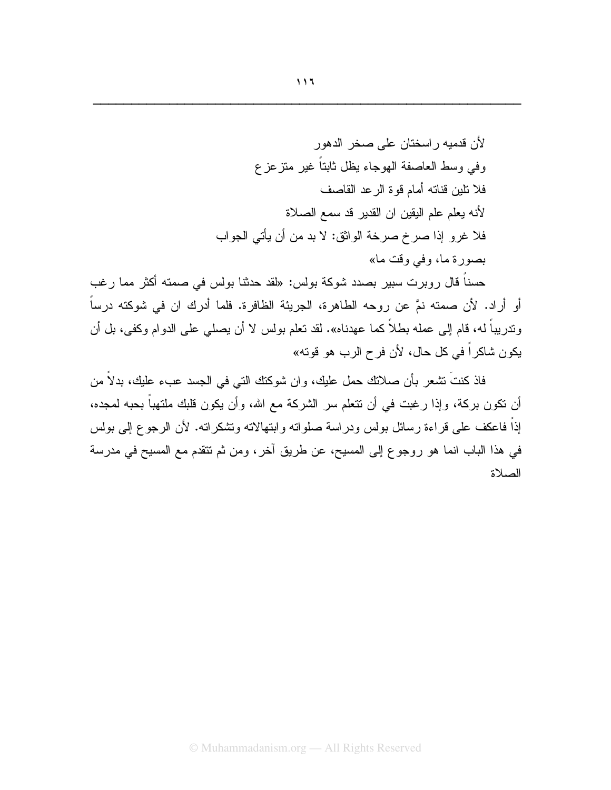حسناً قال روبرت سبير بصدد شوكة بولس: «لقد حدثنا بولس في صمته أكثر مما رغب أو أراد. لأن صمته نمَّ عن روحه الطاهرة، الجريئة الظافرة. فلما أدرك ان في شوكته درساً وندريباً له، قام إلى عمله بطلاً كما عهدناه». لقد نعلم بولس لا أن يصلَّى على الدوام وكفي، بل أن يكون شاكراً في كل حال، لأن فر ح الرب هو قوته»

فاذ كنتَ نشعر بأن صلانك حمل عليك، وان شوكنك النبي في الجسد عبء عليك، بدلاً من أن نكون بركة، وإذا رغبت في أن نتعلم سر الشركة مع الله، وأن يكون قلبك ملتهباً بحبه لمجده، إذاً فاعكف على قراءة رسائل بولس ودراسة صلواته وابتهالاته ونتثىكراته. لأن الرجوع إلىي بولس في هذا الباب انما هو روجوع إلى المسيح، عن طريق أخر، ومن ثم تتقدم مع المسيح في مدرسة الصلاة

 $117$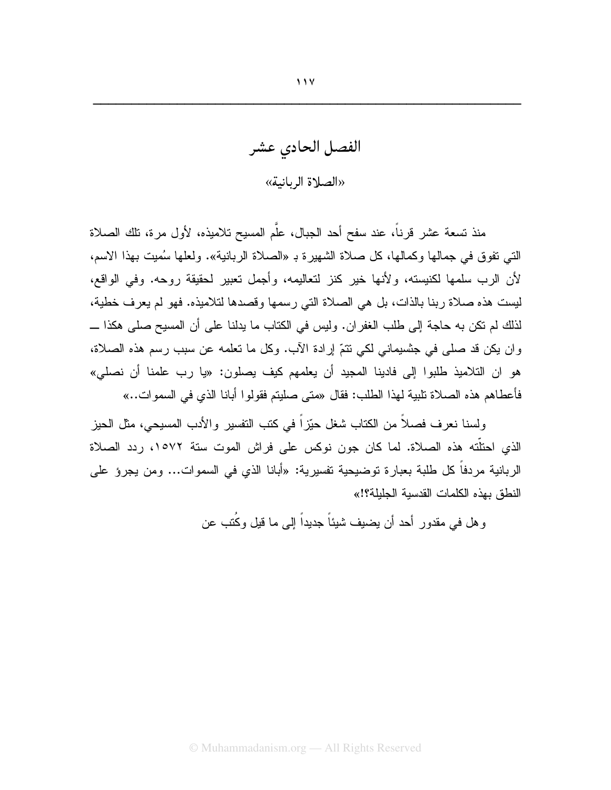الفصل الحادى عشر «الصلاة الربانية»

منذ تسعة عشر قرناً، عند سفح أحد الجبال، علّم المسبح تلامبذه، لأول مر ة، تلك الصلاة النبي نفوق في جمالها وكمالها، كل صلاة الشهيرة بـ «الصلاة الربانية». ولعلها سُميت بهذا الاسم، لأن الرب سلمها لكنيسته، ولأنها خير كنز لتعاليمه، وأجمل تعبير لحقيقة روحه. وفي الواقع، ليست هذه صلاة ربنا بالذات، بل هي الصلاة التي رسمها وقصدها لتلاميذه. فهو لم يعرف خطية، لذلك لم نكن به حاجة إلى طلب الغفران. وليس في الكتاب ما يدلنا على أن المسيح صلى هكذا ـــ وان يكن قد صلَّى في جنسيماني لكي نتمَّ إرادة الآب. وكل ما نعلمه عن سبب رسم هذه الصلاة، هو ان التلاميذ طلبوا إلى فادينا المجيد أن يعلمهم كيف يصلون: «يا رب علمنا أن نصلي» فأعطاهم هذه الصلاة تلبية لهذا الطلب: فقال «متى صليتم فقولوا أبانا الذي في السموات..»

ولِسنا نعرف فصلاً من الكتاب شغل حيّزٍ أ في كتب التفسير ۖ والأدب المسيحي، مثل الحيز الذي احتلَّته هذه الصلاة. لما كان جون نوكس على فراش الموت ستة ١٥٧٢، ردد الصلاة الربانية مردفاً كل طلبة بعبارة نوضيحية نفسيرية: «أبانا الذي في السموات... ومن يجرؤ على النطق بهذه الكلمات القدسية الجليلة؟!»

و هل في مقدور أحد أن بضبف شبئاً جدبداً الے ما قبل وكُتب عن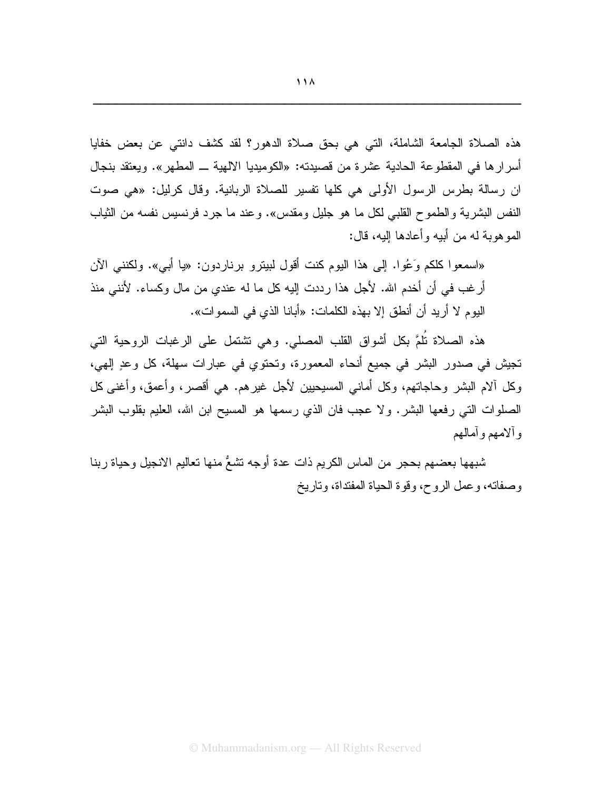«اسمعوا كلكم وَعُوا. إلى هذا اليوم كنت أقول لبيترو برناردون: «يا أبي». ولكنني الآن أرغب في أن أخدم الله. لأجل هذا رددت إليه كل ما له عندي من مال وكساء. لأنني منذ اليوم لا أريد أن أنطق إلا بهذه الكلمات: «أبانا الذي في السموات».

هذه الصـلاة نُلمَّ بكل أشواق القلب المصلي. وهي نشتمل على الرغبات الروحية التي تجيش في صدور البشر في جميع أنحاء المعمورة، وتحتوي في عبارات سهلة، كل وعدٍ إلهي، وكل ألام البشر وحاجاتهم، وكل أماني المسيحيين لأجل غيرهم. هي أقصر، وأعمق، وأغنى كل الصلوات التي رفعها البشر . ولا عجب فان الذي رسمها هو المسيح ابن الله، العليم بقلوب البشر و ألامهم و أمالهم

شبهها بعضهم بحجر من الماس الكريم ذات عدة أوجه نشعٌ منها نعاليم الانجيل وحياة ربنا وصفاته، وعمل الروح، وقوة الحياة المفتداة، وتاريخ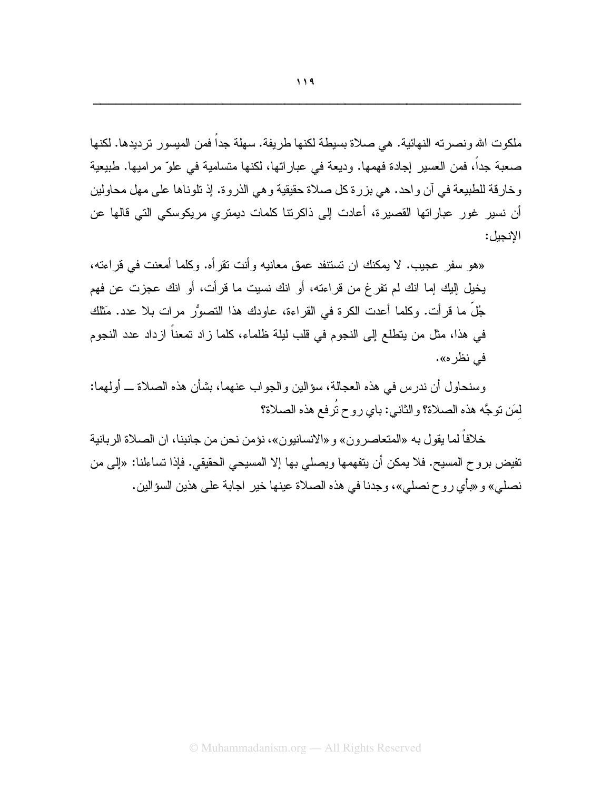«هو سفر عجيب. لا يمكنك ان تستنفد عمق معانيه وأنت نقر أه. وكلما أمعنت في قر اءته، يخيل إليك إما انك لم نفرغ من قراءته، أو انك نسيت ما قرأت، أو انك عجزت عن فهم جُلٌّ ما قرأت. وكلما أعدت الكرة في القراءة، عاودك هذا النصوُّر مرات بلا عدد. مَثلك في هذا، مثل من يتطلع إلى النجوم في قلب ليلة ظلماء، كلما زاد تمعناً ازداد عدد النجوم في نظر ه».

وسنحاول أن ندرس في هذه العجالة، سؤالين والجواب عنهما، بشأن هذه الصلاة ــ أولهما: لمَن توجَّه هذه الصلاة؟ والثاني: باي روح تُرفع هذه الصلاة؟

خلافاً لما يقول به «المتعاصرون» و «الانسانيون»، نؤمن نحن من جانبنا، ان الصلاة الربانية تفيض بروح المسيح. فلا يمكن أن يتفهمها ويصلبي بها إلا المسيحي الحقيقي. فإذا تساءلنـا: «إلـي من نصلي» و «بأي روح نصلي»، وجدنا في هذه الصلاة عينها خير اجابة على هذين السؤالين.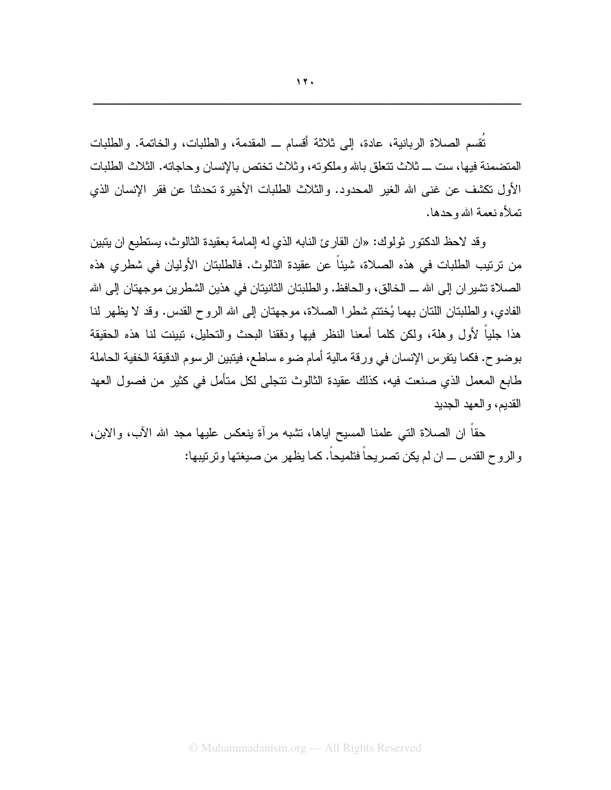نُقْسِمِ الصلاةِ الربانيةِ، عادة، إلى ثلاثة أقسامٍ \_ المقدمة، والطلباتِ، والخاتمة. والطلبات المتضمنة فيها، ست ـــ ثلاث تتعلق بالله وملكوته، و ثلاث تختص بالإنسان و حاجاته. الثلاث الطلبات الأول نكشف عن غني الله الغير المحدود. والثلاث الطلبات الأخيرة تحدثنا عن فقر الإنسان الذي تملأه نعمة الله وحدها.

وقد لاحظ الدكتور ثولوك: «ان القارئ النابه الذي له المامة بعقيدة الثالوث، يستطيع ان يتبين من ترتيب الطلبات في هذه الصلاة، شيئاً عن عقيدة الثالوث. فالطلبتان الأوليان في شطرى هذه الصلاة نتثيران إلى الله ـــ الخالق، والحافظ. والطلبتان الثانيتان في هذين الشطرين موجهتان إلى الله الفادي، والطلبتان اللتان بهما يُختتم شطرًا الصلاة، موجهتان إلى الله الروح القدس. وقد لا يظهر لنا هذا جلباً لأول وهلة، ولكن كلما أمعنا النظر فبها ودققنا البحث والتحليل، تبينت لنا هذه الحقيقة بو ضوح. فكما يتفرس الإنسان في ورقة مالية أمام ضوء ساطع، فينبين الرسوم الدقيقة الخفية الحاملة طابع المعمل الذي صنعت فيه، كذلك عقيدة الثالوث نتجلى لكل متأمل في كثير ٍ من فصول العهد القديم، و العهد الجديد

حقا ان الصلاة التي علمنا المسيح اياها، تشبه مرأة ينعكس عليها مجد الله الأب، والابن، و الروح القدس ـــ ان لم يكن تصريحاً فتلميحاً. كما يظهر من صيغتها و تر تيبها: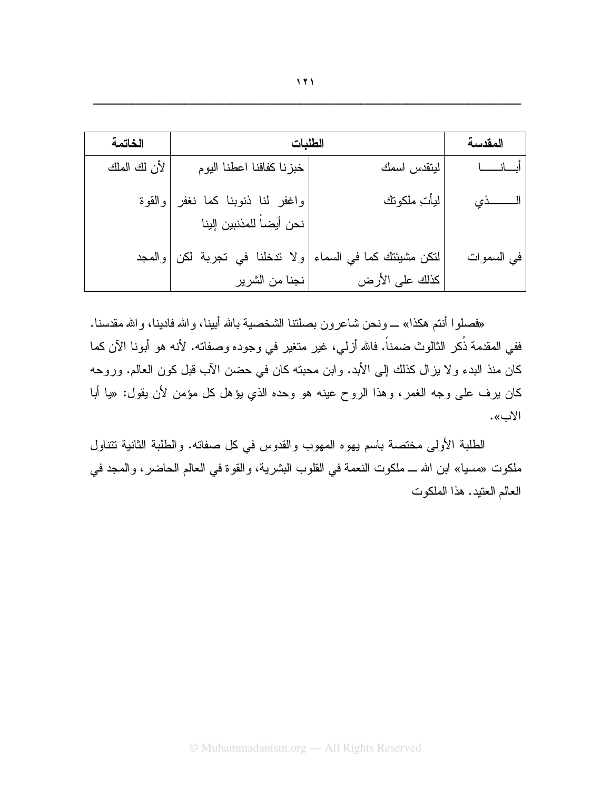| الخاتمة      | الطلبات                                                | المقدسة                                     |            |
|--------------|--------------------------------------------------------|---------------------------------------------|------------|
| لأن لك الملك | خبزنا كفافنا اعطنا البوم                               | ليتقدس اسمك                                 | أبسانسسا   |
| والقوة       | واغفر لنا ذنوبنا كما نغفر<br> نحن أيضاً للمذنبين إلينا | ليأت ملكوتك                                 |            |
|              | ولا تدخلنا في تجربة لكن والمجد<br>نجنا من الشرير       | لنكن مشيئتك كما في السماء<br>كذلك على الأرض | في السموات |

«فصلوا أنتم هكذا» ـــ ونحن شاعرون بصلتنا الشخصية بالله أبينا، والله فادينا، والله مقدسنا. ففي المقدمة ذُكر الثالوث ضمناً. فالله أزلي، غير متغير في وجوده وصفاته. لأنه هو أبونا الآن كما كان منذ البدء ولا يزال كذلك إلى الأبد. وابن محبته كان في حضن الآب قبل كون العالم. وروحه كان يرف على وجه الغمر، وهذا الروح عينه هو وحده الذي يؤهل كل مؤمن لأن يقول: «يا أبا الاب».

الطلبة الأولى مختصة باسم يهوه المهوب والقدوس في كل صفاته. والطلبة الثانية تتناول ملكوت «مسيا» ابن الله ــ ملكوت النعمة في القلوب البشرية، والقوة في العالم الحاضر ، والمجد في العالم العنيد. هذا الملكوت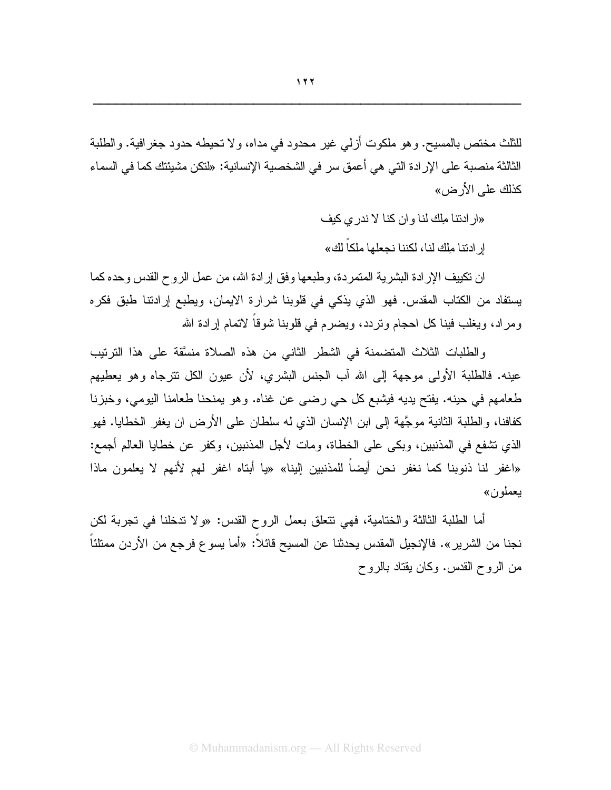للثلث مختص بالمسيح. و هو ملكوت أزلمي غير محدود في مداه، و لا تحيطه حدود جغر افية. و الطلبة الثالثة منصبة على الإر ادة التي هي أعمق سر في الشخصية الإنسانية: «لنكن مشيئتك كما في السماء كذلك على الأر ض»

«ار ادنتا ملك لنا و ان كنا لا ندر ى كيف

ار ادنتـا ملك لنـا، لكننـا نـحـعلـهـا ملكـاً لكـ»

ان نكييف الإرادة البشرية المتمردة، وطبعها وفق إرادة الله، من عمل الروح القدس وحده كما يستفاد من الكتاب المقدس. فهو الذي يذكي في قلوبنا شرارة الايمان، ويطبع إرادتنا طبق فكره ومراد، ويغلب فينا كل احجام وتردد، ويضرع في قلوبنا شوقاً لاتمام إرادة الله

والطلبات الثلاث المتضمنة في الشطر الثاني من هذه الصلاة منسَّقة على هذا الترتيب عينه. فالطلبة الأولى موجهة إلى الله آب الجنس البشري، لأن عيون الكل نترجاه وهو يعطيهم طعامهم في حينه. يفتح يديه فيشبع كل حي رضيي عن غناه. وهو يمنحنا طعامنا اليومي، وخبزنا كفافنا، والطلبة الثانية موجَّهة إلى ابن الإنسان الذي له سلطان على الأرض ان يغفر الخطايا. فهو الذي نتنفع في المذنبين، وبكي على الخطاة، ومات لأجل المذنبين، وكفرٍ عن خطايا العالم أجمع: «اغفر لنا ذنوبنا كما نغفر نحن أيضاً للمذنبين إلينا» «يا أبتاه اغفر لهم لأنهم لا يعلمون ماذا يعملون»

أما الطلبة الثالثة والختامية، فهي نتعلق بعمل الروح القدس: «ولا ندخلنا في نجربة لكن نجنا من الشرير ». فالإنجيل المقدس يحدثنا عن المسيح قائلا: «أما يسو ع فرجع من الأردن ممتلئا من الروح القدس. وكان يقتاد بالروح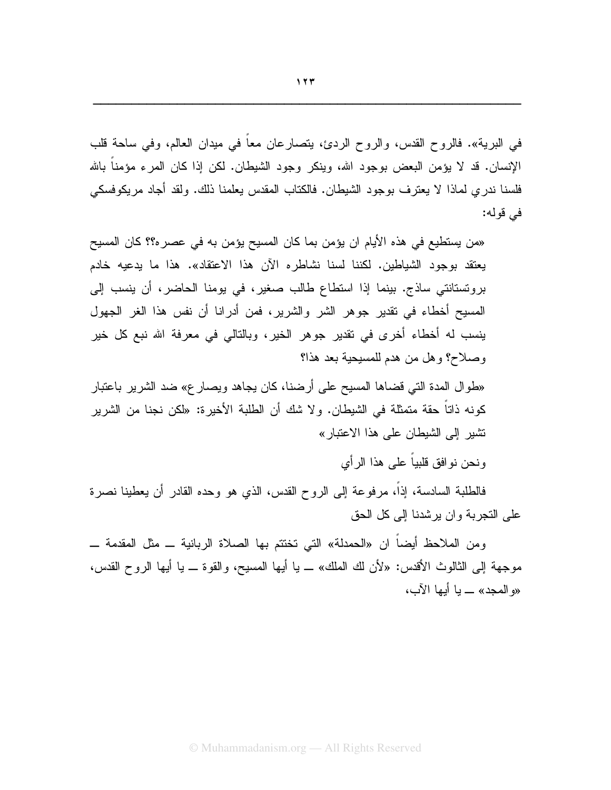في البرية». فالروح القدس، والروح الردئ، يتصارعان معا في ميدان العالم، وفي ساحة قلب الإنسان. قد لا يؤمن البعض بوجود الله، وينكر وجود الشيطان. لكن إذا كان المرء مؤمناً بالله فلسنا ندري لمـاذا لا يـعنرف بوجود الشيطـان. فالكتاب المقدس يـعلمنـا ذلك. ولقد أجـاد مريكوفسكـي في قوله:

«من يستطيع في هذه الأيام ان يؤمن بما كان المسيح يؤمن به في عصر ه؟؟ كان المسيح يعتقد بوجود الشياطين. لكننا لسنا نشاطره الآن هذا الاعتقاد». هذا ما يدعيه خادم برونستانتي ساذج. بينما إذا استطاع طالب صغير، في يومنا الحاضر، أن ينسب إلى المسيح أخطاء في نقدير جوهر الشر والشرير، فمن أدرانا أن نفس هذا الغر الجهول ينسب له أخطاء أخرى في نقدير جوهر الخير، وبالتالي في معرفة الله نبع كل خير وصلاح؟ وهل من هدم للمسيحية بعد هذا؟

«طوال المدة التبي قضاها المسيح على أرضنا، كان يجاهد ويصـار ع» ضد الشرير باعتبار كونه ذاتاً حقة متمثلة في الشيطان. ولا شك أن الطلبة الأخيرة: «لكن نجنا من الشرير نشير إلى الشيطان على هذا الاعتبار»

ونحن نو افق قلبياً على هذا الر أي

فالطلبة السادسة، إذا، مرفوعة إلى الروح القدس، الذي هو وحده القادر أن يعطينا نصرة علمي النجرية وإن يرشدنا إلى كل الحق

ومن الملاحظ أيضا ان «الحمدلة» التي تختتم بها الصلاة الربانية ــ مثل المقدمة ـــ موجهة إلى الثالوث الأقدس: «لأن لك الملك» ــ يا أيها المسيح، والقوة ــ يا أيها الروح القدس، «و المجد» ـــ يا أيها الآب،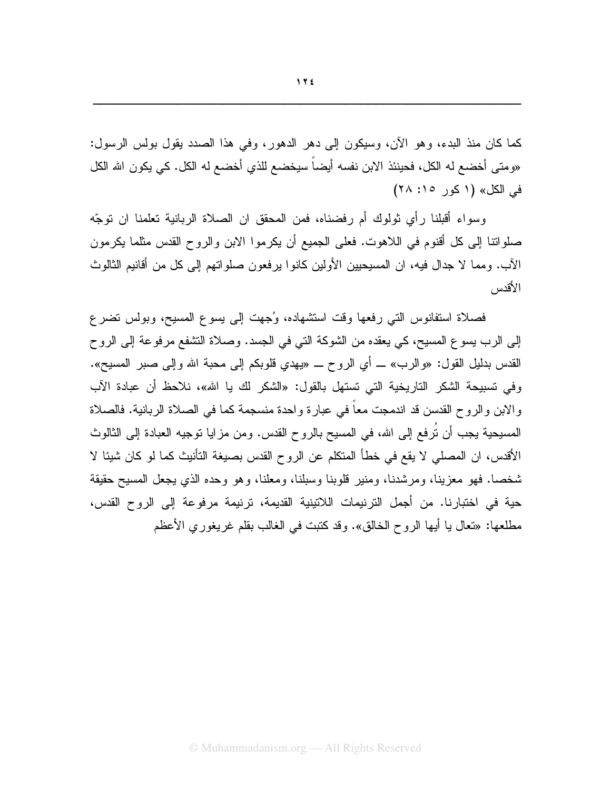كما كان منذ البدء، وهو الآن، وسيكون إلى دهر الدهور، وفي هذا الصدد يقول بولس الرسول: «ومتى أخضـع له الكل، فحينئذ الابن نفسه أيضـاً سيخضـع للذي أخضـع له الكل. كي يكون الله الكل في الكل» (١ كور ١٥: ٢٨)

وسواء أقبلنا رأى ثولوك أم رفضناه، فمن المحقق ان الصلاة الربانية تعلمنا ان توجّه صلواتنا إلى كل أقنوم في اللاهوت. فعلي الجميع أن يكرموا الابن والروح القدس مثلما يكرمون الآب. ومما لا جدال فيه، ان المسيحيين الأولين كانوا يرفعون صلواتهم إلى كل من أقانيم الثالوث الأقدس

فصلاة استفانوس التبي رفعها وقت استشهاده، وُجهت إلى بِسوع المسبح، وبولس نضرع إلى الرب بسوع المسيح، كي يعقده من الشوكة التي في الجسد. وصلاة التشفع مرفوعة إلى الروح القدس بدليل القول: «والرب» ـــ أي الروح ـــ «يهدي قلوبكم إلى محبة الله وإلى صبر المسيح». وفي تسبيحة الشكر التاريخية التي تستهل بالقول: «الشكر لك يا الله»، نلاحظ أن عبادة الآب والابن والروح القدسن قد اندمجت معاً في عبارة واحدة منسجمة كما في الصلاة الربانية. فالصلاة المسيحية يجب أن نُرفع إلى الله، في المسيح بالروح القدس. ومن مزايا نوجيه العبادة إلى الثالوث الأقدس، ان المصلَّى لا يقع في خطأ المتكلِّم عن الروح القدس بصيغة التأنيث كما لو كان شيئًا لا شخصا. فهو معزينا، ومرشدنا، ومنير قلوبنا وسبلنا، ومعلنا، وهو وحده الذي يجعل المسيح حقيقة حية في اختبارنا. من أجمل الترنيمات اللاتينية القديمة، ترنيمة مرفوعة إلى الروح القدس، مطلعها: «نعال يا أيها الروح الخالق». وقد كنبت في الغالب بقلم غريغوري الأعظم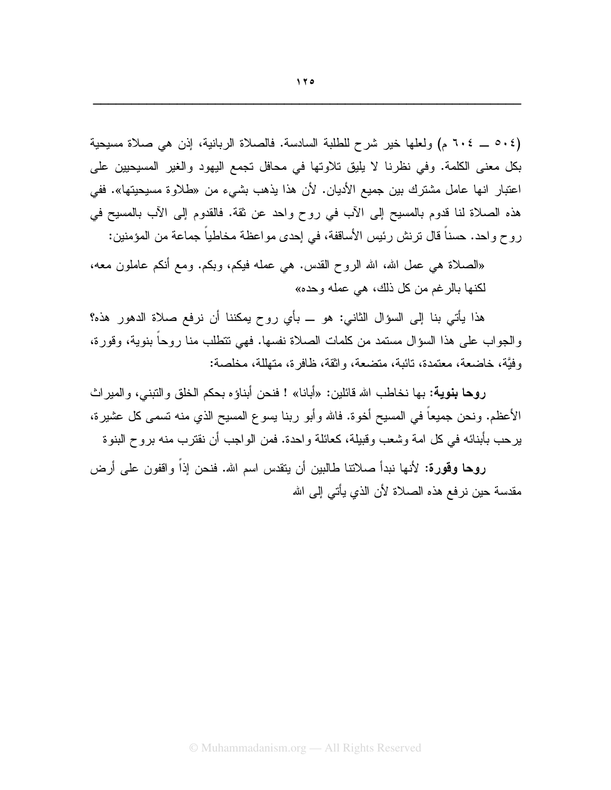(٥٠٤ \_ ٦٠٤م) ولعلها خير شرح للطلبة السادسة. فالصلاة الربانية، إذن هي صلاة مسيحية بكل معنى الكلمة. وفي نظرنا لا يليق تلاوتها في محافل تجمع اليهود والغير المسيحيين على اعتبار انها عامل مشترك بين جميع الأديان. لأن هذا يذهب بشيء من «طلاوة مسيحيتها». ففي هذه الصلاة لنا قدوم بالمسيح إلى الآب في روح واحد عن ثقة. فالقدوم إلى الآب بالمسيح في روح واحد. حسناً قال ترنش رئيس الأساقفة، في إحدى مواعظة مخاطباً جماعة من المؤمنين:

«الصلاة هي عمل الله، الله الروح القدس. هي عمله فيكم، وبكم. ومع أنكم عاملون معه، لكنها بالرغم من كل ذلك، هي عمله وحده»

هذا يأتي بنا إلى السؤال الثاني: هو ــ بأي روح يمكننا أن نرفع صلاة الدهور هذه؟ والجواب على هذا السؤال مستمد من كلمات الصلاة نفسها. فهي نتطلب منا روحا بنوية، وقورة، وفيَّة، خاضعة، معتمدة، تائبة، متضعة، واثقة، ظافر ة، متهلَّلة، مخلصة:

**روحا بنوية:** بها نخاطب الله قائلين: «أبانا» ! فنحن أبناؤه بحكم الخلق والنبني، والميراث الأعظم. ونحن جميعاً في المسيح أخوة. فالله وأبو ربنا يسوع المسيح الذي منه تسمى كل عشيرة، يرحب بأبنائه في كل امة وشعب وقبيلة، كعائلة و احدة. فمن الو اجب أن نقترب منه بروح البنوة

روها وقورة: لأنها نبدأ صلاتنا طالبين أن يتقدس اسم الله. فنحن إذاً وإقفون على أرض مقدسة حين نرفع هذه الصلاة لأن الذي يأتي إلى الله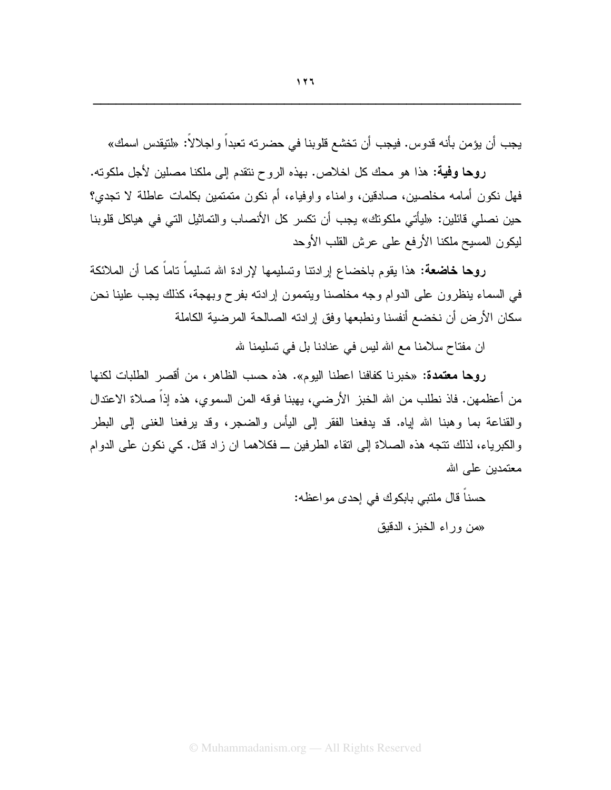يجب أن يؤمن بأنه قدوس. فيجب أن تخشع قلوبنا في حضرته تعبداً واجلالاً: «لتيقدس اسمك»

روحا وفية: هذا هو محك كل اخلاص. بهذه الروح نتقدم إلى ملكنا مصلين لأجل ملكونه. فهل نكون أمامه مخلصين، صادقين، وإمناء وإوفياء، أم نكون متمتمين بكلمات عاطلة لا تجدي؟ حين نصلي قائلين: «ليأتي ملكونك» يجب أن نكسر كل الأنصاب والتماثيل التي في هياكل قلوبنا ليكون المسيح ملكنا الأرفع على عرش القلب الأوحد

**روحا خاضعة:** هذا يقوم باخضاع إرادتنا وتسليمها لإرادة الله تسليماً ناماً كما أن الملائكة في السماء ينظرون على الدوام وجه مخلصنا ويتممون إرادته بفرح وبهجة، كذلك يجب علينا نحن سكان الأر ض أن نخضـع أنفسنا ونطبعها وفق إر ادته الصـالحة المر ضبية الكاملة

ان مفتاح سلامنا مع الله ليس في عنادنا بل في تسليمنا لله

روحا معتمدة: «خبرنا كفافنا اعطنا اليوم». هذه حسب الظاهر ، من أقصر الطلبات لكنها من أعظمهن. فاذ نطلب من الله الخبز الأرضي، يهبنا فوقه المن السموي، هذه إذاً صلاة الاعتدال والقناعة بما وهبنا الله إياه. قد يدفعنا الفقر إلى اليأس والضجر، وقد يرفعنا الغنبي إلى البطر والكبرياء، لذلك نتجه هذه الصلاة إلى انقاء الطرفين ــ فكلاهما ان زاد قتل. كي نكون على الدوام معتمدين علمي الله

حسنا فال ملتبي بابكوك في إحدى مواعظه:

«من وراء الخبز ، الدقبق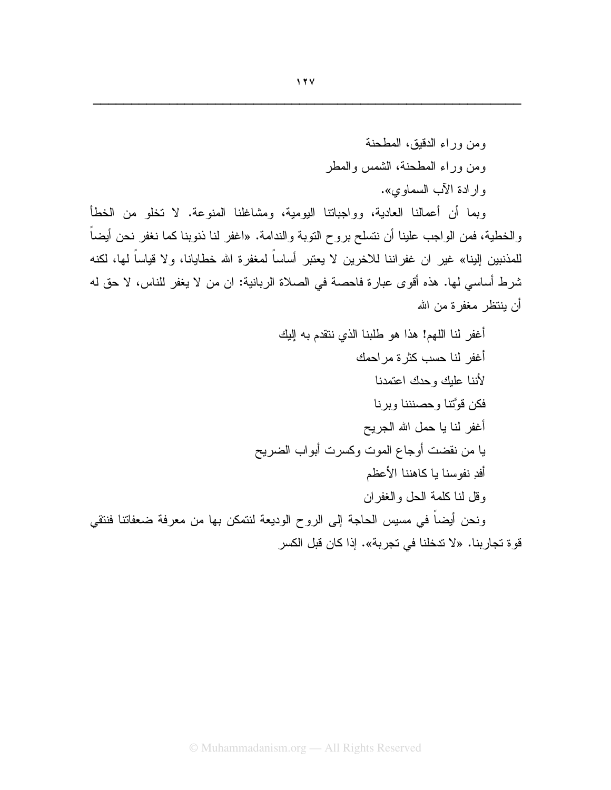ومن وراء الدقيق، المطحنة ومن وراء المطحنة، الشمس والمطر وارادة الآب السماوي».

وبما أن أعمالنا العادية، وواجباتنا اليومية، ومشاغلنا المنوعة. لا تخلو من الخطأ والخطية، فمن الواجب علينا أن نتسلح بروح التوبة والندامة. «اغفر لنا ذنوبنا كما نغفر نحن أيضاً للمذنبين البنا» غير ان غفر اننا للاخر بن لا يعتبر أساساً لمغفر ة الله خطايانا، و لا قياساً لها، لكنه شرط أساسي لها. هذه أقوى عبارة فاحصة في الصلاة الربانية: ان من لا يغفر للناس، لا حق له أن ينتظر مغفر ة من الله

أغفر لنا اللهم! هذا هو طلبنا الذي ننقدم به إليك أغفر لنا حسب كثر ة مر احمك لأننا علبك وحدك اعتمدنا فكن قوَّتنا وحصنننا وبرنا أغفر لنا يا حمل الله الجريح يا من نقضت أوجاع الموت وكسرت أبواب الضريح أفدِ نفوسنا يا كاهننا الأعظم وقل لنا كلمة الحل والغفران ونحن أيضاً في مسيس الحاجة إلى الروح الوديعة لنتمكن بها من معرفة ضعفاتنا فنتقى قوة تجاربنا. «لا تدخلنا في تجربة». إذا كان قبل الكسر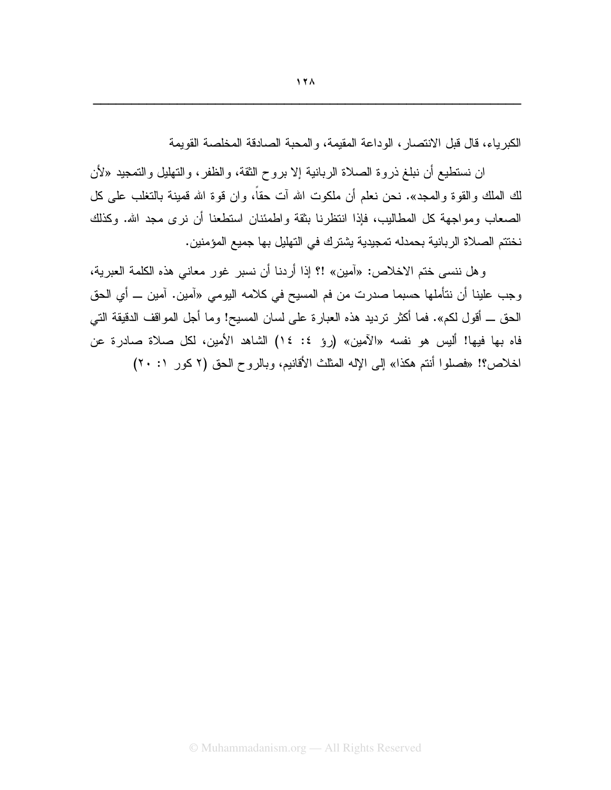الكبر باء، قال قبل الانتصار ، الوداعة المقيمة، والمحبة الصادقة المخلصة القويمة

ان نستطيع أن نبلغ ذروة الصلاة الربانية إلا بروح الثقة، والظفر ، والتهليل والتمجيد «لأن لك الملك والقوة والمـجد». نـحن نـعلم أن ملكوت الله آت حقاً، وان قوة الله قمينـة بـالنـغلب علـى كل الصبعاب ومواجهة كل المطاليب، فإذا انتظرنا بِثقة واطمئنان استطعنا أن نرى مجد الله. وكذلك نختتم الصلاة الر بانية بحمدله تمجيدية يشتر ك في التهليل بها جميع المؤمنين.

و هل ننسي ختم الاخلاص: «آمين» !؟ إذا أردنـا أن نسبر غور معانـي هذه الكلمة العبرية، وجب علينا أن نتأملها حسبما صدرت من فم المسيح في كلامه اليومي «آمين. آمين ــ أي الحق الحق ــ أقول لكم». فما أكثر نرديد هذه العبارة على لسان المسيح! وما أجل المواقف الدقيقة التي فاه بها فيها! أليس هو نفسه «الآمين» (روِّ ٤: ١٤) الشاهد الأمين، لكل صلاة صادرة عن اخلاص؟! «فصلوا أنتم هكذا» إلى الإله المثلث الأقانيم، وبالروح الحق (٢ كور ١: ٢٠)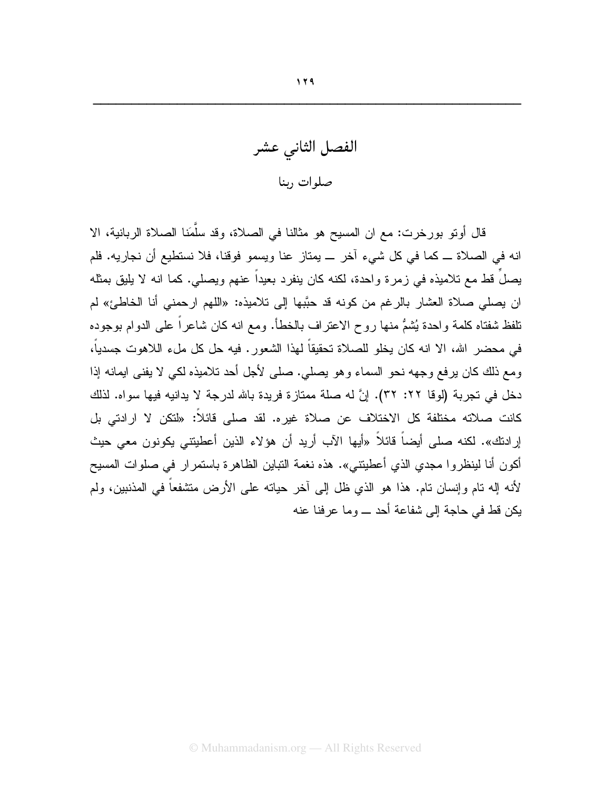الفصل الثانى عشر صلوات ربنا

قال أوتو بورخرت: مع ان المسيح هو مثالنا في الصلاة، وقد سلَّمَنا الصلاة الربانية، الا انه في الصلاة ـــ كما في كل شيء آخر ـــ يمتاز عنا ويسمو فوقنا، فلا نستطيع أن نجاريه. فلم يصلَ قط مع تلاميذه في زمرة واحدة، لكنه كان ينفرد بعيداً عنهم ويصلي. كما انه لا يليق بمثله ان بصلِّي صلاة العشار بالرغم من كونه قد حبَّبها إلى تلاميذه: «اللهم ارحمني أنا الخاطئ» لم نلفظ شفتاه كلمة واحدة يُشمُّ منها روح الاعتراف بالخطأ. ومع انه كان شاعراً على الدوام بوجوده في محضر الله، الا انه كان يخلو للصلاة تحقيقاً لهذا الشعور. فيه حل كل ملء اللاهوت جسدياً، ومع ذلك كان يرفع وجهه نحو السماء وهو يصلي. صلى لأجل أحد تلاميذه لكي لا يفني ايمانه إذا دخل في تجربة (لوفا ٢٢: ٣٢). إنَّ له صلة ممتازة فريدة بالله لدرجة لا يدانيه فيها سواه. لذلك كانت صلاته مختلفة كل الاختلاف عن صلاة غيره. لقد صلى فائلاً: «لتكن لا ارادتي بل إرادتك». لكنه صلى أيضاً قائلاً «أيها الآب أريد أن هؤلاء الذين أعطيتني يكونون معي حيث أكون أنا لينظروا مجدي الذي أعطيتني». هذه نغمة التباين الظاهرة باستمرار في صلوات المسيح لأنه إله نام وإنسان نام. هذا هو الذي ظل إلى أخر حياته على الأرض منشفعاً في المذنبين، ولم بكن قط في حاجة الى شفاعة أحد ـــ وما عر فنا عنه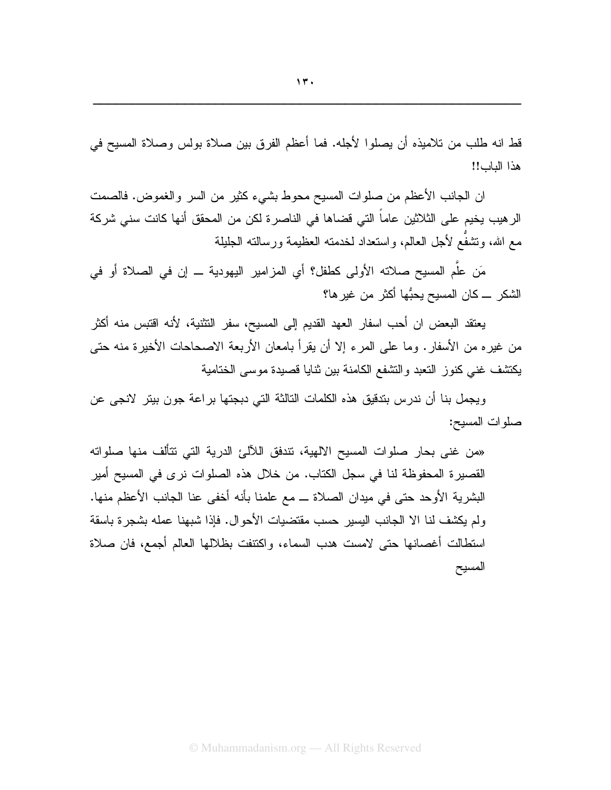قط انه طلب من تلاميذه أن يصلوا لأجله. فما أعظم الفرق بين صلاة بولس وصلاة المسيح في هذا الباب!!

ان الجانب الأعظم من صلوات المسيح محوط بشيء كثير من السر والغموض. فالصمت الر هيب يخيم على الثلاثين عاماً التي قضاها في الناصرة لكن من المحقق أنها كانت سني شركة مع الله، ونتثنفَّع لأجل العالم، واستعداد لخدمته العظيمة ورسالته الجليلة

مَن علَّم المسبح صلاته الأولى كطفل؟ أي المزامير اليهودية ـــ إن في الصلاة أو في الشكر \_ كان المسيح يحبُّها أكثر من غير ها؟

يعتقد البعض ان أحب اسفار العهد القديم إلى المسيح، سفر التثنية، لأنه اقتبس منه أكثر من غيره من الأسفار . وما على المرء إلا أن يقرأ بامعان الأربعة الاصحاحات الأخيرة منه حتى يكتشف غنى كنوز النعبد والتشفع الكامنة بين ثنايا قصيدة موسى الختامية

ويجمل بنا أن ندرس بتدقيق هذه الكلمات النالثة التي دبجتها براعة جون بيتر لانجى عن صلوات المسيح:

«من غني بحار صلوات المسيح الالهية، نتدفق اللآلئ الدرية التي نتألف منها صلواته القصيرة المحفوظة لنا في سجل الكتاب. من خلال هذه الصلوات نرى في المسيح أمير البشرية الأوحد حتى في ميدان الصلاة ـــ مع علمنا بأنه أخفى عنا الجانب الأعظم منها. ولم يكشف لنا الا الجانب اليسير حسب مقتضبات الأحوال. فإذا شبهنا عمله بشجرة باسقة استطالت أغصانها حتبي لامست هدب السماء، واكتنفت بظلالها العالم أجمع، فان صلاة المسيح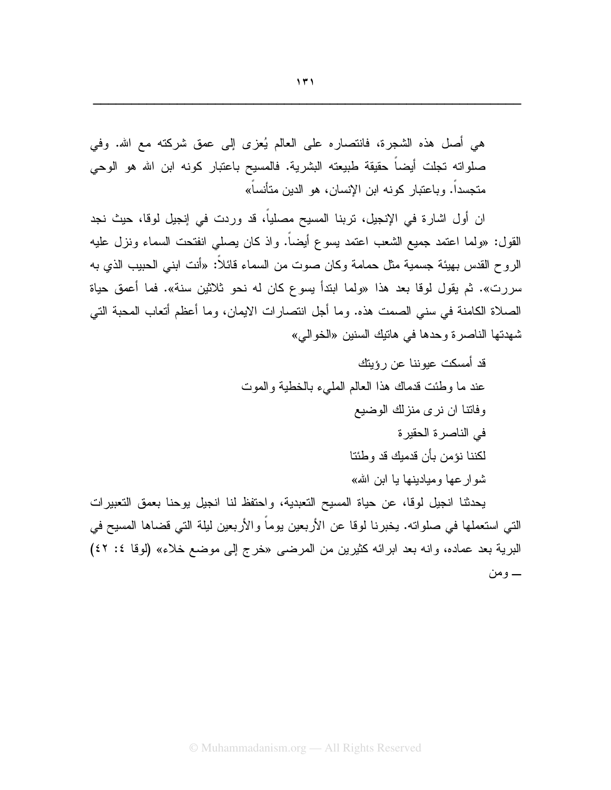هي أصل هذه الشجرة، فانتصاره على العالم يُعزى إلى عمق شركته مع الله. وفي صلواته تجلت أيضاً حقيقة طبيعته البشرية. فالمسيح باعتبار كونه ابن الله هو الوحى متجسداً. وباعتبار كونه ابن الإنسان، هو الدين متأنساً»

ان أول اشار ة في الإنجيل، تربنا المسيح مصلياً، قد وردت في إنجيل لوقا، حيث نجد القول: «ولما اعتمد جميع الشعب اعتمد بسوع أيضاً. وإذ كان يصلَّى انفتحت السماء ونزل عليه الروح القدس بهيئة جسمية مثل حمامة وكان صوت من السماء قائلاً: «أنت ابني الحبيب الذي به سررت». ثم يقول لوقا بعد هذا «ولما ابتدأ يسوع كان له نحو ثلاثين سنة». فما أعمق حياة الصلاة الكامنة في سنى الصمت هذه. وما أجل انتصارات الايمان، وما أعظم أتعاب المحبة التي شهدتها الناصرة وحدها في هاتيك السنين «الخوالي»

> قد أمسكت عيوننا عن رؤيتك عند ما وطئت قدماك هذا العالم المليء بالخطية والموت وفاتنا ان نرى منزلك الوضيع في الناصرة الحقيرة لكننا نؤمن بأن قدميك قد وطئنا شوارعها وميادينها يا ابن الله»

يحدثنا انجيل لوقا، عن حياة المسيح النعبدية، واحتفظ لنا انجيل بوحنا بعمق النعبيرات التي استعملها في صلواته. يخبرنا لوقا عن الأربعين يوماً والأربعين ليلة التي قضاها المسيح في البرية بعد عماده، وانه بعد ابرائه كثيرين من المرضى «خرج إلى موضع خلاء» (لوقا ٤٢ ٤٢) ـــــــــومن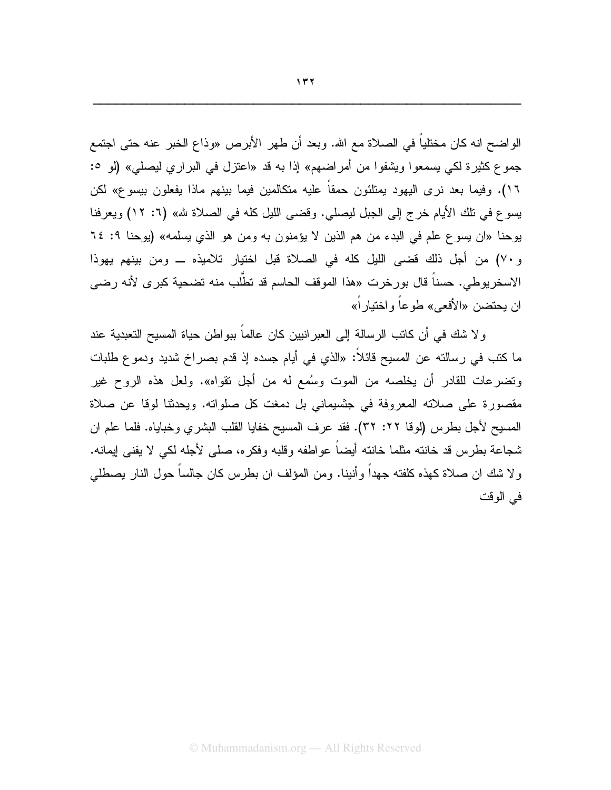الواضح انه كان مختلياً في الصلاة مع الله. وبعد أن طهر الأبرص «وذاع الخبر عنه حتى اجتمع جموع كثيرة لكي يسمعوا ويشفوا من أمراضهم» إذا به قد «اعتزل في البراري ليصلي» (لو °: ١٦). وفيما بعد نرى اليهود يمتلئون حمقاً عليه متكالمين فيما بينهم ماذا يفعلون بيسوع» لكن يسوع في نلك الأيام خرج إلى الجبل ليصلي. وقضي الليل كله في الصلاة لله» (٦: ١٢) ويعرفنا بوحنا «ان يسوع علم في البدء من هم الذين لا يؤمنون به ومن هو الذي يسلمه» (يوحنا ٩: ٦٤ و ٧٠) من أجل ذلك قضي الليل كله في الصلاة قبل اختيار تلاميذه ــ ومن بينهم يهوذا الاسخريوطي. حسناً قال بورخرت «هذا الموقف الحاسم قد تطَّلب منه تضحية كبرى لأنه رضي ان بحتضن «الأفعى» طوعاً واختبار اً»

و لا شك في أن كاتب الرسالة إلى العبر انبين كان عالما ببو اطن حياة المسيح التعبدية عند ما كتب في رسالته عن المسيح قائلًا: «الذي في أيام جسده إذ قدم بصراخ شديد ودموع طلبات وتضرعات للقادر أن يخلصه من الموت وسُمع له من أجل نقواه». ولعل هذه الروح غير مقصورة على صلاته المعروفة في جنسيماني بل دمغت كل صلواته. ويحدثنا لوقا عن صلاة المسيح لأجل بطرس (لوقا ٢٢: ٣٢). فقد عرف المسيح خفايا القلب البشري وخباياه. فلما علم ان شجاعة بطرس قد خانته مثلما خانته أيضاً عواطفه وقلبه وفكره، صلَّى لأجله لكي لا يفني إيمانه. ولا شك ان صلاة كهذه كلفته جهداً وأنينا. ومن المؤلف ان بطرس كان جالساً حول النار يصطلبي في الوقت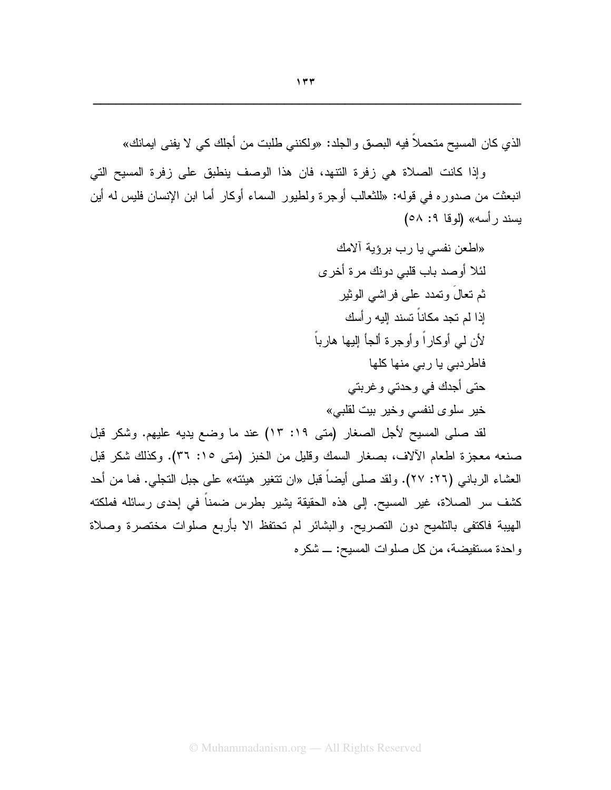الذي كان المسيح متحملا فيه البصق والجلد: «ولكنني طلبت من أجلك كي لا يفني ايمانك»

وإذا كانت الصلاة هي زفرة النتهد، فان هذا الوصف ينطبق على زفرة المسيح التي انبعثت من صدوره في قوله: «للثعالب أوجرة ولطيور السماء أوكار أما ابن الإنسان فليس له أين بِسند رأسه» (لوقا ٩: ٥٨)

> «اطعن نفسي يا رب برؤية آلامك لئلا أوصد باب قلبي دونك مر ة أخر ي ثم تعالَ وتمدد علمي فراشمي الوثير إذا لم تجد مكاناً تسند إليه ر أسك لأن لمي أوكاراً وأوجرة ألجأ إليها هارباً فاطردبی یا ربی منها کلها حتى أجدك في وحدتي و غربتي خير سلوى لنفسى وخير بيت لقلبي»

لقد صلى المسيح لأجل الصغار (متى ١٩: ١٣) عند ما وضع يديه عليهم. وشكر قبل صنعه معجزة اطعام الألاف، بصغار السمك وقليل من الخبز (متى ١٥: ٣٦). وكذلك شكر قبل العشاء الرباني (٢٦: ٢٧). ولقد صلى أيضاً قبل «ان نتغير هيئته» على جبل التجلي. فما من أحد كشف سر الصلاة، غير المسيح. إلى هذه الحقيقة يشير بطرس ضمناً في إحدى رسائله فملكته الهيبة فاكتفى بالتلميح دون التصريح. والبشائر لم تحتفظ الا بأربع صلوات مختصرة وصلاة واحدة مستفيضة، من كل صلوات المسيح: ـــ شكره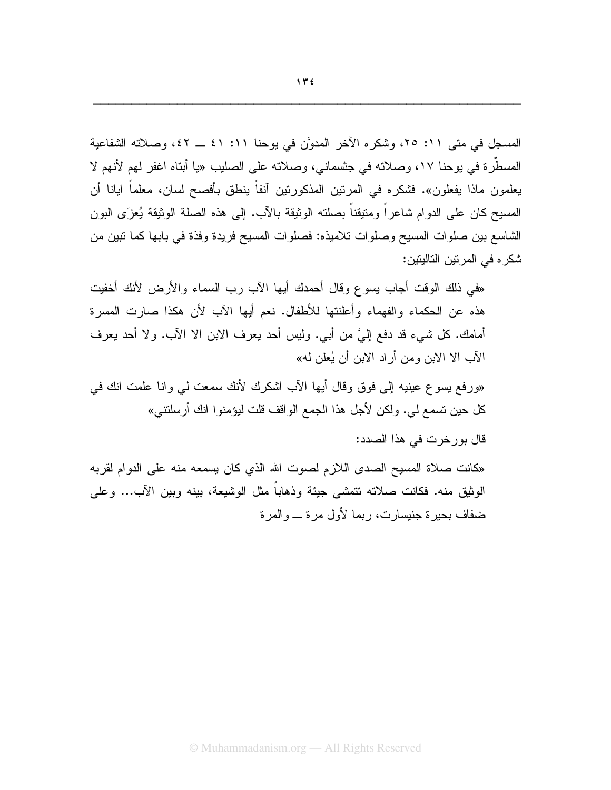المسجل في متى ١١: ٢٥، وشكره الآخر المدوَّن في يوحنا ١١: ٤١ ــ ٤٢، وصلاته الشفاعية المسطَّرة في يوحنا ١٧، وصلاته في جنسماني، وصلاته على الصليب «يا أبتاه اغفر لهم لأنهم لا يعلمون ماذا يفعلون». فشكره في المرتين المذكورتين أنفاً ينطق بأفصح لسان، معلماً ايانا أن المسيح كان على الدوام شاعراً ومتيقناً بصلته الوثيقة بالأب. إلى هذه الصلة الوثيقة يُعزَى البون الشاسع بين صلوات المسيح وصلوات تلاميذه: فصلوات المسيح فريدة وفذة في بابها كما نبين من شكر ء في المر نين التاليتين:

«في ذلك الوقت أجاب يسوع وقال أحمدك أيها الأب رب السماء والأرض لأنك أخفيت هذه عن الحكماء والفهماء وأعلنتها للأطفال. نعم أيها الآب لأن هكذا صارت المسرة أمامك. كل شبيء قد دفع إليَّ من أبي. وليس أحد بعرف الابن الا الآب. ولا أحد بعرف الآب الا الابن ومن أراد الابن أن يُعلن له»

«ورفع بسوع عينيه إلى فوقٍ وقال أيها الأب اشكرك لأنك سمعت لي وانا علمت انك في كل حين تسمع لي. ولكن لأجل هذا الجمع الواقف قلت ليؤمنوا انك أرسلتني»

قال بورخرت في هذا الصدد:

«كانت صلاة المسيح الصدى اللازم لصوت الله الذي كان يسمعه منه على الدوام لقربه الوثيق منه. فكانت صلاته تتمشى جيئة وذهاباً مثل الوشيعة، بينه وبين الأب... وعلى ضفاف بحيرة جنيسارت، ربما لأول مرة ـ والمرة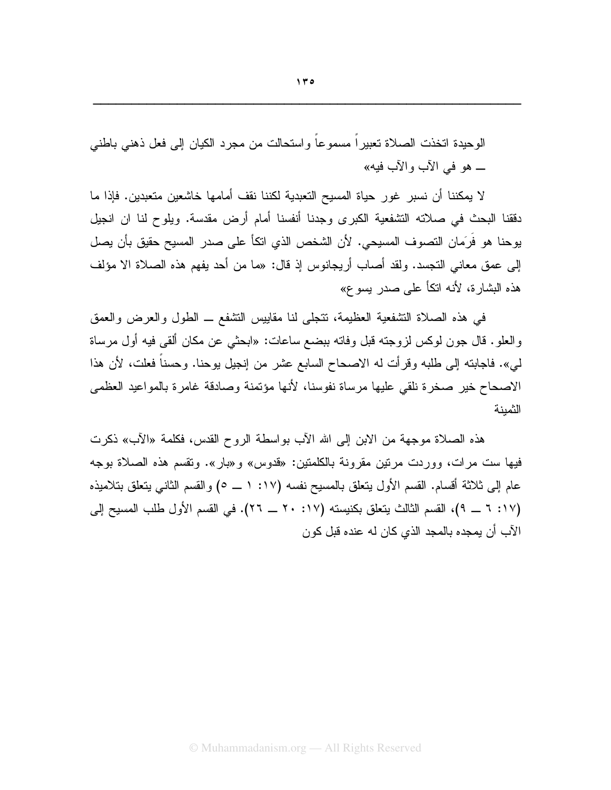الوحيدة اتخذت الصلاة تعبيراً مسموعاً واستحالت من مجرد الكيان إلى فعل ذهني باطني ــ هو في الآب والآب فيه»

لا يمكننا أن نسبر غور حياة المسيح التعبدية لكننا نقف أمامها خاشعين متعبدين. فإذا ما دققنا البحث في صلاته التشفعية الكبرى وجدنا أنفسنا أمام أرض مقدسة. وبلوح لنا ان انجيل يوحنا هو فَرَمان النصوف المسيحي. لأن الشخص الذي اتكاً على صدر المسيح حقيق بأن يصل إلى عمق معاني التجسد. ولقد أصاب أريجانوس إذ قال: «ما من أحد يفهم هذه الصلاة الا مؤلف هذه البشارة، لأنه اتكأ على صدر بسوع»

في هذه الصلاة النشفعية العظيمة، نتجلَّى لنا مقابيس النشفع ــ الطول والعرض والعمق والعلو. قال جون لوكس لزوجته قبل وفاته ببضع ساعات: «ابحثي عن مكان ألقى فيه أول مرساة لمي». فاجابته إلى طلبه وقرأت له الاصحاح السابع عشر من إنجيل بوحنا. وحسناً فعلت، لأن هذا الاصحاح خير صخرة نلقى عليها مرساة نفوسنا، لأنها مؤتمنة وصادقة غامرة بالمواعيد العظمى الثمنة

هذه الصلاة موجهة من الابن إلى الله الآب بواسطة الروح القدس، فكلمة «الآب» ذكرت فيها ست مرات، ووردت مرتين مقرونة بالكلمتين: «قدوس» و«بار». وتقسم هذه الصلاة بوجه عام إلى ثلاثة أقسام. القسم الأول يتعلق بالمسيح نفسه (١٧: ١ ــ ٥) والقسم الثاني يتعلق بتلاميذه (١٧: ٦ \_ ٩)، القسم الثالث يتعلق بكنيسته (١٧: ٢٠ \_ ٢٦). في القسم الأول طلب المسيح إلى الآب أن يمجده بالمجد الذي كان له عنده قبل كو ن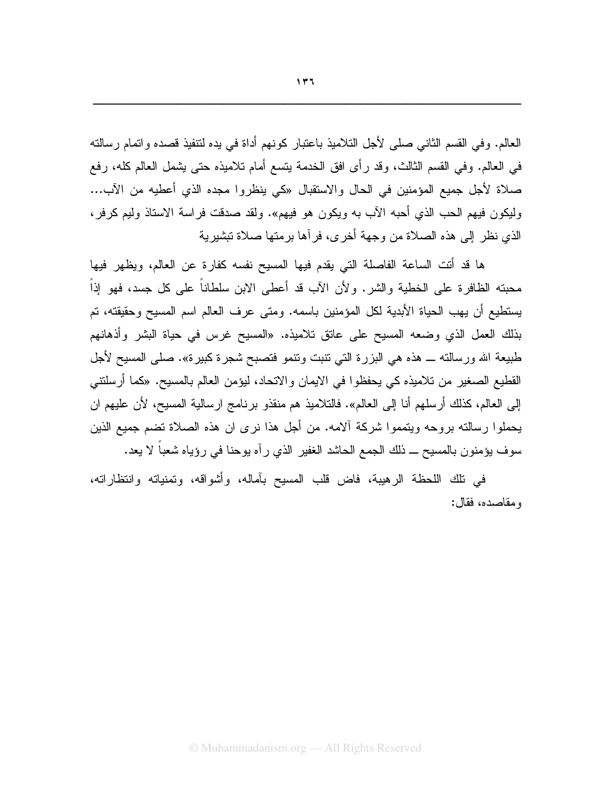العالم. وفي القسم الثاني صلى لأجل التلاميذ باعتبار كونهم أداة في يده لتتفيذ قصده واتمام رسالته في العالم. وفي القسم الثالث، وقد رأى افق الخدمة بتسع أمام نلاميذه حتى بشمل العالم كله، رفع صلاة لأجل جميع المؤمنين في الحال والاستقبال «كي ينظروا مجده الذي أعطيه من الآب... وليكون فيهم الحب الذي أحبه الآب به ويكون هو فيهم». ولقد صدقت فراسة الاستاذ وليم كرفر، الذي نظر إلى هذه الصلاة من وجهة أخر ي، فر آها بر متها صلاة تبشير ية

ها قد أنت الساعة الفاصلة التي يقدم فيها المسيح نفسه كفارة عن العالم، ويظهر فيها محبنه الظافرة على الخطية والشر. ولأن الآب قد أعطى الابن سلطاناً على كل جسد، فهو إذاً يستطيع أن يهب الحياة الأبدية لكل المؤمنين باسمه. ومتى عرف العالم اسم المسيح وحقيقته، تم بذلك العمل الذي وضعه المسيح على عانق تلاميذه. «المسيح غرس في حياة البشر وأذهانهم طبيعة الله ورسالته ـــ هذه هي البزرة التي نتبت ونتمو فتصبح شجرة كبيرة». صلى المسيح لأجل القطيع الصغير من تلاميذه كي يحفظوا في الايمان والاتحاد، ليؤمن العالم بالمسيح. «كما أرسلتتي إلى العالم، كذلك أرسلهم أنا إلى العالم». فالتلاميذ هم منقذو برنامج ارسالية المسيح، لأن عليهم ان بحملوا رسالته بروحه ويتمموا شركة ألامه. من أجل هذا نرى ان هذه الصلاة تضم جميع الذين سوف يؤمنون بالمسيح ـــ ذلك الجمع الحاشد الغفير الذي رآه يوحنا في رؤياه شعباً لا يعد.

في نلك اللحظة الرهيبة، فاض قلب المسيح بأماله، وأشواقه، وتمنياته وانتظاراته، ومقاصده، فقال: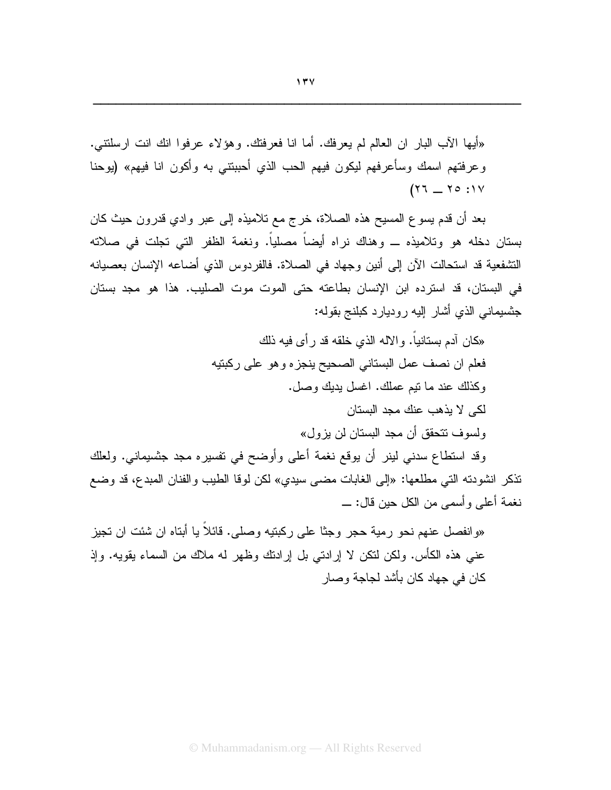«أيها الآب البار ان العالم لم يعرفك. أما انا فعرفتك. وهؤلاء عرفوا انك انت ارسلتتبي. وعرفتهم اسمك وسأعرفهم ليكون فيهم الحب الذي أحببتني به وأكون انا فيهم» (بوحنا  $(17 - 70.11)$ 

بعد أن قدم بسوع المسيح هذه الصلاة، خرج مع تلاميذه إلى عبرٍ وادى قدرونٍ حيث كان بستان دخله هو وتلاميذه ـــ وهناك نراه أيضـاً مصلياً. ونغمة الظفر التي تجلت في صلاته التشفعية قد استحالت الآن إلى أنين وجهاد في الصلاة. فالفردوس الذي أضاعه الإنسان بعصبانه في البستان، قد استرده ابن الإنسان بطاعته حتى الموت موت الصليب. هذا هو مجد بستان جنسيماني الذي أشار إليه روديارد كبلنج بقوله:

> «كان آدم بستانياً. والاله الذي خلقه قد رأى فيه ذلك فعلم ان نصف عمل البستاني الصحيح ينجزه وهو على ركبتيه وكذلك عند ما نتيم عملك. اغسل بديك وصل. لکے لا بذهب عنك مجد البستان ولسوف نتحقق أن مجد البستان لن يزول»

وقد استطاع سدني لينر أن يوقع نغمة أعلى وأوضح في نفسيره مجد جثسيماني. ولعلك نذكر انشودنه التي مطلعها: «إلى الغابات مضي سيدي» لكن لوقا الطيب والفنان المبدع، قد وضع نغمة أعلى وأسمى من الكل حين قال: ـــ

«وانفصل عنهم نحو رمية حجر وجثًا على ركبتيه وصلى. قائلاً يا أبتاه ان شئت ان تجيز عنبي هذه الكأس. ولكن لنكن لا إرادتي بل إرادنك وظهر له ملاك من السماء بقويه. وإذ كان في جهاد كان بأشد لجاجة وصبار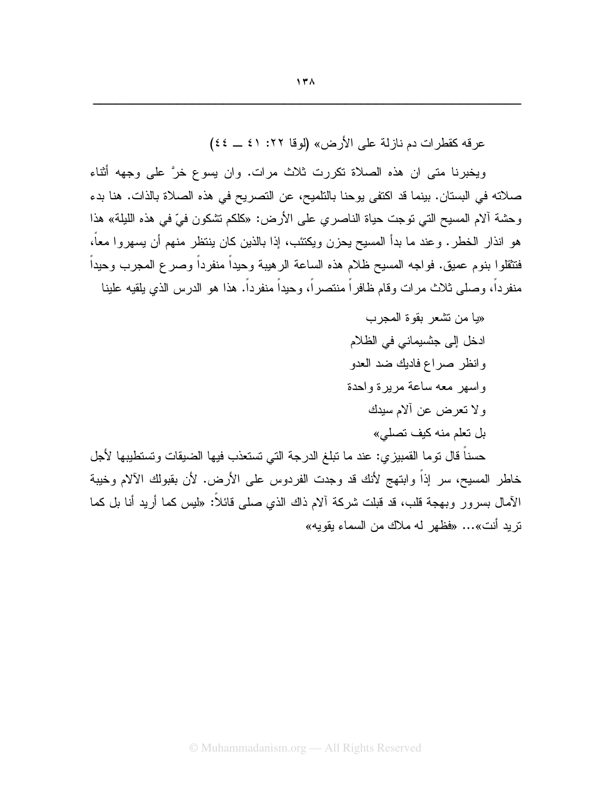عرفه كقطرات دم نازلة على الأرض» (لوفا ٢٢: ٤١ \_ ٤٤)

ويخبرنا متى ان هذه الصلاة نكررت ثلاث مرات. وان يسوع خرَّ على وجهه أثناء صلاته في البستان. بينما قد اكتفى يوحنا بالتلميح، عن التصريح في هذه الصلاة بالذات. هنا بدء و حشة آلام المسيح التي توجت حياة الناصر ي على الأرض: «كلكم تشكون فيّ في هذه الليلة» هذا هو انذار الخطر . وعند ما بدأ المسيح يحزن ويكتئب، إذا بالذين كان ينتظر منهم أن يسهروا معاً، فتثقلوا بنوم عميق. فواجه المسيح ظلام هذه الساعة الرهيبة وحيداً منفرداً وصرع المجرب وحيداً منفرداً، وصلَّى ثلاث مرات وقام ظافراً منتصراً، وحيداً منفرداً. هذا هو الدرس الذي يلقيه علينا

> «يا من تشعر بقوة المجرب ادخل إلى جنسيماني في الظلام وإنظر صراع فاديك ضد العدو واسهر معه ساعة مريرة واحدة ولا تعرض عن ألام سيدك بل تعلم منه كيف تصلبي»

حسنا قال نوما القمبيزي: عند ما نبلغ الدرجة التي تستعذب فيها الضيقات وتستطيبها لأجل خاطر المسيح، سر إذاً وابتهج لأنك قد وجدت الفردوس على الأرض. لأن بقبولك الآلام وخيبة الأمال بسرور وبـهجة قلب، قد قبلت شركة ألام ذاك الذي صلـي قائلاً: «ليس كما أريد أنا بل كما تريد أنت»... «فظهر له ملاك من السماء يقويه»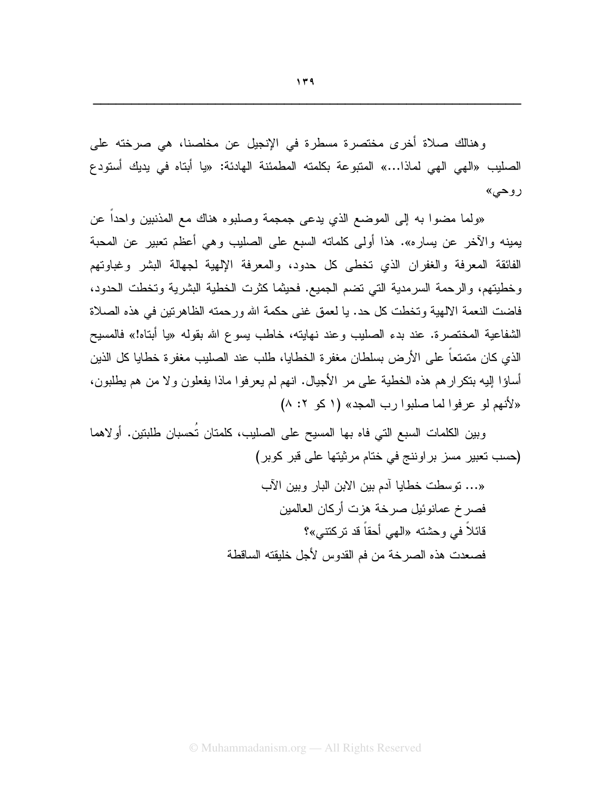وهنالك صلاة أخرى مختصرة مسطرة في الإنجيل عن مخلصنا، هي صرخته على الصليب «الهي الهي لماذا...» المتبوعة بكلمته المطمئنة الهادئة: «يا أبتاه في يديك أستودع روحي»

«ولما مضوا به إلى الموضع الذي يدعى جمجمة وصلبوه هناك مع المذنبين واحداً عن يمينه والآخر عن يساره». هذا أولى كلماته السبع على الصليب وهي أعظم تعبير عن المحبة الفائقة المعرفة والغفران الذي تخطى كل حدود، والمعرفة الإلهية لجهالة البشر وغباوتهم وخطيتهم، والرحمة السرمدية التي تضم الجميع. فحيثما كثرت الخطية البشرية وتخطت الحدود، فاضت النعمة الالهية وتخطت كل حد. يا لعمق غني حكمة الله ورحمته الظاهرتين في هذه الصلاة الشفاعية المختصرة. عند بدء الصليب وعند نهايته، خاطب يسوع الله بقوله «يا أبتاه!» فالمسيح الذي كان متمتعاً على الأرض بسلطان مغفرة الخطايا، طلب عند الصليب مغفرة خطايا كل الذين أساؤا إليه بنكرارهم هذه الخطية على مر الأجيال. انهم لم يعرفوا ماذا يفعلون ولا من هم يطلبون، «لأنهم لو عرفوا لما صلبوا رب المجد» (١ كو ٢: ٨)

وبين الكلمات السبع التي فاه بها المسيح على الصليب، كلمتان تُحسبان طلبتين. أولاهما (حسب تعبير مسز براوننج في ختام مرثيتها على قبر كوبر)